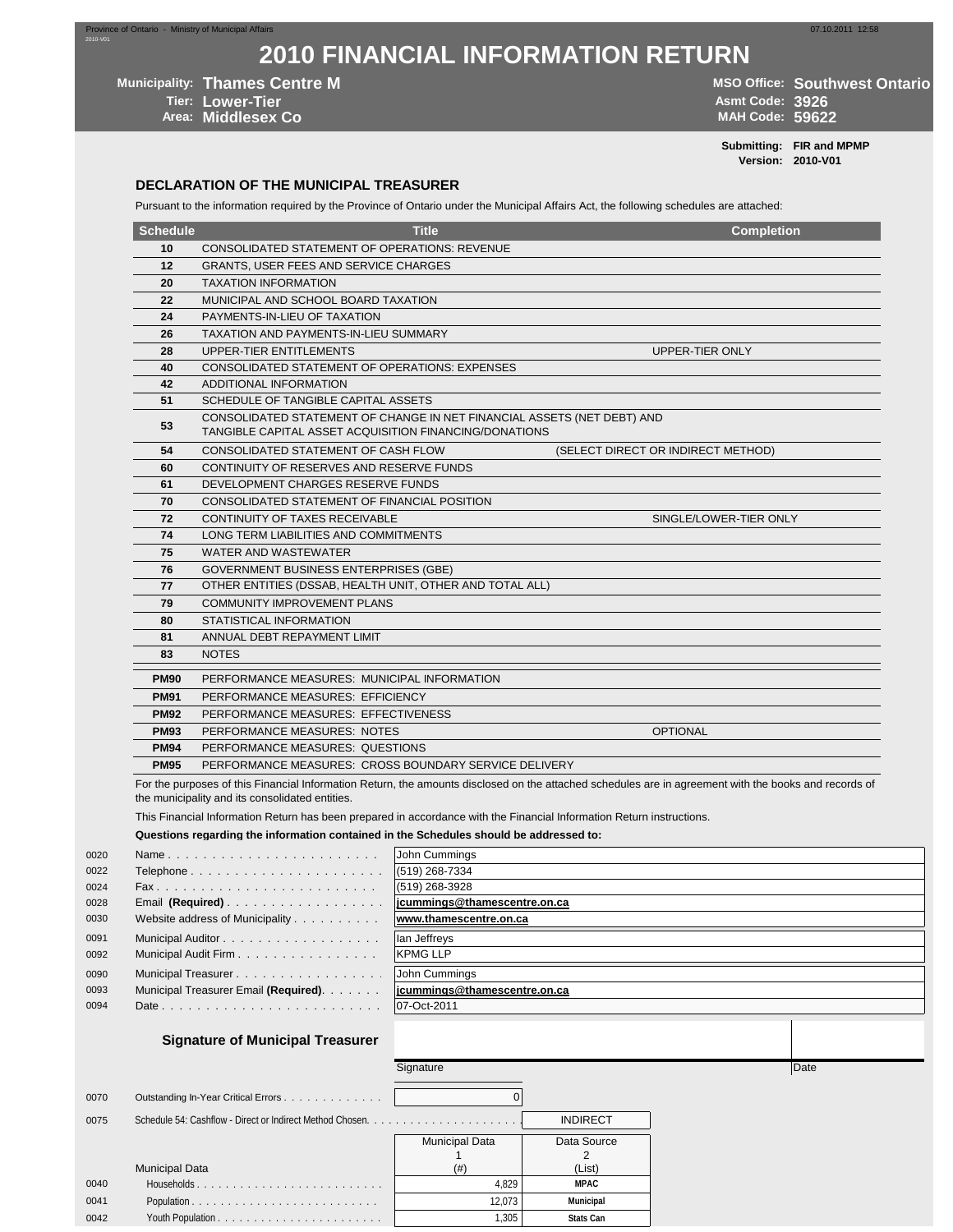**2010 FINANCIAL INFORMATION RETURN**

**Municipality: Thames Centre M MICO CONSTRUCTER CONSTRUCTER MICO CONSTRUCTER MICO Office: Southwest Ontario** 

**Area: Middlesex Co** 

**Tier: Lower-Tier Asmt Code: 3926**

**Submitting: FIR and MPMP Version: 2010-V01**

#### **DECLARATION OF THE MUNICIPAL TREASURER**

Pursuant to the information required by the Province of Ontario under the Municipal Affairs Act, the following schedules are attached:

| <b>Schedule</b> | <b>Title</b>                                                                                                                      | <b>Completion</b>                  |
|-----------------|-----------------------------------------------------------------------------------------------------------------------------------|------------------------------------|
| 10              | <b>CONSOLIDATED STATEMENT OF OPERATIONS: REVENUE</b>                                                                              |                                    |
| 12              | <b>GRANTS, USER FEES AND SERVICE CHARGES</b>                                                                                      |                                    |
| 20              | <b>TAXATION INFORMATION</b>                                                                                                       |                                    |
| 22              | MUNICIPAL AND SCHOOL BOARD TAXATION                                                                                               |                                    |
| 24              | PAYMENTS-IN-LIEU OF TAXATION                                                                                                      |                                    |
| 26              | TAXATION AND PAYMENTS-IN-LIEU SUMMARY                                                                                             |                                    |
| 28              | <b>UPPER-TIER ENTITLEMENTS</b>                                                                                                    | UPPER-TIER ONLY                    |
| 40              | <b>CONSOLIDATED STATEMENT OF OPERATIONS: EXPENSES</b>                                                                             |                                    |
| 42              | ADDITIONAL INFORMATION                                                                                                            |                                    |
| 51              | SCHEDULE OF TANGIBLE CAPITAL ASSETS                                                                                               |                                    |
| 53              | CONSOLIDATED STATEMENT OF CHANGE IN NET FINANCIAL ASSETS (NET DEBT) AND<br>TANGIBLE CAPITAL ASSET ACQUISITION FINANCING/DONATIONS |                                    |
| 54              | CONSOLIDATED STATEMENT OF CASH FLOW                                                                                               | (SELECT DIRECT OR INDIRECT METHOD) |
| 60              | CONTINUITY OF RESERVES AND RESERVE FUNDS                                                                                          |                                    |
| 61              | DEVELOPMENT CHARGES RESERVE FUNDS                                                                                                 |                                    |
| 70              | CONSOLIDATED STATEMENT OF FINANCIAL POSITION                                                                                      |                                    |
| 72              | CONTINUITY OF TAXES RECEIVABLE                                                                                                    | SINGLE/LOWER-TIER ONLY             |
| 74              | LONG TERM LIABILITIES AND COMMITMENTS                                                                                             |                                    |
| 75              | WATER AND WASTEWATER                                                                                                              |                                    |
| 76              | <b>GOVERNMENT BUSINESS ENTERPRISES (GBE)</b>                                                                                      |                                    |
| 77              | OTHER ENTITIES (DSSAB, HEALTH UNIT, OTHER AND TOTAL ALL)                                                                          |                                    |
| 79              | <b>COMMUNITY IMPROVEMENT PLANS</b>                                                                                                |                                    |
| 80              | STATISTICAL INFORMATION                                                                                                           |                                    |
| 81              | ANNUAL DEBT REPAYMENT LIMIT                                                                                                       |                                    |
| 83              | <b>NOTES</b>                                                                                                                      |                                    |
| <b>PM90</b>     | PERFORMANCE MEASURES: MUNICIPAL INFORMATION                                                                                       |                                    |
| <b>PM91</b>     | PERFORMANCE MEASURES: EFFICIENCY                                                                                                  |                                    |
| <b>PM92</b>     | PERFORMANCE MEASURES: EFFECTIVENESS                                                                                               |                                    |
| <b>PM93</b>     | PERFORMANCE MEASURES: NOTES                                                                                                       | <b>OPTIONAL</b>                    |
| <b>PM94</b>     | PERFORMANCE MEASURES: QUESTIONS                                                                                                   |                                    |
| <b>PM95</b>     | PERFORMANCE MEASURES: CROSS BOUNDARY SERVICE DELIVERY                                                                             |                                    |

For the purposes of this Financial Information Return, the amounts disclosed on the attached schedules are in agreement with the books and records of the municipality and its consolidated entities.

This Financial Information Return has been prepared in accordance with the Financial Information Return instructions.

#### **Questions regarding the information contained in the Schedules should be addressed to:**

| 0020 | Name                                  | John Cummings                |
|------|---------------------------------------|------------------------------|
| 0022 | Telephone                             | $(519)$ 268-7334             |
| 0024 |                                       | (519) 268-3928               |
| 0028 | Email (Required)                      | jcummings@thamescentre.on.ca |
| 0030 | Website address of Municipality       | www.thamescentre.on.ca       |
| 0091 | Municipal Auditor                     | lan Jeffreys                 |
| 0092 | Municipal Audit Firm                  | <b>KPMG LLP</b>              |
| 0090 | Municipal Treasurer                   | John Cummings                |
| 0093 | Municipal Treasurer Email (Required). | jcummings@thamescentre.on.ca |
| 0094 |                                       | 07-Oct-2011                  |
|      |                                       |                              |

#### **Signature of Municipal Treasurer**

|      |                                     | Signature             |                  | Date |
|------|-------------------------------------|-----------------------|------------------|------|
| 0070 | Outstanding In-Year Critical Errors |                       |                  |      |
| 0075 |                                     |                       | <b>INDIRECT</b>  |      |
|      |                                     | <b>Municipal Data</b> | Data Source      |      |
|      |                                     |                       |                  |      |
|      | <b>Municipal Data</b>               | (# )                  | (List)           |      |
| 0040 |                                     | 4.829                 | <b>MPAC</b>      |      |
| 0041 | Population                          | 12.073                | <b>Municipal</b> |      |
| 0042 |                                     | 1.305                 | <b>Stats Can</b> |      |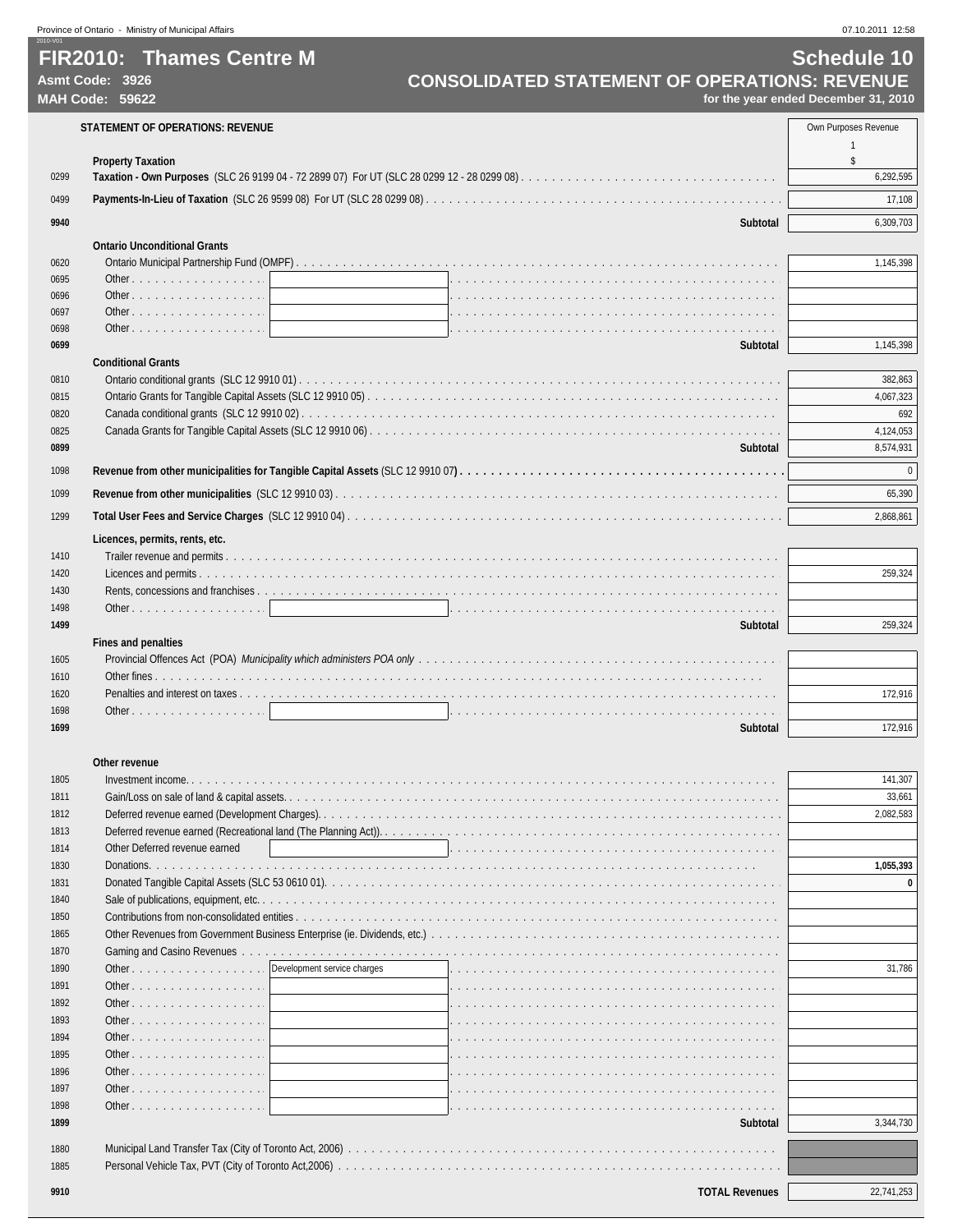Province of Ontario - Ministry of Municipal Affairs x 07.10.2011 12:58

## 2010-V01

**MAH Code: 59622 for the year ended December 31, 2010**

|              | <b>STATEMENT OF OPERATIONS: REVENUE</b> | Own Purposes Revenue |
|--------------|-----------------------------------------|----------------------|
|              |                                         |                      |
| 0299         | <b>Property Taxation</b>                | \$<br>6,292,595      |
|              |                                         |                      |
| 0499         |                                         | 17,108               |
| 9940         | Subtotal                                | 6,309,703            |
|              | <b>Ontario Unconditional Grants</b>     |                      |
| 0620         |                                         | 1,145,398            |
| 0695         | Other                                   |                      |
| 0696         | Other                                   |                      |
| 0697<br>0698 |                                         |                      |
| 0699         | Subtotal                                | 1,145,398            |
|              | <b>Conditional Grants</b>               |                      |
| 0810         |                                         | 382,863              |
| 0815         |                                         | 4,067,323            |
| 0820         |                                         | 692                  |
| 0825         |                                         | 4,124,053            |
| 0899         | Subtotal                                | 8,574,931            |
| 1098         |                                         | $\pmb{0}$            |
| 1099         |                                         | 65,390               |
|              |                                         |                      |
| 1299         |                                         | 2,868,861            |
|              | Licences, permits, rents, etc.          |                      |
| 1410         |                                         |                      |
| 1420         |                                         | 259,324              |
| 1430<br>1498 |                                         |                      |
| 1499         | Subtotal                                | 259,324              |
|              | <b>Fines and penalties</b>              |                      |
| 1605         |                                         |                      |
| 1610         |                                         |                      |
| 1620         |                                         | 172,916              |
| 1698         |                                         |                      |
| 1699         | <b>Subtotal</b>                         | 172,916              |
|              |                                         |                      |
|              | Other revenue                           |                      |
| 1805<br>1811 |                                         | 141,307<br>33,661    |
| 1812         |                                         | 2,082,583            |
| 1813         |                                         |                      |
| 1814         | Other Deferred revenue earned           |                      |
| 1830         | Donations.                              | 1,055,393            |
| 1831         |                                         | $\bf{0}$             |
| 1840         |                                         |                      |
| 1850         |                                         |                      |
| 1865         |                                         |                      |
| 1870         |                                         |                      |
| 1890         | Development service charges<br>Other    | 31,786               |
| 1891<br>1892 | Other                                   |                      |
| 1893         | Other<br>Other                          |                      |
| 1894         | Other                                   |                      |
| 1895         | Other                                   |                      |
| 1896         | Other                                   |                      |
| 1897         | Other                                   |                      |
| 1898         | Other                                   |                      |
| 1899         | Subtotal                                | 3,344,730            |
| 1880         |                                         |                      |
| 1885         |                                         |                      |
|              |                                         |                      |
| 9910         | <b>TOTAL Revenues</b>                   | 22,741,253           |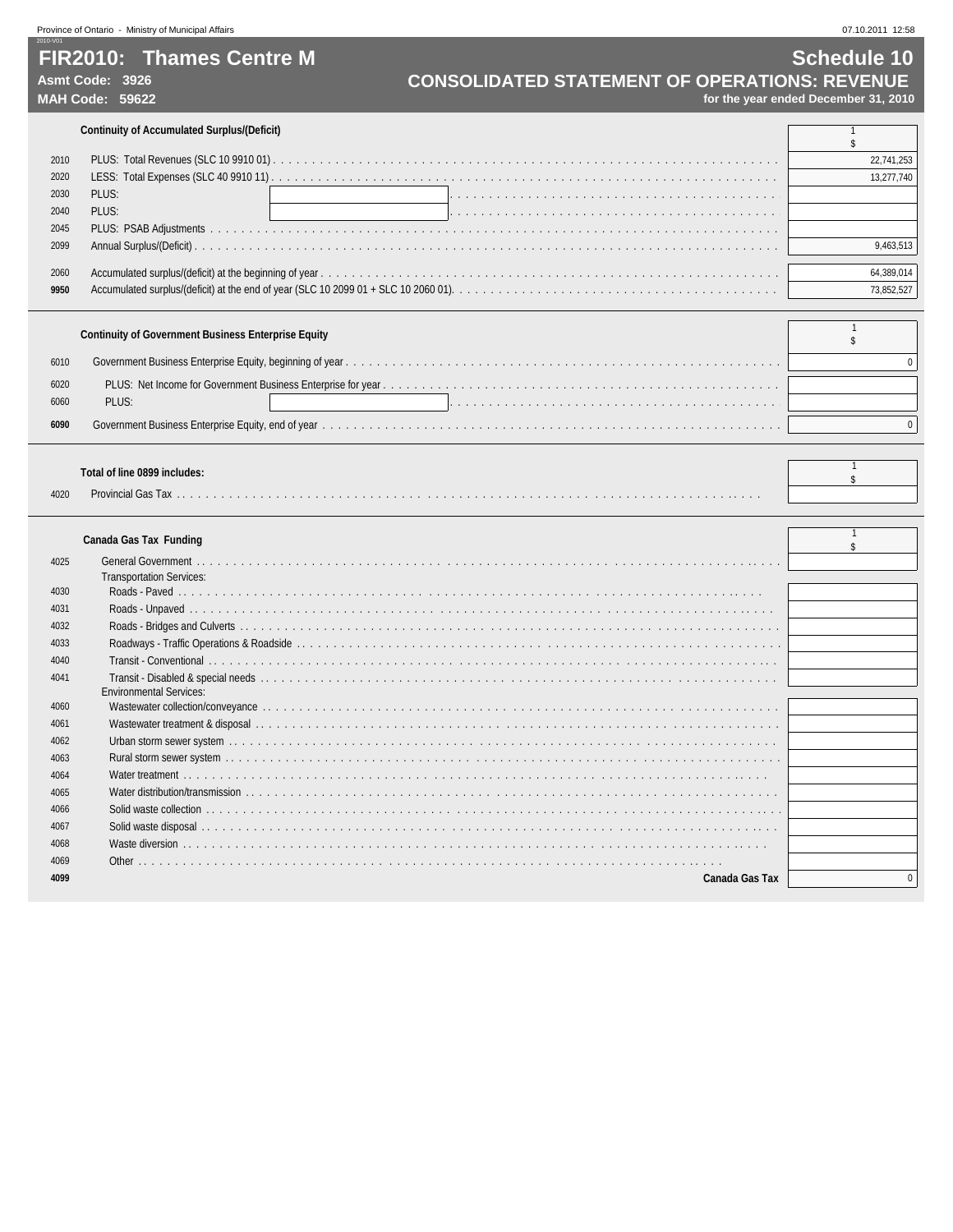## **FIR2010: Thames Centre M Schedule 10**

2010-V01

# Asmt Code: 3926 **CONSOLIDATED STATEMENT OF OPERATIONS: REVENUE**<br>MAH Code: 59622 *CONSOLIDATED STATEMENT OF OPERATIONS: REVENUE*

**MAH Code: 59622 for the year ended December 31, 2010**

 $\begin{array}{c} 1 \\ s \end{array}$ 

#### **Continuity of Accumulated Surplus/(Deficit)** 1

| 2010 |       | 22,741,253 |
|------|-------|------------|
| 2020 |       | 13,277,740 |
| 2030 | PLUS: |            |
| 2040 | PLUS: |            |
| 2045 |       |            |
| 2099 |       | 9.463.513  |
|      |       |            |
| 2060 |       | 64 389 014 |
| 9950 |       |            |

|              | <b>Continuity of Government Business Enterprise Equity</b> |  |
|--------------|------------------------------------------------------------|--|
| 6010         |                                                            |  |
| 6020<br>6060 | PLUS:                                                      |  |
| 6090         |                                                            |  |

#### **Total of line 0899 includes:**

| 4020 |  |
|------|--|

## **Canada Gas Tax Funding**<sup>1</sup>

|      | $\frac{1}{2}$                   |  |
|------|---------------------------------|--|
| 4025 |                                 |  |
|      | <b>Transportation Services:</b> |  |
| 4030 |                                 |  |
| 4031 |                                 |  |
| 4032 |                                 |  |
| 4033 |                                 |  |
| 4040 |                                 |  |
| 4041 |                                 |  |
|      | <b>Environmental Services:</b>  |  |
| 4060 |                                 |  |
| 4061 |                                 |  |
| 4062 |                                 |  |
| 4063 |                                 |  |
| 4064 |                                 |  |
| 4065 |                                 |  |
| 4066 |                                 |  |
| 4067 |                                 |  |
| 4068 |                                 |  |
| 4069 |                                 |  |
| 4099 | Canada Gas Tax                  |  |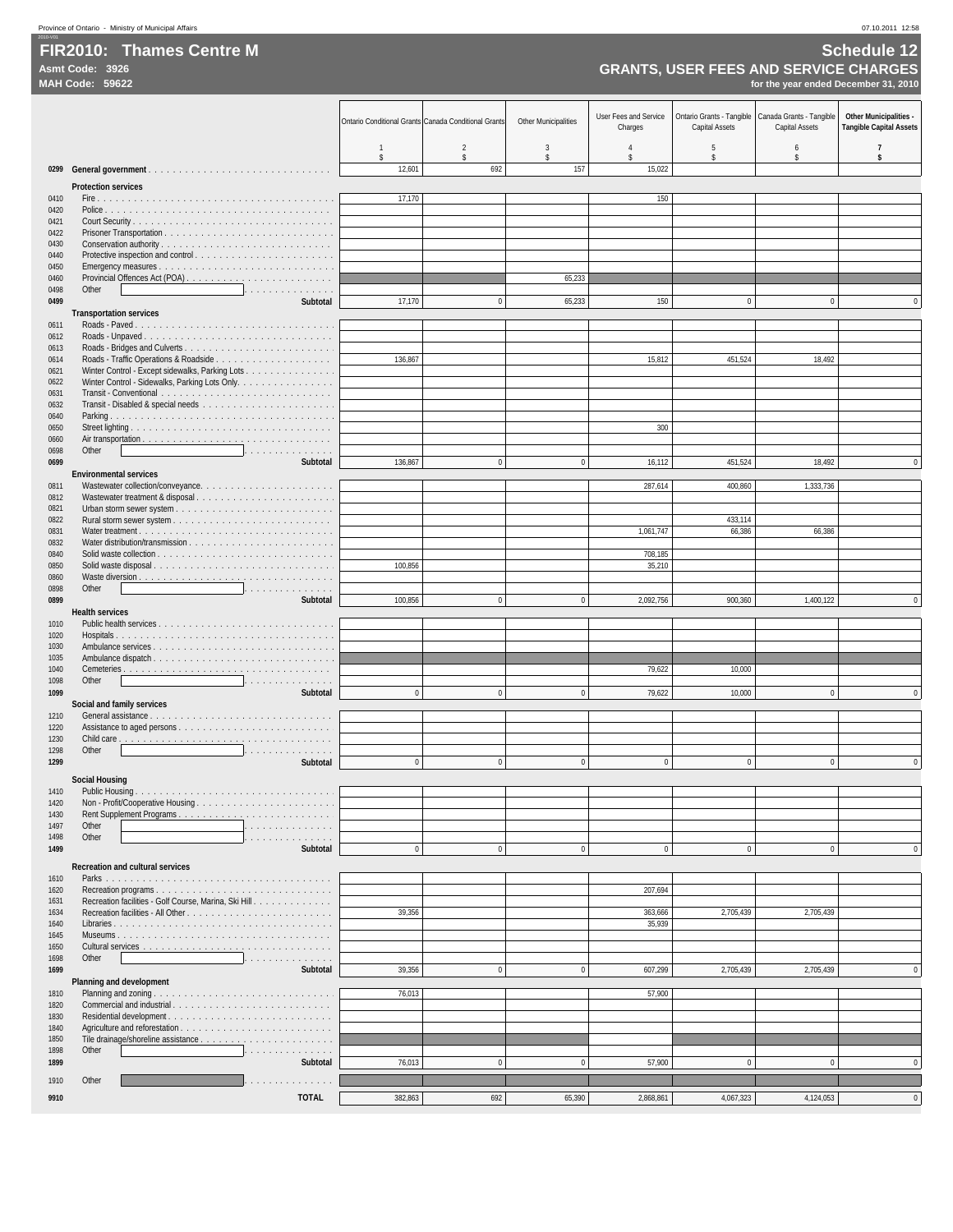## entification of the Manual Centre Manual Centre Manual Centre of the Schedule 12 and Schedule 12<br>**FIR2010:** Thames Centre M

**MAH Code: 59622 for the year ended December 31, 2010**

|              |                                                       | Ontario Conditional Grants Canada Conditional Grants |              | <b>Other Municipalities</b> | User Fees and Service<br>Charges | Ontario Grants - Tangible<br>Capital Assets | Canada Grants - Tangible<br>Capital Assets | Other Municipalities -<br><b>Tangible Capital Assets</b> |
|--------------|-------------------------------------------------------|------------------------------------------------------|--------------|-----------------------------|----------------------------------|---------------------------------------------|--------------------------------------------|----------------------------------------------------------|
|              |                                                       | $\overline{1}$<br>$\mathsf{\$}$                      | 2<br>\$      | 3<br>\$                     | \$                               | 5<br>\$                                     | 6<br>\$                                    | $\overline{7}$<br>\$                                     |
|              |                                                       | 12,601                                               | 692          | 157                         | 15,022                           |                                             |                                            |                                                          |
| 0410         | <b>Protection services</b>                            | 17,170                                               |              |                             | 150                              |                                             |                                            |                                                          |
| 0420         |                                                       |                                                      |              |                             |                                  |                                             |                                            |                                                          |
| 0421<br>0422 |                                                       |                                                      |              |                             |                                  |                                             |                                            |                                                          |
| 0430         |                                                       |                                                      |              |                             |                                  |                                             |                                            |                                                          |
| 0440<br>0450 |                                                       |                                                      |              |                             |                                  |                                             |                                            |                                                          |
| 0460<br>0498 | Other<br>.                                            |                                                      |              | 65,233                      |                                  |                                             |                                            |                                                          |
| 0499         | Subtotal                                              | 17,170                                               | $\mathbf{0}$ | 65,233                      | 150                              | $\pmb{0}$                                   | $\mathbf{0}$                               | $\Omega$                                                 |
| 0611         | <b>Transportation services</b>                        |                                                      |              |                             |                                  |                                             |                                            |                                                          |
| 0612         |                                                       |                                                      |              |                             |                                  |                                             |                                            |                                                          |
| 0613<br>0614 |                                                       | 136,867                                              |              |                             | 15,812                           | 451,524                                     | 18,492                                     |                                                          |
| 0621         | Winter Control - Except sidewalks, Parking Lots       |                                                      |              |                             |                                  |                                             |                                            |                                                          |
| 0622<br>0631 | Winter Control - Sidewalks, Parking Lots Only.        |                                                      |              |                             |                                  |                                             |                                            |                                                          |
| 0632         |                                                       |                                                      |              |                             |                                  |                                             |                                            |                                                          |
| 0640<br>0650 |                                                       |                                                      |              |                             | 300                              |                                             |                                            |                                                          |
| 0660<br>0698 | Other<br>.                                            |                                                      |              |                             |                                  |                                             |                                            |                                                          |
| 0699         | Subtotal                                              | 136,867                                              | $\bf{0}$     | $\pmb{0}$                   | 16,112                           | 451,524                                     | 18,492                                     | $\mathbf 0$                                              |
| 0811         | <b>Environmental services</b>                         |                                                      |              |                             | 287,614                          | 400,860                                     | 1,333,736                                  |                                                          |
| 0812         |                                                       |                                                      |              |                             |                                  |                                             |                                            |                                                          |
| 0821<br>0822 |                                                       |                                                      |              |                             |                                  | 433,114                                     |                                            |                                                          |
| 0831         |                                                       |                                                      |              |                             | 1,061,747                        | 66,386                                      | 66,386                                     |                                                          |
| 0832<br>0840 |                                                       |                                                      |              |                             | 708,185                          |                                             |                                            |                                                          |
| 0850<br>0860 | Solid waste disposal                                  | 100,856                                              |              |                             | 35,210                           |                                             |                                            |                                                          |
| 0898         | Other<br>.                                            |                                                      |              |                             |                                  |                                             |                                            |                                                          |
| 0899         | Subtotal<br><b>Health services</b>                    | 100,856                                              | $\bf{0}$     | $\bf{0}$                    | 2,092,756                        | 900,360                                     | 1,400,122                                  | $\mathbf 0$                                              |
| 1010         |                                                       |                                                      |              |                             |                                  |                                             |                                            |                                                          |
| 1020<br>1030 |                                                       |                                                      |              |                             |                                  |                                             |                                            |                                                          |
| 1035         |                                                       |                                                      |              |                             |                                  |                                             |                                            |                                                          |
| 1040<br>1098 | Other<br>المتحاولة والمتحاولة والمتحاولة              |                                                      |              |                             | 79,622                           | 10,000                                      |                                            |                                                          |
| 1099         | Subtotal                                              | $\mathbf{0}$                                         | $\mathbf{0}$ | $\mathbf{0}$                | 79,622                           | 10,000                                      | $\mathbf{0}$                               | $\mathbf 0$                                              |
| 1210         | Social and family services                            |                                                      |              |                             |                                  |                                             |                                            |                                                          |
| 1220<br>1230 |                                                       |                                                      |              |                             |                                  |                                             |                                            |                                                          |
| 1298         | Other<br>.                                            |                                                      |              |                             |                                  |                                             |                                            |                                                          |
| 1299         | Subtotal                                              | $\mathbf{0}$                                         | $\mathbf{0}$ | $\mathbf 0$                 | $\pmb{0}$                        | $\mathbf{0}$                                | $\mathbf{0}$                               | $\mathbf{0}$                                             |
| 1410         | <b>Social Housing</b><br><b>Public Housing</b>        |                                                      |              |                             |                                  |                                             |                                            |                                                          |
| 1420         |                                                       |                                                      |              |                             |                                  |                                             |                                            |                                                          |
| 1430<br>1497 | Other<br>.                                            |                                                      |              |                             |                                  |                                             |                                            |                                                          |
| 1498         | Other<br>.                                            |                                                      |              |                             |                                  |                                             |                                            |                                                          |
| 1499         | Subtotal                                              | $\theta$                                             | $\mathbf 0$  | $\mathbf 0$                 | $\pmb{0}$                        | $\pmb{0}$                                   | $\pmb{0}$                                  | $\mathbf{0}$                                             |
| 1610         | Recreation and cultural services                      |                                                      |              |                             |                                  |                                             |                                            |                                                          |
| 1620<br>1631 | Recreation facilities - Golf Course, Marina, Ski Hill |                                                      |              |                             | 207,694                          |                                             |                                            |                                                          |
| 1634         |                                                       | 39,356                                               |              |                             | 363,666                          | 2,705,439                                   | 2,705,439                                  |                                                          |
| 1640<br>1645 |                                                       |                                                      |              |                             | 35,939                           |                                             |                                            |                                                          |
| 1650         |                                                       |                                                      |              |                             |                                  |                                             |                                            |                                                          |
| 1698<br>1699 | Other<br>.<br>Subtotal                                | 39,356                                               | $\mathbf{0}$ | $\mathbf{0}$                | 607,299                          | 2,705,439                                   | 2,705,439                                  | $\bf{0}$                                                 |
|              | Planning and development                              |                                                      |              |                             |                                  |                                             |                                            |                                                          |
| 1810<br>1820 | Commercial and industrial                             | 76,013                                               |              |                             | 57,900                           |                                             |                                            |                                                          |
| 1830<br>1840 |                                                       |                                                      |              |                             |                                  |                                             |                                            |                                                          |
| 1850         |                                                       |                                                      |              |                             |                                  |                                             |                                            |                                                          |
| 1898<br>1899 | Other<br>.<br>Subtotal                                | 76,013                                               | $\bf{0}$     | $\mathbf{0}$                | 57,900                           | $\pmb{0}$                                   | $\pmb{0}$                                  | $\mathbf{0}$                                             |
| 1910         | Other<br>.                                            |                                                      |              |                             |                                  |                                             |                                            |                                                          |
| 9910         | <b>TOTAL</b>                                          | 382,863                                              | 692          | 65,390                      | 2,868,861                        | 4,067,323                                   | 4,124,053                                  | $\mathbf 0$                                              |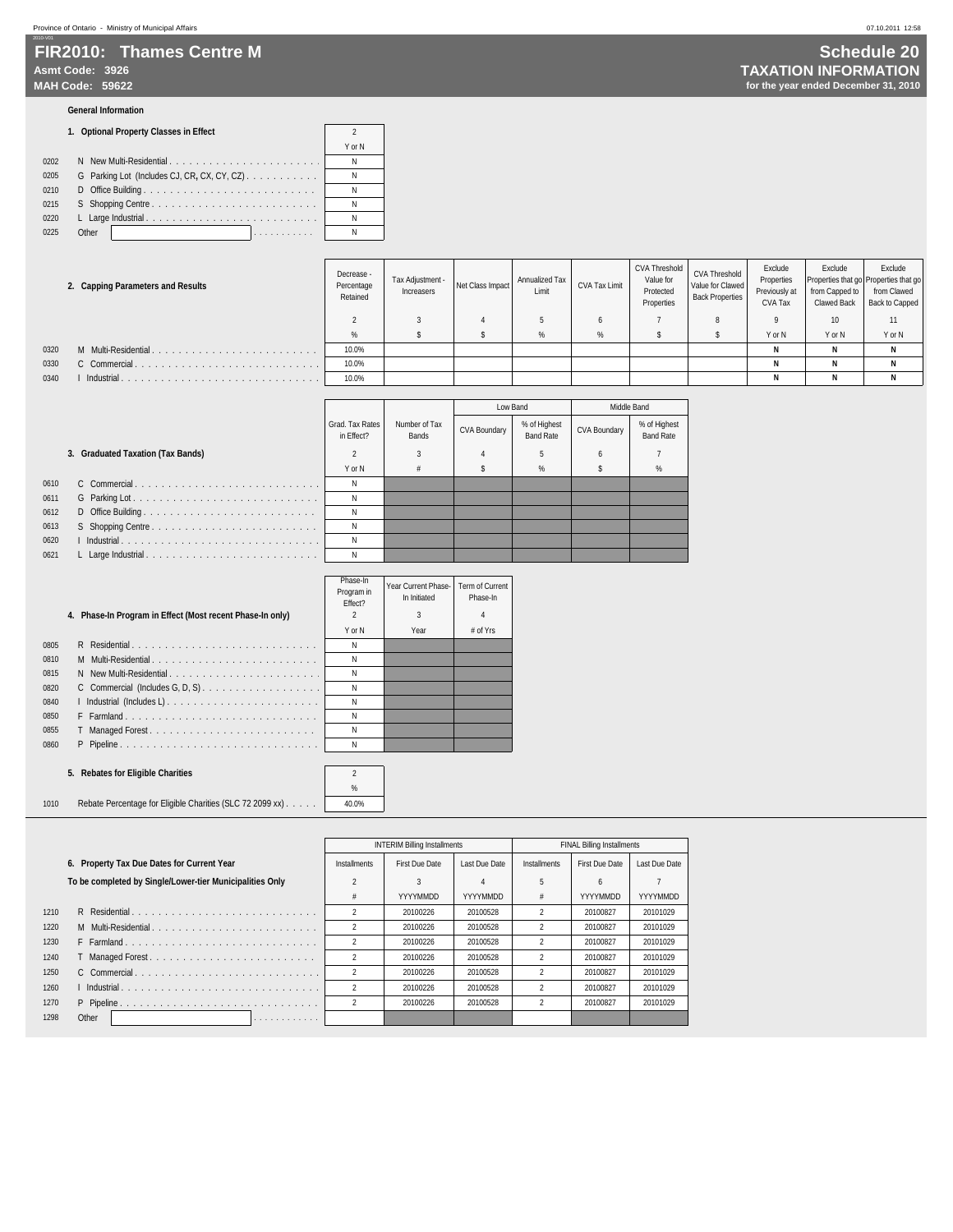### **FIR2010: Thames Centre M Asmt Code: 3926 TAXATION INFORMATION MAH Code: 59622 for the year ended December 31, 2010**

#### **General Information**

#### **1. Optional Property Classes in Effect** 2

|                                                     | Y or N |
|-----------------------------------------------------|--------|
| 0202<br>N New Multi-Residential                     | N      |
| G Parking Lot (Includes CJ, CR, CX, CY, CZ)<br>0205 | N      |
| 0210                                                | N      |
| 0215                                                | N      |
| 0220                                                | N      |
| Other<br>0225<br>.                                  |        |

| 2. Capping Parameters and Results |                     | Decrease -<br>Percentage<br>Retained | Tax Adiustment -<br>Increasers | Net Class Impact | Annualized Tax<br>Limit | CVA Tax Limit | CVA Threshold<br>Value for<br>Protected<br>Properties | <b>CVA Threshold</b><br>Value for Clawed<br><b>Back Properties</b> | Exclude<br>Properties<br>Previously at<br><b>CVA Tax</b> | Exclude<br>Properties that go Properties that go<br>from Capped to<br><b>Clawed Back</b> | Exclude<br>from Clawed<br><b>Back to Capped</b> |
|-----------------------------------|---------------------|--------------------------------------|--------------------------------|------------------|-------------------------|---------------|-------------------------------------------------------|--------------------------------------------------------------------|----------------------------------------------------------|------------------------------------------------------------------------------------------|-------------------------------------------------|
|                                   |                     |                                      |                                |                  |                         |               |                                                       |                                                                    |                                                          | 10 <sup>°</sup>                                                                          |                                                 |
|                                   |                     |                                      |                                |                  |                         | %             |                                                       |                                                                    | Y or N                                                   | Y or N                                                                                   | Y or N                                          |
| 0320                              | M Multi-Residential | 10.0%                                |                                |                  |                         |               |                                                       |                                                                    |                                                          |                                                                                          |                                                 |
| 0330                              | C Commercial        | 10.0%                                |                                |                  |                         |               |                                                       |                                                                    |                                                          |                                                                                          |                                                 |
| 0340                              | Industrial.         | 10.0%                                |                                |                  |                         |               |                                                       |                                                                    |                                                          |                                                                                          |                                                 |

 $\mathbf{I}$ 

 $\mathcal{L}$ 

|      |                                   |                               |                        | Low Band            |                                  | Middle Band         |                                  |
|------|-----------------------------------|-------------------------------|------------------------|---------------------|----------------------------------|---------------------|----------------------------------|
|      |                                   | Grad, Tax Rates<br>in Effect? | Number of Tax<br>Bands | <b>CVA Boundary</b> | % of Highest<br><b>Band Rate</b> | <b>CVA Boundary</b> | % of Highest<br><b>Band Rate</b> |
|      | 3. Graduated Taxation (Tax Bands) |                               |                        |                     | 5                                | h                   |                                  |
|      |                                   | Y or N                        |                        |                     | %                                |                     | %                                |
| 0610 |                                   |                               |                        |                     |                                  |                     |                                  |
| 0611 |                                   | Ν                             |                        |                     |                                  |                     |                                  |
| 0612 |                                   |                               |                        |                     |                                  |                     |                                  |
| 0613 |                                   |                               |                        |                     |                                  |                     |                                  |
| 0620 |                                   |                               |                        |                     |                                  |                     |                                  |
| 0621 |                                   |                               |                        |                     |                                  |                     |                                  |

 $\lceil$ 

 $\mathbf{I}$ 

| Y or N<br>Year<br>0805<br>R Residential<br>N<br>M Multi-Residential<br>0810<br>N<br>0815<br>N New Multi-Residential<br>N<br>0820<br>N<br>0840<br>N<br>0850<br>N<br>F Farmland<br>0855<br>N<br>0860<br>N |  | 4. Phase-In Program in Effect (Most recent Phase-In only) | Program in<br>Fffect? | Year Current Phase-<br>In Initiated<br>3 | Term of<br>Phas<br>$\overline{4}$ |
|---------------------------------------------------------------------------------------------------------------------------------------------------------------------------------------------------------|--|-----------------------------------------------------------|-----------------------|------------------------------------------|-----------------------------------|
|                                                                                                                                                                                                         |  |                                                           |                       |                                          | # of                              |
|                                                                                                                                                                                                         |  |                                                           |                       |                                          |                                   |
|                                                                                                                                                                                                         |  |                                                           |                       |                                          |                                   |
|                                                                                                                                                                                                         |  |                                                           |                       |                                          |                                   |
|                                                                                                                                                                                                         |  |                                                           |                       |                                          |                                   |
|                                                                                                                                                                                                         |  |                                                           |                       |                                          |                                   |
|                                                                                                                                                                                                         |  |                                                           |                       |                                          |                                   |
|                                                                                                                                                                                                         |  |                                                           |                       |                                          |                                   |
|                                                                                                                                                                                                         |  |                                                           |                       |                                          |                                   |

#### **5. Rebates for Eligible Charities** 2

## % 1010 Rebate Percentage for Eligible Charities (SLC 72 2099 xx) . . . . . . 40.0%

|      |                                                          |                | <b>INTERIM Billing Installments</b> |               |                | <b>FINAL Billing Installments</b> |                 |
|------|----------------------------------------------------------|----------------|-------------------------------------|---------------|----------------|-----------------------------------|-----------------|
|      | 6. Property Tax Due Dates for Current Year               | Installments   | <b>First Due Date</b>               | Last Due Date | Installments   | <b>First Due Date</b>             | Last Due Date   |
|      | To be completed by Single/Lower-tier Municipalities Only |                |                                     | 4             | 5              | 6                                 |                 |
|      |                                                          |                | YYYYMMDD                            | YYYYMMDD      | #              | YYYYMMDD                          | <b>YYYYMMDD</b> |
| 1210 | R Residential                                            |                | 20100226                            | 20100528      |                | 20100827                          | 20101029        |
| 1220 | M Multi-Residential                                      | $\mathfrak{p}$ | 20100226                            | 20100528      | $\mathfrak{p}$ | 20100827                          | 20101029        |
| 1230 |                                                          |                | 20100226                            | 20100528      | $\mathfrak{p}$ | 20100827                          | 20101029        |
| 1240 |                                                          | $\mathfrak{p}$ | 20100226                            | 20100528      |                | 20100827                          | 20101029        |
| 1250 | C Commercial                                             | $\mathfrak{p}$ | 20100226                            | 20100528      |                | 20100827                          | 20101029        |
| 1260 |                                                          | $\mathfrak{p}$ | 20100226                            | 20100528      | $\mathfrak{p}$ | 20100827                          | 20101029        |
| 1270 |                                                          | $\mathfrak{p}$ | 20100226                            | 20100528      | $\mathfrak{p}$ | 20100827                          | 20101029        |
| 1298 | Other<br>.                                               |                |                                     |               |                |                                   |                 |

|                                      | <b>Schedule 20</b> |  |
|--------------------------------------|--------------------|--|
| <b>FAXATION INFORMATION</b>          |                    |  |
| for the year ended December 31, 2010 |                    |  |

|    | Phase-In<br>Program in<br>Effect? | Year Current Phase-<br>In Initiated | <b>Term of Current</b><br>Phase-In |
|----|-----------------------------------|-------------------------------------|------------------------------------|
|    | 2                                 | 3                                   |                                    |
|    | Y or N                            | Year                                | # of Yrs                           |
|    | N                                 |                                     |                                    |
|    | N                                 |                                     |                                    |
| í. | N                                 |                                     |                                    |
| í. | N                                 |                                     |                                    |
| ï  | N                                 |                                     |                                    |
|    | N                                 |                                     |                                    |
|    | N                                 |                                     |                                    |
|    | N                                 |                                     |                                    |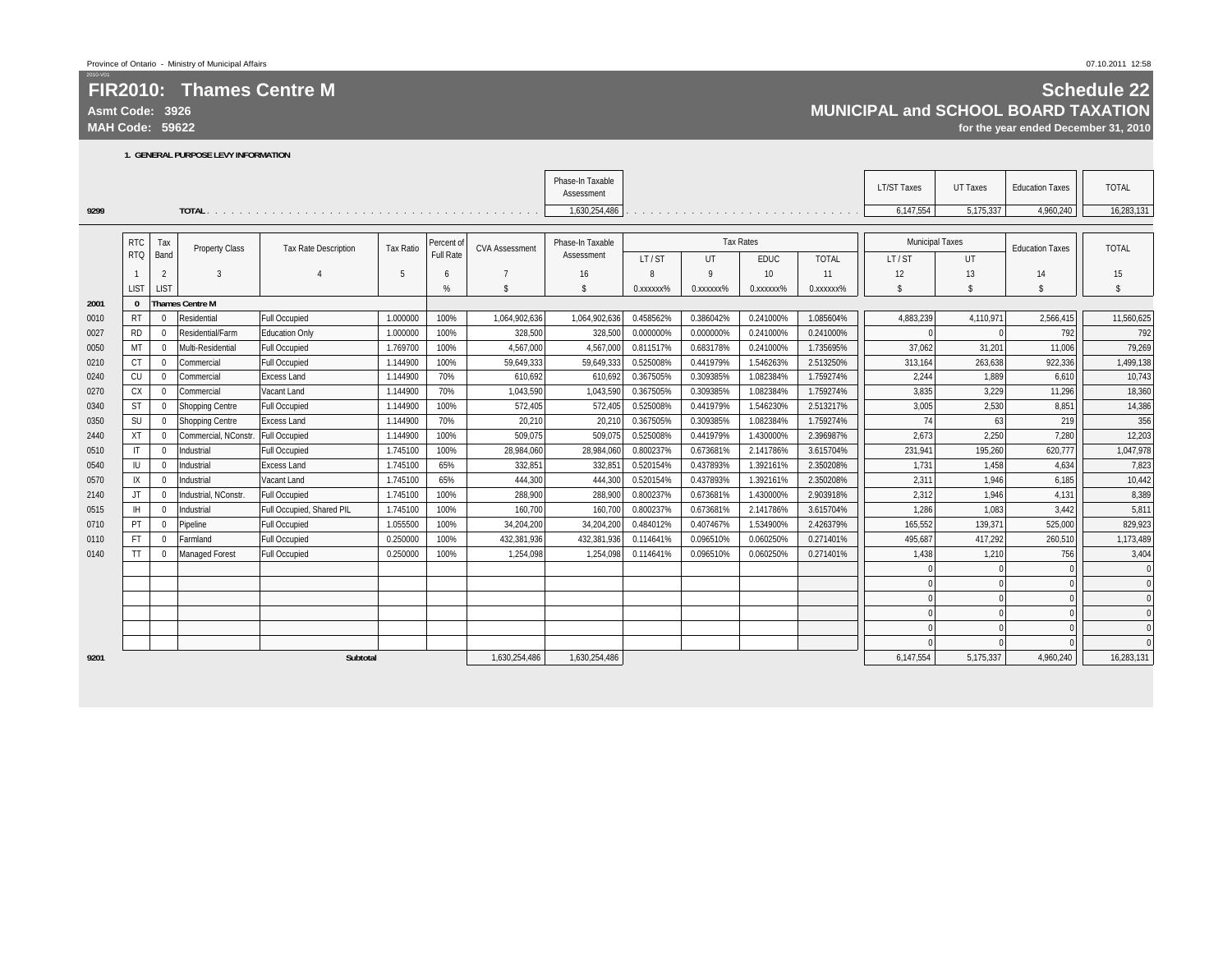**Asmt Code: 3926**

**MAH Code: 59622**

2010-V01

**9299**

**2001 0 Thames Centre M**

### **Schedule 22 MUNICIPAL and SCHOOL BOARD TAXATION**

**for the year ended December 31, 2010**

|      |              |              | 1. GENERAL PURPOSE LEVY INFORMATION |                             |                  |            |                       |                                |           |           |                  |                                                                           |                        |           |                        |              |
|------|--------------|--------------|-------------------------------------|-----------------------------|------------------|------------|-----------------------|--------------------------------|-----------|-----------|------------------|---------------------------------------------------------------------------|------------------------|-----------|------------------------|--------------|
|      |              |              |                                     |                             |                  |            |                       | Phase-In Taxable<br>Assessment |           |           |                  |                                                                           | <b>LT/ST Taxes</b>     | UT Taxes  | <b>Education Taxes</b> | <b>TOTAL</b> |
| 9299 |              |              |                                     |                             |                  |            |                       | 1,630,254,486                  |           |           |                  | a caracteristic contracts in a caracteristic contracts of a caracteristic | 6,147,554              | 5,175,337 | 4,960,240              | 16,283,131   |
|      |              |              |                                     |                             |                  |            |                       |                                |           |           |                  |                                                                           |                        |           |                        |              |
|      | <b>RTC</b>   | Tax          | <b>Property Class</b>               | <b>Tax Rate Description</b> | <b>Tax Ratio</b> | Percent of | <b>CVA Assessment</b> | Phase-In Taxable               |           |           | <b>Tax Rates</b> |                                                                           | <b>Municipal Taxes</b> |           | <b>Education Taxes</b> | <b>TOTAL</b> |
|      | <b>RTQ</b>   | Band         |                                     |                             |                  | Full Rate  |                       | Assessment                     | LT/ST     | UT        | <b>EDUC</b>      | <b>TOTAL</b>                                                              | LT/ST                  | UT        |                        |              |
|      |              | 2            | 3                                   |                             | 5                | 6          |                       | 16                             | 8         | 9         | 10 <sup>°</sup>  | 11                                                                        | 12                     | 13        | 14                     | 15           |
|      | LIST         | LIST         |                                     |                             |                  | %          | $\mathbf{\hat{s}}$    | $\mathbf{\hat{s}}$             | 0.xxxxxx% | 0.xxxxxx% | 0.xxxxxx%        | 0. XXXXXX <sup>9</sup> %                                                  | $\mathbf{s}$           | \$        | Ŝ.                     | \$           |
| 2001 | $\mathbf{0}$ |              | <b>Thames Centre M</b>              |                             |                  |            |                       |                                |           |           |                  |                                                                           |                        |           |                        |              |
| 0010 | <b>RT</b>    | $\Omega$     | Residential                         | <b>Full Occupied</b>        | 1.000000         | 100%       | 1,064,902,636         | 1,064,902,636                  | 0.458562% | 0.386042% | 0.241000%        | 1.085604%                                                                 | 4,883,239              | 4,110,971 | 2,566,415              | 11,560,625   |
| 0027 | <b>RD</b>    | $\mathbf 0$  | Residential/Farm                    | <b>Education Only</b>       | 1.000000         | 100%       | 328,500               | 328,500                        | 0.000000% | 0.000000% | 0.241000%        | 0.241000%                                                                 | $\Omega$               |           | 792                    | 792          |
| 0050 | MT           | $\mathbf 0$  | Multi-Residential                   | <b>Full Occupied</b>        | 1.769700         | 100%       | 4,567,000             | 4,567,000                      | 0.811517% | 0.683178% | 0.241000%        | 1.735695%                                                                 | 37,062                 | 31,201    | 11,006                 | 79,269       |
| 0210 | СT           | $\mathbf{0}$ | Commercial                          | <b>Full Occupied</b>        | 1.144900         | 100%       | 59,649,333            | 59,649,333                     | 0.525008% | 0.441979% | 1.546263%        | 2.513250%                                                                 | 313,164                | 263,638   | 922,336                | 1,499,138    |
| 0240 | CU           | $\mathbf 0$  | Commercial                          | <b>Excess Land</b>          | 1.144900         | 70%        | 610.692               | 610,692                        | 0.367505% | 0.309385% | 1.082384%        | 1.759274%                                                                 | 2.244                  | 1,889     | 6.610                  | 10,743       |
| 0270 | СX           | $\mathbf 0$  | Commercial                          | Vacant Land                 | 1.144900         | 70%        | 1,043,590             | 1,043,590                      | 0.367505% | 0.309385% | 1.082384%        | 1.759274%                                                                 | 3,835                  | 3,229     | 11,296                 | 18,360       |
| 0340 | <b>ST</b>    | $\Omega$     | Shopping Centre                     | <b>Full Occupied</b>        | 1.144900         | 100%       | 572,405               | 572,405                        | 0.525008% | 0.441979% | 1.546230%        | 2.513217%                                                                 | 3,005                  | 2,530     | 8,851                  | 14,386       |
| 0350 | SU           | $\mathbf 0$  | Shopping Centre                     | <b>Excess Land</b>          | 1.144900         | 70%        | 20.210                | 20,210                         | 0.367505% | 0.309385% | 1.082384%        | 1.759274%                                                                 | 74                     | 63        | 219                    | 356          |
| 2440 | XT           | $\mathbf 0$  | Commercial, NConstr.                | <b>Full Occupied</b>        | 1.144900         | 100%       | 509,075               | 509,075                        | 0.525008% | 0.441979% | 1.430000%        | 2.396987%                                                                 | 2,673                  | 2,250     | 7,280                  | 12,203       |
| 0510 |              | $\mathbf 0$  | Industrial                          | Full Occupied               | 1.745100         | 100%       | 28,984,060            | 28,984,060                     | 0.800237% | 0.673681% | 2.141786%        | 3.615704%                                                                 | 231,941                | 195,260   | 620,777                | 1,047,978    |
| 0540 | IU           | $\mathbf 0$  | Industrial                          | <b>Excess Land</b>          | 1.745100         | 65%        | 332,851               | 332,851                        | 0.520154% | 0.437893% | 1.392161%        | 2.350208%                                                                 | 1,731                  | 1,458     | 4,634                  | 7,823        |
| 0570 | IX           | $\Omega$     | Industrial                          | Vacant Land                 | 1.745100         | 65%        | 444,300               | 444,300                        | 0.520154% | 0.437893% | 1.392161%        | 2.350208%                                                                 | 2,311                  | 1,946     | 6,185                  | 10,442       |
| 2140 | JT.          | $\Omega$     | Industrial, NConstr.                | <b>Full Occupied</b>        | 1.745100         | 100%       | 288,900               | 288,900                        | 0.800237% | 0.673681% | 1.430000%        | 2.903918%                                                                 | 2,312                  | 1,946     | 4,131                  | 8,389        |
| 0515 | <b>IH</b>    | $\mathbf 0$  | Industrial                          | Full Occupied, Shared PIL   | 1.745100         | 100%       | 160.700               | 160,700                        | 0.800237% | 0.673681% | 2.141786%        | 3.615704%                                                                 | 1,286                  | 1,083     | 3,442                  | 5,811        |
| 0710 | PT           | $\mathbf 0$  | Pipeline                            | <b>Full Occupied</b>        | 1.055500         | 100%       | 34,204,200            | 34,204,200                     | 0.484012% | 0.407467% | 1.534900%        | 2.426379%                                                                 | 165,552                | 139,371   | 525,000                | 829,923      |
| 0110 | <b>FT</b>    | $\mathbf 0$  | Farmland                            | <b>Full Occupied</b>        | 0.250000         | 100%       | 432,381,936           | 432,381,936                    | 0.114641% | 0.096510% | 0.060250%        | 0.271401%                                                                 | 495,687                | 417,292   | 260,510                | 1,173,489    |
| 0140 | TT           | $\mathbf{0}$ | <b>Managed Forest</b>               | <b>Full Occupied</b>        | 0.250000         | 100%       | 1,254,098             | 1,254,098                      | 0.114641% | 0.096510% | 0.060250%        | 0.271401%                                                                 | 1,438                  | 1,210     | 756                    | 3,404        |
|      |              |              |                                     |                             |                  |            |                       |                                |           |           |                  |                                                                           |                        |           |                        | $\mathbf 0$  |
|      |              |              |                                     |                             |                  |            |                       |                                |           |           |                  |                                                                           |                        |           |                        | $\mathbf{0}$ |
|      |              |              |                                     |                             |                  |            |                       |                                |           |           |                  |                                                                           |                        |           |                        | $\mathbf{0}$ |
|      |              |              |                                     |                             |                  |            |                       |                                |           |           |                  |                                                                           |                        |           |                        |              |
|      |              |              |                                     |                             |                  |            |                       |                                |           |           |                  |                                                                           |                        |           |                        | $\mathbf{0}$ |
|      |              |              |                                     |                             |                  |            |                       |                                |           |           |                  |                                                                           |                        |           |                        | $\Omega$     |
| 9201 |              |              |                                     | <b>Subtotal</b>             |                  |            | 1,630,254,486         | 1.630.254.486                  |           |           |                  |                                                                           | 6,147,554              | 5,175,337 | 4.960.240              | 16,283,131   |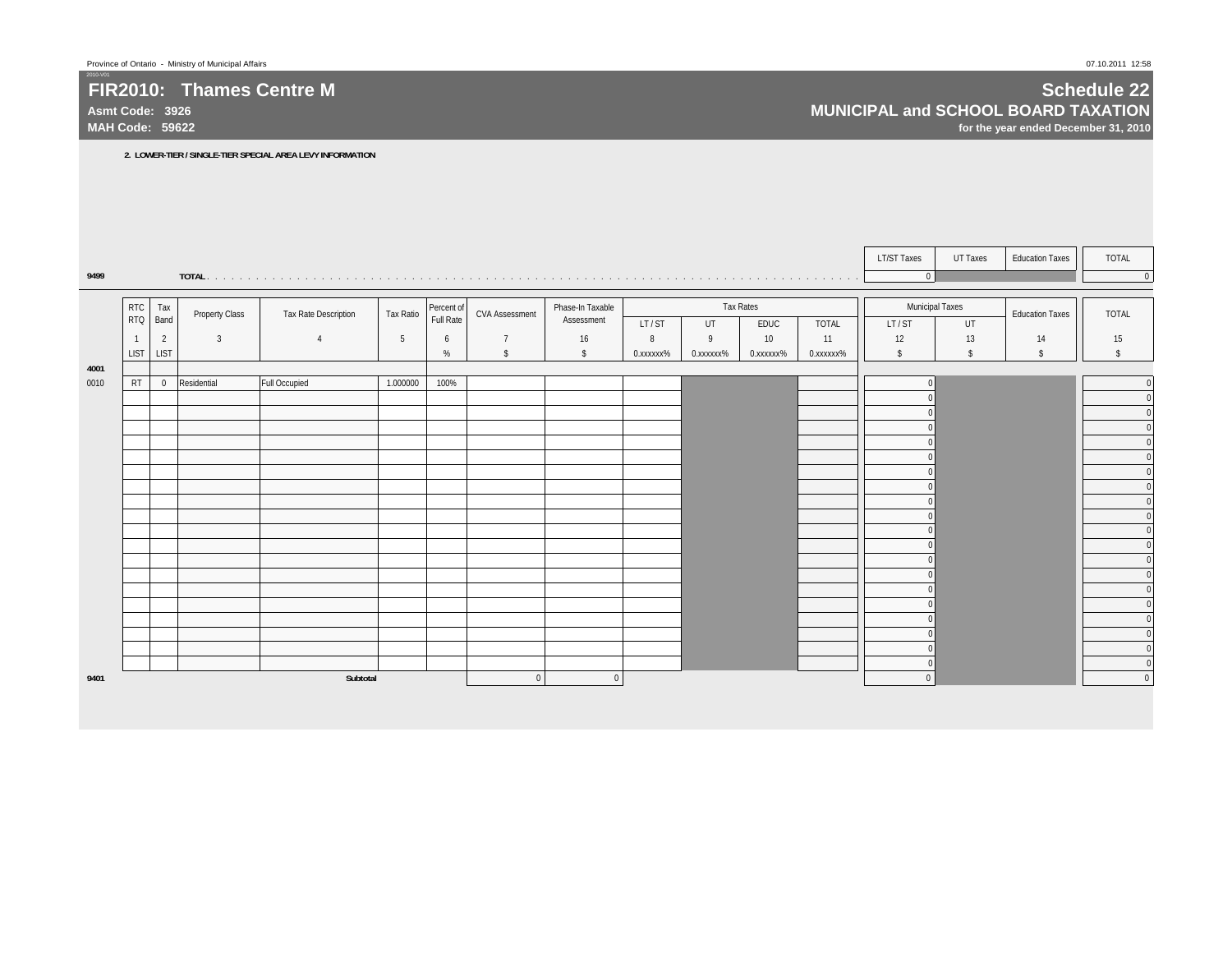**Asmt Code: 3926MAH Code: 59622**

2010-V01

## **Schedule 22 MUNICIPAL and SCHOOL BOARD TAXATION**

**for the year ended December 31, 2010**

**2. LOWER-TIER / SINGLE-TIER SPECIAL AREA LEVY INFORMATION**

|      |                |                |                       |                      |           |            |                         |                  |           |           |           |              | <b>LT/ST Taxes</b>     | <b>UT Taxes</b> | <b>Education Taxes</b> | TOTAL        |
|------|----------------|----------------|-----------------------|----------------------|-----------|------------|-------------------------|------------------|-----------|-----------|-----------|--------------|------------------------|-----------------|------------------------|--------------|
| 9499 |                |                |                       |                      |           |            |                         |                  |           |           |           | .            | $\pmb{0}$              |                 |                        | $\mathbf{0}$ |
|      |                |                |                       |                      |           |            |                         |                  |           |           |           |              |                        |                 |                        |              |
|      | <b>RTC</b>     | Tax            | <b>Property Class</b> | Tax Rate Description | Tax Ratio | Percent of | <b>CVA Assessment</b>   | Phase-In Taxable |           |           | Tax Rates |              | <b>Municipal Taxes</b> |                 | <b>Education Taxes</b> | <b>TOTAL</b> |
|      | <b>RTQ</b>     | Band           |                       |                      |           | Full Rate  |                         | Assessment       | LT/ST     | UT        | EDUC      | <b>TOTAL</b> | LT/ST                  | UT              |                        |              |
|      | $\overline{1}$ | $\overline{2}$ | $\overline{3}$        | $\overline{4}$       | 5         | 6          | $\overline{7}$          | 16               | 8         | 9         | 10        | 11           | 12                     | 13              | 14                     | 15           |
|      | <b>LIST</b>    | <b>LIST</b>    |                       |                      |           | $\%$       | $\sqrt[6]{\frac{1}{2}}$ | $\mathsf{s}$     | 0.xxxxxx% | 0.xxxxxx% | 0.xxxxxx% | 0.xxxxxx%    | \$                     | \$              | \$                     | \$           |
| 4001 |                |                |                       |                      |           |            |                         |                  |           |           |           |              |                        |                 |                        |              |
| 0010 | <b>RT</b>      |                | 0 Residential         | <b>Full Occupied</b> | 1.000000  | 100%       |                         |                  |           |           |           |              |                        |                 |                        | $\mathbf{0}$ |
|      |                |                |                       |                      |           |            |                         |                  |           |           |           |              |                        |                 |                        | $\Omega$     |
|      |                |                |                       |                      |           |            |                         |                  |           |           |           |              |                        |                 |                        | $\Omega$     |
|      |                |                |                       |                      |           |            |                         |                  |           |           |           |              |                        |                 |                        |              |
|      |                |                |                       |                      |           |            |                         |                  |           |           |           |              |                        |                 |                        | $\Omega$     |
|      |                |                |                       |                      |           |            |                         |                  |           |           |           |              |                        |                 |                        |              |
|      |                |                |                       |                      |           |            |                         |                  |           |           |           |              |                        |                 |                        |              |
|      |                |                |                       |                      |           |            |                         |                  |           |           |           |              |                        |                 |                        | $\Omega$     |
|      |                |                |                       |                      |           |            |                         |                  |           |           |           |              |                        |                 |                        | $\Omega$     |
|      |                |                |                       |                      |           |            |                         |                  |           |           |           |              |                        |                 |                        |              |
|      |                |                |                       |                      |           |            |                         |                  |           |           |           |              |                        |                 |                        | $\sqrt{ }$   |
|      |                |                |                       |                      |           |            |                         |                  |           |           |           |              |                        |                 |                        |              |
|      |                |                |                       |                      |           |            |                         |                  |           |           |           |              |                        |                 |                        |              |
|      |                |                |                       |                      |           |            |                         |                  |           |           |           |              |                        |                 |                        | $\Omega$     |
|      |                |                |                       |                      |           |            |                         |                  |           |           |           |              |                        |                 |                        | $\Omega$     |
|      |                |                |                       |                      |           |            |                         |                  |           |           |           |              |                        |                 |                        |              |
|      |                |                |                       |                      |           |            |                         |                  |           |           |           |              |                        |                 |                        | $\Omega$     |
|      |                |                |                       |                      |           |            |                         |                  |           |           |           |              |                        |                 |                        | $\mathbf{0}$ |
| 9401 |                |                |                       | Subtotal             |           |            | $\Omega$                | $\mathbf{0}$     |           |           |           |              | $\Omega$               |                 |                        | $\mathbf{0}$ |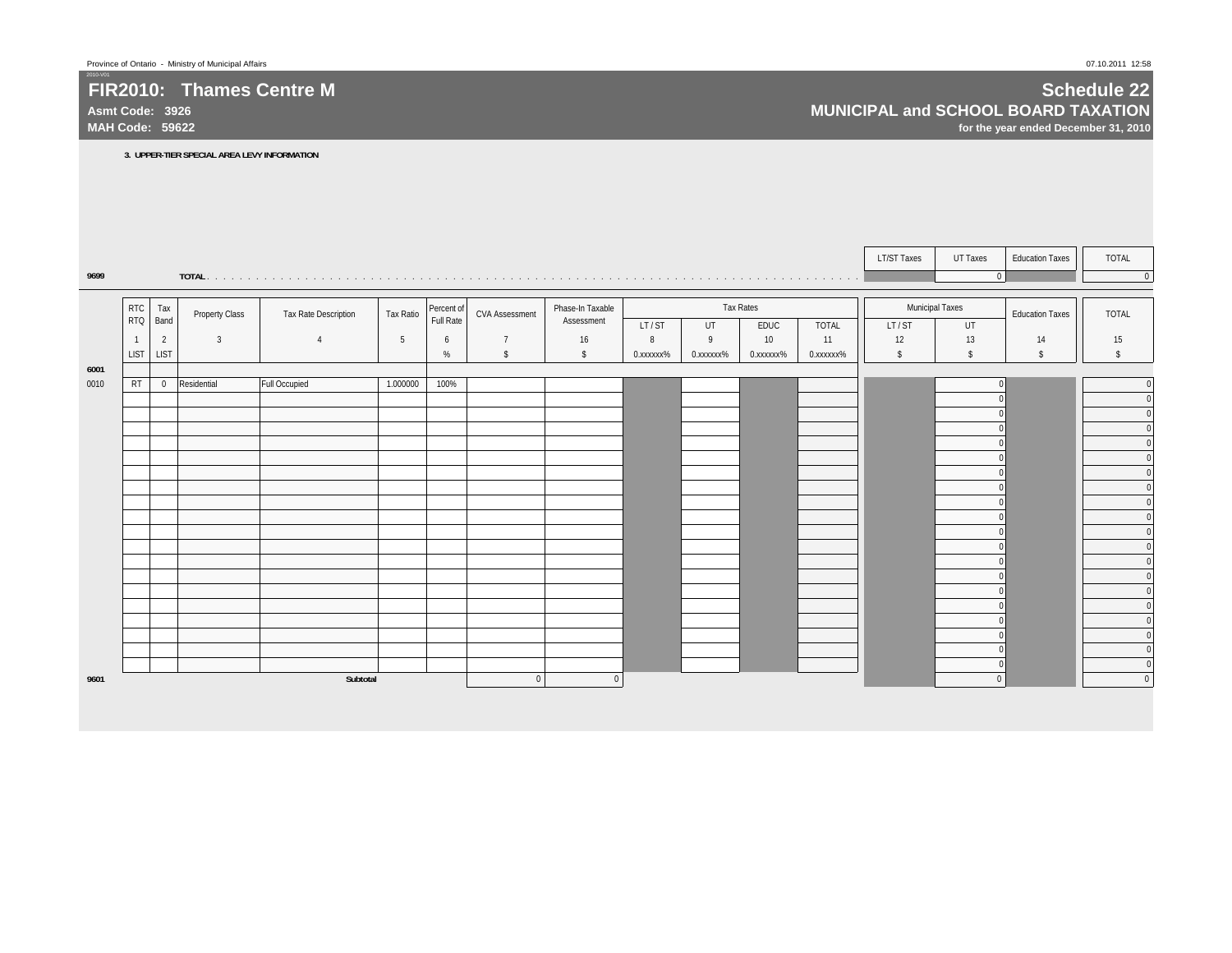**Asmt Code: 3926MAH Code: 59622**

2010-V01

## **Schedule 22 MUNICIPAL and SCHOOL BOARD TAXATION**

**for the year ended December 31, 2010**

**3. UPPER-TIER SPECIAL AREA LEVY INFORMATION**

|      |                          |                |                       |                      |                  |                         |                         |                                |           |           |           |              | <b>LT/ST Taxes</b> | UT Taxes               | <b>Education Taxes</b> | TOTAL        |
|------|--------------------------|----------------|-----------------------|----------------------|------------------|-------------------------|-------------------------|--------------------------------|-----------|-----------|-----------|--------------|--------------------|------------------------|------------------------|--------------|
| 9699 |                          |                |                       |                      |                  |                         |                         |                                |           |           |           |              |                    | $\Omega$               |                        | $\Omega$     |
|      |                          |                |                       |                      |                  |                         |                         |                                |           |           |           |              |                    |                        |                        |              |
|      | <b>RTC</b><br><b>RTQ</b> | Tax<br>Band    | <b>Property Class</b> | Tax Rate Description | <b>Tax Ratio</b> | Percent of<br>Full Rate | <b>CVA Assessment</b>   | Phase-In Taxable<br>Assessment |           |           | Tax Rates |              |                    | <b>Municipal Taxes</b> | <b>Education Taxes</b> | <b>TOTAL</b> |
|      |                          |                |                       |                      |                  |                         |                         |                                | LT/ST     | UT        | EDUC      | <b>TOTAL</b> | LT/ST              | UT                     |                        |              |
|      | $\overline{1}$           | $\overline{2}$ | $\overline{3}$        |                      | $5\phantom{.0}$  | 6                       | $\overline{7}$          | 16                             | 8         | 9         | 10        | 11           | 12                 | 13                     | 14                     | 15           |
|      | LIST                     | LIST           |                       |                      |                  | $\%$                    | $\sqrt[6]{\frac{1}{2}}$ | $\mathsf{s}$                   | 0.xxxxxx% | 0.xxxxxx% | 0.xxxxxx% | 0.xxxxxx%    | \$                 | \$                     | $\mathsf{s}$           | s.           |
| 6001 |                          |                |                       |                      |                  |                         |                         |                                |           |           |           |              |                    |                        |                        |              |
| 0010 | RT                       | $\mathbf 0$    | Residential           | <b>Full Occupied</b> | 1.000000         | 100%                    |                         |                                |           |           |           |              |                    |                        |                        | $\Omega$     |
|      |                          |                |                       |                      |                  |                         |                         |                                |           |           |           |              |                    |                        |                        | $\Omega$     |
|      |                          |                |                       |                      |                  |                         |                         |                                |           |           |           |              |                    |                        |                        |              |
|      |                          |                |                       |                      |                  |                         |                         |                                |           |           |           |              |                    |                        |                        |              |
|      |                          |                |                       |                      |                  |                         |                         |                                |           |           |           |              |                    |                        |                        |              |
|      |                          |                |                       |                      |                  |                         |                         |                                |           |           |           |              |                    |                        |                        |              |
|      |                          |                |                       |                      |                  |                         |                         |                                |           |           |           |              |                    |                        |                        |              |
|      |                          |                |                       |                      |                  |                         |                         |                                |           |           |           |              |                    |                        |                        |              |
|      |                          |                |                       |                      |                  |                         |                         |                                |           |           |           |              |                    |                        |                        |              |
|      |                          |                |                       |                      |                  |                         |                         |                                |           |           |           |              |                    |                        |                        |              |
|      |                          |                |                       |                      |                  |                         |                         |                                |           |           |           |              |                    |                        |                        |              |
|      |                          |                |                       |                      |                  |                         |                         |                                |           |           |           |              |                    |                        |                        |              |
|      |                          |                |                       |                      |                  |                         |                         |                                |           |           |           |              |                    |                        |                        |              |
|      |                          |                |                       |                      |                  |                         |                         |                                |           |           |           |              |                    |                        |                        |              |
|      |                          |                |                       |                      |                  |                         |                         |                                |           |           |           |              |                    |                        |                        |              |
|      |                          |                |                       |                      |                  |                         |                         |                                |           |           |           |              |                    |                        |                        |              |
|      |                          |                |                       |                      |                  |                         |                         |                                |           |           |           |              |                    |                        |                        |              |
|      |                          |                |                       |                      |                  |                         |                         |                                |           |           |           |              |                    |                        |                        |              |
|      |                          |                |                       |                      |                  |                         |                         |                                |           |           |           |              |                    |                        |                        | $\Omega$     |
|      |                          |                |                       |                      |                  |                         |                         |                                |           |           |           |              |                    |                        |                        | $\Omega$     |
| 9601 |                          |                |                       | Subtotal             |                  |                         | $\Omega$                | $\Omega$                       |           |           |           |              |                    | $\Omega$               |                        | $\Omega$     |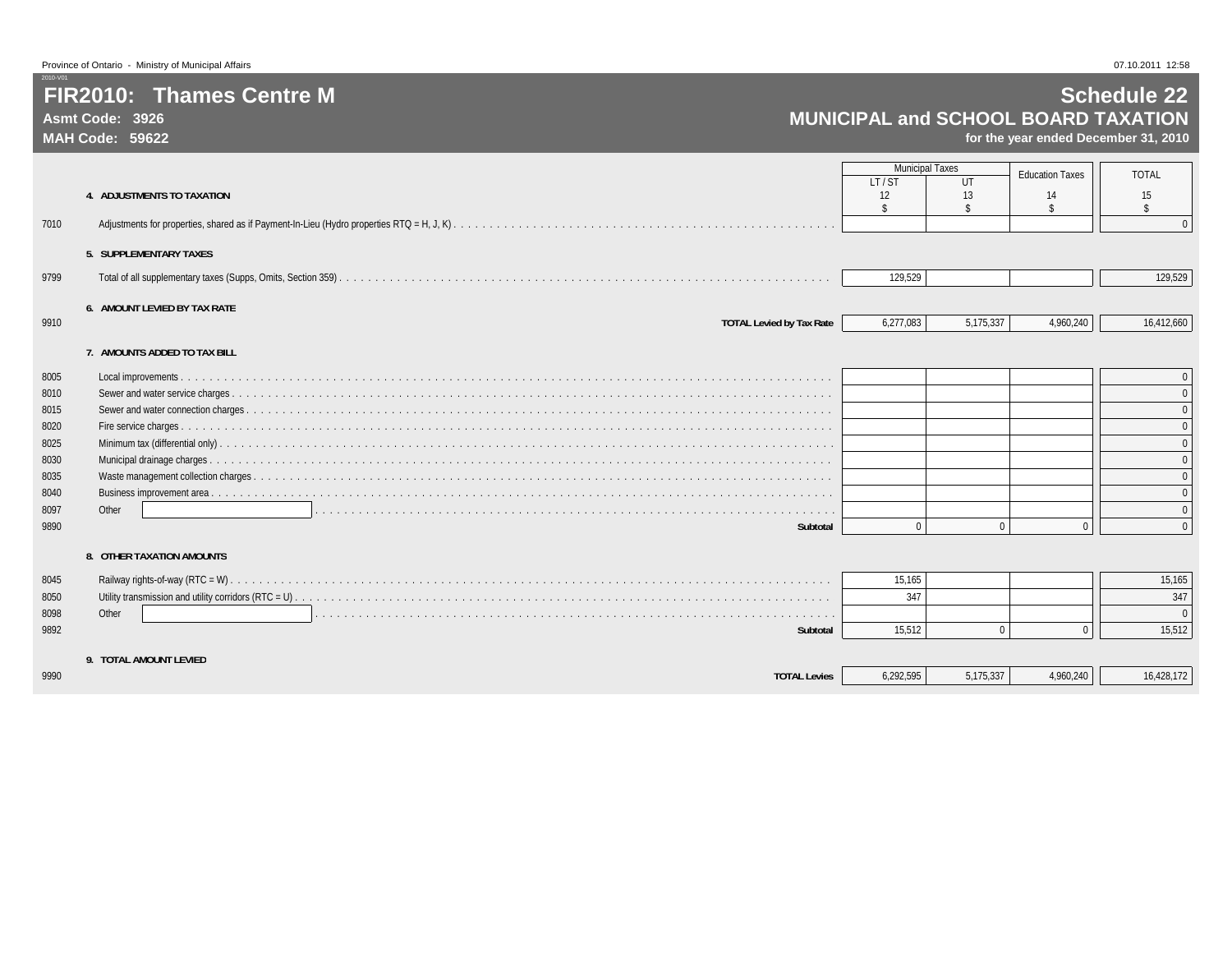**Asmt Code: 3926MAH Code: 59622**

2010-V01

## **Schedule 22 MUNICIPAL and SCHOOL BOARD TAXATION**

**for the year ended December 31, 2010**

|      |                                     | <b>Municipal Taxes</b>   |              | <b>Education Taxes</b> | <b>TOTAL</b>             |
|------|-------------------------------------|--------------------------|--------------|------------------------|--------------------------|
|      |                                     | LT/ST                    | UT           |                        |                          |
|      | 4. ADJUSTMENTS TO TAXATION          | 12<br>$\mathbf{\hat{S}}$ | 13           | 14<br><b>R</b>         | 15<br>$\mathbf{\hat{s}}$ |
| 7010 |                                     |                          |              |                        | $\overline{0}$           |
|      | 5. SUPPLEMENTARY TAXES              |                          |              |                        |                          |
|      |                                     |                          |              |                        |                          |
| 9799 |                                     | 129,529                  |              |                        | 129,529                  |
|      | <b>6. AMOUNT LEVIED BY TAX RATE</b> |                          |              |                        |                          |
| 9910 | <b>TOTAL Levied by Tax Rate</b>     | 6,277,083                | 5,175,337    | 4,960,240              | 16,412,660               |
|      | 7. AMOUNTS ADDED TO TAX BILL        |                          |              |                        |                          |
|      |                                     |                          |              |                        |                          |
| 8005 |                                     |                          |              |                        | $\mathbf{0}$             |
| 8010 |                                     |                          |              |                        | $\overline{0}$           |
| 8015 |                                     |                          |              |                        | $\mathbf 0$              |
| 8020 |                                     |                          |              |                        | $\mathbf{0}$             |
| 8025 |                                     |                          |              |                        | $\mathbf{0}$             |
| 8030 |                                     |                          |              |                        | $\overline{0}$           |
| 8035 |                                     |                          |              |                        | $\overline{0}$           |
| 8040 |                                     |                          |              |                        | $\mathbf{0}$             |
| 8097 | Other                               |                          |              |                        | $\mathbf{0}$             |
| 9890 | Subtotal                            | $\Omega$                 | $\Omega$     | $\Omega$               | $\overline{0}$           |
|      | 8. OTHER TAXATION AMOUNTS           |                          |              |                        |                          |
| 8045 |                                     | 15,165                   |              |                        | 15,165                   |
| 8050 |                                     | 347                      |              |                        | 347                      |
| 8098 | Other                               |                          |              |                        | $\overline{0}$           |
| 9892 | Subtotal                            | 15,512                   | $\mathbf{0}$ |                        | 15,512                   |
|      | 9. TOTAL AMOUNT LEVIED              |                          |              |                        |                          |
| 9990 | <b>TOTAL Levies</b>                 | 6,292,595                | 5,175,337    | 4,960,240              | 16,428,172               |

9990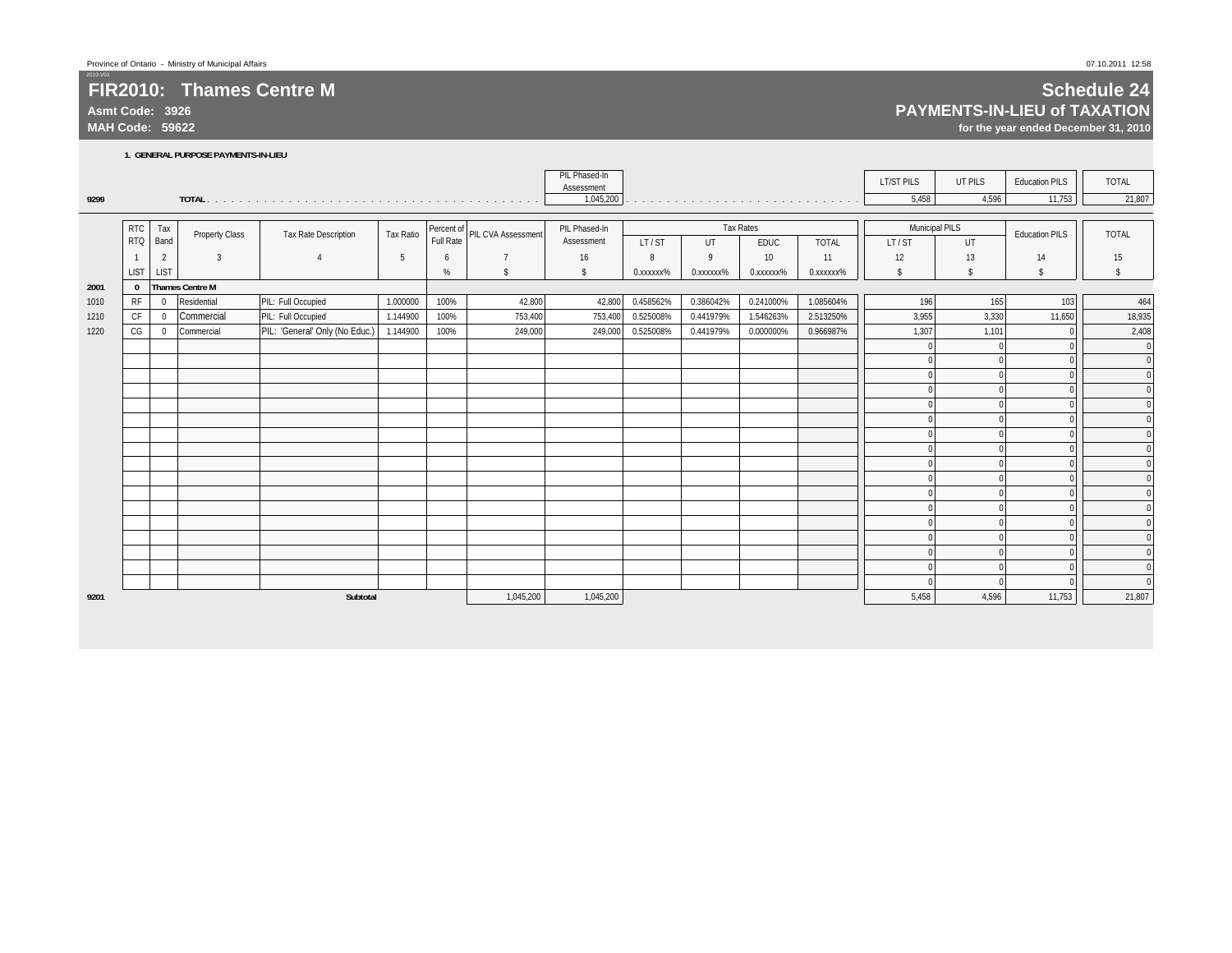**Asmt Code: 3926**

**MAH Code: 59622**

2010-V01

# **Schedule 24**

**PAYMENTS-IN-LIEU of TAXATION**

**for the year ended December 31, 2010**

**1. GENERAL PURPOSE PAYMENTS-IN-LIEU**

|      |                |                |                        |                                |           |      |                               | PIL Phased-In<br>Assessment |           |              |                                                                                                                                                                                                                               |              | <b>LT/ST PILS</b>     | UT PILS              | <b>Education PILS</b> | TOTAL              |
|------|----------------|----------------|------------------------|--------------------------------|-----------|------|-------------------------------|-----------------------------|-----------|--------------|-------------------------------------------------------------------------------------------------------------------------------------------------------------------------------------------------------------------------------|--------------|-----------------------|----------------------|-----------------------|--------------------|
| 9299 |                |                |                        |                                |           |      |                               | 1,045,200                   |           |              | a constitution of the constitution of the constitution of the constitution of the constitution of the constitution of the constitution of the constitution of the constitution of the constitution of the constitution of the |              | 5,458                 | 4,596                | 11,753                | 21,807             |
|      | <b>RTC</b>     |                |                        |                                |           |      |                               | PIL Phased-In               |           |              | <b>Tax Rates</b>                                                                                                                                                                                                              |              | <b>Municipal PILS</b> |                      |                       |                    |
|      | <b>RTQ</b>     | Tax<br>Band    | <b>Property Class</b>  | <b>Tax Rate Description</b>    | Tax Ratio |      | Percent of PIL CVA Assessment | Assessment                  | LT/ST     | UT           | <b>EDUC</b>                                                                                                                                                                                                                   | <b>TOTAL</b> | LT/ST                 | UT                   | <b>Education PILS</b> | <b>TOTAL</b>       |
|      | $\overline{1}$ | $\overline{2}$ | $\overline{3}$         | $\overline{4}$                 | 5         | 6    | $\overline{7}$                | 16                          | 8         | $\mathsf{o}$ | 10                                                                                                                                                                                                                            | 11           | 12                    | 13                   | 14                    | 15                 |
|      | <b>LIST</b>    | <b>LIST</b>    |                        |                                |           | %    | <sup>\$</sup>                 | \$                          | 0.xxxxxx% | 0.xxxxxx%    | 0.xxxxxx%                                                                                                                                                                                                                     | 0.xxxxxx%    | \$                    | \$                   | \$                    | $\mathbf{\hat{s}}$ |
| 2001 | $\bf{0}$       |                | <b>Thames Centre M</b> |                                |           |      |                               |                             |           |              |                                                                                                                                                                                                                               |              |                       |                      |                       |                    |
| 1010 | RF             | $\mathbf 0$    | Residential            | PIL: Full Occupied             | 1.000000  | 100% | 42,800                        | 42,800                      | 0.458562% | 0.386042%    | 0.241000%                                                                                                                                                                                                                     | 1.085604%    | 196                   | 165                  | 103                   | 464                |
| 1210 | <b>CF</b>      | $\mathbf 0$    | Commercial             | PIL: Full Occupied             | 1.144900  | 100% | 753,400                       | 753,400                     | 0.525008% | 0.441979%    | 1.546263%                                                                                                                                                                                                                     | 2.513250%    | 3,955                 | 3,330                | 11,650                | 18,935             |
| 1220 | CG             | 0              | Commercial             | PIL: 'General' Only (No Educ.) | 1.144900  | 100% | 249,000                       | 249,000                     | 0.525008% | 0.441979%    | 0.000000%                                                                                                                                                                                                                     | 0.966987%    | 1,307                 | 1,101                |                       | 2,408              |
|      |                |                |                        |                                |           |      |                               |                             |           |              |                                                                                                                                                                                                                               |              |                       | $\Omega$             |                       | $\mathbf{0}$       |
|      |                |                |                        |                                |           |      |                               |                             |           |              |                                                                                                                                                                                                                               |              |                       | $\Omega$             |                       | $\Omega$           |
|      |                |                |                        |                                |           |      |                               |                             |           |              |                                                                                                                                                                                                                               |              |                       | $\Omega$             |                       |                    |
|      |                |                |                        |                                |           |      |                               |                             |           |              |                                                                                                                                                                                                                               |              |                       | $\Omega$             |                       |                    |
|      |                |                |                        |                                |           |      |                               |                             |           |              |                                                                                                                                                                                                                               |              |                       | $\Omega$             |                       |                    |
|      |                |                |                        |                                |           |      |                               |                             |           |              |                                                                                                                                                                                                                               |              |                       | $\Omega$             |                       |                    |
|      |                |                |                        |                                |           |      |                               |                             |           |              |                                                                                                                                                                                                                               |              |                       | $\theta$             |                       |                    |
|      |                |                |                        |                                |           |      |                               |                             |           |              |                                                                                                                                                                                                                               |              |                       | $\Omega$             |                       |                    |
|      |                |                |                        |                                |           |      |                               |                             |           |              |                                                                                                                                                                                                                               |              |                       | $\Omega$             |                       |                    |
|      |                |                |                        |                                |           |      |                               |                             |           |              |                                                                                                                                                                                                                               |              |                       | $\Omega$             |                       |                    |
|      |                |                |                        |                                |           |      |                               |                             |           |              |                                                                                                                                                                                                                               |              |                       | $\Omega$             |                       |                    |
|      |                |                |                        |                                |           |      |                               |                             |           |              |                                                                                                                                                                                                                               |              |                       | $\Omega$             |                       |                    |
|      |                |                |                        |                                |           |      |                               |                             |           |              |                                                                                                                                                                                                                               |              |                       | $\Omega$<br>$\Omega$ |                       |                    |
|      |                |                |                        |                                |           |      |                               |                             |           |              |                                                                                                                                                                                                                               |              |                       | $\Omega$             |                       |                    |
|      |                |                |                        |                                |           |      |                               |                             |           |              |                                                                                                                                                                                                                               |              |                       | $\Omega$             |                       |                    |
|      |                |                |                        |                                |           |      |                               |                             |           |              |                                                                                                                                                                                                                               |              |                       | $\Omega$             |                       | $\Omega$           |
| 9201 |                |                |                        | Subtotal                       |           |      | 1,045,200                     | 1,045,200                   |           |              |                                                                                                                                                                                                                               |              | 5,458                 | 4,596                | 11,753                | 21,807             |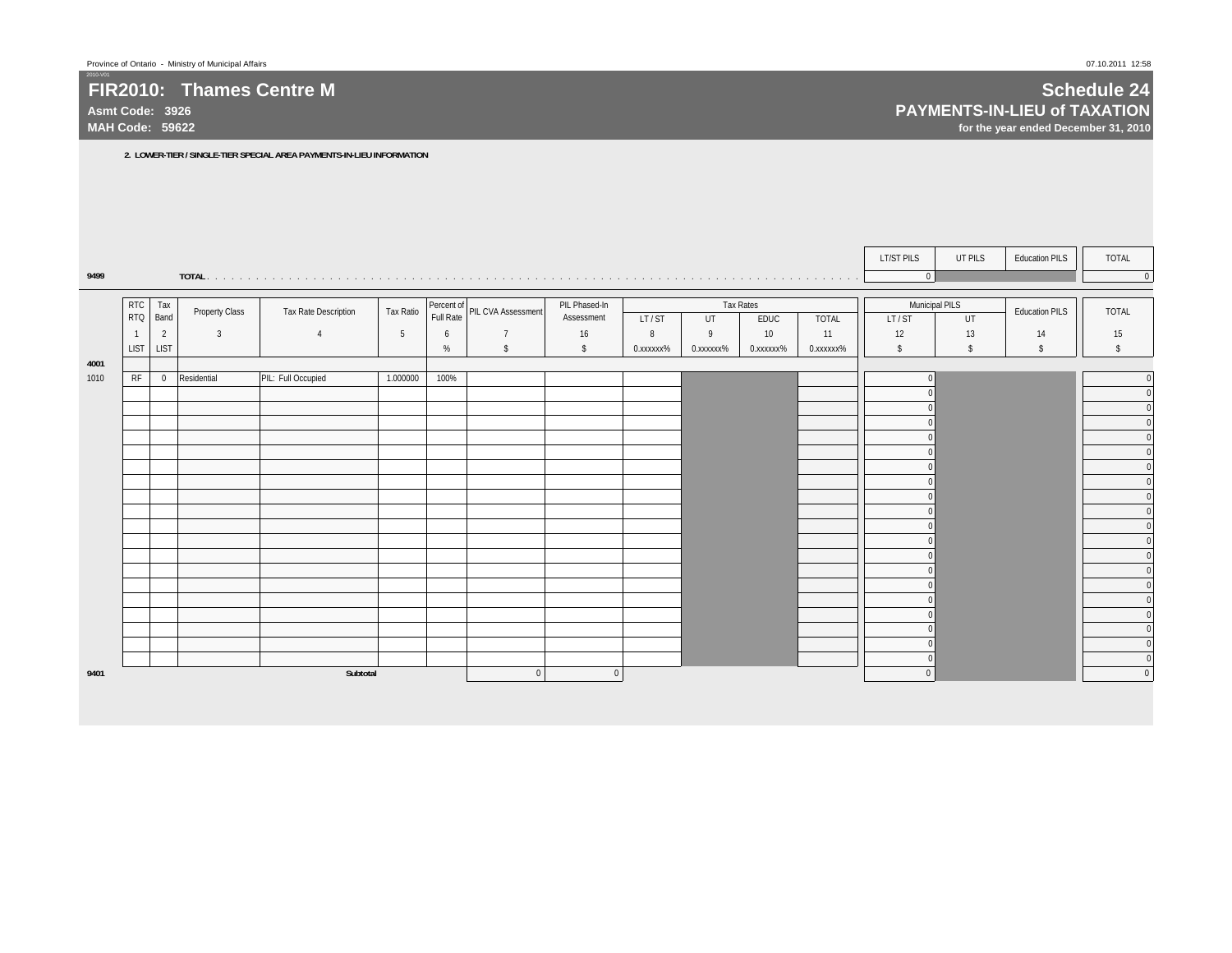**Asmt Code: 3926MAH Code: 59622**

2010-V01

 **Schedule 24 PAYMENTS-IN-LIEU of TAXATION for the year ended December 31, 2010**

**2. LOWER-TIER / SINGLE-TIER SPECIAL AREA PAYMENTS-IN-LIEU INFORMATION**

|      |                        |                |                       |                             |           |      |                               |                             |           |           |                  |             | LT/ST PILS                     | UT PILS       | <b>Education PILS</b> | TOTAL                      |
|------|------------------------|----------------|-----------------------|-----------------------------|-----------|------|-------------------------------|-----------------------------|-----------|-----------|------------------|-------------|--------------------------------|---------------|-----------------------|----------------------------|
| 9499 |                        |                |                       |                             |           |      |                               |                             |           |           |                  |             | $\mathbf 0$                    |               |                       | $\mathbf 0$                |
|      |                        |                |                       |                             |           |      |                               |                             |           |           |                  |             |                                |               |                       |                            |
|      | <b>RTC</b><br>RTQ Band | Tax            | <b>Property Class</b> | <b>Tax Rate Description</b> | Tax Ratio |      | Percent of PIL CVA Assessment | PIL Phased-In<br>Assessment | LT/ST     |           | <b>Tax Rates</b> |             | <b>Municipal PILS</b><br>LT/ST | UT            | <b>Education PILS</b> | <b>TOTAL</b>               |
|      | $\overline{1}$         | $\overline{2}$ | $\overline{3}$        | $\overline{4}$              | 5         | 6    | $\overline{7}$                | 16                          | 8         | UT<br>9   | EDUC<br>10       | TOTAL<br>11 | 12                             | 13            | 14                    | 15                         |
|      | <b>LIST</b>            | <b>LIST</b>    |                       |                             |           | $\%$ | $\mathsf{\$}$                 | $\mathsf{\$}$               | 0.xxxxxx% | 0.xxxxxx% | 0.xxxxxx%        | 0.xxxxxx%   | $\mathsf{s}$                   | $\mathsf{\$}$ | $\mathsf{s}$          | $\mathsf{s}$               |
| 4001 |                        |                |                       |                             |           |      |                               |                             |           |           |                  |             |                                |               |                       |                            |
| 1010 | RF                     | $\overline{0}$ | Residential           | PIL: Full Occupied          | 1.000000  | 100% |                               |                             |           |           |                  |             |                                |               |                       | $\mathbf 0$                |
|      |                        |                |                       |                             |           |      |                               |                             |           |           |                  |             |                                |               |                       | $\mathbf 0$                |
|      |                        |                |                       |                             |           |      |                               |                             |           |           |                  |             |                                |               |                       | $\mathbf 0$                |
|      |                        |                |                       |                             |           |      |                               |                             |           |           |                  |             |                                |               |                       | $\mathbf 0$                |
|      |                        |                |                       |                             |           |      |                               |                             |           |           |                  |             |                                |               |                       | $\mathbf 0$                |
|      |                        |                |                       |                             |           |      |                               |                             |           |           |                  |             |                                |               |                       | $\pmb{0}$<br>$\mathbf{0}$  |
|      |                        |                |                       |                             |           |      |                               |                             |           |           |                  |             |                                |               |                       | $\mathbf 0$                |
|      |                        |                |                       |                             |           |      |                               |                             |           |           |                  |             |                                |               |                       | $\mathbf 0$                |
|      |                        |                |                       |                             |           |      |                               |                             |           |           |                  |             |                                |               |                       | $\pmb{0}$                  |
|      |                        |                |                       |                             |           |      |                               |                             |           |           |                  |             |                                |               |                       | $\mathbf 0$                |
|      |                        |                |                       |                             |           |      |                               |                             |           |           |                  |             |                                |               |                       | $\mathbf 0$                |
|      |                        |                |                       |                             |           |      |                               |                             |           |           |                  |             |                                |               |                       | $\mathbf 0$                |
|      |                        |                |                       |                             |           |      |                               |                             |           |           |                  |             |                                |               |                       | $\mathbf 0$                |
|      |                        |                |                       |                             |           |      |                               |                             |           |           |                  |             |                                |               |                       | $\mathbf 0$<br>$\mathbf 0$ |
|      |                        |                |                       |                             |           |      |                               |                             |           |           |                  |             |                                |               |                       | $\mathbf 0$                |
|      |                        |                |                       |                             |           |      |                               |                             |           |           |                  |             |                                |               |                       | $\mathbf 0$                |
|      |                        |                |                       |                             |           |      |                               |                             |           |           |                  |             |                                |               |                       | $\mathbf{0}$               |
|      |                        |                |                       |                             |           |      |                               |                             |           |           |                  |             |                                |               |                       | $\mathbf 0$                |
| 9401 |                        |                |                       | Subtotal                    |           |      | $\Omega$                      | $\Omega$                    |           |           |                  |             | $\Omega$                       |               |                       | $\mathbf{0}$               |
|      |                        |                |                       |                             |           |      |                               |                             |           |           |                  |             |                                |               |                       |                            |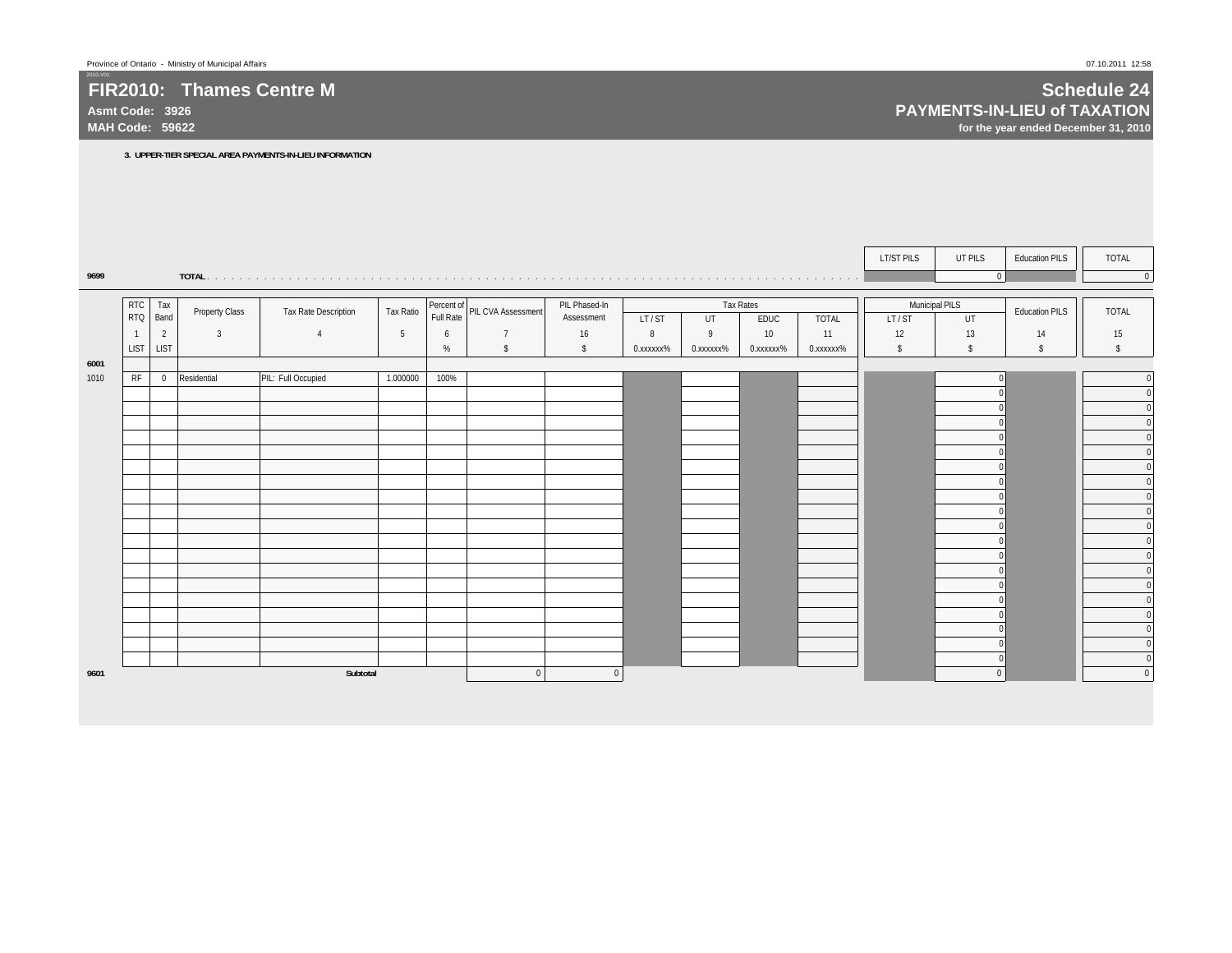**3. UPPER-TIER SPECIAL AREA PAYMENTS-IN-LIEU INFORMATION**

**Asmt Code: 3926MAH Code: 59622**

2010-V01

**9699**

**6001**

 $$\mathbb{S}$$ 

 **Schedule 24 PAYMENTS-IN-LIEU of TAXATION for the year ended December 31, 2010**

LT/ST PILS UT PILS Education PILS | TOTAL **TOTAL** . . . . . . . . . . . . . . . . . . . . . . . . . . . . . . . . . . . . . . . . . . . . . . . . . . . . . . . . . . . . . . . . . . . . . . . . . . . . . . . . 0 0 Tax Rates **Municipal PILS** LT/ST I UT I EDUC I TOTAL II LT/ST I UT UT 1 1 2 3 4 5 6 7 7 1 6 8 9 9 10 1 11 1 12 1 13 1 14 1 15 LIST LIST % \$ \$ 0.xxxxxx% 0.xxxxxx% 0.xxxxxx% 0.xxxxxx% \$ \$ \$ \$1010 RF 0 Residential PIL: Full Occupied 1.000000 100% 0 0 0 00 00 00 00 00 00 00 00 00 00 00 00 00 00 00 00 00 00 0**9601 Subtotal** 0 0 0 0 Tax Ratioo Percent of Pull Pull Phased In Pull Phased In Little of Tax Rates (Northern Little Municipal PILS | TOTAL | T<br>Full Rate Pull Rate (Nording Assessment | IT/ST | IIT | FDIIC | TOTAL | IT/ST | IIT | Education PILS | | TOTAL PIL Phased-In Assessment PIL CVA Assessment RTC RTQRTC Tax Property Class Tax Rate Description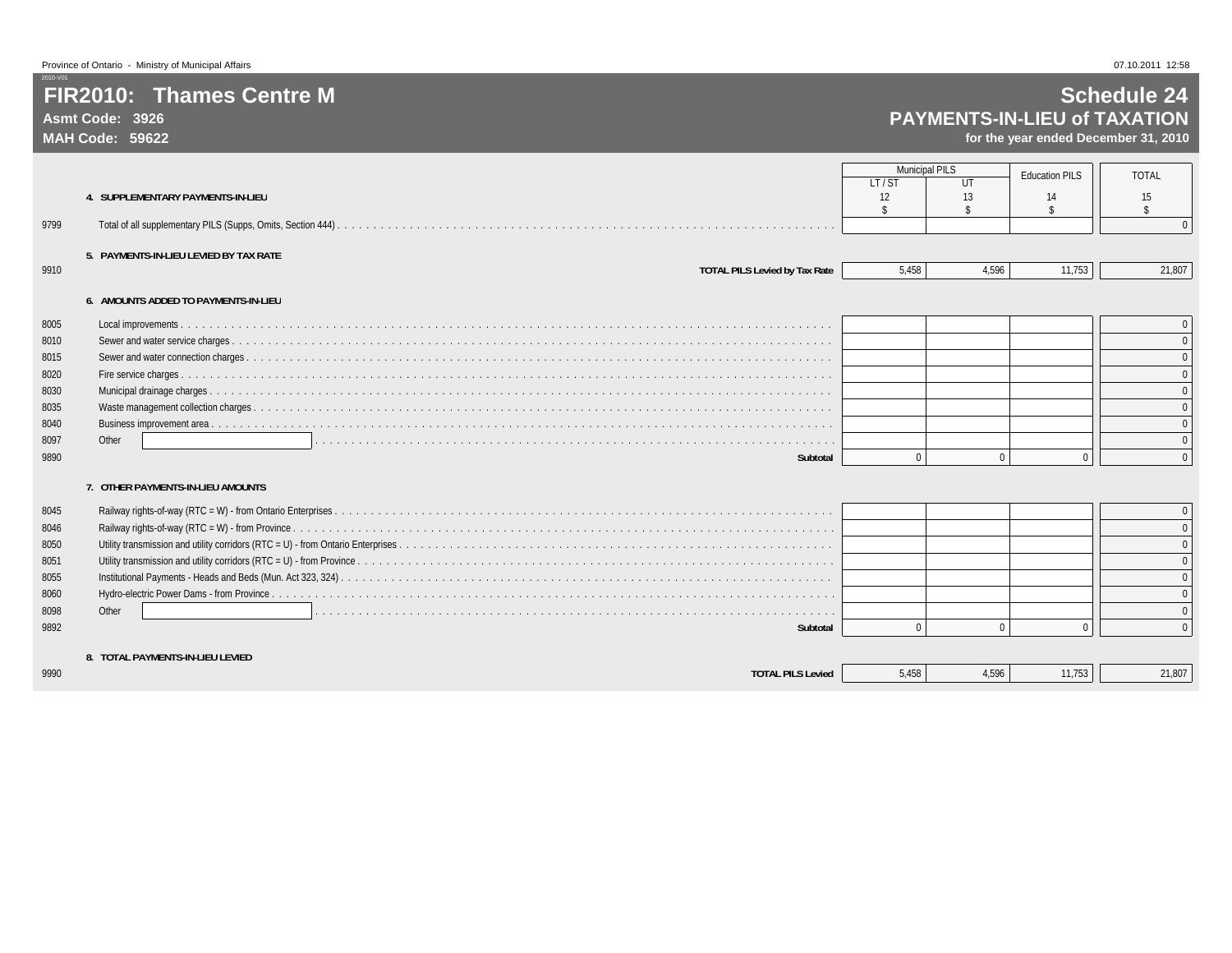**Asmt Code: 3926MAH Code: 59622**

2010-V01

## **Schedule 24 PAYMENTS-IN-LIEU of TAXATION**

|      |                                          | <b>Municipal PILS</b> |              | <b>Education PILS</b> | <b>TOTAL</b>       |
|------|------------------------------------------|-----------------------|--------------|-----------------------|--------------------|
|      |                                          | LT/ST                 | UT           |                       |                    |
|      | <b>4. SUPPLEMENTARY PAYMENTS-IN-LIEU</b> | 12                    | 13           | 14                    | 15                 |
|      |                                          | $\mathbf{\hat{S}}$    |              | \$                    | $\hat{\mathbf{r}}$ |
| 9799 |                                          |                       |              |                       | $\Omega$           |
|      | 5. PAYMENTS-IN-LIEU LEVIED BY TAX RATE   |                       |              |                       |                    |
| 9910 | <b>TOTAL PILS Levied by Tax Rate</b>     | 5.458                 | 4.596        | 11,753                | 21,807             |
|      |                                          |                       |              |                       |                    |
|      | 6. AMOUNTS ADDED TO PAYMENTS-IN-LIEU     |                       |              |                       |                    |
| 8005 |                                          |                       |              |                       |                    |
| 8010 |                                          |                       |              |                       |                    |
| 8015 |                                          |                       |              |                       |                    |
| 8020 |                                          |                       |              |                       |                    |
| 8030 |                                          |                       |              |                       |                    |
| 8035 |                                          |                       |              |                       |                    |
| 8040 |                                          |                       |              |                       |                    |
| 8097 | Other                                    |                       |              |                       |                    |
| 9890 | Subtotal                                 |                       | $\mathbf{0}$ | $\Omega$              |                    |
|      |                                          |                       |              |                       |                    |
|      | 7. OTHER PAYMENTS-IN-LIEU AMOUNTS        |                       |              |                       |                    |
| 8045 |                                          |                       |              |                       |                    |
| 8046 |                                          |                       |              |                       |                    |
| 8050 |                                          |                       |              |                       |                    |
| 8051 |                                          |                       |              |                       |                    |
| 8055 |                                          |                       |              |                       |                    |
| 8060 |                                          |                       |              |                       |                    |
| 8098 | Other                                    |                       |              |                       |                    |
| 9892 | Subtotal                                 | $\Omega$              | $\Omega$     | $\Omega$              | $\Omega$           |
|      |                                          |                       |              |                       |                    |
|      | 8. TOTAL PAYMENTS-IN-LIEU LEVIED         |                       |              |                       |                    |
| 9990 | <b>TOTAL PILS Levied</b>                 | 5.458                 | 4.596        | 11.753                | 21,807             |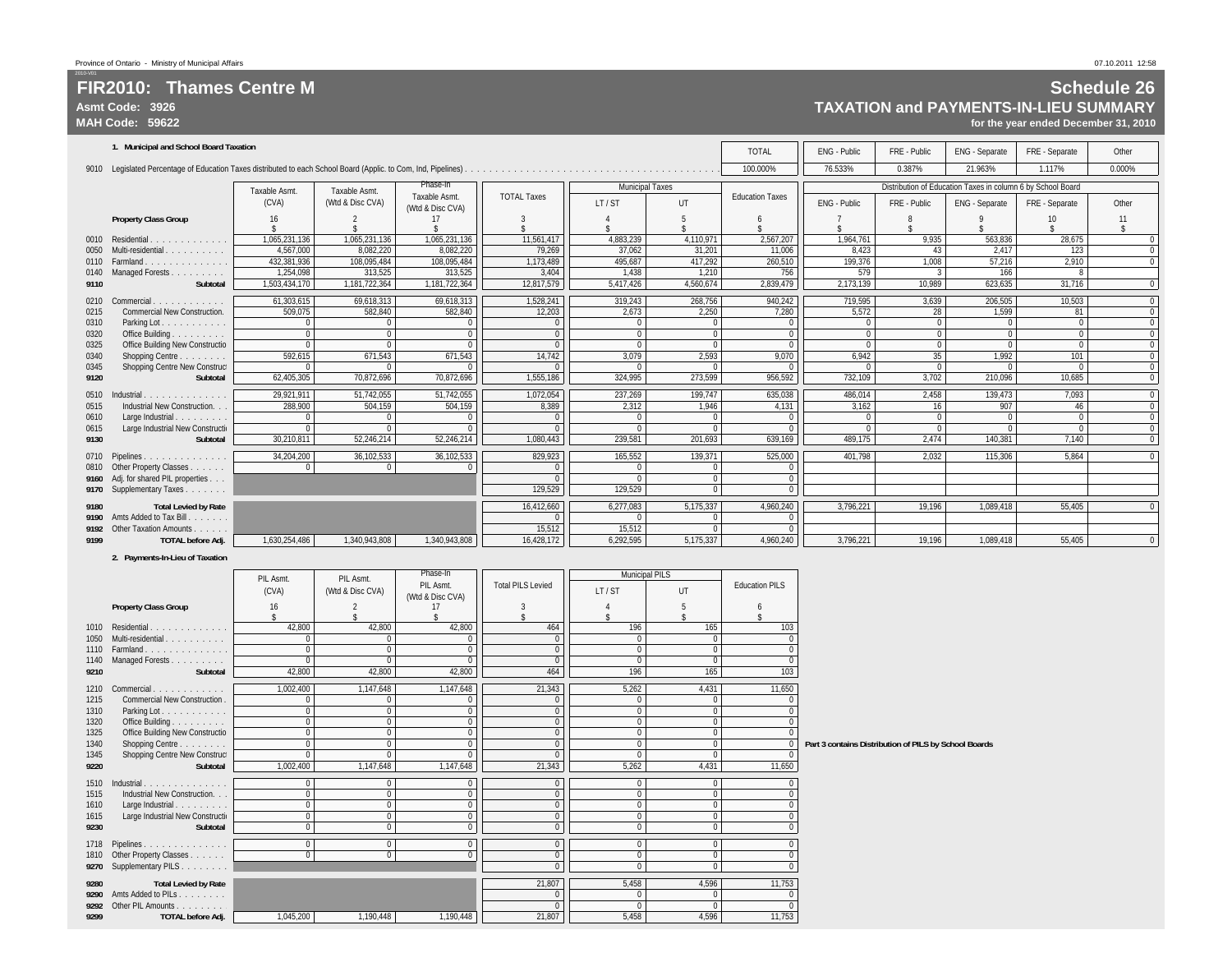#### **FIR2010: Thames Centre MAsmt Code: 3926MAH Code: 59622**

## **Schedule 26 TAXATION and PAYMENTS-IN-LIEU SUMMARY**

**for the year ended December 31, 2010**

| 1. Municipal and School Board Taxation<br><b>TOTAL</b><br>ENG - Public<br>FRE - Public<br>ENG - Separate<br>FRE - Separate<br>Other<br>100.000%<br>76.533%<br>0.387%<br>21.963%<br>1.117%<br>0.000%<br>Phase-In<br>Distribution of Education Taxes in column 6 by School Board<br><b>Municipal Taxes</b><br>Taxable Asmt.<br>Taxable Asmt.<br><b>TOTAL Taxes</b><br>Taxable Asmt.<br><b>Education Taxes</b><br>(CVA)<br>(Wtd & Disc CVA)<br>UT<br>LT/ST<br>ENG - Public<br>FRE - Public<br>ENG - Separate<br>FRE - Separate<br>Other<br>(Wtd & Disc CVA)<br><b>Property Class Group</b><br>16<br>10<br>11<br>$\hat{\mathbf{x}}$<br>1,065,231,136<br>1,065,231,136<br>11,561,417<br>4,110,971<br>2,567,207<br>9,935<br>Residential.<br>1,065,231,136<br>4,883,239<br>1,964,761<br>563,836<br>28,675<br>0010<br>.<br>4,567,000<br>8,082,220<br>8.082.220<br>79,269<br>37,062<br>31,201<br>11.006<br>8,423<br>2.417<br>123<br>Multi-residential.<br>43<br>0050<br>417,292<br>432,381,936<br>108,095,484<br>108,095,484<br>1,173,489<br>495,687<br>260,510<br>199,376<br>1,008<br>57,216<br>2,910<br>Farmland<br>0110<br>.<br>313,525<br>1.254.098<br>313,525<br>3,404<br>1.210<br>756<br>579<br>166<br>Managed Forests<br>1.438<br>0140<br>1,181,722,364<br>1,181,722,364<br>12,817,579<br>4,560,674<br>2,839,479<br>2,173,139<br>10.989<br>623,635<br>31,716<br>Subtotal<br>1,503,434,170<br>5,417,426<br>9110<br>69,618,313<br>1,528,241<br>268,756<br>10,503<br>61.303.615<br>69,618,313<br>319,243<br>940,242<br>719,595<br>3,639<br>206,505<br>Commercial<br>0210<br>.<br>582,840<br>509,075<br>582.840<br>12,203<br>2,673<br>2,250<br>7,280<br>5,572<br>1,599<br><b>Commercial New Construction.</b><br>28<br>81<br>0215<br>$\Omega$<br>0310<br>Parking Lot.<br>$\mathbf 0$<br>$\Omega$<br>Office Building<br>$\Omega$<br>$\Omega$<br>$\Omega$<br>$\Omega$<br>0320<br>$\Omega$<br>Office Building New Constructio<br>0325<br>$\Omega$<br>$\Omega$<br>592,615<br>671,543<br>14,742<br>2,593<br>101<br>671,543<br>3,079<br>9.070<br>6,942<br>35<br>1,992<br>Shopping Centre<br>0340<br>Shopping Centre New Construc<br>$\Omega$<br>0345<br>62,405,305<br>70,872,696<br>70,872,696<br>1,555,186<br>324,995<br>273,599<br>956,592<br>732,109<br>3,702<br>210,096<br>10,685<br>9120<br>Subtotal<br>51,742,055<br>7,093<br>Industrial.<br>29,921,911<br>51.742.055<br>1,072,054<br>237,269<br>199,747<br>635,038<br>486,014<br>2,458<br>139.473<br>0510<br>504.159<br>8,389<br>288,900<br>504.159<br>2,312<br>1.946<br>4.131<br>3,162<br>907<br>Industrial New Construction.<br>16<br>46<br>0515<br>$\Omega$<br>Large Industrial.<br>$\Omega$<br>0610<br>$\Omega$<br>Large Industrial New Constructio<br>$\Omega$<br>$\Omega$<br>0615<br>30,210,811<br>52,246,214<br>52,246,214<br>1,080,443<br>239,581<br>201,693<br>639,169<br>489.175<br>2.474<br>140,381<br>7,140<br>Subtotal<br>9130<br>36,102,533<br>829.923<br>165.552<br>139.371<br>525.000<br>401.798<br>5.864<br>34,204,200<br>36.102.533<br>2.032<br>115.306<br>Pipelines<br>0710<br>0810 Other Property Classes<br>$\Omega$<br>$\Omega$<br>$\Omega$<br>U<br>Adj. for shared PIL properties<br>$\mathbf{0}$<br>9160<br>129,529<br>129,529<br>$\Omega$<br>9170 Supplementary Taxes<br><b>Total Levied by Rate</b><br>16,412,660<br>5.175.337<br>6,277,083<br>4,960,240<br>3,796,221<br>19.196<br>1,089,418<br>55.405<br>9180<br>9190 Amts Added to Tax Bill<br>$\Omega$<br>$\Omega$<br>15,512<br>9192 Other Taxation Amounts<br>15,512<br>$\Omega$<br>1,630,254,486<br>16,428,172<br>5,175,337<br>4.960.240<br>55.405<br><b>TOTAL before Adj.</b><br>1,340,943,808<br>1,340,943,808<br>6,292,595<br>3,796,221<br>19.196<br>1,089,418<br>9199 |  |  |  |  |  |  |  |
|-----------------------------------------------------------------------------------------------------------------------------------------------------------------------------------------------------------------------------------------------------------------------------------------------------------------------------------------------------------------------------------------------------------------------------------------------------------------------------------------------------------------------------------------------------------------------------------------------------------------------------------------------------------------------------------------------------------------------------------------------------------------------------------------------------------------------------------------------------------------------------------------------------------------------------------------------------------------------------------------------------------------------------------------------------------------------------------------------------------------------------------------------------------------------------------------------------------------------------------------------------------------------------------------------------------------------------------------------------------------------------------------------------------------------------------------------------------------------------------------------------------------------------------------------------------------------------------------------------------------------------------------------------------------------------------------------------------------------------------------------------------------------------------------------------------------------------------------------------------------------------------------------------------------------------------------------------------------------------------------------------------------------------------------------------------------------------------------------------------------------------------------------------------------------------------------------------------------------------------------------------------------------------------------------------------------------------------------------------------------------------------------------------------------------------------------------------------------------------------------------------------------------------------------------------------------------------------------------------------------------------------------------------------------------------------------------------------------------------------------------------------------------------------------------------------------------------------------------------------------------------------------------------------------------------------------------------------------------------------------------------------------------------------------------------------------------------------------------------------------------------------------------------------------------------------------------------------------------------------------------------------------------------------------------------------------------------------------------------------------------------------------------------------------------------------------------------------------------------------------------------------------------------------------------------------------------------------------------------------------------------------------------------------------------------------------------------|--|--|--|--|--|--|--|
|                                                                                                                                                                                                                                                                                                                                                                                                                                                                                                                                                                                                                                                                                                                                                                                                                                                                                                                                                                                                                                                                                                                                                                                                                                                                                                                                                                                                                                                                                                                                                                                                                                                                                                                                                                                                                                                                                                                                                                                                                                                                                                                                                                                                                                                                                                                                                                                                                                                                                                                                                                                                                                                                                                                                                                                                                                                                                                                                                                                                                                                                                                                                                                                                                                                                                                                                                                                                                                                                                                                                                                                                                                                                                                     |  |  |  |  |  |  |  |
|                                                                                                                                                                                                                                                                                                                                                                                                                                                                                                                                                                                                                                                                                                                                                                                                                                                                                                                                                                                                                                                                                                                                                                                                                                                                                                                                                                                                                                                                                                                                                                                                                                                                                                                                                                                                                                                                                                                                                                                                                                                                                                                                                                                                                                                                                                                                                                                                                                                                                                                                                                                                                                                                                                                                                                                                                                                                                                                                                                                                                                                                                                                                                                                                                                                                                                                                                                                                                                                                                                                                                                                                                                                                                                     |  |  |  |  |  |  |  |
|                                                                                                                                                                                                                                                                                                                                                                                                                                                                                                                                                                                                                                                                                                                                                                                                                                                                                                                                                                                                                                                                                                                                                                                                                                                                                                                                                                                                                                                                                                                                                                                                                                                                                                                                                                                                                                                                                                                                                                                                                                                                                                                                                                                                                                                                                                                                                                                                                                                                                                                                                                                                                                                                                                                                                                                                                                                                                                                                                                                                                                                                                                                                                                                                                                                                                                                                                                                                                                                                                                                                                                                                                                                                                                     |  |  |  |  |  |  |  |
|                                                                                                                                                                                                                                                                                                                                                                                                                                                                                                                                                                                                                                                                                                                                                                                                                                                                                                                                                                                                                                                                                                                                                                                                                                                                                                                                                                                                                                                                                                                                                                                                                                                                                                                                                                                                                                                                                                                                                                                                                                                                                                                                                                                                                                                                                                                                                                                                                                                                                                                                                                                                                                                                                                                                                                                                                                                                                                                                                                                                                                                                                                                                                                                                                                                                                                                                                                                                                                                                                                                                                                                                                                                                                                     |  |  |  |  |  |  |  |
|                                                                                                                                                                                                                                                                                                                                                                                                                                                                                                                                                                                                                                                                                                                                                                                                                                                                                                                                                                                                                                                                                                                                                                                                                                                                                                                                                                                                                                                                                                                                                                                                                                                                                                                                                                                                                                                                                                                                                                                                                                                                                                                                                                                                                                                                                                                                                                                                                                                                                                                                                                                                                                                                                                                                                                                                                                                                                                                                                                                                                                                                                                                                                                                                                                                                                                                                                                                                                                                                                                                                                                                                                                                                                                     |  |  |  |  |  |  |  |
|                                                                                                                                                                                                                                                                                                                                                                                                                                                                                                                                                                                                                                                                                                                                                                                                                                                                                                                                                                                                                                                                                                                                                                                                                                                                                                                                                                                                                                                                                                                                                                                                                                                                                                                                                                                                                                                                                                                                                                                                                                                                                                                                                                                                                                                                                                                                                                                                                                                                                                                                                                                                                                                                                                                                                                                                                                                                                                                                                                                                                                                                                                                                                                                                                                                                                                                                                                                                                                                                                                                                                                                                                                                                                                     |  |  |  |  |  |  |  |
|                                                                                                                                                                                                                                                                                                                                                                                                                                                                                                                                                                                                                                                                                                                                                                                                                                                                                                                                                                                                                                                                                                                                                                                                                                                                                                                                                                                                                                                                                                                                                                                                                                                                                                                                                                                                                                                                                                                                                                                                                                                                                                                                                                                                                                                                                                                                                                                                                                                                                                                                                                                                                                                                                                                                                                                                                                                                                                                                                                                                                                                                                                                                                                                                                                                                                                                                                                                                                                                                                                                                                                                                                                                                                                     |  |  |  |  |  |  |  |
|                                                                                                                                                                                                                                                                                                                                                                                                                                                                                                                                                                                                                                                                                                                                                                                                                                                                                                                                                                                                                                                                                                                                                                                                                                                                                                                                                                                                                                                                                                                                                                                                                                                                                                                                                                                                                                                                                                                                                                                                                                                                                                                                                                                                                                                                                                                                                                                                                                                                                                                                                                                                                                                                                                                                                                                                                                                                                                                                                                                                                                                                                                                                                                                                                                                                                                                                                                                                                                                                                                                                                                                                                                                                                                     |  |  |  |  |  |  |  |
|                                                                                                                                                                                                                                                                                                                                                                                                                                                                                                                                                                                                                                                                                                                                                                                                                                                                                                                                                                                                                                                                                                                                                                                                                                                                                                                                                                                                                                                                                                                                                                                                                                                                                                                                                                                                                                                                                                                                                                                                                                                                                                                                                                                                                                                                                                                                                                                                                                                                                                                                                                                                                                                                                                                                                                                                                                                                                                                                                                                                                                                                                                                                                                                                                                                                                                                                                                                                                                                                                                                                                                                                                                                                                                     |  |  |  |  |  |  |  |
|                                                                                                                                                                                                                                                                                                                                                                                                                                                                                                                                                                                                                                                                                                                                                                                                                                                                                                                                                                                                                                                                                                                                                                                                                                                                                                                                                                                                                                                                                                                                                                                                                                                                                                                                                                                                                                                                                                                                                                                                                                                                                                                                                                                                                                                                                                                                                                                                                                                                                                                                                                                                                                                                                                                                                                                                                                                                                                                                                                                                                                                                                                                                                                                                                                                                                                                                                                                                                                                                                                                                                                                                                                                                                                     |  |  |  |  |  |  |  |
|                                                                                                                                                                                                                                                                                                                                                                                                                                                                                                                                                                                                                                                                                                                                                                                                                                                                                                                                                                                                                                                                                                                                                                                                                                                                                                                                                                                                                                                                                                                                                                                                                                                                                                                                                                                                                                                                                                                                                                                                                                                                                                                                                                                                                                                                                                                                                                                                                                                                                                                                                                                                                                                                                                                                                                                                                                                                                                                                                                                                                                                                                                                                                                                                                                                                                                                                                                                                                                                                                                                                                                                                                                                                                                     |  |  |  |  |  |  |  |
|                                                                                                                                                                                                                                                                                                                                                                                                                                                                                                                                                                                                                                                                                                                                                                                                                                                                                                                                                                                                                                                                                                                                                                                                                                                                                                                                                                                                                                                                                                                                                                                                                                                                                                                                                                                                                                                                                                                                                                                                                                                                                                                                                                                                                                                                                                                                                                                                                                                                                                                                                                                                                                                                                                                                                                                                                                                                                                                                                                                                                                                                                                                                                                                                                                                                                                                                                                                                                                                                                                                                                                                                                                                                                                     |  |  |  |  |  |  |  |
|                                                                                                                                                                                                                                                                                                                                                                                                                                                                                                                                                                                                                                                                                                                                                                                                                                                                                                                                                                                                                                                                                                                                                                                                                                                                                                                                                                                                                                                                                                                                                                                                                                                                                                                                                                                                                                                                                                                                                                                                                                                                                                                                                                                                                                                                                                                                                                                                                                                                                                                                                                                                                                                                                                                                                                                                                                                                                                                                                                                                                                                                                                                                                                                                                                                                                                                                                                                                                                                                                                                                                                                                                                                                                                     |  |  |  |  |  |  |  |
|                                                                                                                                                                                                                                                                                                                                                                                                                                                                                                                                                                                                                                                                                                                                                                                                                                                                                                                                                                                                                                                                                                                                                                                                                                                                                                                                                                                                                                                                                                                                                                                                                                                                                                                                                                                                                                                                                                                                                                                                                                                                                                                                                                                                                                                                                                                                                                                                                                                                                                                                                                                                                                                                                                                                                                                                                                                                                                                                                                                                                                                                                                                                                                                                                                                                                                                                                                                                                                                                                                                                                                                                                                                                                                     |  |  |  |  |  |  |  |
|                                                                                                                                                                                                                                                                                                                                                                                                                                                                                                                                                                                                                                                                                                                                                                                                                                                                                                                                                                                                                                                                                                                                                                                                                                                                                                                                                                                                                                                                                                                                                                                                                                                                                                                                                                                                                                                                                                                                                                                                                                                                                                                                                                                                                                                                                                                                                                                                                                                                                                                                                                                                                                                                                                                                                                                                                                                                                                                                                                                                                                                                                                                                                                                                                                                                                                                                                                                                                                                                                                                                                                                                                                                                                                     |  |  |  |  |  |  |  |
|                                                                                                                                                                                                                                                                                                                                                                                                                                                                                                                                                                                                                                                                                                                                                                                                                                                                                                                                                                                                                                                                                                                                                                                                                                                                                                                                                                                                                                                                                                                                                                                                                                                                                                                                                                                                                                                                                                                                                                                                                                                                                                                                                                                                                                                                                                                                                                                                                                                                                                                                                                                                                                                                                                                                                                                                                                                                                                                                                                                                                                                                                                                                                                                                                                                                                                                                                                                                                                                                                                                                                                                                                                                                                                     |  |  |  |  |  |  |  |
|                                                                                                                                                                                                                                                                                                                                                                                                                                                                                                                                                                                                                                                                                                                                                                                                                                                                                                                                                                                                                                                                                                                                                                                                                                                                                                                                                                                                                                                                                                                                                                                                                                                                                                                                                                                                                                                                                                                                                                                                                                                                                                                                                                                                                                                                                                                                                                                                                                                                                                                                                                                                                                                                                                                                                                                                                                                                                                                                                                                                                                                                                                                                                                                                                                                                                                                                                                                                                                                                                                                                                                                                                                                                                                     |  |  |  |  |  |  |  |
|                                                                                                                                                                                                                                                                                                                                                                                                                                                                                                                                                                                                                                                                                                                                                                                                                                                                                                                                                                                                                                                                                                                                                                                                                                                                                                                                                                                                                                                                                                                                                                                                                                                                                                                                                                                                                                                                                                                                                                                                                                                                                                                                                                                                                                                                                                                                                                                                                                                                                                                                                                                                                                                                                                                                                                                                                                                                                                                                                                                                                                                                                                                                                                                                                                                                                                                                                                                                                                                                                                                                                                                                                                                                                                     |  |  |  |  |  |  |  |
|                                                                                                                                                                                                                                                                                                                                                                                                                                                                                                                                                                                                                                                                                                                                                                                                                                                                                                                                                                                                                                                                                                                                                                                                                                                                                                                                                                                                                                                                                                                                                                                                                                                                                                                                                                                                                                                                                                                                                                                                                                                                                                                                                                                                                                                                                                                                                                                                                                                                                                                                                                                                                                                                                                                                                                                                                                                                                                                                                                                                                                                                                                                                                                                                                                                                                                                                                                                                                                                                                                                                                                                                                                                                                                     |  |  |  |  |  |  |  |
|                                                                                                                                                                                                                                                                                                                                                                                                                                                                                                                                                                                                                                                                                                                                                                                                                                                                                                                                                                                                                                                                                                                                                                                                                                                                                                                                                                                                                                                                                                                                                                                                                                                                                                                                                                                                                                                                                                                                                                                                                                                                                                                                                                                                                                                                                                                                                                                                                                                                                                                                                                                                                                                                                                                                                                                                                                                                                                                                                                                                                                                                                                                                                                                                                                                                                                                                                                                                                                                                                                                                                                                                                                                                                                     |  |  |  |  |  |  |  |
|                                                                                                                                                                                                                                                                                                                                                                                                                                                                                                                                                                                                                                                                                                                                                                                                                                                                                                                                                                                                                                                                                                                                                                                                                                                                                                                                                                                                                                                                                                                                                                                                                                                                                                                                                                                                                                                                                                                                                                                                                                                                                                                                                                                                                                                                                                                                                                                                                                                                                                                                                                                                                                                                                                                                                                                                                                                                                                                                                                                                                                                                                                                                                                                                                                                                                                                                                                                                                                                                                                                                                                                                                                                                                                     |  |  |  |  |  |  |  |
|                                                                                                                                                                                                                                                                                                                                                                                                                                                                                                                                                                                                                                                                                                                                                                                                                                                                                                                                                                                                                                                                                                                                                                                                                                                                                                                                                                                                                                                                                                                                                                                                                                                                                                                                                                                                                                                                                                                                                                                                                                                                                                                                                                                                                                                                                                                                                                                                                                                                                                                                                                                                                                                                                                                                                                                                                                                                                                                                                                                                                                                                                                                                                                                                                                                                                                                                                                                                                                                                                                                                                                                                                                                                                                     |  |  |  |  |  |  |  |
|                                                                                                                                                                                                                                                                                                                                                                                                                                                                                                                                                                                                                                                                                                                                                                                                                                                                                                                                                                                                                                                                                                                                                                                                                                                                                                                                                                                                                                                                                                                                                                                                                                                                                                                                                                                                                                                                                                                                                                                                                                                                                                                                                                                                                                                                                                                                                                                                                                                                                                                                                                                                                                                                                                                                                                                                                                                                                                                                                                                                                                                                                                                                                                                                                                                                                                                                                                                                                                                                                                                                                                                                                                                                                                     |  |  |  |  |  |  |  |
|                                                                                                                                                                                                                                                                                                                                                                                                                                                                                                                                                                                                                                                                                                                                                                                                                                                                                                                                                                                                                                                                                                                                                                                                                                                                                                                                                                                                                                                                                                                                                                                                                                                                                                                                                                                                                                                                                                                                                                                                                                                                                                                                                                                                                                                                                                                                                                                                                                                                                                                                                                                                                                                                                                                                                                                                                                                                                                                                                                                                                                                                                                                                                                                                                                                                                                                                                                                                                                                                                                                                                                                                                                                                                                     |  |  |  |  |  |  |  |
|                                                                                                                                                                                                                                                                                                                                                                                                                                                                                                                                                                                                                                                                                                                                                                                                                                                                                                                                                                                                                                                                                                                                                                                                                                                                                                                                                                                                                                                                                                                                                                                                                                                                                                                                                                                                                                                                                                                                                                                                                                                                                                                                                                                                                                                                                                                                                                                                                                                                                                                                                                                                                                                                                                                                                                                                                                                                                                                                                                                                                                                                                                                                                                                                                                                                                                                                                                                                                                                                                                                                                                                                                                                                                                     |  |  |  |  |  |  |  |
|                                                                                                                                                                                                                                                                                                                                                                                                                                                                                                                                                                                                                                                                                                                                                                                                                                                                                                                                                                                                                                                                                                                                                                                                                                                                                                                                                                                                                                                                                                                                                                                                                                                                                                                                                                                                                                                                                                                                                                                                                                                                                                                                                                                                                                                                                                                                                                                                                                                                                                                                                                                                                                                                                                                                                                                                                                                                                                                                                                                                                                                                                                                                                                                                                                                                                                                                                                                                                                                                                                                                                                                                                                                                                                     |  |  |  |  |  |  |  |
|                                                                                                                                                                                                                                                                                                                                                                                                                                                                                                                                                                                                                                                                                                                                                                                                                                                                                                                                                                                                                                                                                                                                                                                                                                                                                                                                                                                                                                                                                                                                                                                                                                                                                                                                                                                                                                                                                                                                                                                                                                                                                                                                                                                                                                                                                                                                                                                                                                                                                                                                                                                                                                                                                                                                                                                                                                                                                                                                                                                                                                                                                                                                                                                                                                                                                                                                                                                                                                                                                                                                                                                                                                                                                                     |  |  |  |  |  |  |  |
|                                                                                                                                                                                                                                                                                                                                                                                                                                                                                                                                                                                                                                                                                                                                                                                                                                                                                                                                                                                                                                                                                                                                                                                                                                                                                                                                                                                                                                                                                                                                                                                                                                                                                                                                                                                                                                                                                                                                                                                                                                                                                                                                                                                                                                                                                                                                                                                                                                                                                                                                                                                                                                                                                                                                                                                                                                                                                                                                                                                                                                                                                                                                                                                                                                                                                                                                                                                                                                                                                                                                                                                                                                                                                                     |  |  |  |  |  |  |  |
|                                                                                                                                                                                                                                                                                                                                                                                                                                                                                                                                                                                                                                                                                                                                                                                                                                                                                                                                                                                                                                                                                                                                                                                                                                                                                                                                                                                                                                                                                                                                                                                                                                                                                                                                                                                                                                                                                                                                                                                                                                                                                                                                                                                                                                                                                                                                                                                                                                                                                                                                                                                                                                                                                                                                                                                                                                                                                                                                                                                                                                                                                                                                                                                                                                                                                                                                                                                                                                                                                                                                                                                                                                                                                                     |  |  |  |  |  |  |  |
|                                                                                                                                                                                                                                                                                                                                                                                                                                                                                                                                                                                                                                                                                                                                                                                                                                                                                                                                                                                                                                                                                                                                                                                                                                                                                                                                                                                                                                                                                                                                                                                                                                                                                                                                                                                                                                                                                                                                                                                                                                                                                                                                                                                                                                                                                                                                                                                                                                                                                                                                                                                                                                                                                                                                                                                                                                                                                                                                                                                                                                                                                                                                                                                                                                                                                                                                                                                                                                                                                                                                                                                                                                                                                                     |  |  |  |  |  |  |  |
|                                                                                                                                                                                                                                                                                                                                                                                                                                                                                                                                                                                                                                                                                                                                                                                                                                                                                                                                                                                                                                                                                                                                                                                                                                                                                                                                                                                                                                                                                                                                                                                                                                                                                                                                                                                                                                                                                                                                                                                                                                                                                                                                                                                                                                                                                                                                                                                                                                                                                                                                                                                                                                                                                                                                                                                                                                                                                                                                                                                                                                                                                                                                                                                                                                                                                                                                                                                                                                                                                                                                                                                                                                                                                                     |  |  |  |  |  |  |  |
|                                                                                                                                                                                                                                                                                                                                                                                                                                                                                                                                                                                                                                                                                                                                                                                                                                                                                                                                                                                                                                                                                                                                                                                                                                                                                                                                                                                                                                                                                                                                                                                                                                                                                                                                                                                                                                                                                                                                                                                                                                                                                                                                                                                                                                                                                                                                                                                                                                                                                                                                                                                                                                                                                                                                                                                                                                                                                                                                                                                                                                                                                                                                                                                                                                                                                                                                                                                                                                                                                                                                                                                                                                                                                                     |  |  |  |  |  |  |  |

#### **2. Payments-In-Lieu of Taxation**

|      |                                 | PIL Asmt.    | PIL Asmt.        | Phase-In                      |                          | <b>Municipal PILS</b> |          |                       |                                                       |
|------|---------------------------------|--------------|------------------|-------------------------------|--------------------------|-----------------------|----------|-----------------------|-------------------------------------------------------|
|      |                                 | (CVA)        | (Wtd & Disc CVA) | PIL Asmt.<br>(Wtd & Disc CVA) | <b>Total PILS Levied</b> | LT/ST                 | UT       | <b>Education PILS</b> |                                                       |
|      | <b>Property Class Group</b>     | 16           |                  |                               |                          |                       |          |                       |                                                       |
|      |                                 |              |                  |                               |                          |                       |          |                       |                                                       |
|      | 1010 Residential                | 42,800       | 42,800           | 42,800                        | 464                      | 196                   | 165      | 103                   |                                                       |
|      | 1050 Multi-residential.<br>.    |              |                  |                               | $\mathbf{0}$             |                       |          |                       |                                                       |
|      |                                 | $\Omega$     |                  |                               | $\pmb{0}$                |                       | $\Omega$ |                       |                                                       |
| 1140 | Managed Forests                 | $\mathbf{0}$ | $\Omega$         | $\Omega$                      | $\mathbf{0}$             | $\Omega$              | $\Omega$ |                       |                                                       |
| 9210 | Subtotal                        | 42,800       | 42,800           | 42,800                        | 464                      | 196                   | 165      | 103                   |                                                       |
| 1210 | Commercial.<br>.                | 1,002,400    | 1,147,648        | 1,147,648                     | 21,343                   | 5,262                 | 4,431    | 11,650                |                                                       |
| 1215 | Commercial New Construction.    | $\Omega$     |                  |                               | $\theta$                 |                       |          |                       |                                                       |
| 1310 | Parking Lot.                    | $\Omega$     |                  | $\Omega$                      | $\pmb{0}$                |                       | $\Omega$ |                       |                                                       |
| 1320 | Office Building                 | $\Omega$     |                  |                               | $\mathbf{0}$             |                       | $\theta$ |                       |                                                       |
| 1325 | Office Building New Constructio | $\Omega$     |                  | $\Omega$                      | $\mathbf{0}$             |                       | $\Omega$ |                       |                                                       |
| 1340 | Shopping Centre                 | $\Omega$     |                  | $\Omega$                      | $\mathbf{0}$             |                       | $\Omega$ |                       | Part 3 contains Distribution of PILS by School Boards |
| 1345 | Shopping Centre New Construc    | $\Omega$     |                  |                               | $\Omega$                 |                       |          |                       |                                                       |
| 9220 | Subtotal                        | 1,002,400    | 1,147,648        | 1,147,648                     | 21,343                   | 5,262                 | 4,431    | 11,650                |                                                       |
| 1510 | Industrial<br>.                 | 0            |                  |                               | 0                        |                       | $\Omega$ |                       |                                                       |
| 1515 | Industrial New Construction     | $\mathbf 0$  | $\Omega$         | $\Omega$                      | $\overline{0}$           | $\Omega$              | $\Omega$ |                       |                                                       |
| 1610 | Large Industrial<br>1.1.1.1     | $\Omega$     |                  | $\Omega$                      | $\mathbf{0}$             |                       | $\Omega$ |                       |                                                       |
| 1615 | Large Industrial New Constructi | $\mathbf 0$  | $\Omega$         | $\Omega$                      | $\pmb{0}$                |                       | $\theta$ |                       |                                                       |
| 9230 | Subtotal                        | $\mathbf{0}$ | $\Omega$         | $\Omega$                      | $\overline{0}$           | $\Omega$              | $\Omega$ |                       |                                                       |
|      | 1718 Pipelines                  | $\mathbf{0}$ | $\Omega$         | $\Omega$                      | $\pmb{0}$                | $\Omega$              | $\Omega$ |                       |                                                       |
|      | 1810 Other Property Classes     | $\Omega$     | $\Omega$         |                               | $\pmb{0}$                |                       | $\Omega$ |                       |                                                       |
|      | 9270 Supplementary PILS.        |              |                  |                               | $\Omega$                 | $\Omega$              | $\Omega$ |                       |                                                       |
|      |                                 |              |                  |                               |                          |                       |          |                       |                                                       |
| 9280 | <b>Total Levied by Rate</b>     |              |                  |                               | 21,807                   | 5,458                 | 4,596    | 11,753                |                                                       |
|      | 9290 Amts Added to PILs         |              |                  |                               | $\mathbf{0}$<br>$\Omega$ |                       | $\Omega$ |                       |                                                       |
| 9292 | Other PIL Amounts               |              |                  |                               |                          |                       |          |                       |                                                       |
| 9299 | <b>TOTAL before Adj.</b>        | 1,045,200    | 1,190,448        | 1,190,448                     | 21,807                   | 5.458                 | 4.596    | 11,753                |                                                       |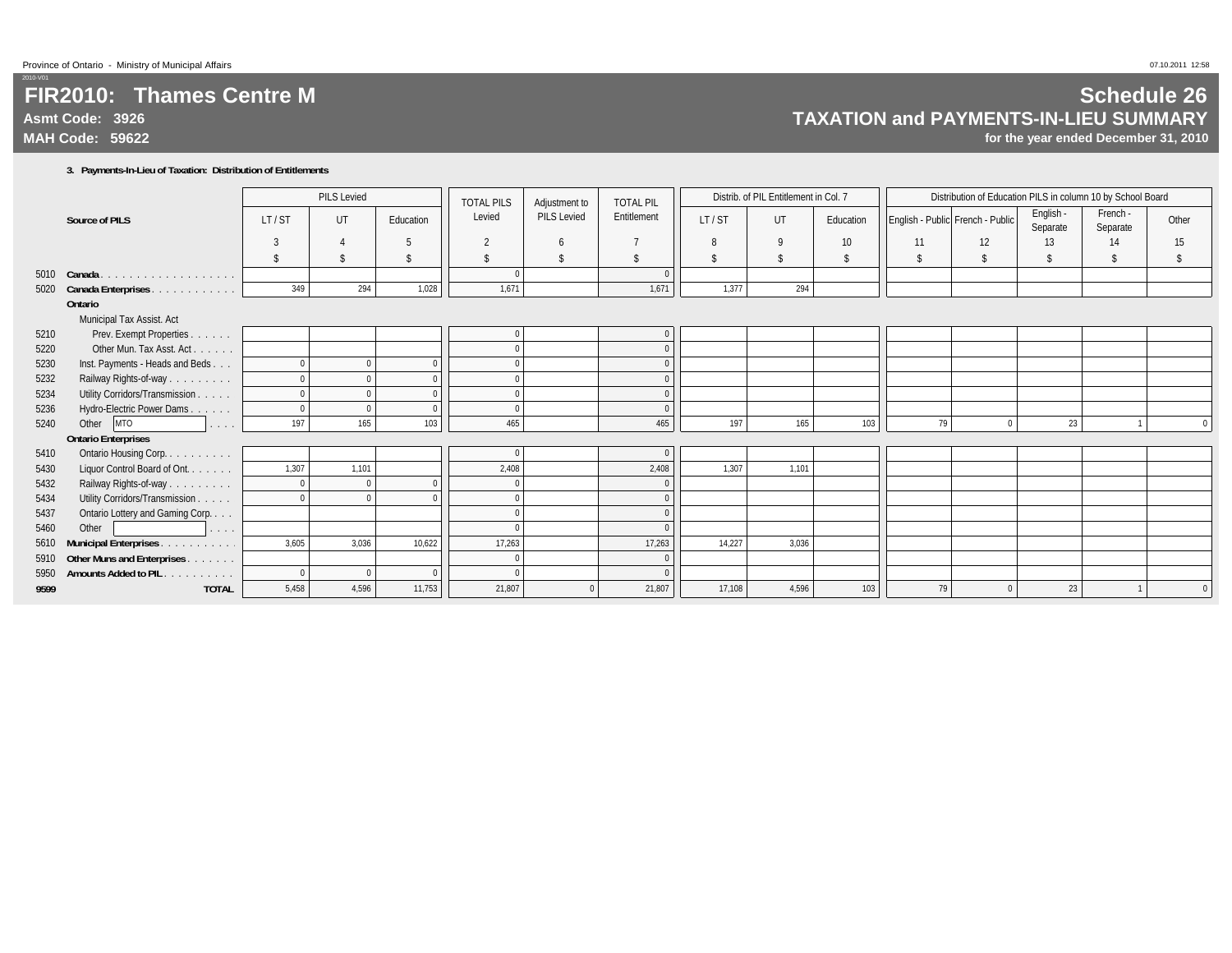## **FIR2010: Thames Centre MAsmt Code: 3926MAH Code: 59622**

#### **3. Payments-In-Lieu of Taxation: Distribution of Entitlements**

|      |                                                                         |                    | <b>PILS Levied</b> |            | <b>TOTAL PILS</b> |                    | <b>TOTAL PIL</b><br>Adjustment to | Distrib. of PIL Entitlement in Col. 7 |       |                    |                                  | Distribution of Education PILS in column 10 by School Board |                       |                      |          |
|------|-------------------------------------------------------------------------|--------------------|--------------------|------------|-------------------|--------------------|-----------------------------------|---------------------------------------|-------|--------------------|----------------------------------|-------------------------------------------------------------|-----------------------|----------------------|----------|
|      | <b>Source of PILS</b>                                                   | LT/ST              | UT                 | Education  | Levied            | <b>PILS Levied</b> | Entitlement                       | LT/ST                                 | UT    | Education          | English - Public French - Public |                                                             | English -<br>Separate | French -<br>Separate | Other    |
|      |                                                                         | 3                  |                    |            | $\overline{2}$    | 6                  |                                   | 8                                     | 9     | 10                 | 11                               | 12                                                          | 13                    | 14                   | 15       |
|      |                                                                         | $\mathbf{\hat{S}}$ |                    |            | \$                | $\mathbf{\hat{S}}$ | \$                                | Ŝ.                                    | \$    | $\mathbf{\hat{s}}$ | \$                               | <sup>\$</sup>                                               | \$                    | -S                   |          |
|      | 5010 Canada.<br>.                                                       |                    |                    |            | $\Omega$          |                    | $\Omega$                          |                                       |       |                    |                                  |                                                             |                       |                      |          |
|      | 5020 Canada Enterprises<br>$\alpha$ , and a second contract of $\alpha$ | 349                | 294                | 1,028      | 1,671             |                    | 1,671                             | 1,377                                 | 294   |                    |                                  |                                                             |                       |                      |          |
|      | Ontario                                                                 |                    |                    |            |                   |                    |                                   |                                       |       |                    |                                  |                                                             |                       |                      |          |
|      | Municipal Tax Assist. Act                                               |                    |                    |            |                   |                    |                                   |                                       |       |                    |                                  |                                                             |                       |                      |          |
| 5210 | Prev. Exempt Properties                                                 |                    |                    |            | $\Omega$          |                    | $\mathbf 0$                       |                                       |       |                    |                                  |                                                             |                       |                      |          |
| 5220 | Other Mun. Tax Asst. Act.<br>.                                          |                    |                    |            | $\Omega$          |                    | $\mathbf 0$                       |                                       |       |                    |                                  |                                                             |                       |                      |          |
| 5230 | Inst. Payments - Heads and Beds                                         | $\Omega$           | $\Omega$           |            | $\Omega$          |                    | $\mathbf{0}$                      |                                       |       |                    |                                  |                                                             |                       |                      |          |
| 5232 | Railway Rights-of-way<br>and a series of                                | $\Omega$           |                    |            | $\Omega$          |                    | $\mathbf{0}$                      |                                       |       |                    |                                  |                                                             |                       |                      |          |
| 5234 | Utility Corridors/Transmission                                          | $\Omega$           | $\Omega$           |            | $\Omega$          |                    | $\mathbf{0}$                      |                                       |       |                    |                                  |                                                             |                       |                      |          |
| 5236 | Hydro-Electric Power Dams.<br>and a single                              | $\Omega$           |                    |            | $\Omega$          |                    | $\Omega$                          |                                       |       |                    |                                  |                                                             |                       |                      |          |
| 5240 | Other<br><b>MTO</b><br>.                                                | 197                | 165                | 103        | 465               |                    | 465                               | 197                                   | 165   | 103                | 79                               | $\Omega$                                                    | 23                    |                      | $\Omega$ |
|      | <b>Ontario Enterprises</b>                                              |                    |                    |            |                   |                    |                                   |                                       |       |                    |                                  |                                                             |                       |                      |          |
| 5410 | Ontario Housing Corp<br>a dia salah di                                  |                    |                    |            | $\Omega$          |                    | $\Omega$                          |                                       |       |                    |                                  |                                                             |                       |                      |          |
| 5430 | Liquor Control Board of Ont.                                            | 1,307              | 1,101              |            | 2,408             |                    | 2,408                             | 1,307                                 | 1,101 |                    |                                  |                                                             |                       |                      |          |
| 5432 | Railway Rights-of-way                                                   | $\mathbf{0}$       | $\Omega$           |            | $\overline{0}$    |                    | $\mathbf{0}$                      |                                       |       |                    |                                  |                                                             |                       |                      |          |
| 5434 | Utility Corridors/Transmission                                          | $\Omega$           |                    |            | $\Omega$          |                    | $\mathbf{0}$                      |                                       |       |                    |                                  |                                                             |                       |                      |          |
| 5437 | Ontario Lottery and Gaming Corp                                         |                    |                    |            | $\Omega$          |                    | $\Omega$                          |                                       |       |                    |                                  |                                                             |                       |                      |          |
| 5460 | Other<br>.                                                              |                    |                    |            | $\Omega$          |                    | $\Omega$                          |                                       |       |                    |                                  |                                                             |                       |                      |          |
| 5610 | <b>Municipal Enterprises.</b><br>and a straight                         | 3,605              | 3,036              | 10,622     | 17,263            |                    | 17,263                            | 14,227                                | 3,036 |                    |                                  |                                                             |                       |                      |          |
|      | 5910 Other Muns and Enterprises                                         |                    |                    |            | $\Omega$          |                    | $\Omega$                          |                                       |       |                    |                                  |                                                             |                       |                      |          |
| 5950 | <b>Amounts Added to PIL</b><br>and a strained                           | $\Omega$           | $\Omega$           | $\sqrt{ }$ | $\Omega$          |                    | $\Omega$                          |                                       |       |                    |                                  |                                                             |                       |                      |          |
| 9599 | <b>TOTAL</b>                                                            | 5,458              | 4,596              | 11,753     | 21,807            |                    | 21,807                            | 17,108                                | 4,596 | 103                | 79                               |                                                             | 23                    |                      |          |

## **Schedule 26 TAXATION and PAYMENTS-IN-LIEU SUMMARY**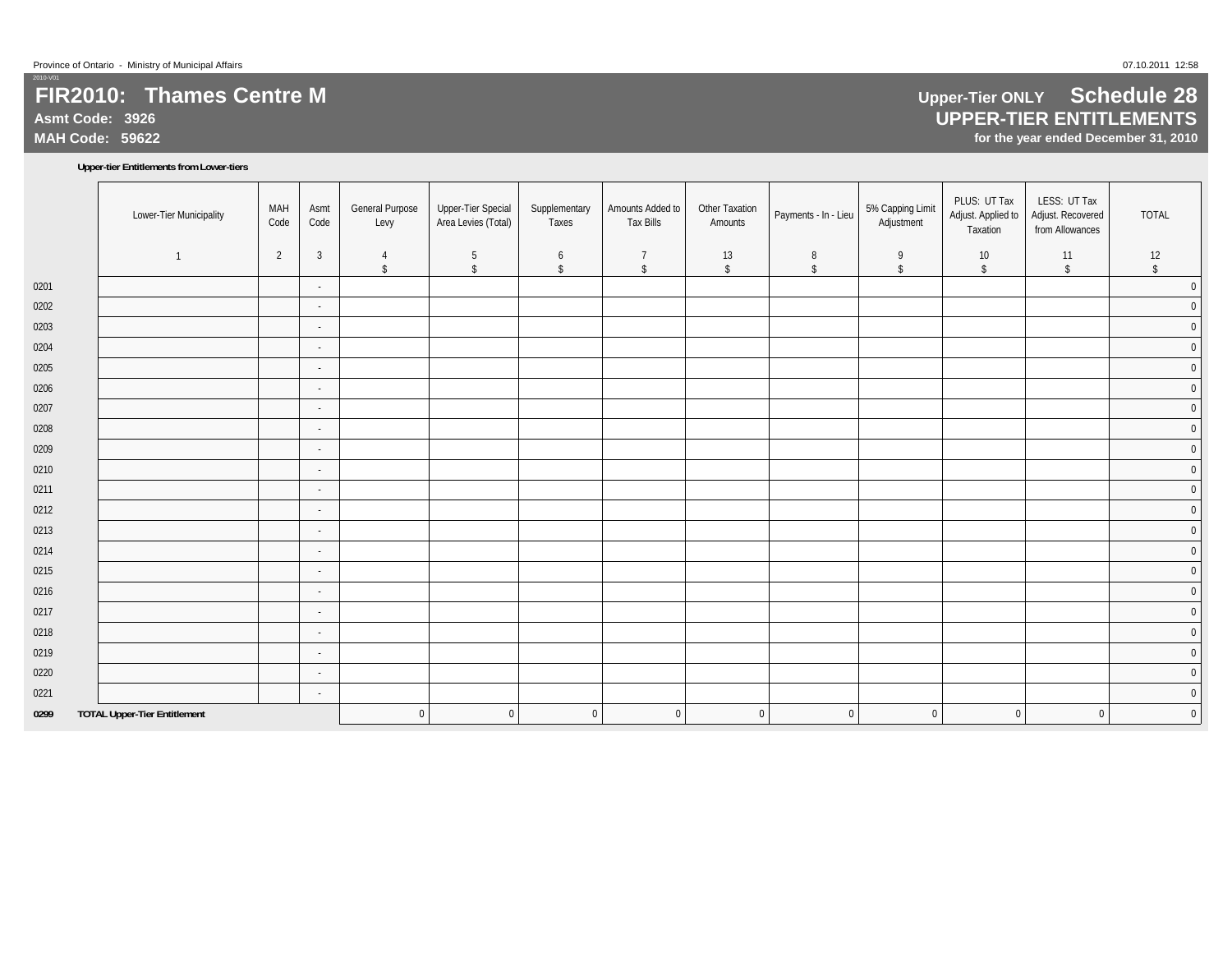**Asmt Code: 3926**

**MAH Code: 59622**

#### **Upper-tier Entitlements from Lower-tiers**

|      | Lower-Tier Municipality             | MAH<br>Code | Asmt<br>Code             | <b>General Purpose</b><br>Levy | Upper-Tier Special<br>Area Levies (Total) | Supplementary<br>Taxes | Amounts Added to<br><b>Tax Bills</b> | Other Taxation<br>Amounts | Payments - In - Lieu | 5% Capping Limit<br>Adjustment | PLUS: UT Tax<br>Adjust. Applied to<br>Taxation | LESS: UT Tax<br>Adjust. Recovered<br>from Allowances | <b>TOTAL</b> |
|------|-------------------------------------|-------------|--------------------------|--------------------------------|-------------------------------------------|------------------------|--------------------------------------|---------------------------|----------------------|--------------------------------|------------------------------------------------|------------------------------------------------------|--------------|
|      | $\mathbf{1}$                        | 2           | $\overline{3}$           | 4                              | 5                                         | 6                      | $\overline{7}$                       | 13                        | 8                    | 9                              | 10                                             | 11                                                   | 12           |
|      |                                     |             |                          | \$                             | $\sqrt[6]{\frac{1}{2}}$                   | $\sqrt{2}$             | \$                                   | $\sqrt[6]{\frac{1}{2}}$   | \$                   | \$                             | \$                                             | \$                                                   | \$           |
| 0201 |                                     |             | $\blacksquare$           |                                |                                           |                        |                                      |                           |                      |                                |                                                |                                                      | $\pmb{0}$    |
| 0202 |                                     |             | $\sim$                   |                                |                                           |                        |                                      |                           |                      |                                |                                                |                                                      | $\pmb{0}$    |
| 0203 |                                     |             | $\sim$                   |                                |                                           |                        |                                      |                           |                      |                                |                                                |                                                      | $\pmb{0}$    |
| 0204 |                                     |             | $\sim$                   |                                |                                           |                        |                                      |                           |                      |                                |                                                |                                                      | $\mathbf 0$  |
| 0205 |                                     |             | $\overline{\phantom{a}}$ |                                |                                           |                        |                                      |                           |                      |                                |                                                |                                                      | $\pmb{0}$    |
| 0206 |                                     |             | $\sim$                   |                                |                                           |                        |                                      |                           |                      |                                |                                                |                                                      | $\pmb{0}$    |
| 0207 |                                     |             | $\sim$                   |                                |                                           |                        |                                      |                           |                      |                                |                                                |                                                      | $\pmb{0}$    |
| 0208 |                                     |             | $\sim$                   |                                |                                           |                        |                                      |                           |                      |                                |                                                |                                                      | $\mathbf 0$  |
| 0209 |                                     |             | $\overline{\phantom{a}}$ |                                |                                           |                        |                                      |                           |                      |                                |                                                |                                                      | $\pmb{0}$    |
| 0210 |                                     |             | $\overline{\phantom{a}}$ |                                |                                           |                        |                                      |                           |                      |                                |                                                |                                                      | $\pmb{0}$    |
| 0211 |                                     |             | $\sim$                   |                                |                                           |                        |                                      |                           |                      |                                |                                                |                                                      | $\pmb{0}$    |
| 0212 |                                     |             | $\sim$                   |                                |                                           |                        |                                      |                           |                      |                                |                                                |                                                      | $\pmb{0}$    |
| 0213 |                                     |             | $\sim$                   |                                |                                           |                        |                                      |                           |                      |                                |                                                |                                                      | $\pmb{0}$    |
| 0214 |                                     |             | $\sim$                   |                                |                                           |                        |                                      |                           |                      |                                |                                                |                                                      | $\mathbf 0$  |
| 0215 |                                     |             | $\sim$                   |                                |                                           |                        |                                      |                           |                      |                                |                                                |                                                      | $\pmb{0}$    |
| 0216 |                                     |             | $\overline{\phantom{a}}$ |                                |                                           |                        |                                      |                           |                      |                                |                                                |                                                      | $\pmb{0}$    |
| 0217 |                                     |             | $\sim$                   |                                |                                           |                        |                                      |                           |                      |                                |                                                |                                                      | $\pmb{0}$    |
| 0218 |                                     |             | $\sim$                   |                                |                                           |                        |                                      |                           |                      |                                |                                                |                                                      | $\pmb{0}$    |
| 0219 |                                     |             | $\sim$                   |                                |                                           |                        |                                      |                           |                      |                                |                                                |                                                      | $\mathbf 0$  |
| 0220 |                                     |             | $\sim$                   |                                |                                           |                        |                                      |                           |                      |                                |                                                |                                                      | $\pmb{0}$    |
| 0221 |                                     |             | $\sim$                   |                                |                                           |                        |                                      |                           |                      |                                |                                                |                                                      | $\pmb{0}$    |
| 0299 | <b>TOTAL Upper-Tier Entitlement</b> |             |                          | $\mathbf 0$                    | $\pmb{0}$                                 | $\mathbf 0$            | $\overline{0}$                       | $\mathbf 0$               | $\overline{0}$       | $\overline{0}$                 | $\mathbf 0$                                    | $\mathbf{0}$                                         | $\mathbf 0$  |

## **Upper-Tier ONLY Schedule 28 UPPER-TIER ENTITLEMENTS**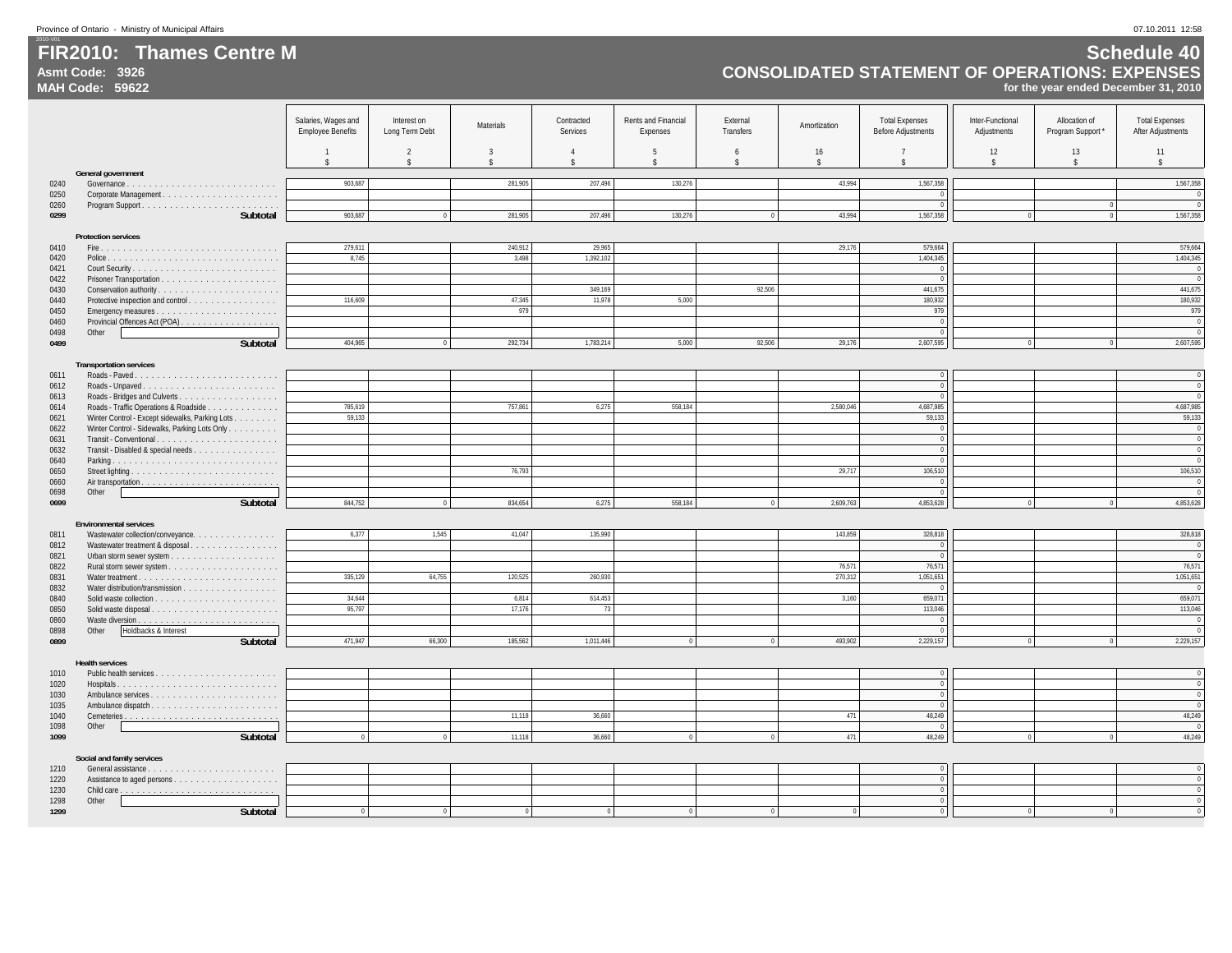**Asmt Code: 3926**

**FIR2010: Thames Centre M**

### **Schedule 40 CONSOLIDATED STATEMENT OF OPERATIONS: EXPENSES**

|              | <b>MAH Code: 59622</b><br>for the year ended December 31, 2010     |                                                 |                               |                |                                      |                                 |                         |                          |                                                    |                                 |                                  |                                                   |
|--------------|--------------------------------------------------------------------|-------------------------------------------------|-------------------------------|----------------|--------------------------------------|---------------------------------|-------------------------|--------------------------|----------------------------------------------------|---------------------------------|----------------------------------|---------------------------------------------------|
|              |                                                                    |                                                 |                               |                |                                      |                                 |                         |                          |                                                    |                                 |                                  |                                                   |
|              |                                                                    | Salaries, Wages and<br><b>Employee Benefits</b> | Interest on<br>Long Term Debt | Materials      | Contracted<br>Services               | Rents and Financial<br>Expenses | External<br>Transfers   | Amortization             | <b>Total Expenses</b><br><b>Before Adjustments</b> | Inter-Functional<br>Adjustments | Allocation of<br>Program Support | <b>Total Expenses</b><br><b>After Adjustments</b> |
|              |                                                                    | $\hat{\mathbf{x}}$                              | $\overline{2}$                | $\overline{3}$ | $\overline{4}$<br>$\hat{\mathbf{S}}$ | 5<br>$\hat{\mathbf{S}}$         | 6<br>$\hat{\mathbf{x}}$ | 16<br>$\hat{\mathbf{r}}$ | $\overline{7}$                                     | 12<br>$\hat{\mathbf{S}}$        | 13<br>$\hat{\mathbf{x}}$         | 11<br>$\mathbf{\hat{S}}$                          |
|              | General government                                                 |                                                 |                               |                |                                      |                                 |                         |                          |                                                    |                                 |                                  |                                                   |
| 0240         |                                                                    | 903,687                                         |                               | 281,905        | 207,496                              | 130,276                         |                         | 43,994                   | 1,567,358                                          |                                 |                                  | 1,567,358                                         |
| 0250<br>0260 |                                                                    |                                                 |                               |                |                                      |                                 |                         |                          | $\,0\,$<br>$\overline{0}$                          |                                 | $\Omega$                         |                                                   |
| 0299         | Subtotal                                                           | 903.687                                         | $\overline{0}$                | 281.905        | 207.496                              | 130.276                         | $\overline{0}$          | 43.994                   | 1.567.358                                          | $\sqrt{2}$                      | $\overline{0}$                   | 1,567,358                                         |
|              |                                                                    |                                                 |                               |                |                                      |                                 |                         |                          |                                                    |                                 |                                  |                                                   |
| 0410         | <b>Protection services</b>                                         | 279,611                                         |                               | 240.912        | 29.965                               |                                 |                         | 29,176                   | 579.664                                            |                                 |                                  | 579.664                                           |
| 0420         |                                                                    | 8,745                                           |                               | 3,498          | 1,392,102                            |                                 |                         |                          | 1,404,345                                          |                                 |                                  | 1,404,345                                         |
| 0421         |                                                                    |                                                 |                               |                |                                      |                                 |                         |                          | $\overline{0}$                                     |                                 |                                  | $\overline{0}$                                    |
| 0422         |                                                                    |                                                 |                               |                |                                      |                                 | 92.506                  |                          | $\circ$                                            |                                 |                                  | $\overline{0}$                                    |
| 0430<br>0440 | Conservation authority<br>Protective inspection and control.       | 116,609                                         |                               | 47,345         | 349,169<br>11,978                    | 5,000                           |                         |                          | 441,675<br>180,932                                 |                                 |                                  | 441,675<br>180,932                                |
| 0450         |                                                                    |                                                 |                               | 979            |                                      |                                 |                         |                          | 979                                                |                                 |                                  | 979                                               |
| 0460         |                                                                    |                                                 |                               |                |                                      |                                 |                         |                          | $\overline{0}$                                     |                                 |                                  | $\sqrt{ }$                                        |
| 0498<br>0499 | Other<br><b>Subtotal</b>                                           | 404.965                                         | $\overline{0}$                | 292,734        | 1.783.214                            | 5.000                           | 92.506                  | 29.176                   | $\overline{0}$<br>2,607,595                        | $\theta$                        | $\overline{0}$                   | $\sqrt{ }$<br>2,607,595                           |
|              |                                                                    |                                                 |                               |                |                                      |                                 |                         |                          |                                                    |                                 |                                  |                                                   |
|              | <b>Transportation services</b>                                     |                                                 |                               |                |                                      |                                 |                         |                          |                                                    |                                 |                                  |                                                   |
| 0611         |                                                                    |                                                 |                               |                |                                      |                                 |                         |                          | $\overline{0}$<br>$\overline{0}$                   |                                 |                                  | $\Omega$<br>$\Omega$                              |
| 0612<br>0613 |                                                                    |                                                 |                               |                |                                      |                                 |                         |                          | $\overline{0}$                                     |                                 |                                  |                                                   |
| 0614         | Roads - Traffic Operations & Roadside                              | 785,619                                         |                               | 757,861        | 6,275                                | 558.184                         |                         | 2.580.046                | 4,687,985                                          |                                 |                                  | 4,687,985                                         |
| 0621         | Winter Control - Except sidewalks, Parking Lots                    | 59,133                                          |                               |                |                                      |                                 |                         |                          | 59,133                                             |                                 |                                  | 59,133                                            |
| 0622<br>0631 | Winter Control - Sidewalks, Parking Lots Only                      |                                                 |                               |                |                                      |                                 |                         |                          | $\,0\,$<br>$\overline{0}$                          |                                 |                                  | $\Omega$<br>$\Omega$                              |
| 0632         | Transit - Disabled & special needs                                 |                                                 |                               |                |                                      |                                 |                         |                          | $\overline{0}$                                     |                                 |                                  | $\Omega$                                          |
| 0640         |                                                                    |                                                 |                               |                |                                      |                                 |                         |                          | $\Omega$                                           |                                 |                                  | $\sqrt{ }$                                        |
| 0650         |                                                                    |                                                 |                               | 76,793         |                                      |                                 |                         | 29,717                   | 106.510                                            |                                 |                                  | 106,510                                           |
| 0660<br>0698 | Other                                                              |                                                 |                               |                |                                      |                                 |                         |                          | $\Omega$<br>$\mathbf{0}$                           |                                 |                                  | $\sqrt{ }$                                        |
| 0699         | <b>Subtotal</b>                                                    | 844,752                                         | $\Omega$                      | 834,654        | 6,275                                | 558,184                         | $\overline{0}$          | 2,609,763                | 4,853,628                                          | $\mathbf{0}$                    |                                  | 4,853,628                                         |
|              |                                                                    |                                                 |                               |                |                                      |                                 |                         |                          |                                                    |                                 |                                  |                                                   |
| 0811         | <b>Environmental services</b><br>Wastewater collection/conveyance. | 6,377                                           | 1,545                         | 41,047         | 135,990                              |                                 |                         | 143,859                  | 328,818                                            |                                 |                                  | 328,818                                           |
| 0812         | Wastewater treatment & disposal.                                   |                                                 |                               |                |                                      |                                 |                         |                          | $\,0\,$                                            |                                 |                                  | $\sqrt{2}$                                        |
| 0821         |                                                                    |                                                 |                               |                |                                      |                                 |                         |                          | $\,0\,$                                            |                                 |                                  |                                                   |
| 0822         |                                                                    |                                                 |                               |                |                                      |                                 |                         | 76.571                   | 76.571<br>1,051,651                                |                                 |                                  | 76,571<br>1,051,651                               |
| 0831<br>0832 |                                                                    | 335,129                                         | 64,755                        | 120,525        | 260,930                              |                                 |                         | 270,312                  | $\sqrt{ }$                                         |                                 |                                  |                                                   |
| 0840         |                                                                    | 34.644                                          |                               | 6.814          | 614.453                              |                                 |                         | 3.160                    | 659.071                                            |                                 |                                  | 659,071                                           |
| 0850         |                                                                    | 95,797                                          |                               | 17,176         | 73                                   |                                 |                         |                          | 113,046                                            |                                 |                                  | 113,046                                           |
| 0860<br>0898 | Other<br>Holdbacks & Interest                                      |                                                 |                               |                |                                      |                                 |                         |                          | $\mathbf{0}$<br>$\theta$                           |                                 |                                  |                                                   |
| 0899         | <b>Subtotal</b>                                                    | 471,947                                         | 66,300                        | 185,562        | 1,011,446                            | $\mathbf{0}$                    | $\mathbf{0}$            | 493,902                  | 2,229,157                                          | $\overline{0}$                  |                                  | 2,229,157                                         |
|              |                                                                    |                                                 |                               |                |                                      |                                 |                         |                          |                                                    |                                 |                                  |                                                   |
| 1010         | <b>Health services</b>                                             |                                                 |                               |                |                                      |                                 |                         |                          | $\,0\,$                                            |                                 |                                  | $\Omega$                                          |
| 1020         |                                                                    |                                                 |                               |                |                                      |                                 |                         |                          | $\overline{0}$                                     |                                 |                                  | $\Omega$                                          |
| 1030         |                                                                    |                                                 |                               |                |                                      |                                 |                         |                          | $\overline{0}$                                     |                                 |                                  | $\Omega$                                          |
| 1035         |                                                                    |                                                 |                               |                |                                      |                                 |                         |                          | $\overline{0}$                                     |                                 |                                  | $\sqrt{ }$                                        |
| 1040<br>1098 | Other                                                              |                                                 |                               | 11,118         | 36,660                               |                                 |                         | 471                      | 48,249<br>$\Omega$                                 |                                 |                                  | 48,249                                            |
| 1099         | Subtotal                                                           | $\overline{0}$                                  | $\Omega$                      | 11,118         | 36,660                               | $\Omega$                        | $\theta$                | 471                      | 48,249                                             | $\mathbf{0}$                    | $\Omega$                         | 48,249                                            |
|              |                                                                    |                                                 |                               |                |                                      |                                 |                         |                          |                                                    |                                 |                                  |                                                   |
| 1210         | Social and family services                                         |                                                 |                               |                |                                      |                                 |                         |                          | $\overline{0}$                                     |                                 |                                  | $\overline{0}$                                    |
| 1220         |                                                                    |                                                 |                               |                |                                      |                                 |                         |                          | $\overline{0}$                                     |                                 |                                  | $\overline{0}$                                    |
| 1230         |                                                                    |                                                 |                               |                |                                      |                                 |                         |                          | $\overline{0}$                                     |                                 |                                  | $\overline{0}$                                    |
| 1298<br>1299 | Other<br>Subtotal                                                  |                                                 |                               |                |                                      |                                 |                         |                          | $\mathbf{0}$<br>$\Omega$                           |                                 |                                  |                                                   |
|              |                                                                    |                                                 |                               |                |                                      |                                 |                         |                          |                                                    |                                 |                                  |                                                   |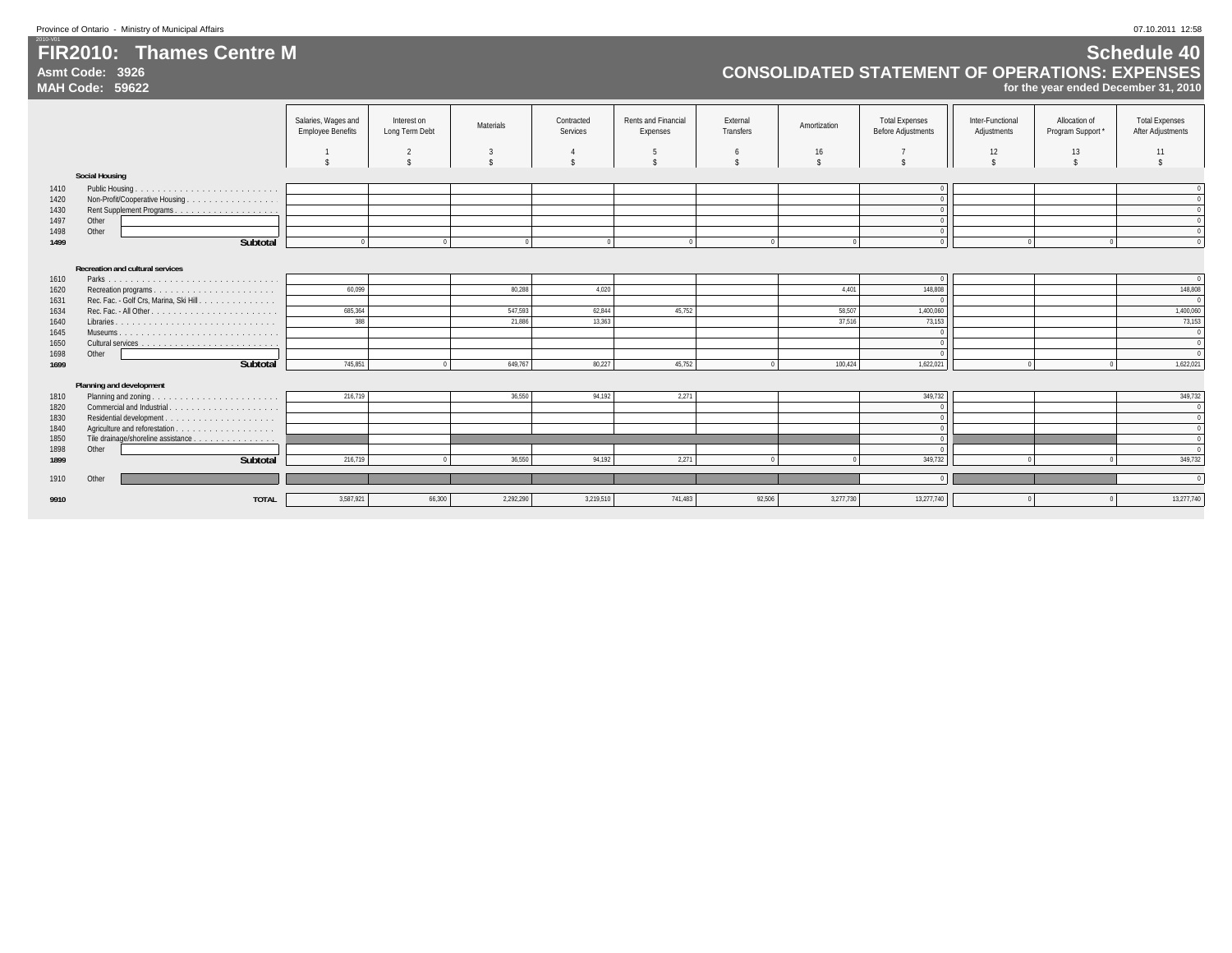**Asmt Code: 3926**

**FIR2010: Thames Centre M**

### **Schedule 40 CONSOLIDATED STATEMENT OF OPERATIONS: EXPENSES**

|      | MAH Code: 59622                         |                                                 |                               |           |                        |                                 |                       |              |                                                    |                                 |                                  | for the year ended December 31, 2010       |
|------|-----------------------------------------|-------------------------------------------------|-------------------------------|-----------|------------------------|---------------------------------|-----------------------|--------------|----------------------------------------------------|---------------------------------|----------------------------------|--------------------------------------------|
|      |                                         | Salaries, Wages and<br><b>Employee Benefits</b> | Interest on<br>Long Term Debt | Materials | Contracted<br>Services | Rents and Financial<br>Expenses | External<br>Transfers | Amortization | <b>Total Expenses</b><br><b>Before Adjustments</b> | Inter-Functional<br>Adjustments | Allocation of<br>Program Support | <b>Total Expenses</b><br>After Adjustments |
|      |                                         |                                                 | $\overline{2}$                |           | $\overline{4}$         | 5                               | 6                     | 16<br>¢      |                                                    | 12<br>$\hat{\mathbf{x}}$        | 13<br>\$                         | 11                                         |
|      | <b>Social Housing</b>                   |                                                 |                               |           |                        |                                 |                       |              |                                                    |                                 |                                  |                                            |
| 1410 | Public Housing.                         |                                                 |                               |           |                        |                                 |                       |              |                                                    |                                 |                                  |                                            |
| 1420 | Non-Profit/Cooperative Housing          |                                                 |                               |           |                        |                                 |                       |              | $\sqrt{ }$                                         |                                 |                                  |                                            |
| 1430 |                                         |                                                 |                               |           |                        |                                 |                       |              |                                                    |                                 |                                  |                                            |
| 1497 | Other                                   |                                                 |                               |           |                        |                                 |                       |              | $\sqrt{ }$                                         |                                 |                                  |                                            |
| 1498 | Other                                   |                                                 |                               |           |                        |                                 |                       |              | $\Omega$                                           |                                 |                                  |                                            |
| 1499 | Subtotal                                | $\Omega$                                        | $\Omega$                      |           |                        | $\Omega$                        | $\Omega$              |              | $\Omega$                                           |                                 |                                  |                                            |
| 1610 | <b>Recreation and cultural services</b> |                                                 |                               |           |                        |                                 |                       |              |                                                    |                                 |                                  |                                            |
| 1620 |                                         | 60,099                                          |                               | 80,288    | 4,020                  |                                 |                       | 4,401        | 148,808                                            |                                 |                                  | 148,808                                    |
| 1631 | Rec. Fac. - Golf Crs, Marina, Ski Hill. |                                                 |                               |           |                        |                                 |                       |              |                                                    |                                 |                                  |                                            |
| 1634 |                                         | 685,364                                         |                               | 547,593   | 62,844                 | 45,752                          |                       | 58,507       | 1,400,060                                          |                                 |                                  | 1,400,060                                  |
| 1640 |                                         | 388                                             |                               | 21.886    | 13,363                 |                                 |                       | 37.516       | 73,153                                             |                                 |                                  | 73,153                                     |
| 1645 |                                         |                                                 |                               |           |                        |                                 |                       |              |                                                    |                                 |                                  |                                            |
| 1650 |                                         |                                                 |                               |           |                        |                                 |                       |              | $\Omega$                                           |                                 |                                  |                                            |
| 1698 | Other                                   |                                                 |                               |           |                        |                                 |                       |              |                                                    |                                 |                                  |                                            |
| 1699 | Subtotal                                | 745,851                                         | $\Omega$                      | 649,767   | 80,227                 | 45,752                          | $\sqrt{ }$            | 100,424      | 1,622,021                                          |                                 |                                  | 1,622,021                                  |
|      |                                         |                                                 |                               |           |                        |                                 |                       |              |                                                    |                                 |                                  |                                            |
| 1810 | Planning and development                | 216,719                                         |                               | 36,550    | 94,192                 | 2,271                           |                       |              | 349,732                                            |                                 |                                  | 349,732                                    |
| 1820 |                                         |                                                 |                               |           |                        |                                 |                       |              | - C                                                |                                 |                                  |                                            |
| 1830 |                                         |                                                 |                               |           |                        |                                 |                       |              | $\Omega$                                           |                                 |                                  |                                            |
| 1840 |                                         |                                                 |                               |           |                        |                                 |                       |              |                                                    |                                 |                                  |                                            |
| 1850 | Tile drainage/shoreline assistance      |                                                 |                               |           |                        |                                 |                       |              |                                                    |                                 |                                  |                                            |
| 1898 | Other                                   |                                                 |                               |           |                        |                                 |                       |              |                                                    |                                 |                                  |                                            |
| 1899 | Subtotal                                | 216,719                                         | $\Omega$                      | 36.550    | 94,192                 | 2,271                           | $\sqrt{ }$            |              | 349.732                                            |                                 |                                  | 349,732                                    |
|      |                                         |                                                 |                               |           |                        |                                 |                       |              |                                                    |                                 |                                  |                                            |
| 1910 | Other                                   |                                                 |                               |           |                        |                                 |                       |              | $\Omega$                                           |                                 |                                  |                                            |
| 9910 | <b>TOTAL</b>                            | 3,587,921                                       | 66,300                        | 2,292,290 | 3,219,510              | 741,483                         | 92,506                | 3,277,730    | 13,277,740                                         |                                 |                                  | 13,277,740                                 |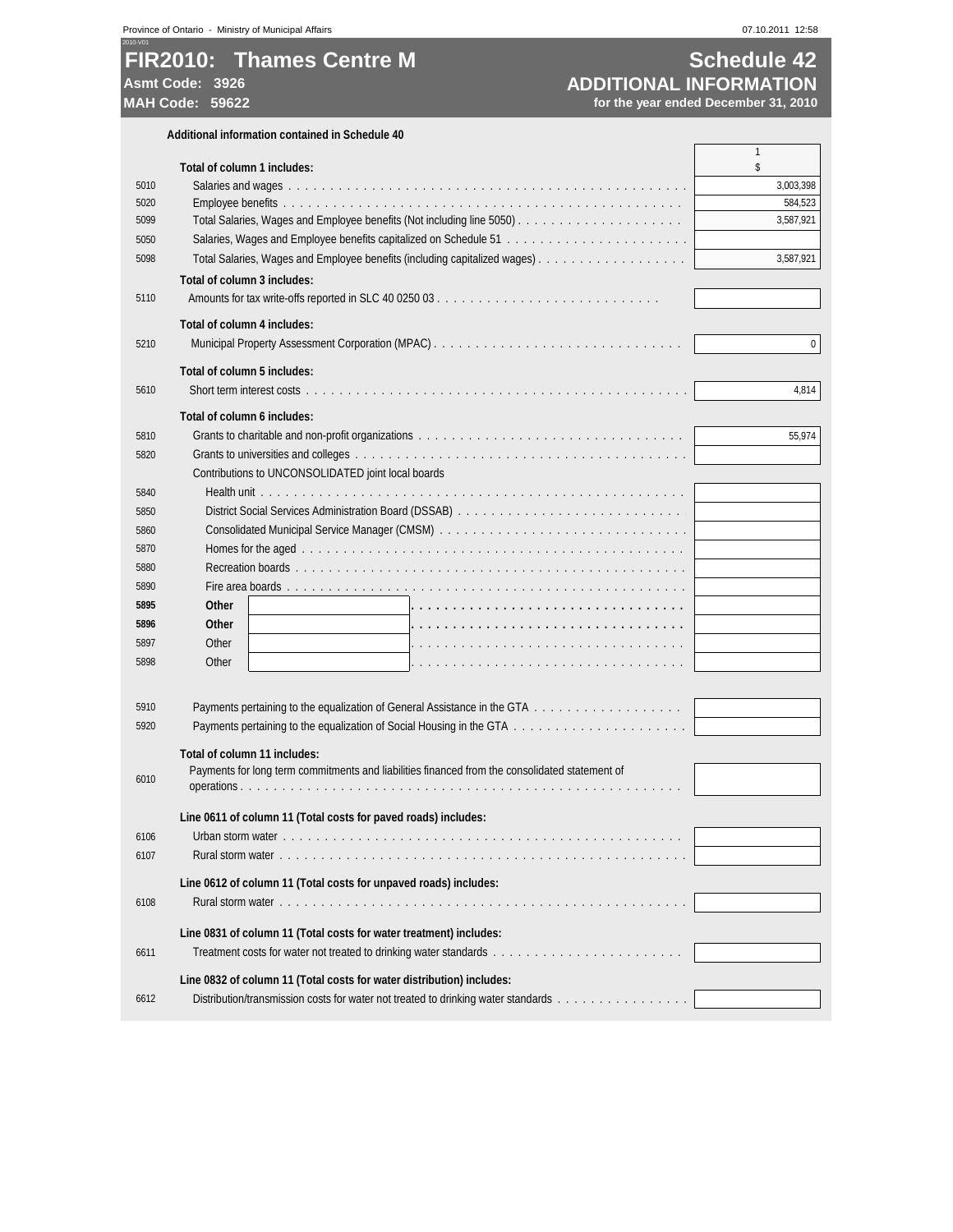# **FIR2010: Thames Centre M Schedule 42** Asmt Code: 3926<br>
MAH Code: 59622<br>
MAH Code: 59622<br>
MAH Code: 59622

**MAH Code: 59622 for the year ended December 31, 2010**

|      | Additional information contained in Schedule 40                                                |             |
|------|------------------------------------------------------------------------------------------------|-------------|
|      |                                                                                                | 1           |
|      | Total of column 1 includes:                                                                    | \$          |
| 5010 |                                                                                                | 3,003,398   |
| 5020 |                                                                                                | 584,523     |
| 5099 |                                                                                                | 3,587,921   |
| 5050 |                                                                                                |             |
| 5098 |                                                                                                | 3,587,921   |
|      | Total of column 3 includes:                                                                    |             |
| 5110 |                                                                                                |             |
|      | Total of column 4 includes:                                                                    |             |
| 5210 |                                                                                                | $\mathbf 0$ |
|      | Total of column 5 includes:                                                                    |             |
| 5610 |                                                                                                | 4,814       |
|      | Total of column 6 includes:                                                                    |             |
| 5810 |                                                                                                | 55,974      |
| 5820 |                                                                                                |             |
|      | Contributions to UNCONSOLIDATED joint local boards                                             |             |
| 5840 |                                                                                                |             |
| 5850 |                                                                                                |             |
| 5860 |                                                                                                |             |
| 5870 |                                                                                                |             |
| 5880 |                                                                                                |             |
|      |                                                                                                |             |
| 5890 |                                                                                                |             |
| 5895 | <b>Other</b>                                                                                   |             |
| 5896 | <b>Other</b>                                                                                   |             |
| 5897 | Other                                                                                          |             |
| 5898 | Other                                                                                          |             |
|      |                                                                                                |             |
| 5910 |                                                                                                |             |
| 5920 |                                                                                                |             |
|      | Total of column 11 includes:                                                                   |             |
|      | Payments for long term commitments and liabilities financed from the consolidated statement of |             |
| 6010 |                                                                                                |             |
|      | Line 0611 of column 11 (Total costs for paved roads) includes:                                 |             |
| 6106 |                                                                                                |             |
| 6107 |                                                                                                |             |
|      |                                                                                                |             |
|      | Line 0612 of column 11 (Total costs for unpaved roads) includes:                               |             |
| 6108 |                                                                                                |             |
|      | Line 0831 of column 11 (Total costs for water treatment) includes:                             |             |
| 6611 |                                                                                                |             |
|      | Line 0832 of column 11 (Total costs for water distribution) includes:                          |             |
| 6612 | Distribution/transmission costs for water not treated to drinking water standards              |             |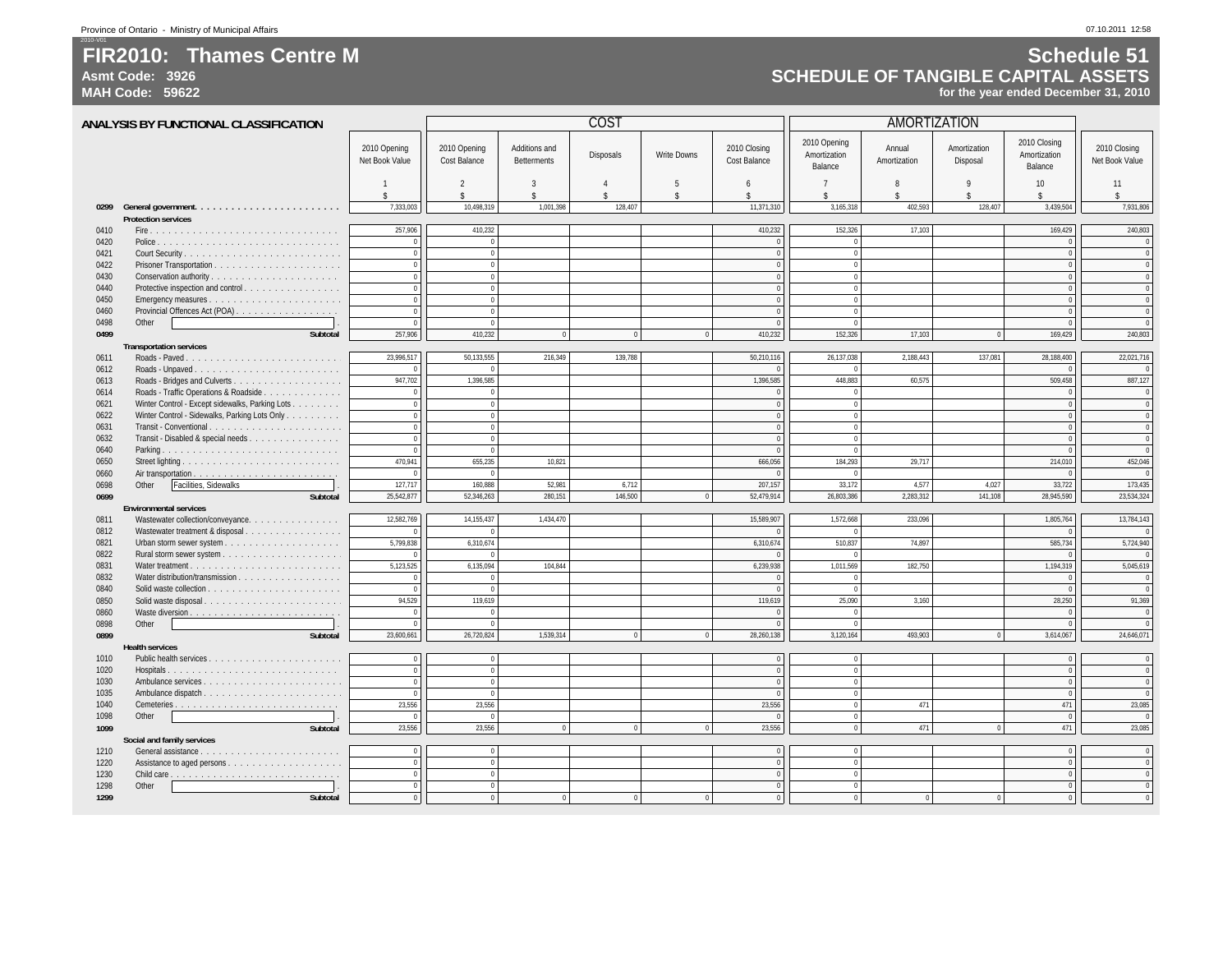### **FIR2010: Thames Centre MAsmt Code: 3926**

**MAH Code: 59622**

2010-V01

### **Schedule 51 SCHEDULE OF TANGIBLE CAPITAL ASSETSfor the year ended December 31, 2010**

| ANALYSIS BY FUNCTIONAL CLASSIFICATION |                                                                                                  |                                | COST                                 |                                     |                                              |                                 |                                     | <b>AMORTIZATION</b>                     |                         |                          |                                         |                                |
|---------------------------------------|--------------------------------------------------------------------------------------------------|--------------------------------|--------------------------------------|-------------------------------------|----------------------------------------------|---------------------------------|-------------------------------------|-----------------------------------------|-------------------------|--------------------------|-----------------------------------------|--------------------------------|
|                                       |                                                                                                  | 2010 Opening<br>Net Book Value | 2010 Opening<br><b>Cost Balance</b>  | Additions and<br><b>Betterments</b> | <b>Disposals</b>                             | Write Downs                     | 2010 Closing<br><b>Cost Balance</b> | 2010 Opening<br>Amortization<br>Balance | Annual<br>Amortization  | Amortization<br>Disposal | 2010 Closing<br>Amortization<br>Balance | 2010 Closing<br>Net Book Value |
|                                       |                                                                                                  | \$.                            | $\mathfrak{D}$<br>$\hat{\mathbf{S}}$ | 3<br>$\mathbf{\hat{S}}$             | $\boldsymbol{\Lambda}$<br>$\hat{\mathbf{S}}$ | $\overline{5}$<br>$\mathsf{\$}$ | 6<br>\$                             | $\overline{7}$<br>$\hat{\mathbf{x}}$    | 8<br>$\hat{\mathbf{S}}$ | 9<br>$\hat{\mathbf{x}}$  | 10<br>$\hat{\mathbf{x}}$                | 11<br>$\mathbf{\hat{S}}$       |
| 0299                                  |                                                                                                  | 7,333,003                      | 10.498.319                           | 1.001.398                           | 128.407                                      |                                 | 11,371,310                          | 3,165,318                               | 402.593                 | 128,407                  | 3,439,504                               | 7,931,806                      |
|                                       | <b>Protection services</b>                                                                       |                                |                                      |                                     |                                              |                                 |                                     |                                         |                         |                          |                                         |                                |
| 0410                                  |                                                                                                  | 257,906                        | 410.232                              |                                     |                                              |                                 | 410,232                             | 152,326                                 | 17,103                  |                          | 169,429                                 | 240,803                        |
| 0420                                  |                                                                                                  | $\Omega$                       | $\Omega$                             |                                     |                                              |                                 |                                     | $\Omega$                                |                         |                          | $\Omega$                                | $\overline{0}$                 |
| 0421                                  |                                                                                                  | $\theta$                       | $\Omega$                             |                                     |                                              |                                 | $\sqrt{2}$                          | $\mathbf{0}$                            |                         |                          | $\Omega$                                | $\Omega$                       |
| 0422                                  |                                                                                                  | $\theta$                       | $\mathbf{0}$                         |                                     |                                              |                                 | $\sqrt{2}$                          | $\theta$                                |                         |                          | $\Omega$                                | $\Omega$                       |
| 0430                                  |                                                                                                  | $\mathbf{0}$                   | $\mathbf{0}$                         |                                     |                                              |                                 | $\Omega$                            | $\overline{0}$                          |                         |                          | $\theta$                                | $\Omega$                       |
| 0440                                  | Protective inspection and control                                                                | $\theta$                       | $\mathbf{0}$                         |                                     |                                              |                                 | $\Omega$                            | $\overline{0}$                          |                         |                          | $\theta$                                | $\overline{0}$                 |
| 0450                                  |                                                                                                  | $\Omega$                       | $\Omega$                             |                                     |                                              |                                 |                                     | $\Omega$                                |                         |                          |                                         | $\Omega$                       |
| 0460                                  | Provincial Offences Act (POA)                                                                    | $\Omega$                       | $\Omega$                             |                                     |                                              |                                 | $\Omega$                            | $\mathbf{0}$                            |                         |                          | $\theta$                                | $\Omega$                       |
| 0498                                  | Other                                                                                            |                                | $\Omega$                             |                                     |                                              |                                 |                                     | $\Omega$                                |                         |                          |                                         | $\Omega$                       |
| 0499                                  | Subtotal                                                                                         | 257,906                        | 410,232                              |                                     | $\overline{0}$                               |                                 | 410,232                             | 152,326                                 | 17,103                  | $\mathbf 0$              | 169,429                                 | 240,803                        |
|                                       | <b>Transportation services</b>                                                                   |                                |                                      |                                     |                                              |                                 |                                     |                                         |                         |                          |                                         |                                |
| 0611                                  |                                                                                                  | 23,996,517                     | 50,133,555                           | 216,349                             | 139,788                                      |                                 | 50,210,116                          | 26,137,038                              | 2,188,443               | 137,081                  | 28,188,400                              | 22,021,716                     |
| 0612                                  |                                                                                                  |                                |                                      |                                     |                                              |                                 |                                     | $\Omega$                                |                         |                          |                                         |                                |
| 0613                                  |                                                                                                  | 947,702<br>$\theta$            | 1,396,585<br>$\Omega$                |                                     |                                              |                                 | 1,396,585                           | 448,883<br>$\Omega$                     | 60,575                  |                          | 509,458                                 | 887,127<br>$\overline{0}$      |
| 0614<br>0621                          | Roads - Traffic Operations & Roadside                                                            | $\mathbf{0}$                   | $\mathbf{0}$                         |                                     |                                              |                                 | $\Omega$                            | $\mathbf 0$                             |                         |                          | $\sqrt{ }$                              | $\overline{\mathbf{0}}$        |
| 0622                                  | Winter Control - Except sidewalks, Parking Lots<br>Winter Control - Sidewalks, Parking Lots Only | $\theta$                       | $\mathbf{0}$                         |                                     |                                              |                                 |                                     | $\overline{0}$                          |                         |                          |                                         | $\Omega$                       |
| 0631                                  | Transit - Conventional                                                                           | $\overline{0}$                 | $\bf{0}$                             |                                     |                                              |                                 |                                     | $\mathbf 0$                             |                         |                          |                                         | $\overline{0}$                 |
| 0632                                  | Transit - Disabled & special needs                                                               | $\mathbf{0}$                   | $\mathbf{0}$                         |                                     |                                              |                                 |                                     | $\mathbf{0}$                            |                         |                          |                                         | $\Omega$                       |
| 0640                                  |                                                                                                  | $\Omega$                       | $\Omega$                             |                                     |                                              |                                 | $\sqrt{ }$                          | $\overline{0}$                          |                         |                          |                                         | $\overline{0}$                 |
| 0650                                  |                                                                                                  | 470,941                        | 655,235                              | 10,821                              |                                              |                                 | 666,056                             | 184,293                                 | 29,717                  |                          | 214,010                                 | 452,046                        |
| 0660                                  |                                                                                                  | $\mathbf{0}$                   | $^{\circ}$                           |                                     |                                              |                                 |                                     | $\mathbf 0$                             |                         |                          | $\Omega$                                | $\overline{0}$                 |
| 0698                                  | Other<br>Facilities, Sidewalks                                                                   | 127,717                        | 160.888                              | 52.981                              | 6,712                                        |                                 | 207,157                             | 33,172                                  | 4,577                   | 4.027                    | 33,722                                  | 173,435                        |
| 0699                                  | Subtotal                                                                                         | 25,542,877                     | 52,346,263                           | 280,151                             | 146,500                                      | $\Omega$                        | 52,479,914                          | 26,803,386                              | 2,283,312               | 141,108                  | 28,945,590                              | 23,534,324                     |
|                                       | <b>Environmental services</b>                                                                    |                                |                                      |                                     |                                              |                                 |                                     |                                         |                         |                          |                                         |                                |
| 0811                                  | Wastewater collection/conveyance.                                                                | 12,582,769                     | 14, 155, 437                         | 1,434,470                           |                                              |                                 | 15,589,907                          | 1,572,668                               | 233,096                 |                          | 1,805,764                               | 13,784,143                     |
| 0812                                  | Wastewater treatment & disposal                                                                  |                                |                                      |                                     |                                              |                                 |                                     | $\theta$                                |                         |                          |                                         | $\Omega$                       |
| 0821                                  |                                                                                                  | 5,799,838                      | 6,310,674                            |                                     |                                              |                                 | 6,310,674                           | 510,837                                 | 74,897                  |                          | 585,734                                 | 5,724,940                      |
| 0822                                  |                                                                                                  |                                |                                      |                                     |                                              |                                 |                                     | $\mathbf{0}$                            |                         |                          |                                         |                                |
| 0831                                  |                                                                                                  | 5,123,525                      | 6,135,094                            | 104,844                             |                                              |                                 | 6,239,938                           | 1,011,569                               | 182,750                 |                          | 1,194,319                               | 5,045,619                      |
| 0832                                  | Water distribution/transmission                                                                  | $\theta$                       | $\Omega$                             |                                     |                                              |                                 |                                     | $\mathbf{0}$                            |                         |                          | $\sqrt{ }$                              | $\overline{0}$                 |
| 0840                                  |                                                                                                  | $\Omega$                       | $\overline{0}$                       |                                     |                                              |                                 | $\overline{0}$                      | $\mathbf{0}$                            |                         |                          | $\sqrt{ }$                              | $\overline{\mathbf{0}}$        |
| 0850                                  | Solid waste disposal                                                                             | 94,529                         | 119,619                              |                                     |                                              |                                 | 119,619                             | 25,090                                  | 3,160                   |                          | 28,250                                  | 91,369                         |
| 0860                                  |                                                                                                  | $\overline{0}$                 | $\overline{0}$                       |                                     |                                              |                                 | $\overline{0}$                      | $\mathbf 0$                             |                         |                          | $\overline{0}$                          | $\overline{0}$                 |
| 0898                                  | Other                                                                                            | $\theta$                       | $\Omega$                             |                                     |                                              |                                 | $\Omega$                            | $\overline{0}$                          |                         |                          | $\overline{0}$                          | $\overline{0}$                 |
| 0899                                  | Subtotal                                                                                         | 23,600,661                     | 26,720,824                           | 1,539,314                           | $\overline{0}$                               | $\mathbf{0}$                    | 28,260,138                          | 3,120,164                               | 493.903                 | $\overline{0}$           | 3,614,067                               | 24,646,071                     |
|                                       | <b>Health services</b>                                                                           | $\mathbf{0}$                   |                                      |                                     |                                              |                                 |                                     |                                         |                         |                          | $\Omega$                                |                                |
| 1010<br>1020                          |                                                                                                  | $\theta$                       | $\mathbf 0$<br>$\overline{0}$        |                                     |                                              |                                 | $\,0\,$<br>$\Omega$                 | $\overline{0}$<br>$\mathbf{0}$          |                         |                          | $\theta$                                | $\overline{0}$<br>$\Omega$     |
| 1030                                  | Ambulance services                                                                               | $\mathbf{0}$                   | $\overline{0}$                       |                                     |                                              |                                 | $\overline{0}$                      | $\overline{0}$                          |                         |                          | $\theta$                                | $\overline{0}$                 |
| 1035                                  |                                                                                                  | $\theta$                       | $\Omega$                             |                                     |                                              |                                 |                                     | $\overline{0}$                          |                         |                          | $\theta$                                | $\Omega$                       |
| 1040                                  |                                                                                                  | 23,556                         | 23,556                               |                                     |                                              |                                 | 23,556                              | $\overline{0}$                          | 471                     |                          | 471                                     | 23,085                         |
| 1098                                  | Other                                                                                            | $\Omega$                       | $\Omega$                             |                                     |                                              |                                 | $\Omega$                            | $\Omega$                                |                         |                          | $\Omega$                                | $\Omega$                       |
| 1099                                  | Subtotal                                                                                         | 23,556                         | 23,556                               | $\overline{0}$                      | $\overline{0}$                               | $\mathbf{0}$                    | 23,556                              | $\overline{0}$                          | 471                     | $\overline{0}$           | 471                                     | 23,085                         |
|                                       | Social and family services                                                                       |                                |                                      |                                     |                                              |                                 |                                     |                                         |                         |                          |                                         |                                |
| 1210                                  |                                                                                                  | $\mathbf{0}$                   | $\overline{0}$                       |                                     |                                              |                                 | $\Omega$                            | $\mathbf{0}$                            |                         |                          | $\mathbf{0}$                            | $\overline{0}$                 |
| 1220                                  |                                                                                                  | $\theta$                       | $\mathbf{0}$                         |                                     |                                              |                                 | $\Omega$                            | $\mathbf{0}$                            |                         |                          | $\Omega$                                | $\Omega$                       |
| 1230                                  |                                                                                                  | $\overline{0}$                 | $\mathbf{0}$                         |                                     |                                              |                                 | $\Omega$                            | $\overline{0}$                          |                         |                          | $\Omega$                                | $\Omega$                       |
| 1298                                  | Other                                                                                            | $\theta$                       | $\mathbf{0}$                         |                                     |                                              |                                 |                                     | $\mathbf{0}$                            |                         |                          | $\theta$                                | $\Omega$                       |
| 1299                                  | <b>Subtotal</b>                                                                                  | $\Omega$                       | $\overline{0}$                       | $\Omega$                            | $\Omega$                                     | $\Omega$                        |                                     | $\overline{0}$                          | $\overline{0}$          | $\mathbf{0}$             | $\Omega$                                |                                |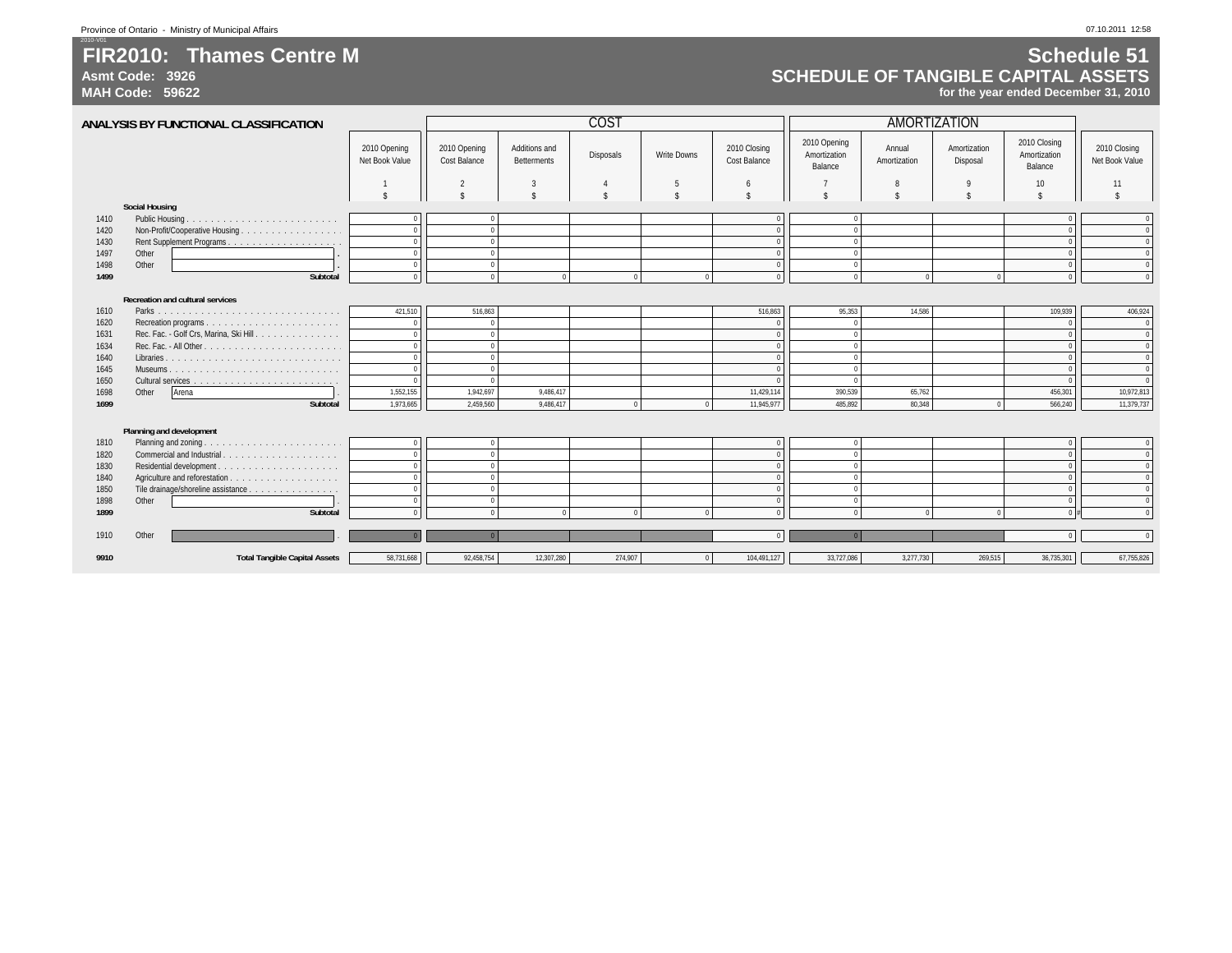### **FIR2010: Thames Centre MAsmt Code: 3926**

**MAH Code: 59622**

2010-V01

### **Schedule 51 SCHEDULE OF TANGIBLE CAPITAL ASSETSfor the year ended December 31, 2010**

|              | ANALYSIS BY FUNCTIONAL CLASSIFICATION       |                                |                                     |                                     | <b>COST</b>        |                    |                                     | <b>AMORTIZATION</b>                     |                        |                          |                                         |                                  |
|--------------|---------------------------------------------|--------------------------------|-------------------------------------|-------------------------------------|--------------------|--------------------|-------------------------------------|-----------------------------------------|------------------------|--------------------------|-----------------------------------------|----------------------------------|
|              |                                             | 2010 Opening<br>Net Book Value | 2010 Opening<br><b>Cost Balance</b> | Additions and<br><b>Betterments</b> | Disposals          | <b>Write Downs</b> | 2010 Closing<br><b>Cost Balance</b> | 2010 Opening<br>Amortization<br>Balance | Annual<br>Amortization | Amortization<br>Disposal | 2010 Closing<br>Amortization<br>Balance | 2010 Closing<br>Net Book Value   |
|              |                                             |                                | $\overline{2}$                      | -3                                  | $\overline{4}$     | -5                 | 6                                   |                                         | 8                      | 9                        | 10                                      | 11                               |
|              |                                             | \$                             | $\hat{\mathbf{r}}$                  | $\hat{\mathbf{x}}$                  | $\hat{\mathbf{r}}$ |                    | $\hat{\mathbf{S}}$                  | $\hat{\mathbf{x}}$                      | \$                     | $\hat{\mathbf{x}}$       | \$                                      |                                  |
|              | <b>Social Housing</b>                       |                                |                                     |                                     |                    |                    |                                     |                                         |                        |                          |                                         |                                  |
| 1410         | Public Housing.                             |                                | $\Omega$                            |                                     |                    |                    |                                     | $\Omega$                                |                        |                          |                                         | $\Omega$                         |
| 1420         | Non-Profit/Cooperative Housing              |                                | $\Omega$                            |                                     |                    |                    | $\Omega$                            | $\Omega$                                |                        |                          |                                         | $\overline{0}$                   |
| 1430         |                                             |                                | $\overline{0}$                      |                                     |                    |                    | $\Omega$                            | $\mathbf{0}$                            |                        |                          |                                         | $\overline{0}$                   |
| 1497         | Other                                       |                                | $\Omega$                            |                                     |                    |                    | $\Omega$                            | $\Omega$                                |                        |                          |                                         | $\Omega$                         |
| 1498         | Other                                       |                                | $\overline{0}$                      |                                     |                    |                    | $\Omega$                            | $\mathbf{0}$                            |                        |                          |                                         | $\overline{0}$                   |
| 1499         | Subtotal                                    |                                | $\Omega$                            | $\Omega$                            | $\Omega$           |                    |                                     | $\mathbf{0}$                            | $\Omega$               | $\Omega$                 |                                         | $\Omega$                         |
|              | <b>Recreation and cultural services</b>     |                                |                                     |                                     |                    |                    |                                     |                                         |                        |                          |                                         |                                  |
| 1610         |                                             | 421,510                        | 516,863                             |                                     |                    |                    | 516,863                             | 95,353                                  | 14,586                 |                          | 109,939                                 | 406,924                          |
| 1620         |                                             |                                | $\Omega$                            |                                     |                    |                    | $\theta$                            | $\Omega$                                |                        |                          |                                         | $\overline{0}$                   |
| 1631         | Rec. Fac. - Golf Crs, Marina, Ski Hill.     | $\Omega$                       | $\overline{0}$                      |                                     |                    |                    | $\overline{0}$                      | $\theta$                                |                        |                          |                                         | $\overline{0}$                   |
| 1634         |                                             | $\Omega$                       | $\overline{0}$                      |                                     |                    |                    | $\Omega$                            | $\mathbf{0}$                            |                        |                          |                                         | $\overline{0}$                   |
| 1640         |                                             |                                | $\overline{0}$                      |                                     |                    |                    | $\Omega$                            | $\mathbf{0}$                            |                        |                          |                                         | $\overline{0}$                   |
| 1645         | Museums                                     |                                | $\Omega$                            |                                     |                    |                    | $\Omega$                            | $\Omega$                                |                        |                          |                                         | $\overline{0}$                   |
| 1650         |                                             |                                | $\Omega$                            |                                     |                    |                    |                                     | $\Omega$                                |                        |                          |                                         | $\overline{0}$                   |
| 1698         | Other<br>Arena                              | 1,552,155                      | 1,942,697                           | 9,486,417                           |                    |                    | 11,429,114                          | 390,539                                 | 65,762                 |                          | 456,301                                 | 10,972,813                       |
| 1699         | Subtotal                                    | 1,973,665                      | 2,459,560                           | 9,486,417                           | $\Omega$           |                    | 11,945,977                          | 485,892                                 | 80,348                 | $\overline{0}$           | 566,240                                 | 11,379,737                       |
|              |                                             |                                |                                     |                                     |                    |                    |                                     |                                         |                        |                          |                                         |                                  |
|              | Planning and development                    |                                |                                     |                                     |                    |                    |                                     |                                         |                        |                          |                                         |                                  |
| 1810         |                                             | $\Omega$                       | $\Omega$                            |                                     |                    |                    | $\Omega$                            | $\mathbf{0}$                            |                        |                          |                                         | $\mathbf{0}$                     |
| 1820         | Commercial and Industrial                   |                                | $\Omega$<br>$\Omega$                |                                     |                    |                    | $\Omega$                            | $\Omega$                                |                        |                          |                                         | $\overline{0}$                   |
| 1830         |                                             |                                | $\overline{0}$                      |                                     |                    |                    | $\Omega$<br>$\Omega$                | $\mathbf{0}$<br>$\mathbf{0}$            |                        |                          |                                         | $\overline{0}$<br>$\overline{0}$ |
| 1840         |                                             |                                | $\Omega$                            |                                     |                    |                    | $\theta$                            | $\Omega$                                |                        |                          |                                         | $\mathbf{0}$                     |
| 1850<br>1898 | Tile drainage/shoreline assistance<br>Other |                                | $\overline{0}$                      |                                     |                    |                    | $\Omega$                            | $\mathbf{0}$                            |                        |                          |                                         | $\overline{0}$                   |
| 1899         | Subtotal                                    |                                | $\Omega$                            |                                     | $\Omega$           |                    | $\sqrt{2}$                          | $\mathbf{0}$                            | $\Omega$               | $\Omega$                 |                                         | $\mathbf{0}$                     |
|              |                                             |                                |                                     |                                     |                    |                    |                                     |                                         |                        |                          |                                         |                                  |
| 1910         | Other                                       |                                |                                     |                                     |                    |                    |                                     |                                         |                        |                          |                                         |                                  |
| 9910         | <b>Total Tangible Capital Assets</b>        | 58,731,668                     | 92,458,754                          | 12,307,280                          | 274,907            |                    | 104,491,127                         | 33,727,086                              | 3,277,730              | 269,515                  | 36,735,301                              | 67,755,826                       |
|              |                                             |                                |                                     |                                     |                    |                    |                                     |                                         |                        |                          |                                         |                                  |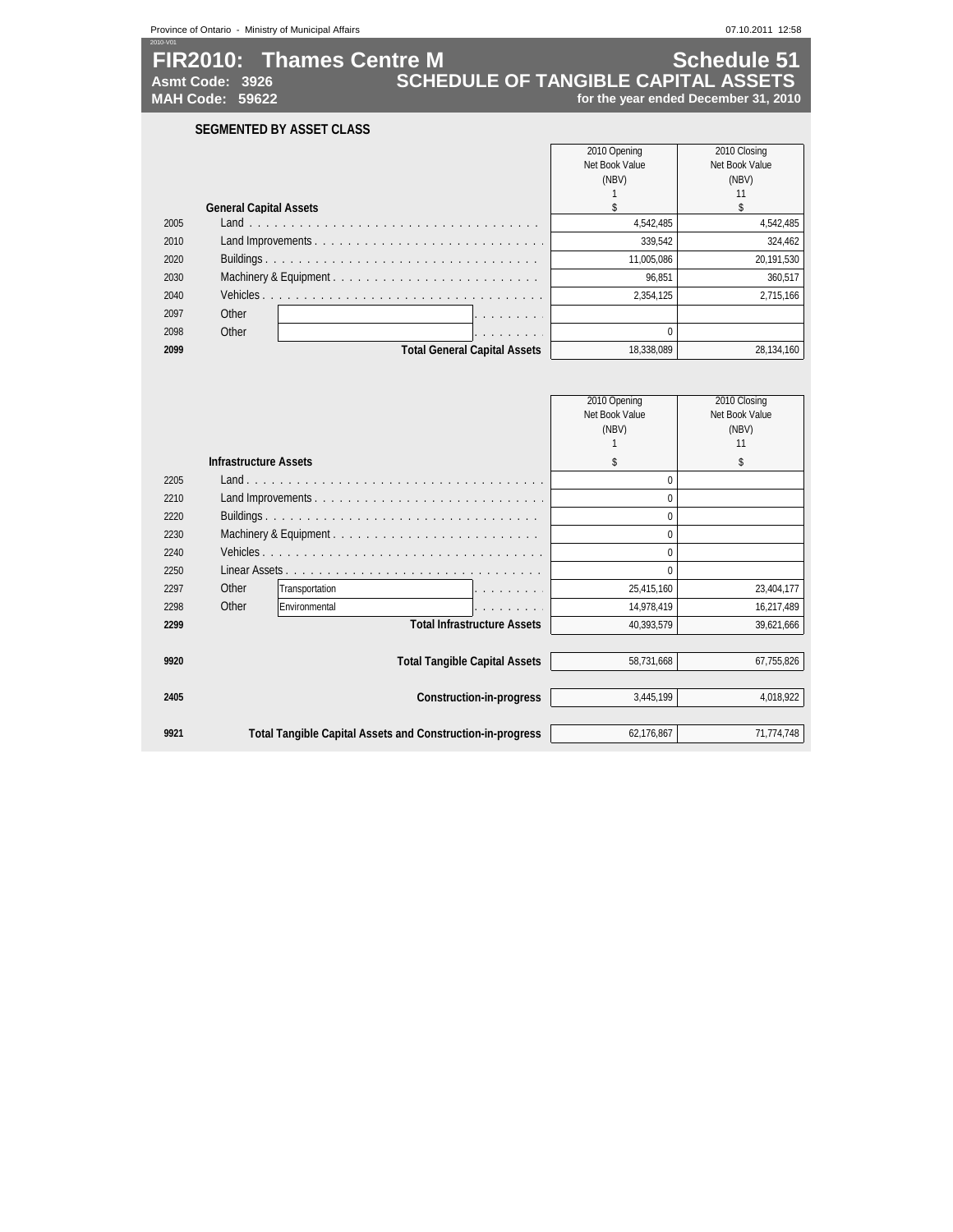| 2010-V01 |                               | Province of Ontario - Ministry of Municipal Affairs |                                                                   |                                      | 07.10.2011 12:58               |
|----------|-------------------------------|-----------------------------------------------------|-------------------------------------------------------------------|--------------------------------------|--------------------------------|
|          |                               | <b>FIR2010: Thames Centre M</b>                     |                                                                   |                                      | <b>Schedule 51</b>             |
|          | Asmt Code: 3926               |                                                     | <b>SCHEDULE OF TANGIBLE CAPITAL ASSETS</b>                        |                                      |                                |
|          | <b>MAH Code: 59622</b>        |                                                     |                                                                   | for the year ended December 31, 2010 |                                |
|          |                               | <b>SEGMENTED BY ASSET CLASS</b>                     |                                                                   |                                      |                                |
|          |                               |                                                     |                                                                   |                                      |                                |
|          |                               |                                                     |                                                                   | 2010 Opening<br>Net Book Value       | 2010 Closing<br>Net Book Value |
|          |                               |                                                     |                                                                   | (NBV)                                | (NBV)                          |
|          |                               |                                                     |                                                                   | $\mathbf{1}$                         | 11                             |
|          | <b>General Capital Assets</b> |                                                     |                                                                   | $\mathbf{\hat{z}}$                   | \$                             |
| 2005     |                               |                                                     |                                                                   | 4,542,485                            | 4,542,485                      |
| 2010     |                               |                                                     | Land Improvements                                                 | 339,542                              | 324,462                        |
| 2020     |                               |                                                     |                                                                   | 11,005,086                           | 20,191,530                     |
| 2030     |                               |                                                     | Machinery & Equipment                                             | 96,851                               | 360,517                        |
| 2040     |                               |                                                     |                                                                   | 2,354,125                            | 2,715,166                      |
| 2097     | Other                         |                                                     |                                                                   |                                      |                                |
| 2098     | Other                         |                                                     | a dia serang pada tahun 1970.                                     | $\mathbf 0$                          |                                |
| 2099     |                               |                                                     | <b>Total General Capital Assets</b>                               | 18,338,089                           | 28,134,160                     |
|          |                               |                                                     |                                                                   |                                      |                                |
|          |                               |                                                     |                                                                   |                                      |                                |
|          |                               |                                                     |                                                                   | 2010 Opening                         | 2010 Closing                   |
|          |                               |                                                     |                                                                   | Net Book Value                       | Net Book Value                 |
|          |                               |                                                     |                                                                   | (NBV)                                | (NBV)                          |
|          |                               |                                                     |                                                                   | $\mathbf{1}$                         | 11                             |
|          | <b>Infrastructure Assets</b>  |                                                     |                                                                   | \$                                   | \$                             |
| 2205     |                               |                                                     |                                                                   | $\mathbf{0}$                         |                                |
| 2210     |                               |                                                     | Land Improvements                                                 | $\mathbf{0}$                         |                                |
| 2220     |                               |                                                     |                                                                   | $\mathbf{0}$                         |                                |
| 2230     |                               |                                                     |                                                                   | $\mathbf 0$                          |                                |
| 2240     |                               |                                                     |                                                                   | $\theta$                             |                                |
| 2250     |                               |                                                     |                                                                   | $\mathbf{0}$                         |                                |
| 2297     | Other                         | Transportation                                      |                                                                   | 25,415,160                           | 23,404,177                     |
| 2298     | Other                         | Environmental                                       | .                                                                 | 14,978,419                           | 16,217,489                     |
| 2299     |                               |                                                     | <b>Total Infrastructure Assets</b>                                | 40,393,579                           | 39,621,666                     |
|          |                               |                                                     |                                                                   |                                      |                                |
| 9920     |                               |                                                     | <b>Total Tangible Capital Assets</b>                              | 58,731,668                           | 67,755,826                     |
|          |                               |                                                     |                                                                   |                                      |                                |
| 2405     |                               |                                                     | <b>Construction-in-progress</b>                                   | 3,445,199                            | 4,018,922                      |
|          |                               |                                                     |                                                                   |                                      |                                |
|          |                               |                                                     |                                                                   |                                      |                                |
| 9921     |                               |                                                     | <b>Total Tangible Capital Assets and Construction-in-progress</b> | 62.176.867                           | 71.774.748                     |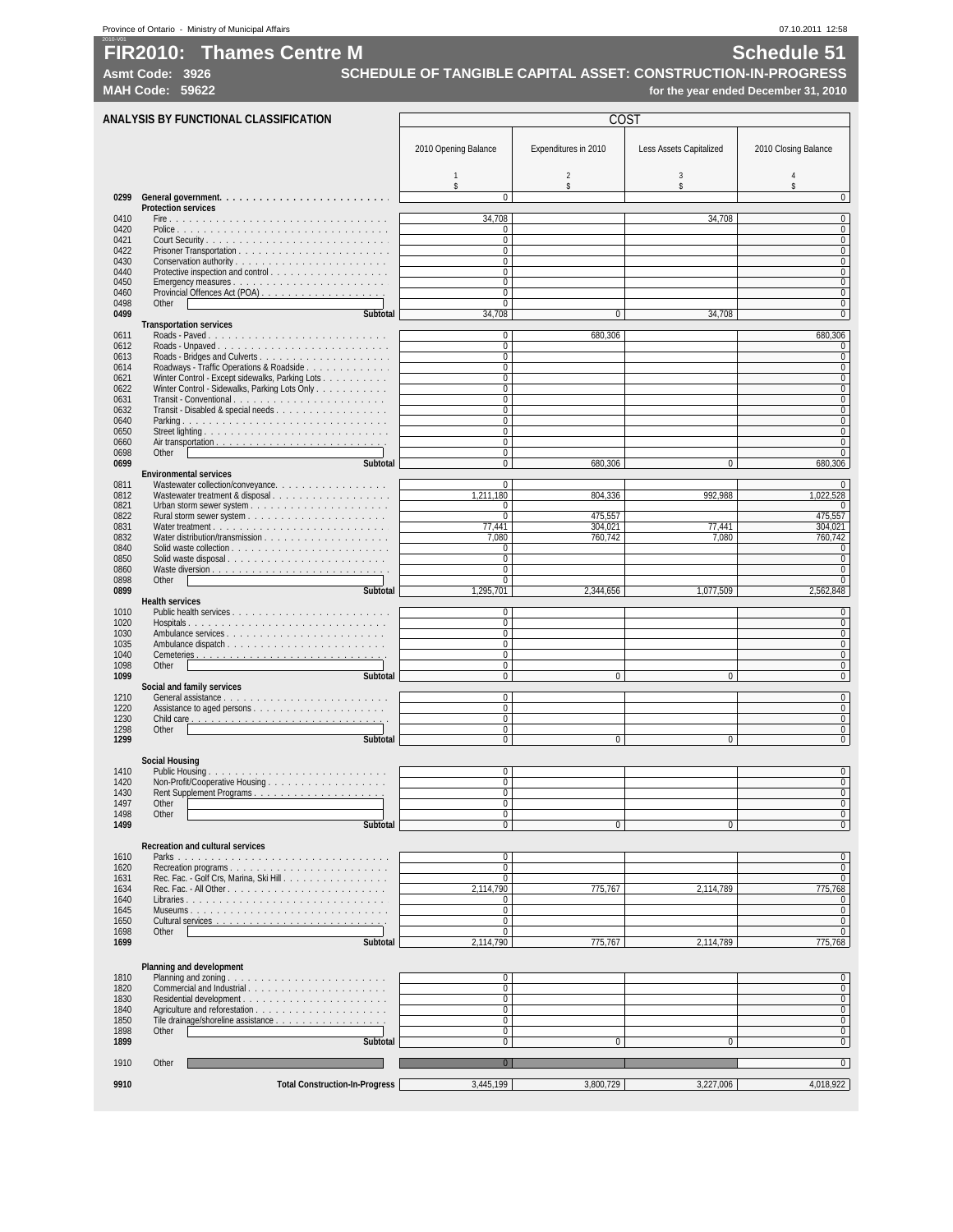**Asmt Code: 3926 SCHEDULE OF TANGIBLE CAPITAL ASSET: CONSTRUCTION-IN-PROGRESS MAH Code: 59622 for the year ended December 31, 2010**

| ANALYSIS BY FUNCTIONAL CLASSIFICATION                                   |                               | COST                 |                         |                                |
|-------------------------------------------------------------------------|-------------------------------|----------------------|-------------------------|--------------------------------|
|                                                                         | 2010 Opening Balance          | Expenditures in 2010 | Less Assets Capitalized | 2010 Closing Balance           |
|                                                                         | $\mathbf{1}$<br>s             | $\overline{2}$<br>s  | $\sqrt{3}$<br>s         | 4                              |
| <b>Protection services</b>                                              | $\mathbf 0$                   |                      |                         | $\Omega$                       |
|                                                                         | 34,708                        |                      | 34.708                  | $\overline{0}$                 |
|                                                                         | $\mathbf 0$                   |                      |                         | $\pmb{0}$                      |
|                                                                         | $\mathbf 0$<br>$\mathbf 0$    |                      |                         | $\mathbf 0$<br>$\mathbf 0$     |
|                                                                         | 0                             |                      |                         | $\bf{0}$                       |
| Protective inspection and control                                       | $\mathbf 0$<br>$\mathbf 0$    |                      |                         | $\mathbf{0}$<br>$\bf{0}$       |
|                                                                         | 0                             |                      |                         | $\bf{0}$                       |
| Other                                                                   | 0                             |                      |                         | 0                              |
| <b>Subtotal</b><br><b>Transportation services</b>                       | 34,708                        | $\Omega$             | 34,708                  | $\mathbf{0}$                   |
| Roads - Paved                                                           | 0                             | 680,306              |                         | 680,306                        |
|                                                                         | $\overline{0}$<br>$\mathbf 0$ |                      |                         | $\mathbf{0}$<br>$\mathbf 0$    |
| Roadways - Traffic Operations & Roadside                                | 0                             |                      |                         | $\mathbf{0}$                   |
| Winter Control - Except sidewalks, Parking Lots                         | 0                             |                      |                         | 0                              |
| Winter Control - Sidewalks, Parking Lots Only<br>Transit - Conventional | 0<br>$\mathbf 0$              |                      |                         | $\overline{0}$<br>$\mathbf{0}$ |
|                                                                         | $\mathbf 0$                   |                      |                         | $\bf{0}$                       |
|                                                                         | $\mathbf 0$<br>0              |                      |                         | $\mathbf{0}$<br>$\mathbf{0}$   |
|                                                                         | $\mathbf 0$                   |                      |                         | $\mathbf{0}$                   |
| Other<br>Subtotal                                                       | $\mathbf 0$                   |                      | $\mathbf{0}$            | $\mathbf{0}$                   |
| <b>Environmental services</b>                                           | $\mathbf 0$                   | 680,306              |                         | 680,306                        |
| Wastewater collection/conveyance.                                       | 0                             |                      |                         | $\mathbf{0}$                   |
| Wastewater treatment & disposal                                         | 1,211,180<br>0                | 804,336              | 992,988                 | 1,022,528<br>$\mathbf{0}$      |
|                                                                         | $\mathbf 0$                   | 475,557              |                         | 475,557                        |
|                                                                         | 77,441                        | 304,021              | 77.441                  | 304,021                        |
|                                                                         | 7,080<br>0                    | 760,742              | 7,080                   | 760,742<br>0                   |
| Solid waste disposal                                                    | 0                             |                      |                         | $\mathbf{0}$                   |
| Other                                                                   | $\mathbf 0$<br>$\mathbf 0$    |                      |                         | $\bf{0}$<br>$\bf{0}$           |
| Subtotal                                                                | 1,295,701                     | 2,344,656            | 1,077,509               | 2,562,848                      |
| <b>Health services</b>                                                  | $\mathbf 0$                   |                      |                         | $\mathbf 0$                    |
|                                                                         | $\mathbf 0$                   |                      |                         | $\mathbf{0}$                   |
|                                                                         | $\mathbf 0$                   |                      |                         | $\mathbf{0}$                   |
|                                                                         | 0<br>0                        |                      |                         | $\bf{0}$<br>$\mathbf 0$        |
| Other                                                                   | $\mathbf 0$                   |                      |                         | $\mathbf{0}$                   |
| Subtotal<br>Social and family services                                  | 0                             | $\Omega$             | $\Omega$                | $\mathbf 0$                    |
|                                                                         | $\mathbf 0$                   |                      |                         | $\overline{0}$                 |
|                                                                         | $\mathbf 0$<br>$\mathbf 0$    |                      |                         | $\mathbf 0$<br>$\bf{0}$        |
| Other                                                                   | $\mathbf 0$                   |                      |                         | $\mathbf{0}$                   |
| <b>Subtotal</b>                                                         | 0                             | $\mathbf 0$          | $\mathbf{0}$            | $\mathbf 0$                    |
| <b>Social Housing</b>                                                   |                               |                      |                         |                                |
|                                                                         | 0                             |                      |                         | $\mathbf{0}$                   |
|                                                                         | $\mathbf 0$<br>$\mathbf 0$    |                      |                         | $\mathbf 0$<br>$\bf{0}$        |
| Other                                                                   | $\mathbf{0}$                  |                      |                         | $\mathbf{0}$                   |
| Other<br>Subtotal                                                       | $\Omega$<br>0                 | $\mathbf 0$          | $\mathbf 0$             | 0<br>$\mathbf 0$               |
|                                                                         |                               |                      |                         |                                |
| <b>Recreation and cultural services</b>                                 | $\mathbf 0$                   |                      |                         | $\mathbf{0}$                   |
| Recreation programs                                                     | 0                             |                      |                         | $\bf{0}$                       |
| Rec. Fac. - Golf Crs, Marina, Ski Hill                                  | $\mathbf 0$                   |                      |                         | $\overline{0}$                 |
|                                                                         | 2.114.790<br>0                | 775,767              | 2,114,789               | 775,768<br>$\bf{0}$            |
|                                                                         | 0                             |                      |                         | $\pmb{0}$                      |
| Other                                                                   | 0<br>$\bf{0}$                 |                      |                         | $\overline{0}$<br>$\mathbf 0$  |
| Subtotal                                                                | 2,114,790                     | 775,767              | 2,114,789               | 775,768                        |
|                                                                         |                               |                      |                         |                                |
| Planning and development                                                | 0                             |                      |                         | $\bf{0}$                       |
| Commercial and Industrial                                               | 0                             |                      |                         | $\overline{0}$                 |
|                                                                         | $\mathbf 0$                   |                      |                         | $\pmb{0}$                      |
| Tile drainage/shoreline assistance                                      | 0<br>$\mathbf 0$              |                      |                         | $\bf{0}$<br>$\pmb{0}$          |
| Other                                                                   | 0                             |                      |                         | $\bf{0}$                       |
| Subtotal                                                                | $\mathbf 0$                   | $\mathbf{0}$         | $\mathbf{0}$            | $\overline{0}$                 |
| Other                                                                   | $\overline{0}$                |                      |                         | $\mathbf{0}$                   |
|                                                                         |                               |                      |                         |                                |
| <b>Total Construction-In-Progress</b>                                   | 3,445,199                     | 3,800,729            | 3,227,006               | 4,018,922                      |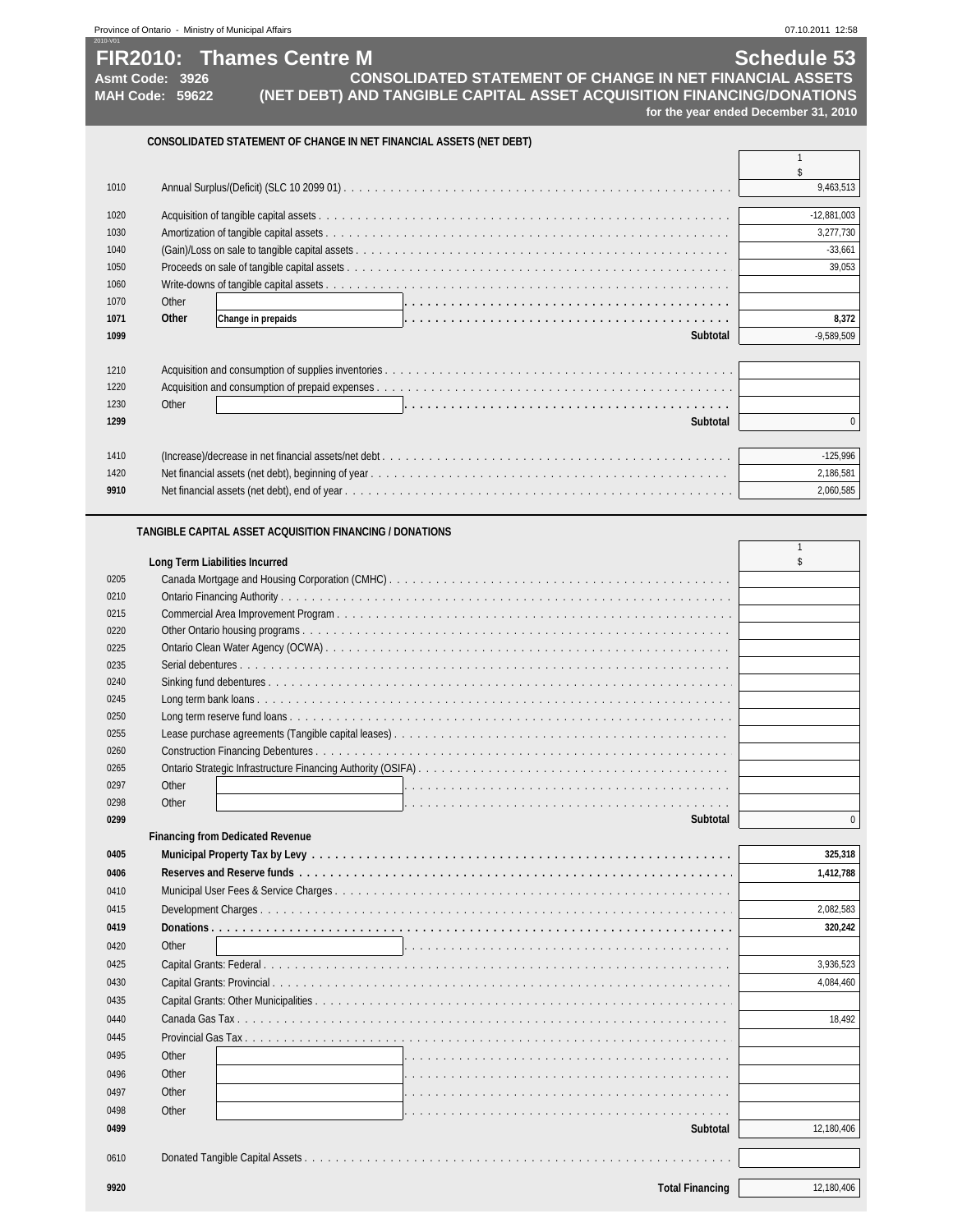| Province of Ontario - | - Ministry of Municipal Affairs | 07.10.2011 12:58 |
|-----------------------|---------------------------------|------------------|

1060 Write-downs of tangible capital assets

**Financing from Dedicated Revenue**

#### **FIR2010: Thames Centre M Schedule 53 Asmt Code: 3926 MAH Code: 59622 for the year ended December 31, 2010 CONSOLIDATED STATEMENT OF CHANGE IN NET FINANCIAL ASSETS (NET DEBT)** \$ Annual Surplus/(Deficit) (SLC 10 2099 01) . . . . . . . . . . . . . . . . . . . . . . . . . . . . . . . . . . . . . . . . . . . . . . . . . . 9,463,513 Acquisition of tangible capital assets . . . . . . . . . . . . . . . . . . . . . . . . . . . . . . . . . . . . . . . . . . . . . . . . . . . . . -12,881,003 Amortization of tangible capital assets . . . . . . . . . . . . . . . . . . . . . . . . . . . . . . . . . . . . . . . . . . . . . . . . . . . . 3,277,730 (Gain)/Loss on sale to tangible capital assets . . . . . . . . . . . . . . . . . . . . . . . . . . . . . . . . . . . . . . . . . . . . . . . . . -33,661 Proceeds on sale of tangible capital assets . . . . . . . . . . . . . . . . . . . . . . . . . . . . . . . . . . . . . . . . . . . . . . . . . . 39,053 **(NET DEBT) AND TANGIBLE CAPITAL ASSET ACQUISITION FINANCING/DONATIONS CONSOLIDATED STATEMENT OF CHANGE IN NET FINANCIAL ASSETS**

| 1 V V V |                             |              |
|---------|-----------------------------|--------------|
| 1070    | Other                       |              |
| 1071    | Other<br>Change in prepaids | 8.372        |
| 1099    | <b>Subtotal</b>             | $-9.589.509$ |
|         |                             |              |
| 1210    |                             |              |
| 1220    |                             |              |
| 1230    | Other                       |              |
| 1299    | <b>Subtotal</b>             | $\Omega$     |
|         |                             |              |
| 1410    |                             | $-125,996$   |
| 1420    |                             | 2,186,581    |
| 9910    |                             | 2.060.585    |

#### **TANGIBLE CAPITAL ASSET ACQUISITION FINANCING / DONATIONS**

|      | <b>Long Term Liabilities Incurred</b> |  |
|------|---------------------------------------|--|
| 0205 |                                       |  |
| 0210 |                                       |  |
| 0215 |                                       |  |
| 0220 |                                       |  |
| 0225 |                                       |  |
| 0235 |                                       |  |
| 0240 |                                       |  |
| 0245 |                                       |  |
| 0250 |                                       |  |
| 0255 |                                       |  |
| 0260 |                                       |  |
| 0265 |                                       |  |
| 0297 | Other                                 |  |
| 0298 | Other                                 |  |
| 0299 | subtotal                              |  |

| 0405 |                                                                                                                  | 325,318    |
|------|------------------------------------------------------------------------------------------------------------------|------------|
| 0406 |                                                                                                                  | 1,412,788  |
| 0410 |                                                                                                                  |            |
| 0415 |                                                                                                                  | 2,082,583  |
| 0419 |                                                                                                                  | 320,242    |
| 0420 | Other                                                                                                            |            |
| 0425 |                                                                                                                  | 3,936,523  |
| 0430 |                                                                                                                  | 4,084,460  |
| 0435 |                                                                                                                  |            |
| 0440 |                                                                                                                  | 18.492     |
| 0445 |                                                                                                                  |            |
| 0495 | Other<br>a de la caractería de la caractería de la caractería de la caractería de la caractería de la caractería |            |
| 0496 | Other                                                                                                            |            |
| 0497 | Other                                                                                                            |            |
| 0498 | Other                                                                                                            |            |
| 0499 | Subtotal                                                                                                         | 12,180,406 |
|      |                                                                                                                  |            |
| 0610 |                                                                                                                  |            |
| 9920 | <b>Total Financing</b>                                                                                           | 12,180,406 |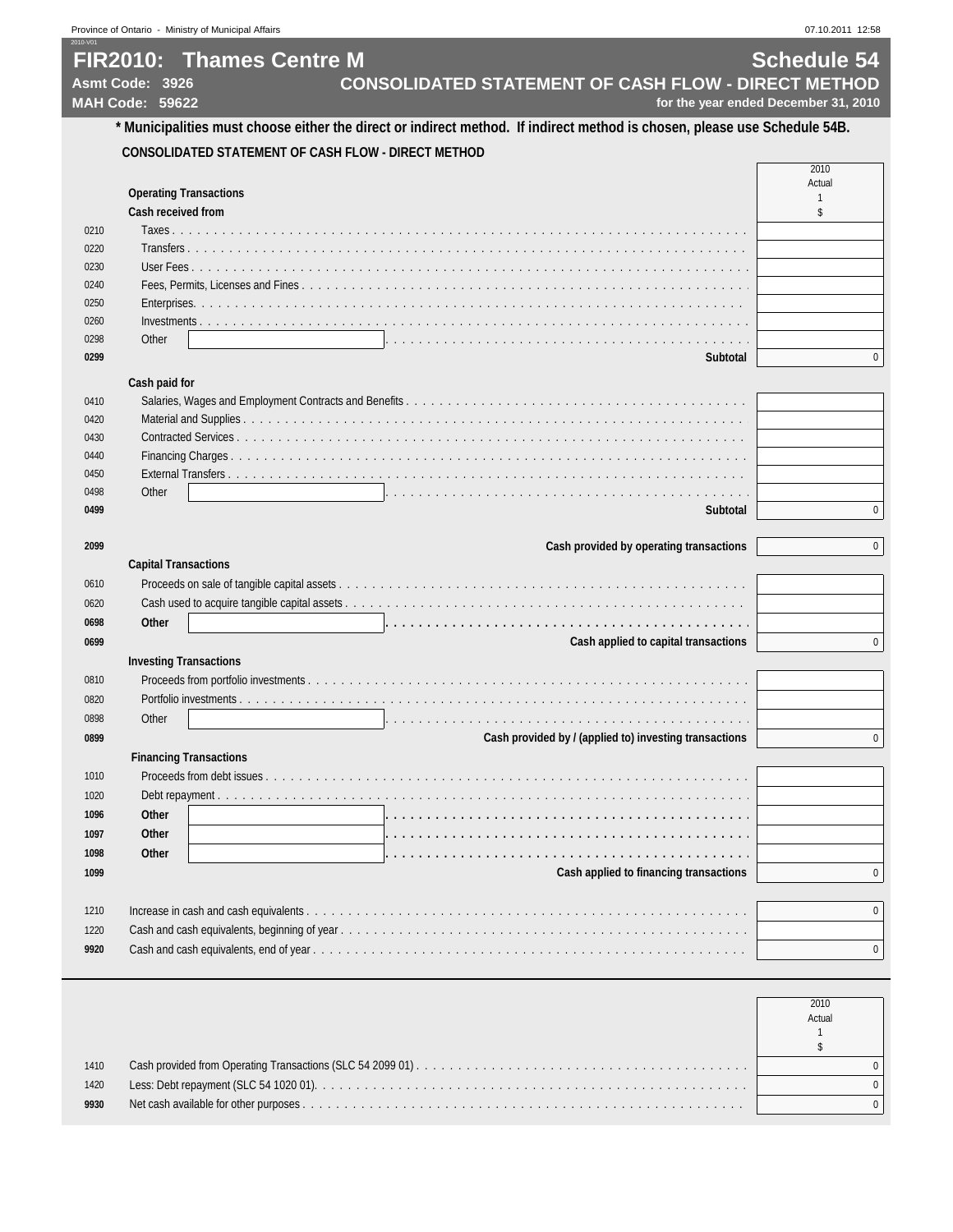## 2010-V01 **FIR2010: Thames Centre M Schedule 54** Asmt Code: 3926 **CONSOLIDATED STATEMENT OF CASH FLOW - DIRECT METHOD**<br>MAH Code: 59622 **for the year ended December 31, 2010**

for the year ended December 31, 2010

 **CONSOLIDATED STATEMENT OF CASH FLOW - DIRECT METHOD**

|      |                                                     | Actual |
|------|-----------------------------------------------------|--------|
|      | <b>Operating Transactions</b><br>Cash received from |        |
| 0210 |                                                     |        |
| 0220 |                                                     |        |
| 0230 |                                                     |        |
| 0240 |                                                     |        |
| 0250 |                                                     |        |
| 0260 |                                                     |        |
| 0298 | Other                                               |        |
| 0299 |                                                     |        |

#### **Cash paid for**

|      | $-0.001$ $-0.001$ $-0.001$ |  |
|------|----------------------------|--|
| 0410 |                            |  |
| 0420 |                            |  |
| 0430 |                            |  |
| 0440 |                            |  |
| 0450 |                            |  |
| 0498 | Other                      |  |
| 0499 |                            |  |

| 2099 | Cash provided by operating transactions                | $\overline{0}$ |
|------|--------------------------------------------------------|----------------|
|      | <b>Capital Transactions</b>                            |                |
| 0610 |                                                        |                |
| 0620 |                                                        |                |
| 0698 | Other                                                  |                |
| 0699 | Cash applied to capital transactions                   | 0              |
|      | <b>Investing Transactions</b>                          |                |
| 0810 |                                                        |                |
| 0820 |                                                        |                |
| 0898 | Other                                                  |                |
| 0899 | Cash provided by / (applied to) investing transactions | 0              |
|      | <b>Financing Transactions</b>                          |                |
| 1010 |                                                        |                |
| 1020 |                                                        |                |
| 1096 | Other                                                  |                |
| 1097 | <b>Other</b>                                           |                |
| 1098 | Other                                                  |                |
| 1099 | Cash applied to financing transactions                 | 0              |
|      |                                                        |                |
| 1210 |                                                        | $\mathbf{0}$   |
| 1220 |                                                        |                |
| 9920 |                                                        | $\mathbf 0$    |

|      | 2010<br>Actual |
|------|----------------|
| 1410 |                |
| 1420 |                |
| 9930 |                |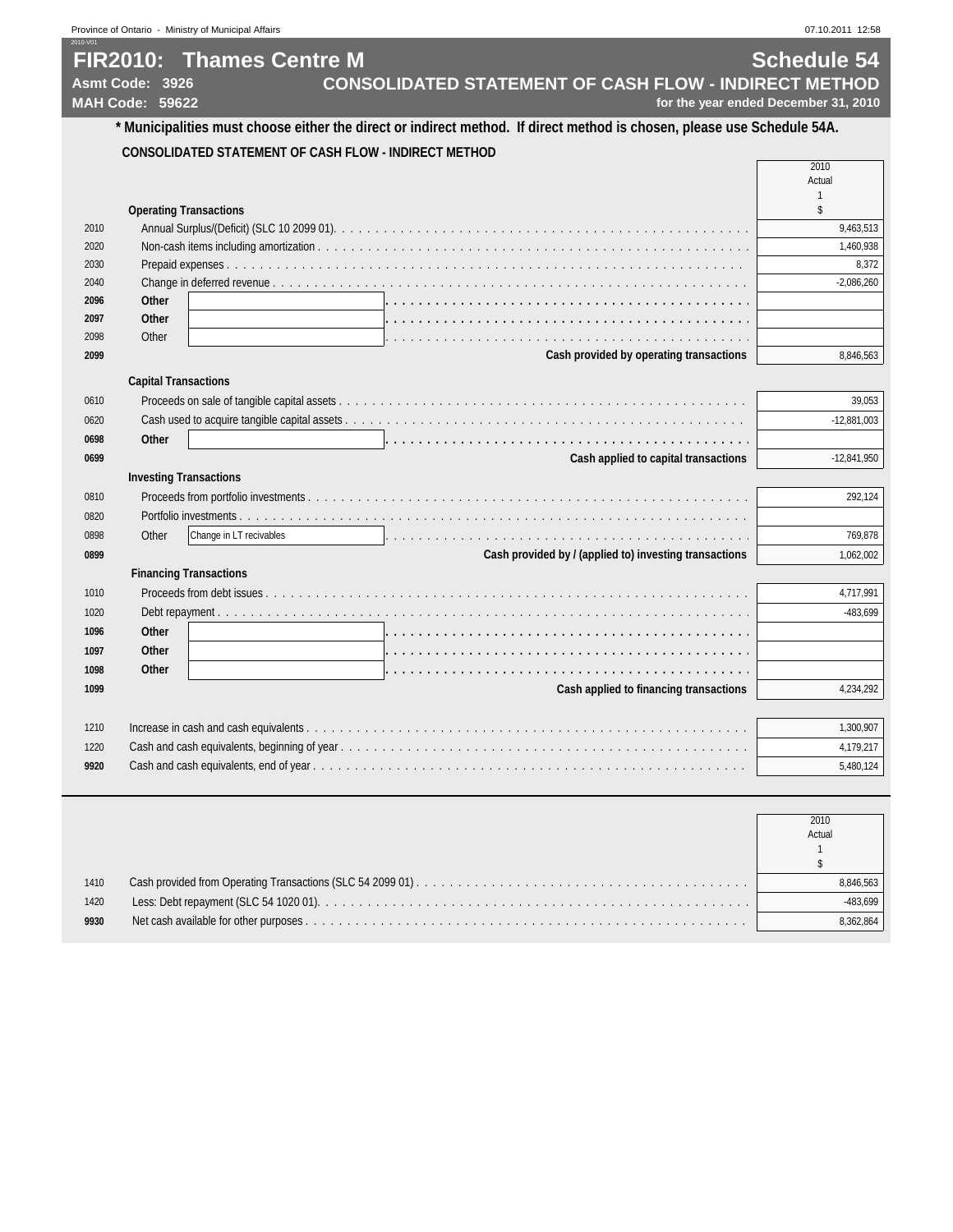## 2010-V01 **FIR2010: Thames Centre M Schedule 54** Asmt Code: 3926 **CONSOLIDATED STATEMENT OF CASH FLOW - INDIRECT METHOD**<br>MAH Code: 59622 **for the year ended December 31, 2010**

for the year ended December 31, 2010

## **\* Municipalities must choose either the direct or indirect method. If direct method is chosen, please use Schedule 54A.**

#### **CONSOLIDATED STATEMENT OF CASH FLOW - INDIRECT METHOD**

|      |                               |                                         | 2010      |
|------|-------------------------------|-----------------------------------------|-----------|
|      |                               |                                         | Actual    |
|      |                               |                                         |           |
|      | <b>Operating Transactions</b> |                                         |           |
| 2010 |                               |                                         | 9,463,513 |
| 2020 |                               |                                         | 1,460,938 |
| 2030 |                               |                                         | 8.372     |
| 2040 |                               |                                         |           |
| 2096 | Other                         |                                         |           |
| 2097 | Other                         |                                         |           |
| 2098 | Other                         |                                         |           |
| 2099 |                               | Cash provided by operating transactions |           |

#### **Capital Transactions**

| 0610 |                               |                                                        | 39,053        |
|------|-------------------------------|--------------------------------------------------------|---------------|
|      |                               |                                                        |               |
| 0620 |                               |                                                        | $-12,881,003$ |
| 0698 | Other                         |                                                        |               |
| 0699 |                               | Cash applied to capital transactions                   | $-12,841,950$ |
|      | <b>Investing Transactions</b> |                                                        |               |
| 0810 |                               |                                                        | 292,124       |
| 0820 |                               |                                                        |               |
| 0898 | Other                         | Change in LT recivables                                | 769,878       |
| 0899 |                               | Cash provided by / (applied to) investing transactions | 1,062,002     |
|      |                               | <b>Financing Transactions</b>                          |               |
| 1010 |                               |                                                        | 4,717,991     |
| 1020 |                               |                                                        | -483,699      |
| 1096 | Other                         |                                                        |               |
| 1097 | Other                         |                                                        |               |
| 1098 | Other                         |                                                        |               |
| 1099 |                               | Cash applied to financing transactions                 | 4,234,292     |
|      |                               |                                                        |               |
| 1210 |                               |                                                        | 1,300,907     |
| 1220 |                               |                                                        | 4,179,217     |
| 9920 |                               |                                                        | 5,480,124     |

|      | 2010<br>Actual |
|------|----------------|
|      |                |
| 1410 |                |
| 1420 |                |
| 9930 |                |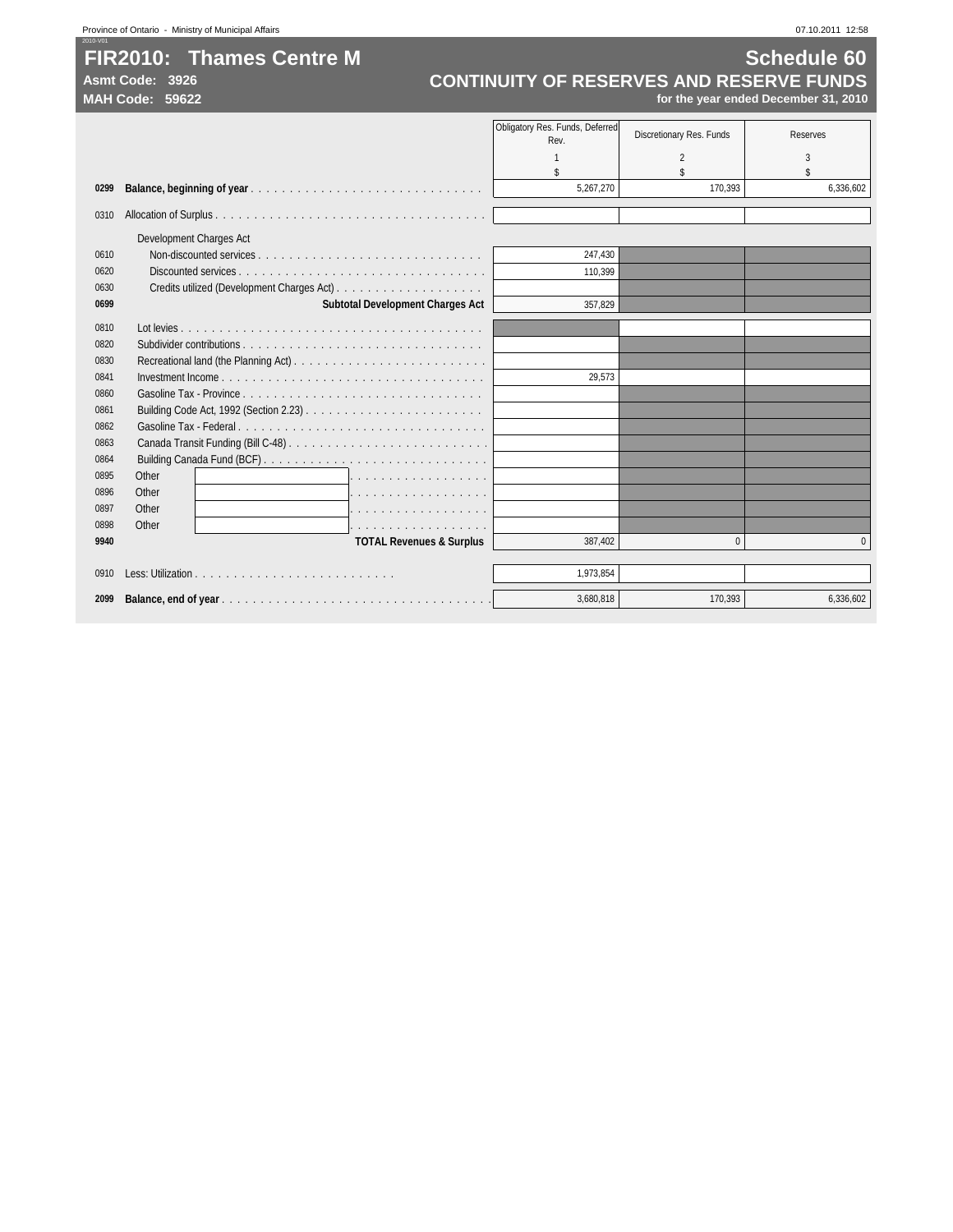## **FIR2010: Thames Centre M Schedule 60**<br>CONTINUITY OF RESERVES AND RESERVE FUNDS Asmt Code: 3926 **CONTINUITY OF RESERVES AND RESERVE FUNDS**<br>MAH Code: 59622 *CONTINUITY OF RESERVES AND RESERVE FUNDS* **MAH Code: 59622 for the year ended December 31, 2010**

|      |                                         | Obligatory Res. Funds, Deferred<br>Rev. | Discretionary Res. Funds | Reserves  |
|------|-----------------------------------------|-----------------------------------------|--------------------------|-----------|
|      |                                         |                                         | 2                        | 3         |
|      |                                         | \$                                      |                          | \$        |
| 0299 |                                         | 5,267,270                               | 170,393                  | 6,336,602 |
| 0310 |                                         |                                         |                          |           |
|      | Development Charges Act                 |                                         |                          |           |
| 0610 |                                         | 247,430                                 |                          |           |
| 0620 |                                         | 110.399                                 |                          |           |
| 0630 |                                         |                                         |                          |           |
| 0699 | <b>Subtotal Development Charges Act</b> | 357.829                                 |                          |           |
| 0810 |                                         |                                         |                          |           |
| 0820 |                                         |                                         |                          |           |
| 0830 |                                         |                                         |                          |           |
| 0841 |                                         | 29,573                                  |                          |           |
| 0860 |                                         |                                         |                          |           |
| 0861 |                                         |                                         |                          |           |
| 0862 |                                         |                                         |                          |           |
| 0863 |                                         |                                         |                          |           |
| 0864 |                                         |                                         |                          |           |
| 0895 | Other<br>1.                             |                                         |                          |           |
| 0896 | Other                                   |                                         |                          |           |
| 0897 | Other<br>.                              |                                         |                          |           |
| 0898 | Other<br>.                              |                                         |                          |           |
| 9940 | <b>TOTAL Revenues &amp; Surplus</b>     | 387.402                                 | 0                        | $\Omega$  |
|      |                                         |                                         |                          |           |
| 0910 |                                         | 1,973,854                               |                          |           |
| 2099 |                                         | 3,680,818                               | 170,393                  | 6,336,602 |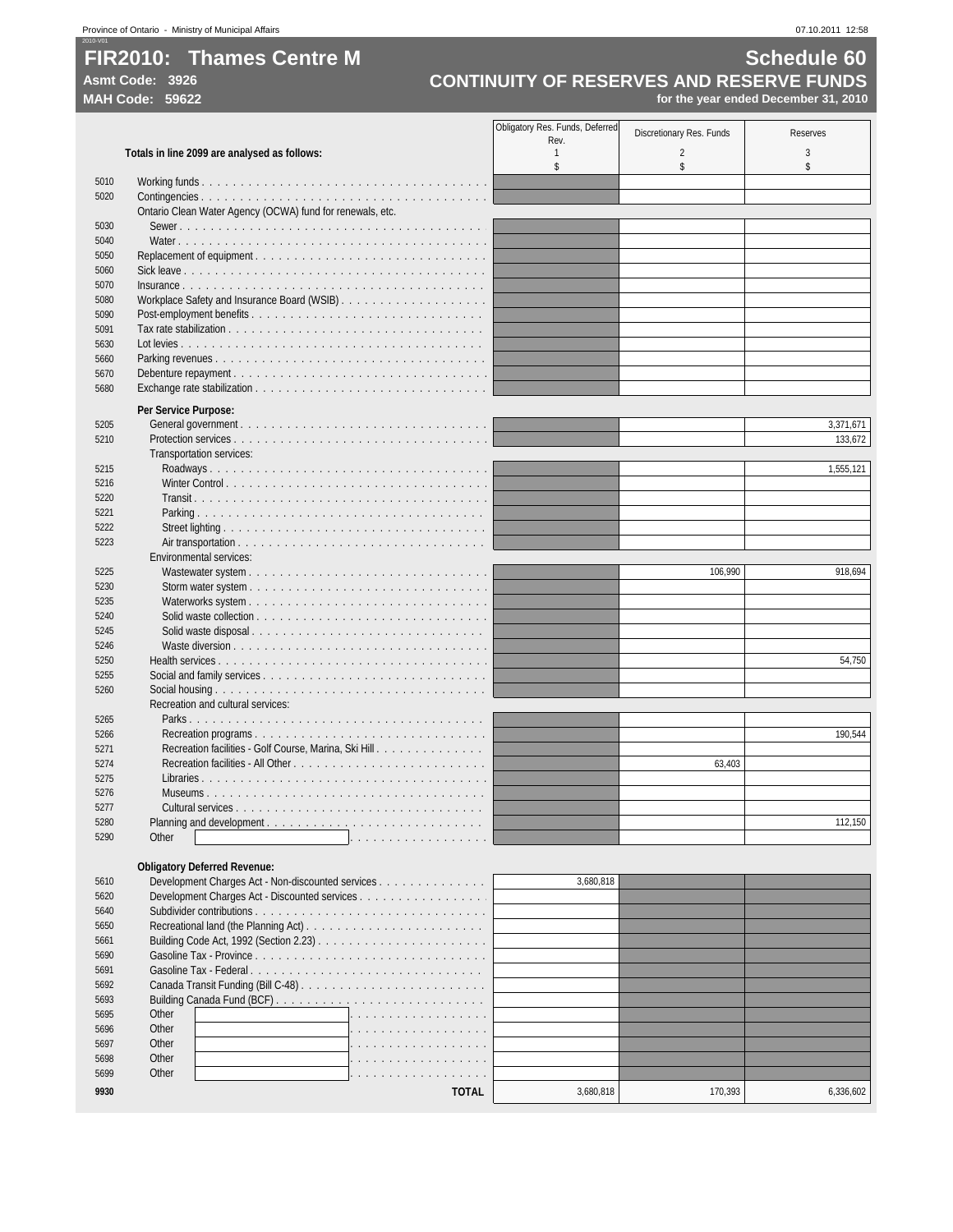## **FIR2010:** Thames Centre M<br> **CONTINUITY OF RESERVES AND RESERVE FUNDS**<br>
CONTINUITY OF RESERVES AND RESERVE FUNDS Asmt Code: 3926<br> **CONTINUITY OF RESERVES AND RESERVE FUNDS**<br>
for the year ended December 31, 2010<br>
for the year ended December 31, 2010 **MAH Code: 59622 for the year ended December 31, 2010**

|                                              |                                                           | Obligatory Res. Funds, Deferred | Discretionary Res. Funds | <b>Reserves</b> |
|----------------------------------------------|-----------------------------------------------------------|---------------------------------|--------------------------|-----------------|
| Totals in line 2099 are analysed as follows: |                                                           | Rev.<br>$\mathbf{1}$            | $\overline{2}$           | 3               |
|                                              |                                                           | \$                              | \$                       | \$              |
| 5010                                         |                                                           |                                 |                          |                 |
| 5020                                         |                                                           |                                 |                          |                 |
| 5030                                         | Ontario Clean Water Agency (OCWA) fund for renewals, etc. |                                 |                          |                 |
| 5040                                         |                                                           |                                 |                          |                 |
| 5050                                         |                                                           |                                 |                          |                 |
| 5060                                         |                                                           |                                 |                          |                 |
| 5070                                         |                                                           |                                 |                          |                 |
| 5080                                         |                                                           |                                 |                          |                 |
| 5090                                         |                                                           |                                 |                          |                 |
| 5091                                         |                                                           |                                 |                          |                 |
| 5630                                         |                                                           |                                 |                          |                 |
| 5660                                         |                                                           |                                 |                          |                 |
| 5670                                         |                                                           |                                 |                          |                 |
| 5680                                         |                                                           |                                 |                          |                 |
|                                              |                                                           |                                 |                          |                 |
|                                              | Per Service Purpose:                                      |                                 |                          |                 |
| 5205                                         |                                                           |                                 |                          | 3,371,671       |
| 5210                                         |                                                           |                                 |                          | 133,672         |
|                                              | Transportation services:                                  |                                 |                          |                 |
| 5215                                         |                                                           |                                 |                          | 1,555,121       |
| 5216                                         |                                                           |                                 |                          |                 |
| 5220                                         |                                                           |                                 |                          |                 |
| 5221                                         |                                                           |                                 |                          |                 |
| 5222                                         |                                                           |                                 |                          |                 |
| 5223                                         | Environmental services:                                   |                                 |                          |                 |
| 5225                                         |                                                           |                                 | 106,990                  | 918,694         |
| 5230                                         |                                                           |                                 |                          |                 |
| 5235                                         |                                                           |                                 |                          |                 |
| 5240                                         |                                                           |                                 |                          |                 |
| 5245                                         |                                                           |                                 |                          |                 |
| 5246                                         |                                                           |                                 |                          |                 |
| 5250                                         |                                                           |                                 |                          | 54,750          |
| 5255                                         |                                                           |                                 |                          |                 |
| 5260                                         |                                                           |                                 |                          |                 |
|                                              | Recreation and cultural services:                         |                                 |                          |                 |
| 5265                                         |                                                           |                                 |                          |                 |
| 5266                                         |                                                           |                                 |                          | 190,544         |
| 5271                                         | Recreation facilities - Golf Course, Marina, Ski Hill     |                                 |                          |                 |
| 5274                                         |                                                           |                                 | 63,403                   |                 |
| 5275                                         |                                                           |                                 |                          |                 |
| 5276                                         |                                                           |                                 |                          |                 |
| 5277                                         |                                                           |                                 |                          |                 |
| 5280                                         |                                                           |                                 |                          | 112,150         |
| 5290                                         | Other                                                     |                                 |                          |                 |
|                                              |                                                           |                                 |                          |                 |
|                                              | <b>Obligatory Deferred Revenue:</b>                       |                                 |                          |                 |
| 5610                                         | Development Charges Act - Non-discounted services         | 3,680,818                       |                          |                 |
| 5620                                         | Development Charges Act - Discounted services             |                                 |                          |                 |
| 5640                                         |                                                           |                                 |                          |                 |
| 5650                                         |                                                           |                                 |                          |                 |
| 5661                                         |                                                           |                                 |                          |                 |
| 5690                                         |                                                           |                                 |                          |                 |
| 5691                                         |                                                           |                                 |                          |                 |
| 5692                                         |                                                           |                                 |                          |                 |
| 5693                                         |                                                           |                                 |                          |                 |
| 5695                                         | Other                                                     |                                 |                          |                 |
| 5696                                         | Other                                                     |                                 |                          |                 |
| 5697                                         | Other                                                     |                                 |                          |                 |
| 5698                                         | Other                                                     |                                 |                          |                 |
| 5699                                         | Other                                                     |                                 |                          |                 |
| 9930                                         | <b>TOTAL</b>                                              | 3,680,818                       | 170,393                  | 6,336,602       |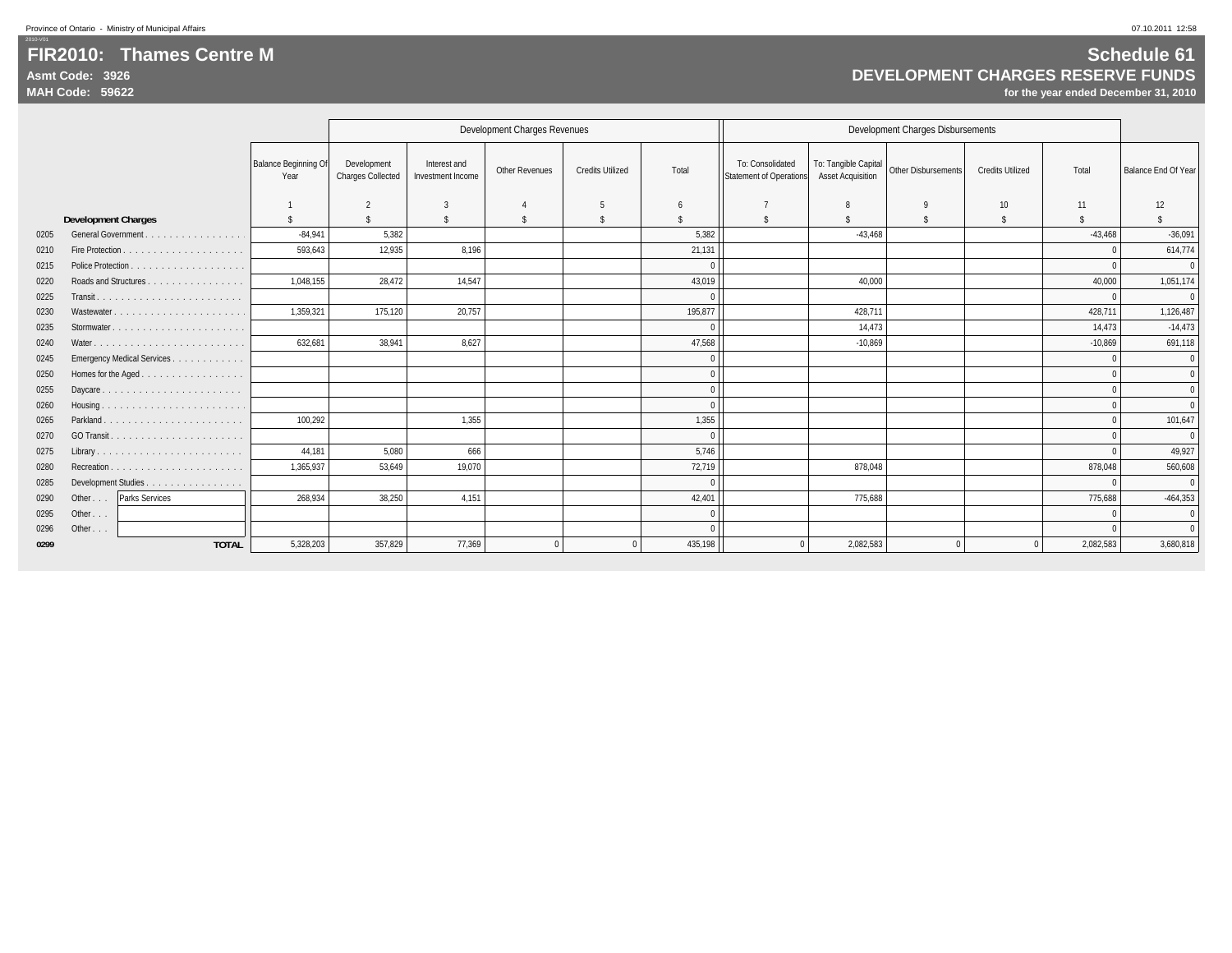### **FIR2010: Thames Centre MAsmt Code: 3926MAH Code: 59622**

**DEVELOPMENT CHARGES RESERVE FUNDS**

|      |                            |                                     |                                         |                                   | Development Charges Revenues |                         |                    |                                                    |                                                  | Development Charges Disbursements |                         |           |                     |
|------|----------------------------|-------------------------------------|-----------------------------------------|-----------------------------------|------------------------------|-------------------------|--------------------|----------------------------------------------------|--------------------------------------------------|-----------------------------------|-------------------------|-----------|---------------------|
|      |                            | <b>Balance Beginning Of</b><br>Year | Development<br><b>Charges Collected</b> | Interest and<br>Investment Income | Other Revenues               | <b>Credits Utilized</b> | Total              | To: Consolidated<br><b>Statement of Operations</b> | To: Tangible Capital<br><b>Asset Acquisition</b> | Other Disbursements               | <b>Credits Utilized</b> | Total     | Balance End Of Year |
|      |                            |                                     | $\overline{2}$                          |                                   |                              | -5                      | -6                 |                                                    |                                                  |                                   | 10                      | 11        | 12                  |
|      | <b>Development Charges</b> |                                     | $\mathbf{\hat{s}}$                      | -S                                | -S                           | - S                     | $\mathbf{\hat{z}}$ | $\hat{\mathbf{S}}$                                 |                                                  | -S                                | Ŝ.                      | ¢         |                     |
| 0205 | General Government         | $-84,941$                           | 5,382                                   |                                   |                              |                         | 5,382              |                                                    | $-43,468$                                        |                                   |                         | $-43,468$ | $-36,091$           |
| 0210 |                            | 593,643                             | 12,935                                  | 8.196                             |                              |                         | 21,131             |                                                    |                                                  |                                   |                         |           | 614,774             |
| 0215 |                            |                                     |                                         |                                   |                              |                         |                    |                                                    |                                                  |                                   |                         |           | $\overline{0}$      |
| 0220 | Roads and Structures       | 1,048,155                           | 28,472                                  | 14.547                            |                              |                         | 43,019             |                                                    | 40.000                                           |                                   |                         | 40,000    | 1,051,174           |
| 0225 |                            |                                     |                                         |                                   |                              |                         |                    |                                                    |                                                  |                                   |                         |           | $\mathbf{0}$        |
| 0230 | Wastewater                 | 1.359.321                           | 175.120                                 | 20.757                            |                              |                         | 195.877            |                                                    | 428.711                                          |                                   |                         | 428.711   | 1,126,487           |
| 0235 |                            |                                     |                                         |                                   |                              |                         | $\sqrt{ }$         |                                                    | 14,473                                           |                                   |                         | 14.473    | $-14,473$           |
| 0240 |                            | 632,681                             | 38.941                                  | 8,627                             |                              |                         | 47,568             |                                                    | $-10,869$                                        |                                   |                         | $-10,869$ | 691,118             |
| 0245 | Emergency Medical Services |                                     |                                         |                                   |                              |                         |                    |                                                    |                                                  |                                   |                         |           | $\mathbf{0}$        |
| 0250 |                            |                                     |                                         |                                   |                              |                         |                    |                                                    |                                                  |                                   |                         |           | $\mathbf{0}$        |
| 0255 | Daycare                    |                                     |                                         |                                   |                              |                         |                    |                                                    |                                                  |                                   |                         |           | $\Omega$            |
| 0260 |                            |                                     |                                         |                                   |                              |                         |                    |                                                    |                                                  |                                   |                         |           | $\Omega$            |
| 0265 | Parkland                   | 100.292                             |                                         | 1,355                             |                              |                         | 1,355              |                                                    |                                                  |                                   |                         |           | 101,647             |
| 0270 |                            |                                     |                                         |                                   |                              |                         | $\sqrt{ }$         |                                                    |                                                  |                                   |                         |           | $\Omega$            |
| 0275 |                            | 44,181                              | 5,080                                   | 666                               |                              |                         | 5,746              |                                                    |                                                  |                                   |                         |           | 49,927              |
| 0280 |                            | 1,365,937                           | 53,649                                  | 19,070                            |                              |                         | 72,719             |                                                    | 878,048                                          |                                   |                         | 878,048   | 560,608             |
| 0285 | Development Studies        |                                     |                                         |                                   |                              |                         |                    |                                                    |                                                  |                                   |                         |           | $\Omega$            |
| 0290 | Other   Parks Services     | 268,934                             | 38,250                                  | 4.151                             |                              |                         | 42,401             |                                                    | 775.688                                          |                                   |                         | 775.688   | $-464,353$          |
| 0295 | Other $\ldots$             |                                     |                                         |                                   |                              |                         | $\Omega$           |                                                    |                                                  |                                   |                         |           | $\mathbf{0}$        |
| 0296 | Other $\ldots$             |                                     |                                         |                                   |                              |                         |                    |                                                    |                                                  |                                   |                         |           | $\overline{0}$      |
| 0299 | <b>TOTAL</b>               | 5,328,203                           | 357,829                                 | 77,369                            |                              |                         | 435,198            |                                                    | 2,082,583                                        | $\Omega$                          | $\Omega$                | 2,082,583 | 3,680,818           |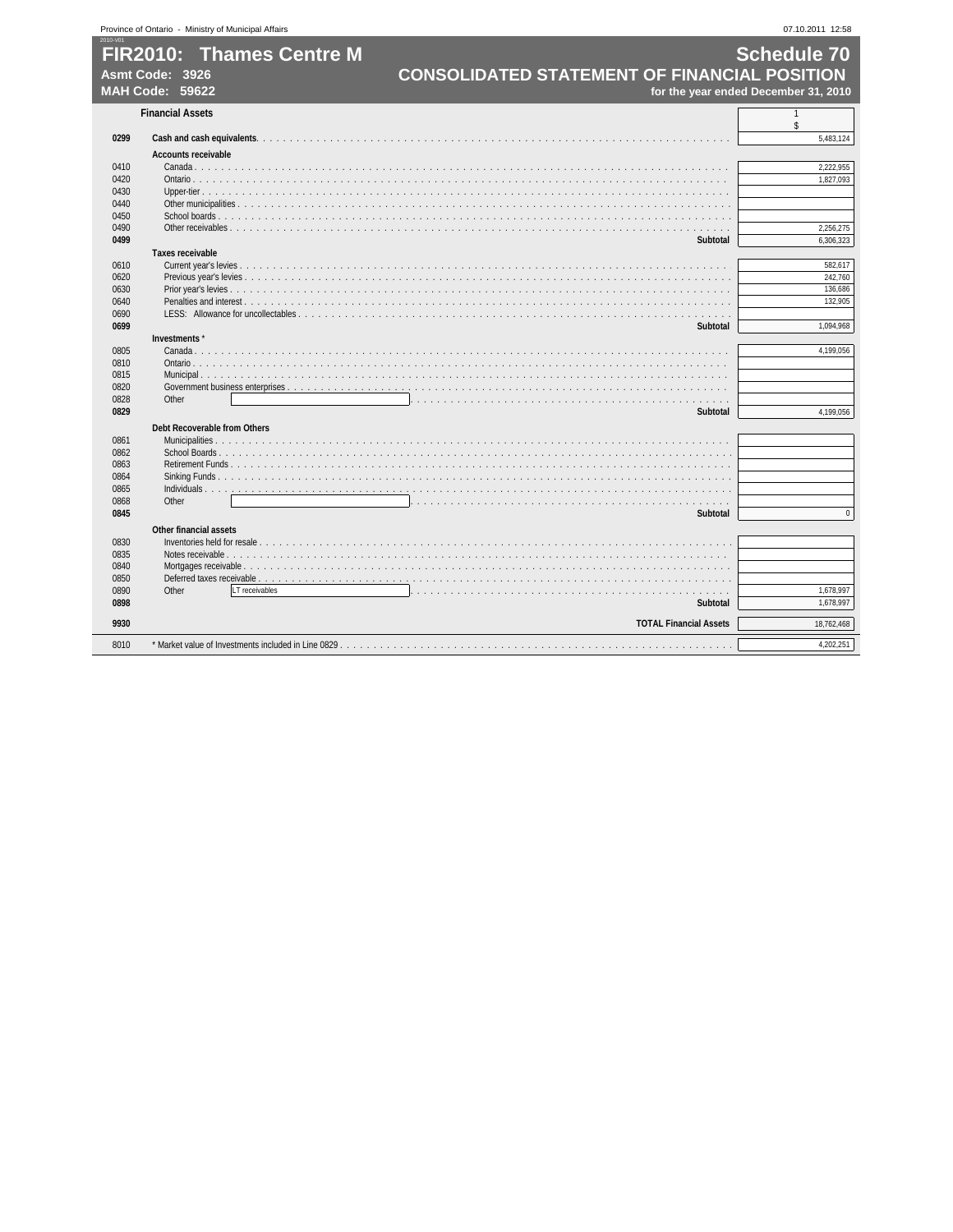|              | <b>FIR2010: Thames Centre M</b><br><b>CONSOLIDATED STATEMENT OF FINANCIAL POSITION</b><br>Asmt Code: 3926 | <b>Schedule 70</b>                   |
|--------------|-----------------------------------------------------------------------------------------------------------|--------------------------------------|
|              | MAH Code: 59622                                                                                           | for the year ended December 31, 2010 |
|              | <b>Financial Assets</b>                                                                                   | $\mathbf{1}$                         |
|              |                                                                                                           | \$                                   |
| 0299         |                                                                                                           | 5,483,124                            |
|              | <b>Accounts receivable</b>                                                                                |                                      |
| 0410         |                                                                                                           | 2,222,955                            |
| 0420         |                                                                                                           | 1,827,093                            |
| 0430         |                                                                                                           |                                      |
| 0440         |                                                                                                           |                                      |
| 0450         |                                                                                                           |                                      |
| 0490         |                                                                                                           | 2,256,275                            |
| 0499         | Subtotal                                                                                                  | 6,306,323                            |
|              | <b>Taxes receivable</b>                                                                                   |                                      |
| 0610<br>0620 |                                                                                                           |                                      |
| 0630         |                                                                                                           |                                      |
| 0640         |                                                                                                           |                                      |
| 0690         |                                                                                                           |                                      |
| 0699         | <b>Subtotal</b>                                                                                           | 1,094,968                            |
|              | Investments*                                                                                              |                                      |
| 0805         |                                                                                                           | 4,199,056                            |
| 0810         |                                                                                                           |                                      |
| 0815         | Municipal                                                                                                 |                                      |
| 0820         |                                                                                                           |                                      |
| 0828         | Other                                                                                                     |                                      |
| 0829         | <b>Subtotal</b>                                                                                           | 4.199.056                            |
|              | Debt Recoverable from Others                                                                              |                                      |
| 0861         |                                                                                                           |                                      |
| 0862         |                                                                                                           |                                      |
| 0863         |                                                                                                           |                                      |
| 0864         |                                                                                                           |                                      |
| 0865         | Individuals $\ldots$ .<br>.                                                                               |                                      |
| 0868         | Other                                                                                                     |                                      |
| 0845         | <b>Subtotal</b>                                                                                           |                                      |
|              | <b>Other financial assets</b>                                                                             |                                      |
| 0830         |                                                                                                           |                                      |
| 0835         |                                                                                                           |                                      |
| 0840         |                                                                                                           |                                      |
| 0850         |                                                                                                           |                                      |
| 0890         | Other<br>LT receivables<br>1.1.1.1                                                                        | 1,678,997                            |
|              | <b>Subtotal</b>                                                                                           | 1,678,997                            |
|              |                                                                                                           |                                      |
| 0898         |                                                                                                           |                                      |
| 9930         | <b>TOTAL Financial Assets</b>                                                                             | 18,762,468                           |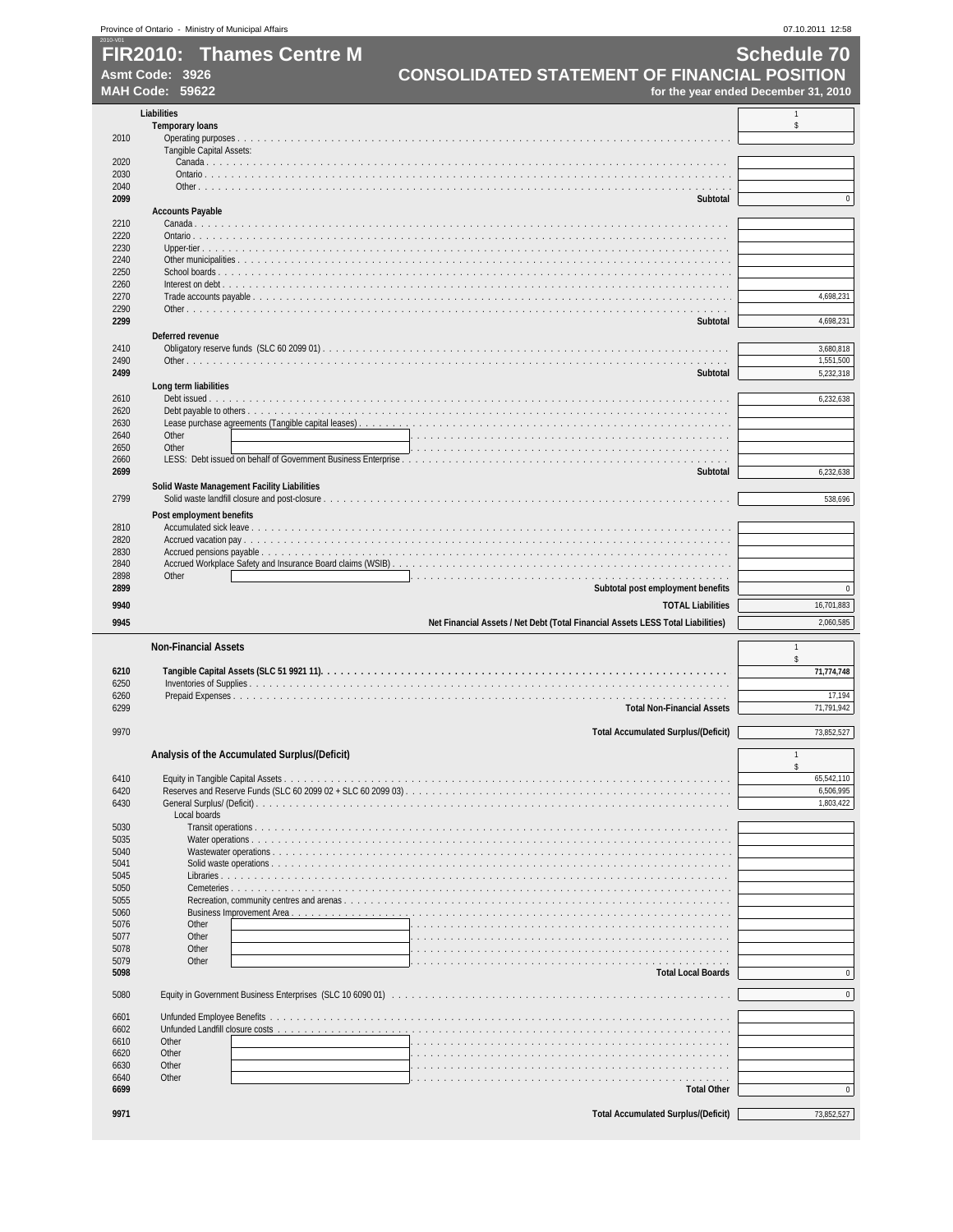| 2010-V01     | Province of Ontario - Ministry of Municipal Affairs |                                                                                        | 07.10.2011 12:58                     |
|--------------|-----------------------------------------------------|----------------------------------------------------------------------------------------|--------------------------------------|
|              | Asmt Code: 3926                                     | <b>FIR2010: Thames Centre M</b><br><b>CONSOLIDATED STATEMENT OF FINANCIAL POSITION</b> | <b>Schedule 70</b>                   |
|              | MAH Code: 59622                                     |                                                                                        | for the year ended December 31, 2010 |
|              | <b>Liabilities</b>                                  |                                                                                        | $\mathbf{1}$                         |
| 2010         | <b>Temporary loans</b>                              |                                                                                        | \$                                   |
|              | Tangible Capital Assets:                            |                                                                                        |                                      |
| 2020         |                                                     |                                                                                        |                                      |
| 2030<br>2040 |                                                     |                                                                                        |                                      |
| 2099         |                                                     | Subtotal                                                                               | $\pmb{0}$                            |
| 2210         | <b>Accounts Payable</b>                             |                                                                                        |                                      |
| 2220         |                                                     |                                                                                        |                                      |
| 2230<br>2240 |                                                     |                                                                                        |                                      |
| 2250         |                                                     |                                                                                        |                                      |
| 2260<br>2270 |                                                     |                                                                                        | 4,698,231                            |
| 2290         |                                                     |                                                                                        |                                      |
| 2299         | Deferred revenue                                    | Subtotal                                                                               | 4,698,231                            |
| 2410         |                                                     |                                                                                        | 3,680,818                            |
| 2490         |                                                     |                                                                                        | 1,551,500                            |
| 2499         | Long term liabilities                               | Subtotal                                                                               | 5,232,318                            |
| 2610         |                                                     |                                                                                        | 6,232,638                            |
| 2620<br>2630 |                                                     |                                                                                        |                                      |
| 2640         | Other                                               |                                                                                        |                                      |
| 2650<br>2660 | Other                                               |                                                                                        |                                      |
| 2699         |                                                     | Subtotal                                                                               | 6,232,638                            |
| 2799         |                                                     | Solid Waste Management Facility Liabilities                                            | 538,696                              |
|              | Post employment benefits                            |                                                                                        |                                      |
| 2810         |                                                     |                                                                                        |                                      |
| 2820<br>2830 |                                                     |                                                                                        |                                      |
| 2840         |                                                     |                                                                                        |                                      |
| 2898<br>2899 | Other                                               | Subtotal post employment benefits                                                      | $\pmb{0}$                            |
| 9940         |                                                     | <b>TOTAL Liabilities</b>                                                               | 16,701,883                           |
| 9945         |                                                     | Net Financial Assets / Net Debt (Total Financial Assets LESS Total Liabilities)        | 2,060,585                            |
|              | <b>Non-Financial Assets</b>                         |                                                                                        | $\mathbf{1}$                         |
|              |                                                     |                                                                                        | \$                                   |
| 6210<br>6250 |                                                     |                                                                                        | 71,774,748                           |
| 6260         |                                                     |                                                                                        | 17,194                               |
| 6299         |                                                     | <b>Total Non-Financial Assets</b>                                                      | 71,791,942                           |
| 9970         |                                                     | <b>Total Accumulated Surplus/(Deficit)</b>                                             | 73,852,527                           |
|              |                                                     | Analysis of the Accumulated Surplus/(Deficit)                                          | $\mathbf{1}$                         |
| 6410         |                                                     |                                                                                        | \$<br>65,542,110                     |
| 6420         |                                                     |                                                                                        | 6.506.995                            |
| 6430         | Local boards                                        |                                                                                        | 1,803,422                            |
| 5030         |                                                     |                                                                                        |                                      |
| 5035<br>5040 |                                                     | Water operations                                                                       |                                      |
| 5041         |                                                     |                                                                                        |                                      |
| 5045<br>5050 |                                                     | Libraries<br>Cemeteries                                                                |                                      |
| 5055         |                                                     | Recreation, community centres and arenas<br>.                                          |                                      |
| 5060<br>5076 | Other                                               | Business Improvement Area                                                              |                                      |
| 5077         | Other                                               |                                                                                        |                                      |
| 5078<br>5079 | Other<br>Other                                      |                                                                                        |                                      |
| 5098         |                                                     | <b>Total Local Boards</b>                                                              | $\pmb{0}$                            |
| 5080         |                                                     |                                                                                        | $\pmb{0}$                            |
| 6601         | Unfunded Employee Benefits                          |                                                                                        |                                      |
| 6602<br>6610 | Other                                               |                                                                                        |                                      |
| 6620         | Other                                               |                                                                                        |                                      |
| 6630<br>6640 | Other<br>Other                                      |                                                                                        |                                      |
| 6699         |                                                     | <b>Total Other</b>                                                                     | 0                                    |
|              |                                                     |                                                                                        |                                      |
| 9971         |                                                     | <b>Total Accumulated Surplus/(Deficit)</b>                                             | 73,852,527                           |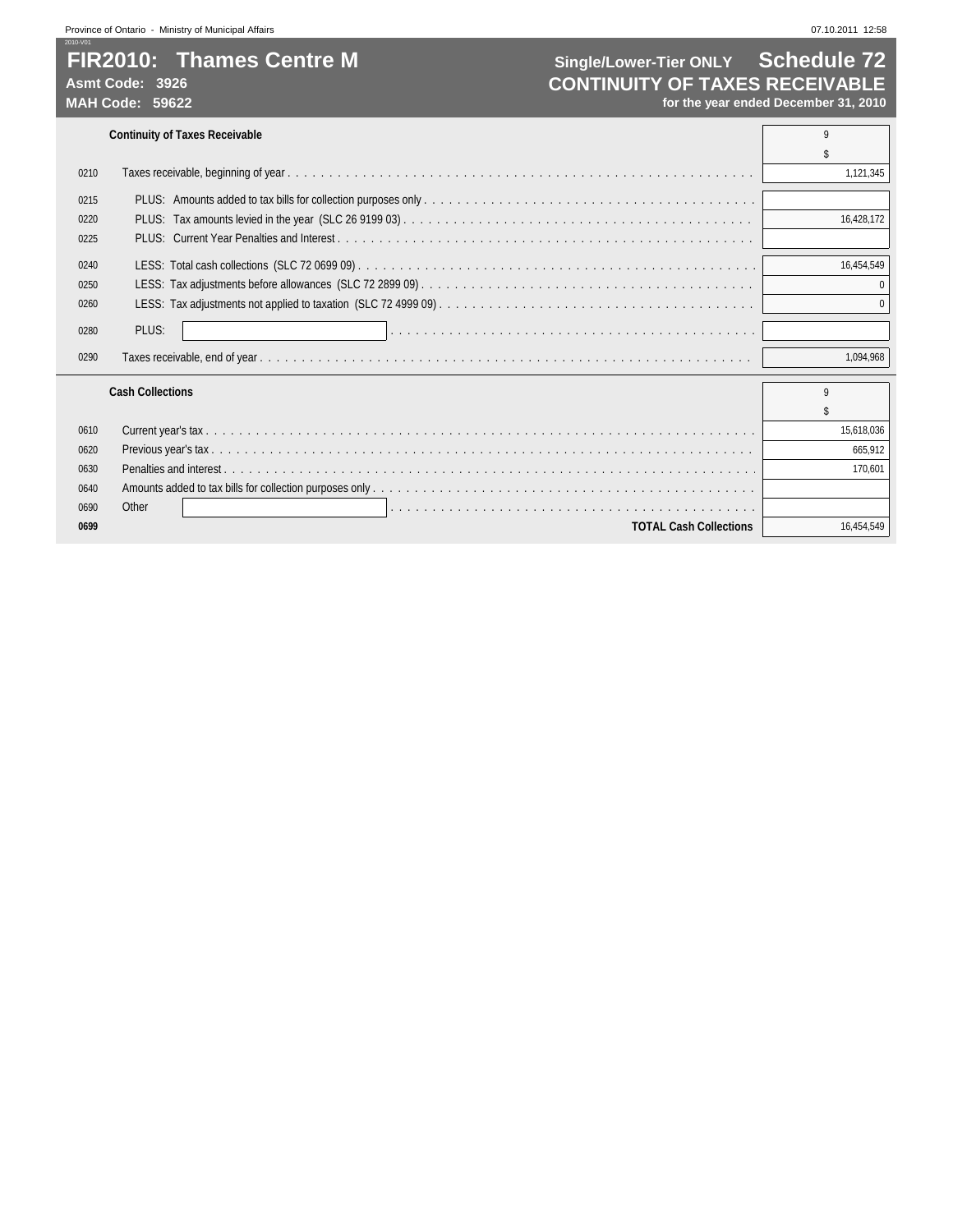## **FIR2010: Thames Centre M Single/Lower-Tier ONLY Schedule 72**<br>Asmt Code: 3926 **CONTINUITY OF TAXES RECEIVABLE** Asmt Code: 3926<br>
MAH Code: 59622<br>
MAH Code: 59622<br> **CONTINUITY OF TAXES RECEIVABLE** for the year ended December 31, 2010

| 0210 |                               | 1,121,345  |
|------|-------------------------------|------------|
| 0215 |                               |            |
| 0220 |                               | 16.428.172 |
| 0225 |                               |            |
| 0240 |                               | 16,454,549 |
| 0250 |                               |            |
| 0260 |                               |            |
| 0280 | PLUS:                         |            |
| 0290 |                               | 1,094,968  |
|      | <b>Cash Collections</b>       | 9          |
|      |                               |            |
| 0610 |                               | 15,618,036 |
| 0620 |                               | 665.912    |
| 0630 |                               | 170,601    |
| 0640 |                               |            |
| 0690 | Other                         |            |
| 0699 | <b>TOTAL Cash Collections</b> | 16.454.549 |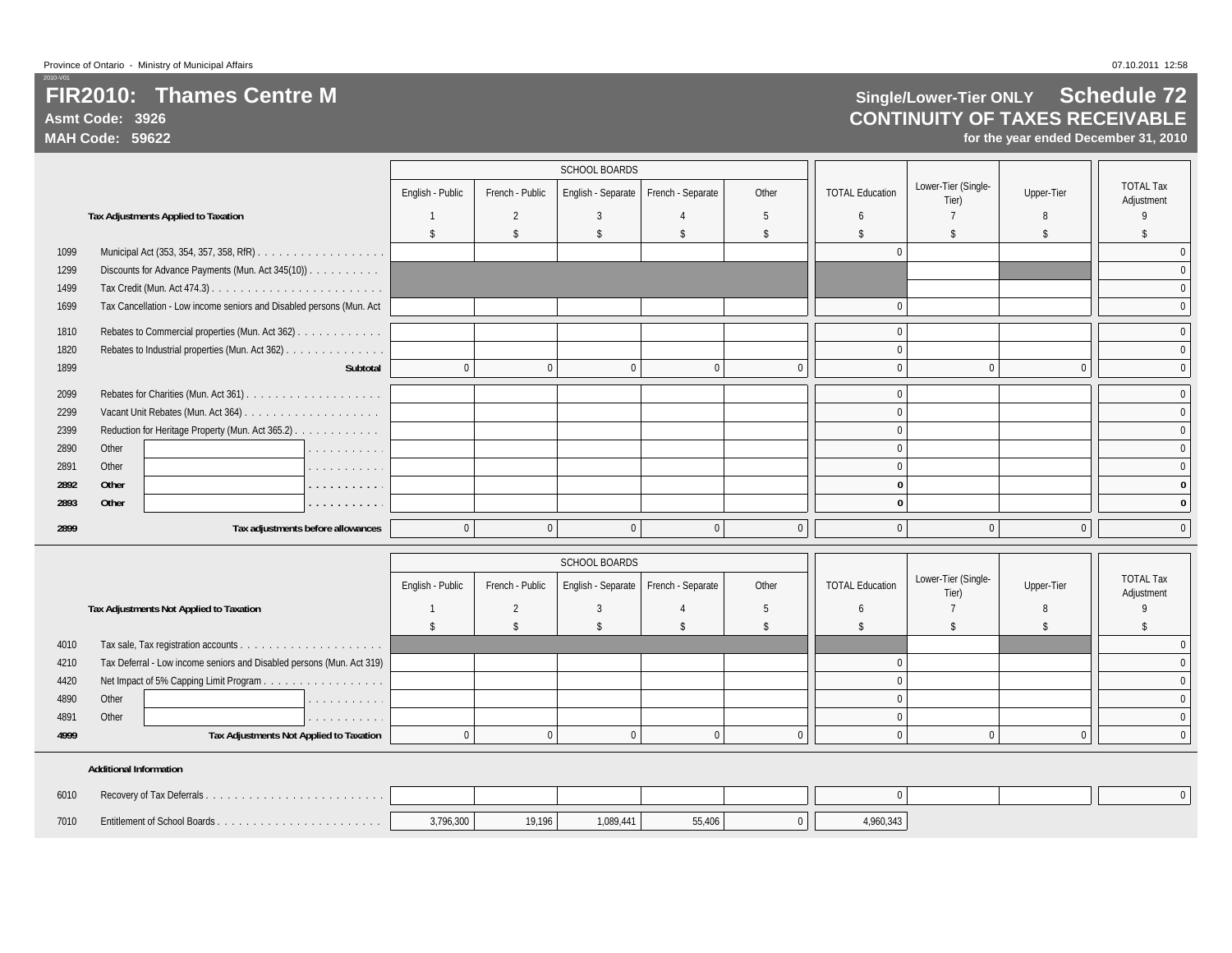## **FIR2010: Thames Centre MAsmt Code: 3926**

**MAH Code: 59622**

## **Single/Lower-Tier ONLY Schedule 72 CONTINUITY OF TAXES RECEIVABLE**

**for the year ended December 31, 2010**

|      |       |                                                                      |          |                  |                 | <b>SCHOOL BOARDS</b> |                                        |                |                        |                              |            |                                |
|------|-------|----------------------------------------------------------------------|----------|------------------|-----------------|----------------------|----------------------------------------|----------------|------------------------|------------------------------|------------|--------------------------------|
|      |       |                                                                      |          | English - Public | French - Public |                      | English - Separate   French - Separate | Other          | <b>TOTAL Education</b> | Lower-Tier (Single-<br>Tier) | Upper-Tier | <b>TOTAL Tax</b><br>Adjustment |
|      |       | <b>Tax Adjustments Applied to Taxation</b>                           |          |                  |                 |                      |                                        |                |                        |                              | 8          |                                |
|      |       |                                                                      |          |                  | \$              |                      | \$                                     |                |                        |                              |            |                                |
| 1099 |       |                                                                      |          |                  |                 |                      |                                        |                |                        |                              |            |                                |
| 1299 |       | Discounts for Advance Payments (Mun. Act 345(10))                    |          |                  |                 |                      |                                        |                |                        |                              |            | $\mathbf 0$                    |
| 1499 |       |                                                                      |          |                  |                 |                      |                                        |                |                        |                              |            | $\mathbf 0$                    |
| 1699 |       | Tax Cancellation - Low income seniors and Disabled persons (Mun. Act |          |                  |                 |                      |                                        |                |                        |                              |            | $\mathbf{0}$                   |
| 1810 |       | Rebates to Commercial properties (Mun. Act 362)                      |          |                  |                 |                      |                                        |                |                        |                              |            | $\mathbf 0$                    |
| 1820 |       | Rebates to Industrial properties (Mun. Act 362)                      |          |                  |                 |                      |                                        |                |                        |                              |            | $\mathbf{0}$                   |
| 1899 |       |                                                                      | Subtotal |                  | $\Omega$        | $\Omega$             |                                        | $\Omega$       |                        |                              | $\Omega$   | $\mathbf{0}$                   |
| 2099 |       |                                                                      |          |                  |                 |                      |                                        |                |                        |                              |            | $\mathbf 0$                    |
| 2299 |       |                                                                      |          |                  |                 |                      |                                        |                |                        |                              |            | $\mathbf{0}$                   |
| 2399 |       | Reduction for Heritage Property (Mun. Act 365.2)                     |          |                  |                 |                      |                                        |                |                        |                              |            | $\mathbf{0}$                   |
| 2890 | Other |                                                                      | .        |                  |                 |                      |                                        |                |                        |                              |            | $\mathbf{0}$                   |
| 2891 | Other |                                                                      | .        |                  |                 |                      |                                        |                |                        |                              |            |                                |
| 2892 | Other |                                                                      | .        |                  |                 |                      |                                        |                |                        |                              |            |                                |
| 2893 | Other |                                                                      | .        |                  |                 |                      |                                        |                |                        |                              |            |                                |
| 2899 |       | Tax adjustments before allowances                                    |          | $\mathbf{0}$     | $\Omega$        | $\Omega$             | $\Omega$                               | 0 <sup>1</sup> | $\Omega$               | $\Omega$                     | $\Omega$   | $\mathbf 0$                    |

|      |                                                                       |                                   |                  |                 | <b>SCHOOL BOARDS</b>                   |       |                        |                              |            |                                |
|------|-----------------------------------------------------------------------|-----------------------------------|------------------|-----------------|----------------------------------------|-------|------------------------|------------------------------|------------|--------------------------------|
|      |                                                                       |                                   | English - Public | French - Public | English - Separate   French - Separate | Other | <b>TOTAL Education</b> | Lower-Tier (Single-<br>Tier) | Upper-Tier | <b>TOTAL Tax</b><br>Adjustment |
|      | Tax Adjustments Not Applied to Taxation                               |                                   |                  |                 |                                        |       |                        |                              |            |                                |
|      |                                                                       |                                   |                  |                 |                                        |       |                        |                              |            |                                |
| 4010 |                                                                       |                                   |                  |                 |                                        |       |                        |                              |            |                                |
| 4210 | Tax Deferral - Low income seniors and Disabled persons (Mun. Act 319) |                                   |                  |                 |                                        |       |                        |                              |            |                                |
| 4420 |                                                                       |                                   |                  |                 |                                        |       |                        |                              |            |                                |
| 4890 | Other                                                                 | design and contract and contracts |                  |                 |                                        |       |                        |                              |            |                                |
| 4891 | Other                                                                 | .                                 |                  |                 |                                        |       |                        |                              |            |                                |
| 4999 | Tax Adjustments Not Applied to Taxation                               |                                   |                  |                 |                                        |       |                        |                              |            |                                |
|      |                                                                       |                                   |                  |                 |                                        |       |                        |                              |            |                                |

#### **Additional Information**

| 6010 |           |        |           |        |           |  |
|------|-----------|--------|-----------|--------|-----------|--|
| 7010 | 3,796,300 | 19,196 | 1,089,441 | 55,406 | 1,960,343 |  |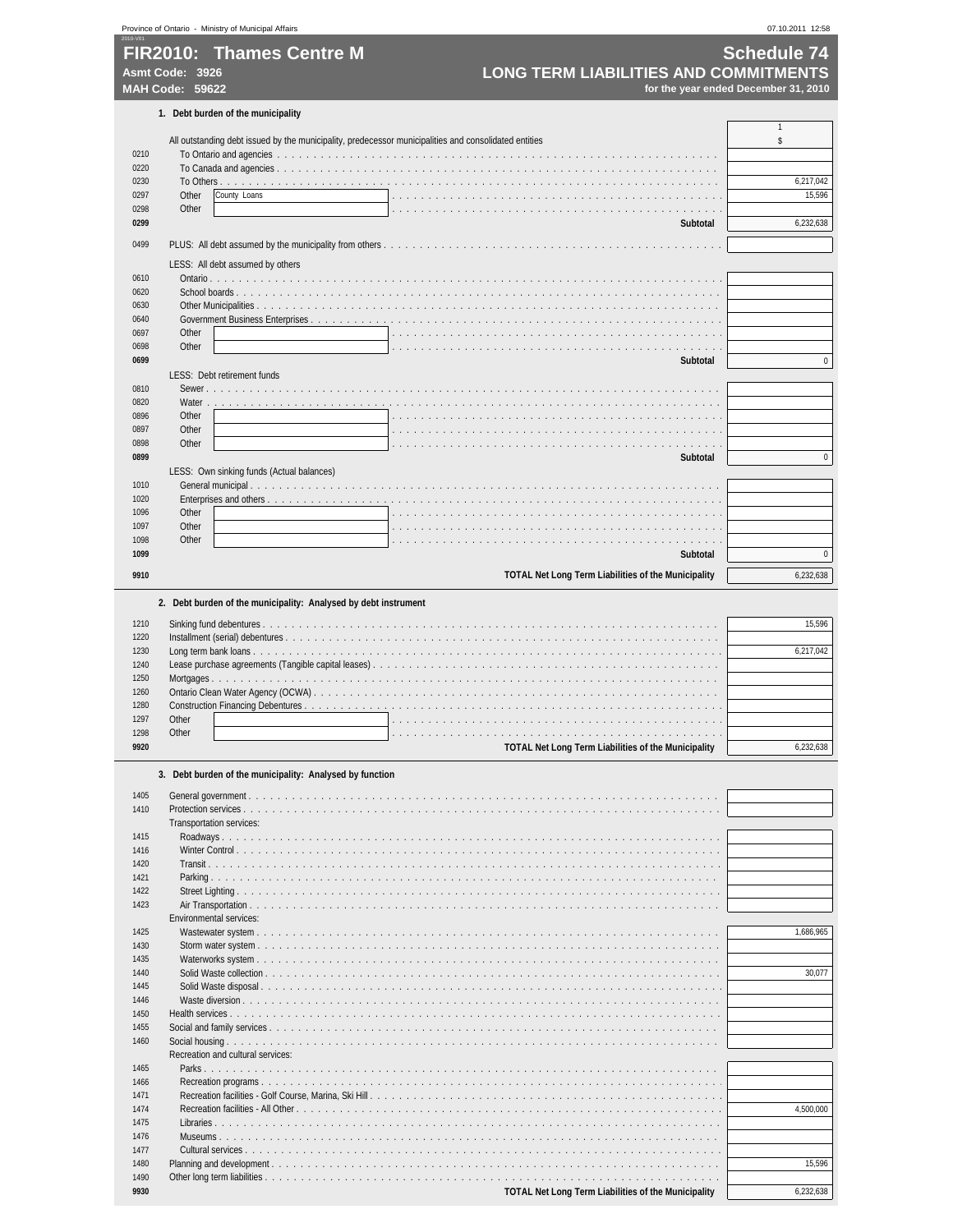|              | FIR2010: Thames Centre M                                                                              | <b>Schedule 74</b>                   |
|--------------|-------------------------------------------------------------------------------------------------------|--------------------------------------|
|              | <b>LONG TERM LIABILITIES AND COMMITMENTS</b><br>Asmt Code: 3926                                       |                                      |
|              | MAH Code: 59622                                                                                       | for the year ended December 31, 2010 |
|              | 1. Debt burden of the municipality                                                                    |                                      |
|              | All outstanding debt issued by the municipality, predecessor municipalities and consolidated entities | $\mathbf{1}$<br>\$                   |
| 0210         |                                                                                                       |                                      |
| 0220         |                                                                                                       |                                      |
| 0230<br>0297 | Other<br>County Loans                                                                                 | 6,217,042<br>15,596                  |
| 0298         | Other<br>$1 - 1 - 1$                                                                                  |                                      |
| 0299         | Subtotal                                                                                              | 6,232,638                            |
| 0499         |                                                                                                       |                                      |
|              | LESS: All debt assumed by others                                                                      |                                      |
| 0610         |                                                                                                       |                                      |
| 0620<br>0630 |                                                                                                       |                                      |
| 0640         |                                                                                                       |                                      |
| 0697         | Other                                                                                                 |                                      |
| 0698         | Other                                                                                                 |                                      |
| 0699         | <b>Subtotal</b><br>LESS: Debt retirement funds                                                        | $\pmb{0}$                            |
| 0810         |                                                                                                       |                                      |
| 0820         | Water                                                                                                 |                                      |
| 0896         | Other                                                                                                 |                                      |
| 0897<br>0898 | Other<br>Other                                                                                        |                                      |
| 0899         | Subtotal                                                                                              | $\pmb{0}$                            |
|              | LESS: Own sinking funds (Actual balances)                                                             |                                      |
| 1010         |                                                                                                       |                                      |
| 1020<br>1096 | Other                                                                                                 |                                      |
| 1097         | Other                                                                                                 |                                      |
| 1098         | Other                                                                                                 |                                      |
| 1099         | <b>Subtotal</b>                                                                                       | 0                                    |
| 9910         | <b>TOTAL Net Long Term Liabilities of the Municipality</b>                                            | 6,232,638                            |
|              |                                                                                                       |                                      |
|              | 2. Debt burden of the municipality: Analysed by debt instrument                                       |                                      |
| 1210         |                                                                                                       | 15,596                               |
| 1220<br>1230 |                                                                                                       | 6,217,042                            |
| 1240         | Lease purchase agreements (Tangible capital leases)                                                   |                                      |
| 1250         |                                                                                                       |                                      |
| 1260         |                                                                                                       |                                      |
| 1280<br>1297 | Other                                                                                                 |                                      |
| 1298         | Other                                                                                                 |                                      |
| 9920         | TOTAL Net Long Term Liabilities of the Municipality                                                   | 6,232,638                            |
|              |                                                                                                       |                                      |
|              | 3. Debt burden of the municipality: Analysed by function                                              |                                      |
| 1405         |                                                                                                       |                                      |
| 1410         | Protection services<br>Transportation services:                                                       |                                      |
| 1415         |                                                                                                       |                                      |
| 1416         |                                                                                                       |                                      |
| 1420         |                                                                                                       |                                      |
| 1421<br>1422 |                                                                                                       |                                      |
| 1423         |                                                                                                       |                                      |
|              | <b>Environmental services:</b>                                                                        |                                      |
| 1425         |                                                                                                       | 1,686,965                            |
| 1430<br>1435 |                                                                                                       |                                      |
| 1440         |                                                                                                       | 30,077                               |
| 1445         | Solid Waste disposal                                                                                  |                                      |
| 1446         | de la caractería de la caractería                                                                     |                                      |
| 1450<br>1455 |                                                                                                       |                                      |
| 1460         |                                                                                                       |                                      |
|              | Recreation and cultural services:                                                                     |                                      |
| 1465         |                                                                                                       |                                      |
| 1466         |                                                                                                       |                                      |
| 1471<br>1474 |                                                                                                       | 4,500,000                            |
| 1475         |                                                                                                       |                                      |
| 1476         |                                                                                                       |                                      |

Cultural services . . . . . . . . . . . . . . . . . . . . . . . . . . . . . . . . . . . . . . . . . . . . . . . . . . . . . . . . . . . . . . . . . .

Other long term liabilities . . . . . . . . . . . . . . . . . . . . . . . . . . . . . . . . . . . . . . . . . . . . . . . . . . . . . . . . . . . . . . .

Planning and development . . . . . . . . . . . . . . . . . . . . . . . . . . . . . . . . . . . . . . . . . . . . . . . . . . . . . . . . . . . . . . 15,596

Province of Ontario - Ministry of Municipal Affairs 07.10.2011 12:58

**TOTAL Net Long Term Liabilities of the Municipality** 6,232,638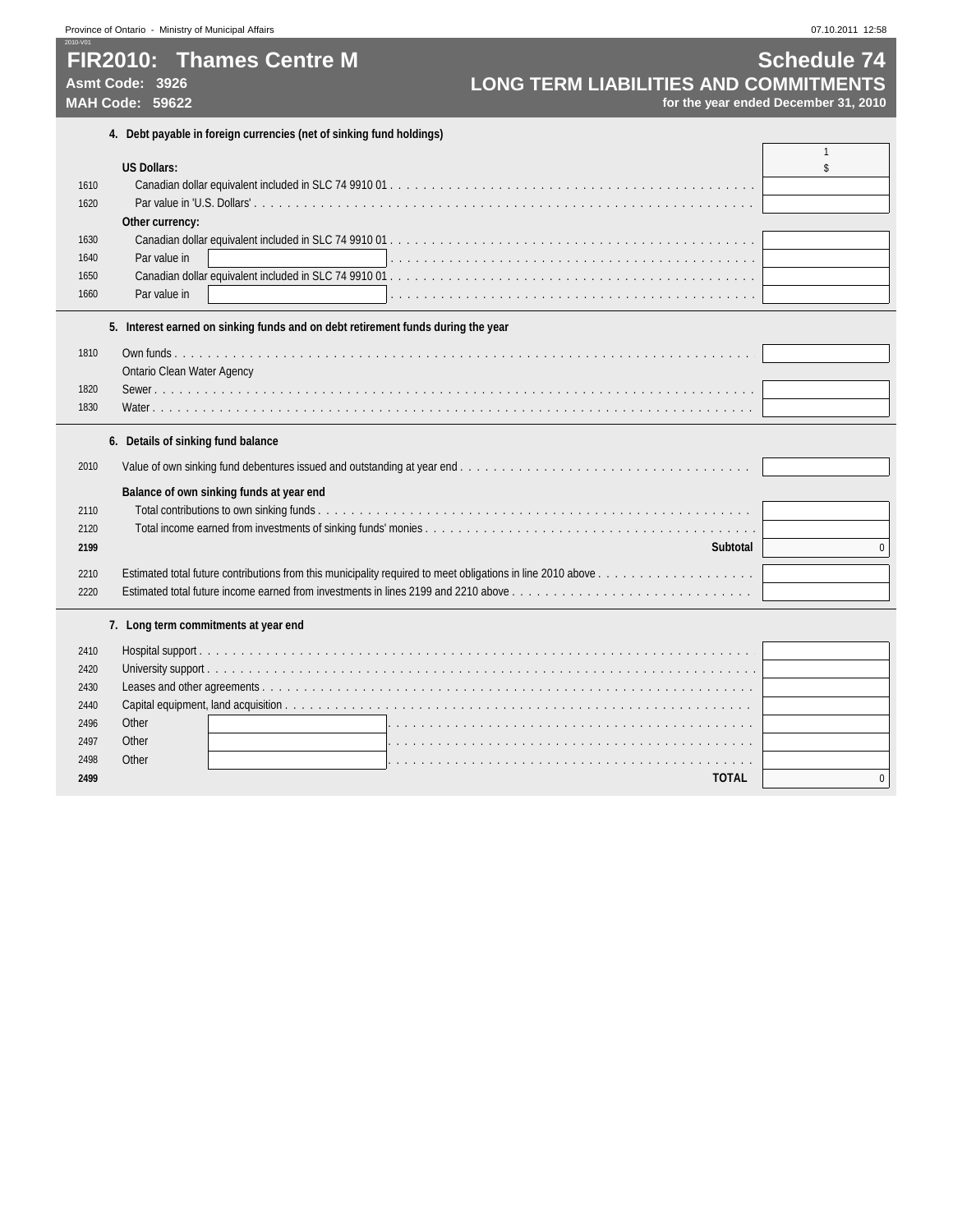**FIR2010: Thames Centre M Schedule 74**<br>Asmt Code: 3926 **Schedule 74 LONG TERM LIABILITIES AND COMMITMENTS** Asmt Code: 3926<br>MAH Code: 59622<br>MAH Code: 59622<br>for the year ended December 31, 2010

**MAH Code: 59622 for the year ended December 31, 2010**

|      | 4. Debt payable in foreign currencies (net of sinking fund holdings)                                                                                                     |              |
|------|--------------------------------------------------------------------------------------------------------------------------------------------------------------------------|--------------|
|      |                                                                                                                                                                          | 1            |
|      | <b>US Dollars:</b>                                                                                                                                                       | \$           |
| 1610 |                                                                                                                                                                          |              |
| 1620 |                                                                                                                                                                          |              |
|      | Other currency:                                                                                                                                                          |              |
| 1630 |                                                                                                                                                                          |              |
| 1640 | Par value in                                                                                                                                                             |              |
| 1650 |                                                                                                                                                                          |              |
| 1660 | Par value in                                                                                                                                                             |              |
|      | 5. Interest earned on sinking funds and on debt retirement funds during the year                                                                                         |              |
| 1810 |                                                                                                                                                                          |              |
|      | <b>Ontario Clean Water Agency</b>                                                                                                                                        |              |
| 1820 |                                                                                                                                                                          |              |
| 1830 |                                                                                                                                                                          |              |
|      |                                                                                                                                                                          |              |
|      | 6. Details of sinking fund balance                                                                                                                                       |              |
| 2010 |                                                                                                                                                                          |              |
|      | Balance of own sinking funds at year end                                                                                                                                 |              |
| 2110 |                                                                                                                                                                          |              |
| 2120 |                                                                                                                                                                          |              |
| 2199 | Subtotal                                                                                                                                                                 | $\mathbf{0}$ |
|      |                                                                                                                                                                          |              |
| 2210 |                                                                                                                                                                          |              |
| 2220 | Estimated total future income earned from investments in lines 2199 and 2210 above $\ldots$ , $\ldots$ , $\ldots$ , $\ldots$ , $\ldots$ , $\ldots$ , $\ldots$ , $\ldots$ |              |
|      | 7. Long term commitments at year end                                                                                                                                     |              |
| 2410 |                                                                                                                                                                          |              |
| 2420 |                                                                                                                                                                          |              |
| 2430 |                                                                                                                                                                          |              |
| 2440 |                                                                                                                                                                          |              |
| 2496 | Other                                                                                                                                                                    |              |
| 2497 | Other                                                                                                                                                                    |              |
| 2498 | Other                                                                                                                                                                    |              |
| 2499 | <b>TOTAL</b>                                                                                                                                                             | $\mathbf{0}$ |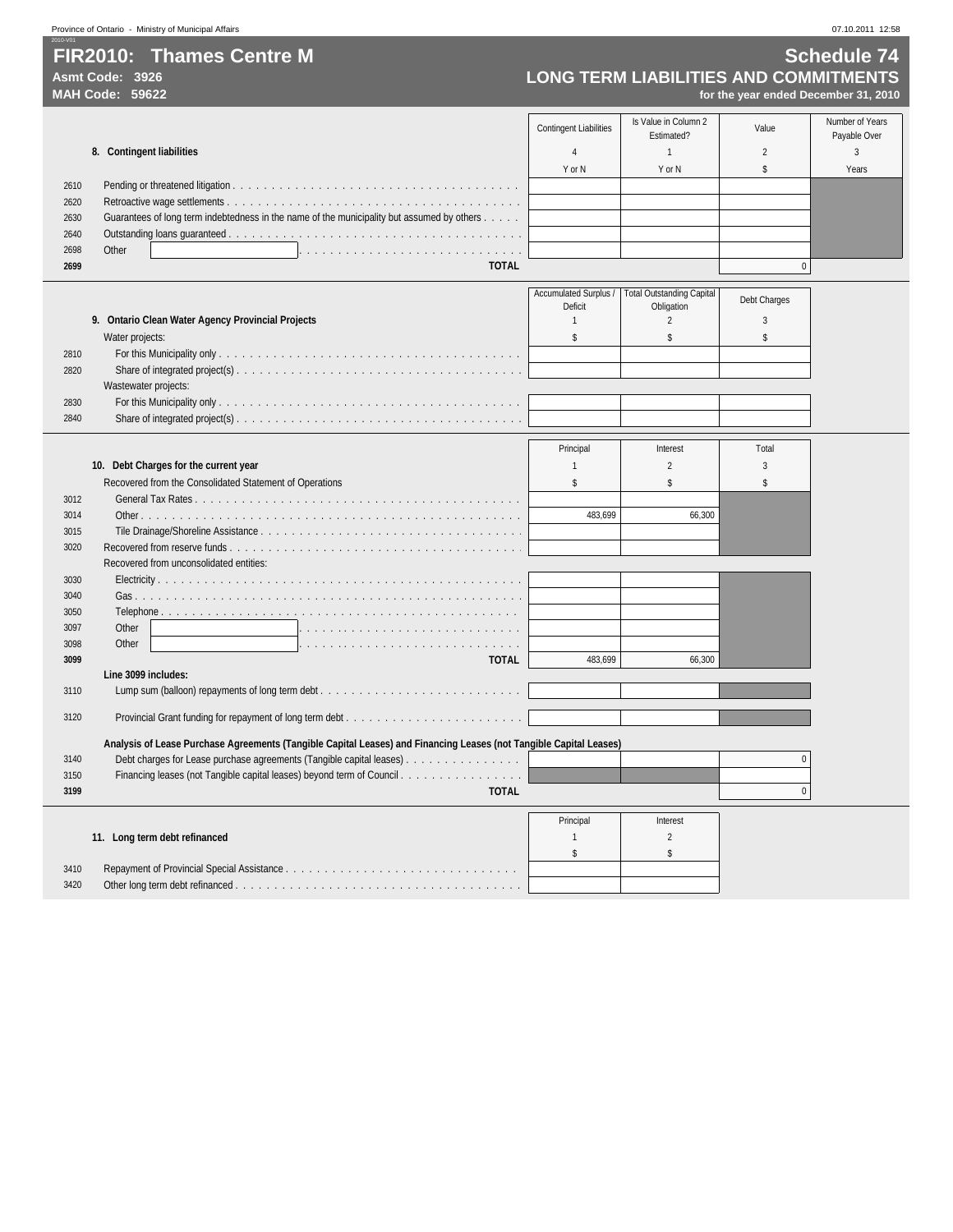**FIR2010: Thames Centre M** Schedule 74<br>Asmt Code: 3926 **Schedule 74**<br>LONG TERM LIABILITIES AND COMMITMENTS Asmt Code: 3926<br>MAH Code: 59622<br>MAH Code: 59622<br>*MAH Code: 59622* 

2010-V01

**MAH Code: 59622 for the year ended December 31, 2010**

|      |                                                                                            | <b>Contingent Liabilities</b> | Is Value in Column 2<br>Estimated? | Value | Number of Years<br>Payable Over |
|------|--------------------------------------------------------------------------------------------|-------------------------------|------------------------------------|-------|---------------------------------|
|      | 8. Contingent liabilities                                                                  |                               |                                    |       |                                 |
|      |                                                                                            | Y or N                        | Y or N                             |       | Years                           |
| 2610 |                                                                                            |                               |                                    |       |                                 |
| 2620 |                                                                                            |                               |                                    |       |                                 |
| 2630 | Guarantees of long term indebtedness in the name of the municipality but assumed by others |                               |                                    |       |                                 |
| 2640 |                                                                                            |                               |                                    |       |                                 |
| 2698 | Other                                                                                      |                               |                                    |       |                                 |
| 2699 | <b>TOTAL</b>                                                                               |                               |                                    |       |                                 |

| 9. Ontario Clean Water Agency Provincial Projects<br>Water projects:<br>2810<br>2820<br>Wastewater projects:<br>2830<br>2840 |  | Deficit | Accumulated Surplus /   Total Outstanding Capital<br>Obligation | Debt Charges |
|------------------------------------------------------------------------------------------------------------------------------|--|---------|-----------------------------------------------------------------|--------------|
|                                                                                                                              |  |         |                                                                 |              |
|                                                                                                                              |  |         |                                                                 |              |
|                                                                                                                              |  |         |                                                                 |              |
|                                                                                                                              |  |         |                                                                 |              |
|                                                                                                                              |  |         |                                                                 |              |
|                                                                                                                              |  |         |                                                                 |              |
|                                                                                                                              |  |         |                                                                 |              |

|      |                                                                                                                    | Principal | Interest | Total |
|------|--------------------------------------------------------------------------------------------------------------------|-----------|----------|-------|
|      | 10. Debt Charges for the current year                                                                              |           |          |       |
|      | Recovered from the Consolidated Statement of Operations                                                            |           |          |       |
| 3012 |                                                                                                                    |           |          |       |
| 3014 |                                                                                                                    | 483.699   | 66,300   |       |
| 3015 |                                                                                                                    |           |          |       |
| 3020 |                                                                                                                    |           |          |       |
|      | Recovered from unconsolidated entities:                                                                            |           |          |       |
| 3030 |                                                                                                                    |           |          |       |
| 3040 |                                                                                                                    |           |          |       |
| 3050 |                                                                                                                    |           |          |       |
| 3097 | Other                                                                                                              |           |          |       |
| 3098 | Other                                                                                                              |           |          |       |
| 3099 | <b>TOTAL</b>                                                                                                       | 483.699   | 66.300   |       |
|      | Line 3099 includes:                                                                                                |           |          |       |
| 3110 | Lump sum (balloon) repayments of long term debt                                                                    |           |          |       |
| 3120 |                                                                                                                    |           |          |       |
|      |                                                                                                                    |           |          |       |
|      | Analysis of Lease Purchase Agreements (Tangible Capital Leases) and Financing Leases (not Tangible Capital Leases) |           |          |       |
| 3140 | Debt charges for Lease purchase agreements (Tangible capital leases).                                              |           |          |       |
| 3150 |                                                                                                                    |           |          |       |
| 3199 | <b>TOTAL</b>                                                                                                       |           |          |       |

|                               | Principal | Interest |
|-------------------------------|-----------|----------|
| 11. Long term debt refinanced |           |          |
|                               |           |          |
| 3410                          |           |          |
| 3420                          |           |          |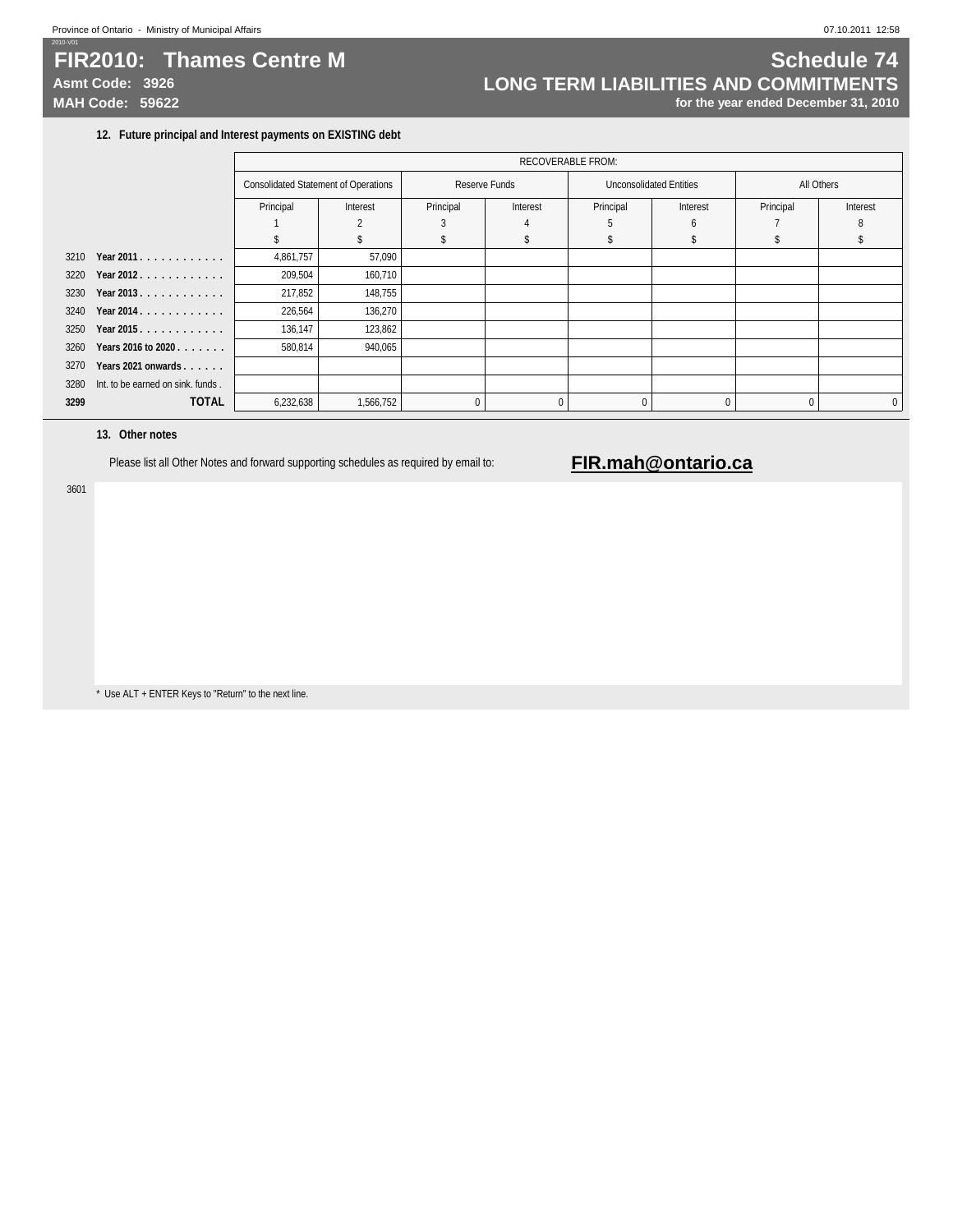# **FIR2010: Thames Centre M Schedule 74**

2010-V01

# Asmt Code: 3926 **LONG TERM LIABILITIES AND COMMITMENTS**<br>MAH Code: 59622 **<b>MAH Code: 59622 Integrated December 31, 2010** for the year ended December 31, 2010

### **12. Future principal and Interest payments on EXISTING debt**

| All Others<br><b>Consolidated Statement of Operations</b><br>Reserve Funds<br><b>Unconsolidated Entities</b><br>Principal<br>Principal<br>Principal<br>Interest<br>Principal<br>Interest<br>Interest<br>Interest<br>5<br>h<br>3210<br>Year 2011.<br>4,861,757<br>57,090<br>Year 2012.<br>3220<br>209,504<br>160,710<br>217,852<br>3230 Year 2013<br>148,755<br>3240<br>Year 2014.<br>226,564<br>136,270<br>136,147<br>3250 Year 2015.<br>123,862 |              |
|--------------------------------------------------------------------------------------------------------------------------------------------------------------------------------------------------------------------------------------------------------------------------------------------------------------------------------------------------------------------------------------------------------------------------------------------------|--------------|
|                                                                                                                                                                                                                                                                                                                                                                                                                                                  |              |
|                                                                                                                                                                                                                                                                                                                                                                                                                                                  |              |
|                                                                                                                                                                                                                                                                                                                                                                                                                                                  |              |
|                                                                                                                                                                                                                                                                                                                                                                                                                                                  |              |
|                                                                                                                                                                                                                                                                                                                                                                                                                                                  |              |
|                                                                                                                                                                                                                                                                                                                                                                                                                                                  |              |
|                                                                                                                                                                                                                                                                                                                                                                                                                                                  |              |
|                                                                                                                                                                                                                                                                                                                                                                                                                                                  |              |
|                                                                                                                                                                                                                                                                                                                                                                                                                                                  |              |
| 3260<br>580,814<br>940,065<br>Years 2016 to 2020                                                                                                                                                                                                                                                                                                                                                                                                 |              |
| 3270<br>Years 2021 onwards                                                                                                                                                                                                                                                                                                                                                                                                                       |              |
| 3280<br>Int. to be earned on sink. funds.                                                                                                                                                                                                                                                                                                                                                                                                        |              |
| <b>TOTAL</b><br>3299<br>6,232,638<br>1,566,752<br>$\Omega$<br>$\Omega$<br>$\Omega$<br>$\Omega$<br>$\Omega$                                                                                                                                                                                                                                                                                                                                       | $\mathbf{0}$ |

### **13. Other notes**

Please list all Other Notes and forward supporting schedules as required by email to: **FIR.mah@ontario.ca** 

3601

\* Use ALT + ENTER Keys to "Return" to the next line.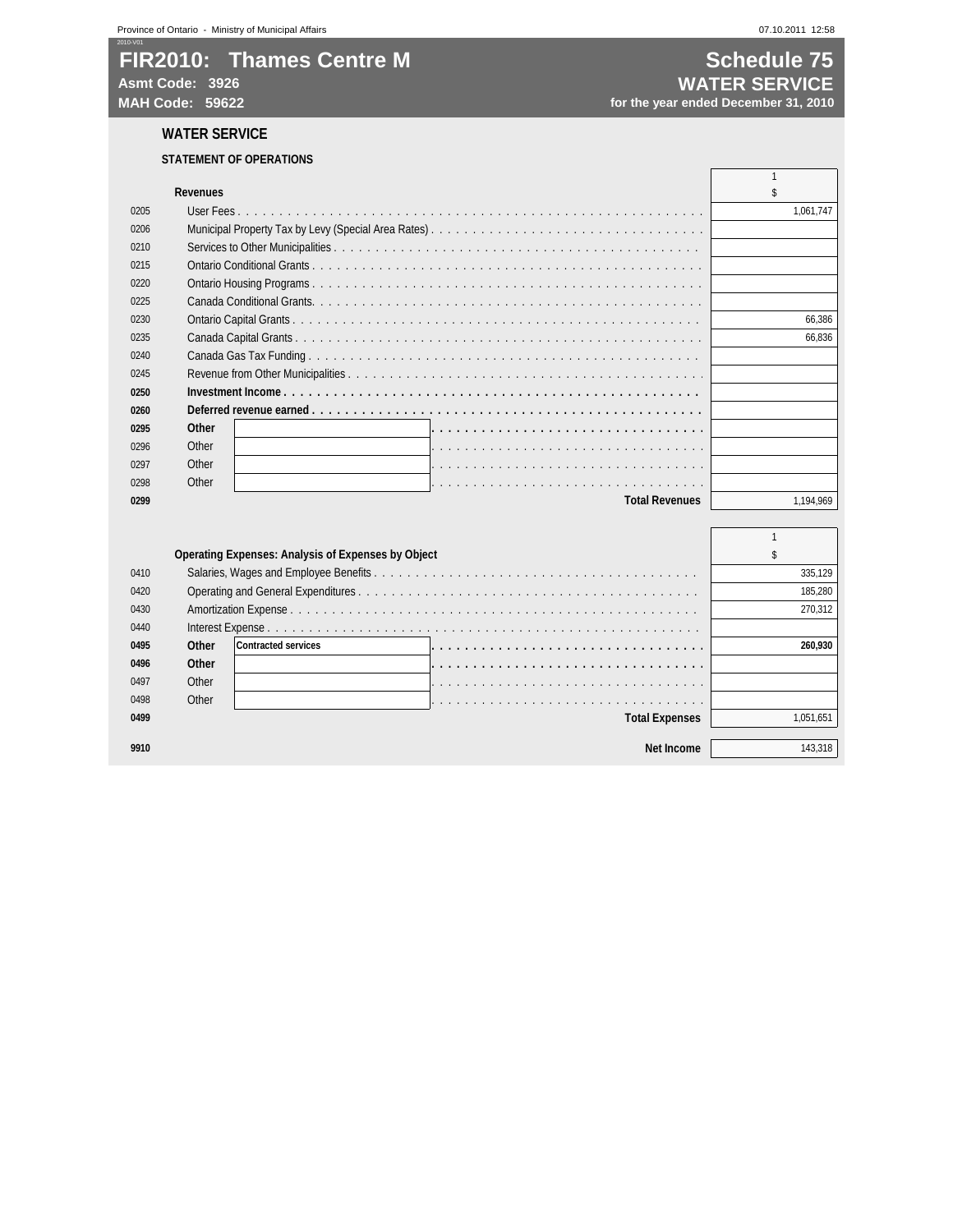# **FIR2010: Thames Centre M Schedule 75 Asmt Code: 3926 WATER SERVICE**

# for the year ended December 31, 2010

**WATER SERVICE**

### **STATEMENT OF OPERATIONS**

|      | <b>Revenues</b> |                       |           |
|------|-----------------|-----------------------|-----------|
| 0205 |                 |                       | 1,061,747 |
| 0206 |                 |                       |           |
| 0210 |                 |                       |           |
| 0215 |                 |                       |           |
| 0220 |                 |                       |           |
| 0225 |                 |                       |           |
| 0230 |                 |                       | 66.386    |
| 0235 |                 |                       | 66.836    |
| 0240 |                 |                       |           |
| 0245 |                 |                       |           |
| 0250 |                 |                       |           |
| 0260 |                 |                       |           |
| 0295 | Other           |                       |           |
| 0296 | Other           |                       |           |
| 0297 | Other           |                       |           |
| 0298 | Other           |                       |           |
| 0299 |                 | <b>Total Revenues</b> | 1,194,969 |

|      |       | <b>Operating Expenses: Analysis of Expenses by Object</b> |                       |           |
|------|-------|-----------------------------------------------------------|-----------------------|-----------|
| 0410 |       |                                                           |                       | 335,129   |
| 0420 |       |                                                           |                       | 185.280   |
| 0430 |       |                                                           |                       | 270.312   |
| 0440 |       |                                                           |                       |           |
| 0495 | Other | <b>Contracted services</b>                                |                       | 260.930   |
| 0496 | Other |                                                           |                       |           |
| 0497 | Other |                                                           |                       |           |
| 0498 | Other |                                                           |                       |           |
| 0499 |       |                                                           | <b>Total Expenses</b> | 1.051.651 |
|      |       |                                                           |                       |           |
| 9910 |       |                                                           | Net Income            | 143.318   |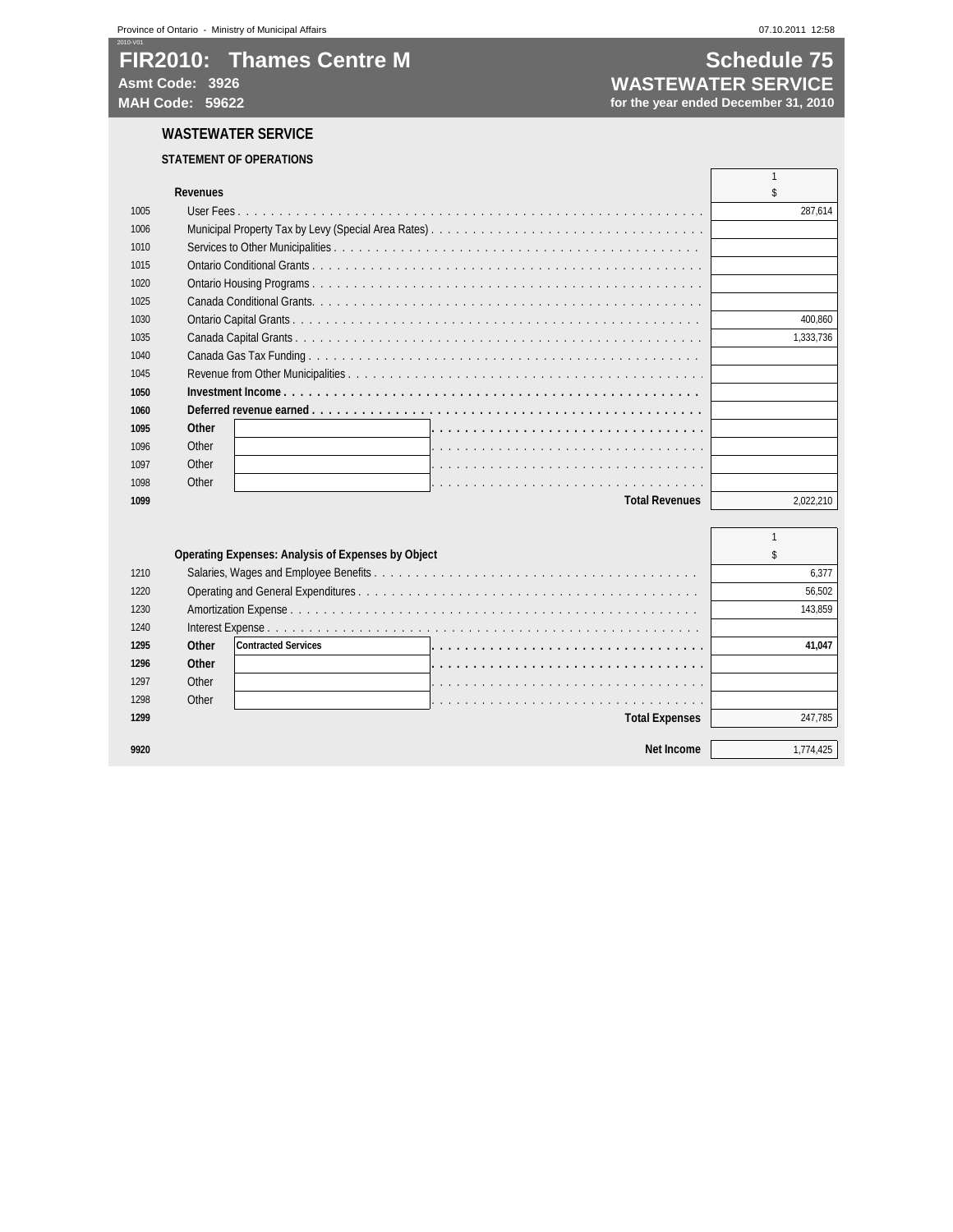# **FIR2010: Thames Centre M Schedule 75**

### **WASTEWATER SERVICE**

### **STATEMENT OF OPERATIONS**

**Asmt Code: 3926 WASTEWATER SERVICE** for the year ended December 31, 2010

|      | <b>Revenues</b> |                       |           |
|------|-----------------|-----------------------|-----------|
| 1005 |                 |                       | 287,614   |
| 1006 |                 |                       |           |
| 1010 |                 |                       |           |
| 1015 |                 |                       |           |
| 1020 |                 |                       |           |
| 1025 |                 |                       |           |
| 1030 |                 |                       | 400.860   |
| 1035 |                 |                       | 1.333.736 |
| 1040 |                 |                       |           |
| 1045 |                 |                       |           |
| 1050 |                 |                       |           |
| 1060 |                 |                       |           |
| 1095 | Other           |                       |           |
| 1096 | Other           |                       |           |
| 1097 | Other           |                       |           |
| 1098 | Other           |                       |           |
| 1099 |                 | <b>Total Revenues</b> | 2.022.210 |
|      |                 |                       |           |

|      |       | <b>Operating Expenses: Analysis of Expenses by Object</b> |          |
|------|-------|-----------------------------------------------------------|----------|
| 1210 |       |                                                           | 6.377    |
| 1220 |       |                                                           | 56,502   |
| 1230 |       |                                                           | 143.859  |
| 1240 |       |                                                           |          |
| 1295 | Other | <b>Contracted Services</b>                                | 41.047   |
| 1296 | Other |                                                           |          |
| 1297 | Other |                                                           |          |
| 1298 | Other |                                                           |          |
| 1299 |       | <b>Total Expenses</b>                                     | 247.785  |
|      |       |                                                           |          |
| 9920 |       | Net Income                                                | .774.425 |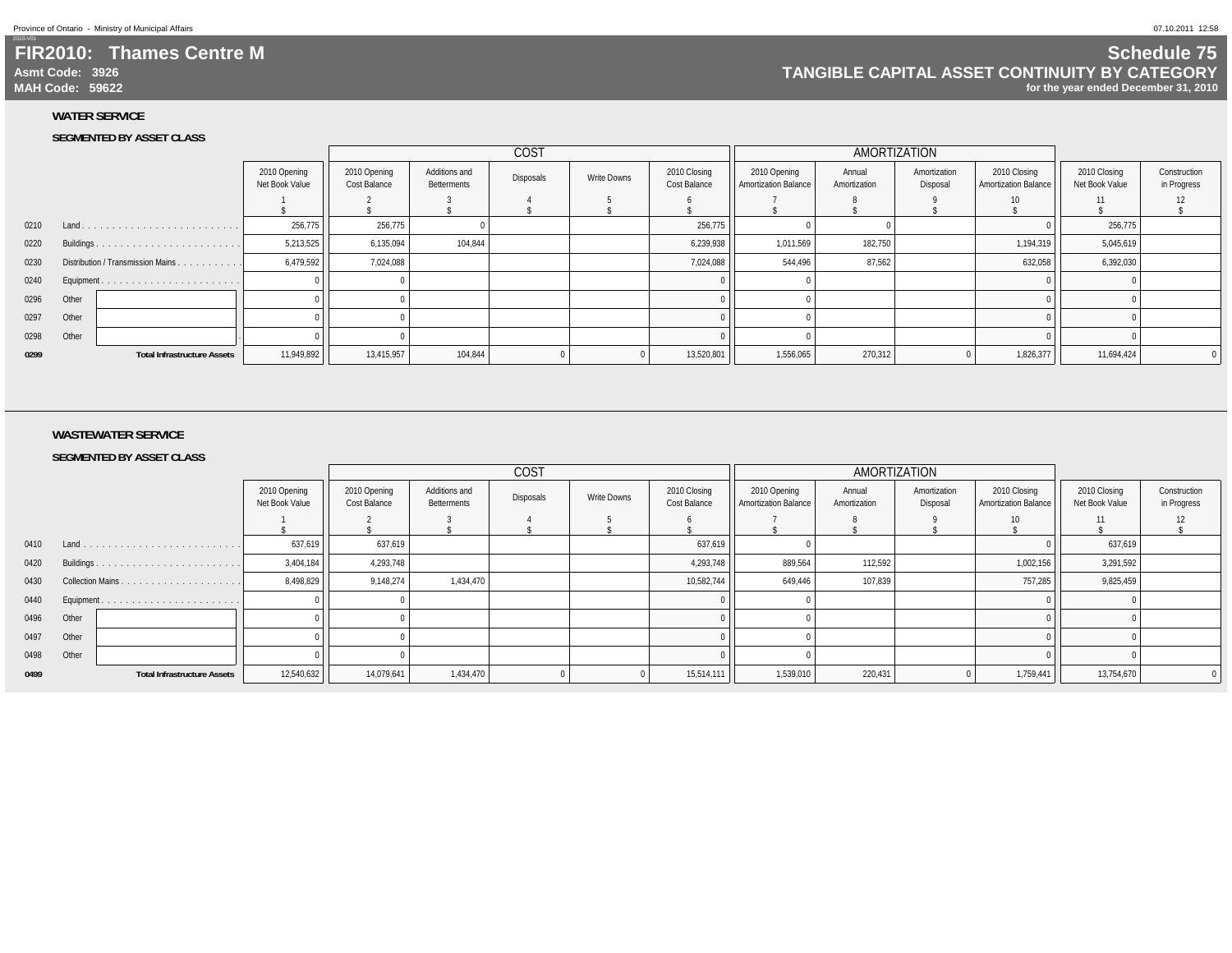2010-V01

### **FIR2010: Thames Centre MAsmt Code: 3926MAH Code: 59622**

### **Schedule 75 TANGIBLE CAPITAL ASSET CONTINUITY BY CATEGORYfor the year ended December 31, 2010**

**WATER SERVICE**

### **SEGMENTED BY ASSET CLASS**

|      |            |                                    |                                |                              | COST                         |           |             |                              | AMORTIZATION                                |                        |                          |                                             |                                |                             |
|------|------------|------------------------------------|--------------------------------|------------------------------|------------------------------|-----------|-------------|------------------------------|---------------------------------------------|------------------------|--------------------------|---------------------------------------------|--------------------------------|-----------------------------|
|      |            |                                    | 2010 Opening<br>Net Book Value | 2010 Opening<br>Cost Balance | Additions and<br>Betterments | Disposals | Write Downs | 2010 Closing<br>Cost Balance | 2010 Opening<br><b>Amortization Balance</b> | Annual<br>Amortization | Amortization<br>Disposal | 2010 Closing<br><b>Amortization Balance</b> | 2010 Closing<br>Net Book Value | Construction<br>in Progress |
|      |            |                                    |                                |                              |                              |           |             |                              |                                             |                        |                          | 10                                          | 11                             |                             |
|      |            |                                    |                                |                              |                              |           |             |                              |                                             |                        |                          |                                             |                                |                             |
| 0210 | Land       |                                    | 256,775                        | 256,775                      |                              |           |             | 256,775                      |                                             |                        |                          |                                             | 256,775                        |                             |
| 0220 |            |                                    | 5,213,525                      | 6,135,094                    | 104,844                      |           |             | 6,239,938                    | 1,011,569                                   | 182,750                |                          | 1,194,319                                   | 5,045,619                      |                             |
| 0230 |            | Distribution / Transmission Mains  | 6,479,592                      | 7,024,088                    |                              |           |             | 7,024,088                    | 544,496                                     | 87,562                 |                          | 632,058                                     | 6,392,030                      |                             |
| 0240 | Equipment. |                                    |                                |                              |                              |           |             |                              |                                             |                        |                          |                                             |                                |                             |
| 0296 | Other      |                                    |                                |                              |                              |           |             |                              |                                             |                        |                          |                                             |                                |                             |
| 0297 | Other      |                                    |                                |                              |                              |           |             |                              |                                             |                        |                          |                                             |                                |                             |
| 0298 | Other      |                                    |                                |                              |                              |           |             |                              |                                             |                        |                          |                                             |                                |                             |
| 0299 |            | <b>Total Infrastructure Assets</b> | 11,949,892                     | 13,415,957                   | 104,844                      |           |             | 13,520,801                   | 1,556,065                                   | 270,312                |                          | 1,826,377                                   | 11,694,424                     |                             |

### **WASTEWATER SERVICE**

#### **SEGMENTED BY ASSET CLASS**

|      |       |                                    |                                |                              | <b>COST</b>                  |           |             |                              | AMORTIZATION                         |                        |                          |                                             |                                |                             |
|------|-------|------------------------------------|--------------------------------|------------------------------|------------------------------|-----------|-------------|------------------------------|--------------------------------------|------------------------|--------------------------|---------------------------------------------|--------------------------------|-----------------------------|
|      |       |                                    | 2010 Opening<br>Net Book Value | 2010 Opening<br>Cost Balance | Additions and<br>Betterments | Disposals | Write Downs | 2010 Closing<br>Cost Balance | 2010 Opening<br>Amortization Balance | Annual<br>Amortization | Amortization<br>Disposal | 2010 Closing<br><b>Amortization Balance</b> | 2010 Closing<br>Net Book Value | Construction<br>in Progress |
|      |       |                                    |                                |                              |                              |           |             |                              |                                      |                        |                          | 10                                          | 11                             |                             |
| 0410 | Land. |                                    | 637,619                        | 637,619                      |                              |           |             | 637,619                      |                                      |                        |                          |                                             | 637,619                        |                             |
| 0420 |       |                                    | 3,404,184                      | 4,293,748                    |                              |           |             | 4,293,748                    | 889,564                              | 112,592                |                          | 1,002,156                                   | 3,291,592                      |                             |
| 0430 |       |                                    | 8,498,829                      | 9,148,274                    | 1,434,470                    |           |             | 10,582,744                   | 649,446                              | 107,839                |                          | 757,285                                     | 9,825,459                      |                             |
| 0440 |       |                                    |                                |                              |                              |           |             |                              |                                      |                        |                          |                                             |                                |                             |
| 0496 | Other |                                    |                                |                              |                              |           |             |                              |                                      |                        |                          |                                             |                                |                             |
| 0497 | Other |                                    |                                |                              |                              |           |             |                              |                                      |                        |                          |                                             |                                |                             |
| 0498 | Other |                                    |                                |                              |                              |           |             |                              |                                      |                        |                          |                                             |                                |                             |
| 0499 |       | <b>Total Infrastructure Assets</b> | 12,540,632                     | 14,079,641                   | 1,434,470                    |           |             | 15,514,111                   | 1,539,010                            | 220,431                |                          | 1,759,441                                   | 13,754,670                     |                             |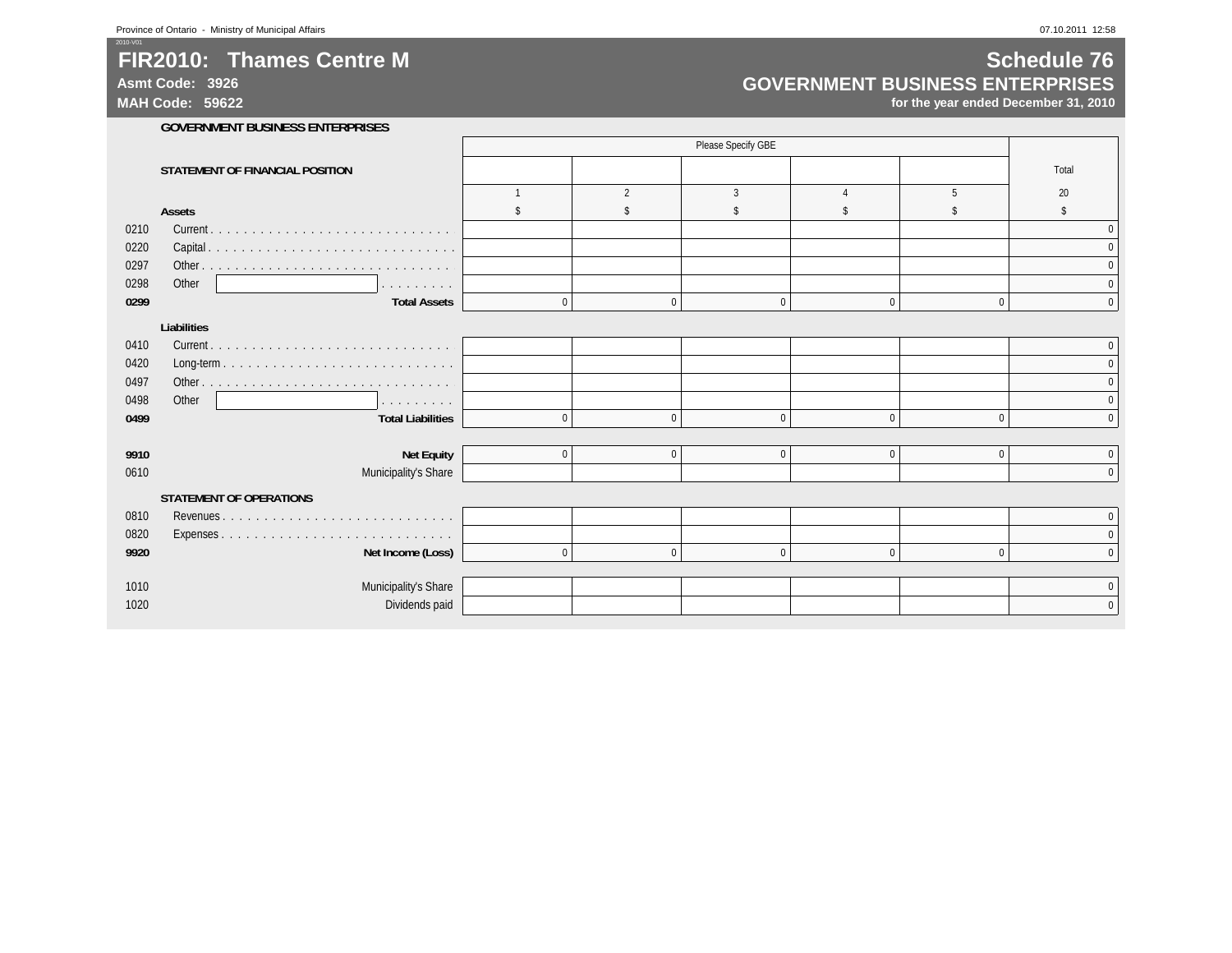**Asmt Code: 3926**

2010-V01

**MAH Code: 59622**

### **Schedule 76 GOVERNMENT BUSINESS ENTERPRISES**

|      |                                    |             |                          | Please Specify GBE |              |              |              |
|------|------------------------------------|-------------|--------------------------|--------------------|--------------|--------------|--------------|
|      | STATEMENT OF FINANCIAL POSITION    |             |                          |                    |              |              | Total        |
|      |                                    |             | $\overline{\phantom{a}}$ | 3                  |              | 5            | 20           |
|      | <b>Assets</b>                      |             |                          |                    |              |              |              |
| 0210 |                                    |             |                          |                    |              |              | $\mathbf{0}$ |
| 0220 |                                    |             |                          |                    |              |              | $\Omega$     |
| 0297 |                                    |             |                          |                    |              |              | $\Omega$     |
| 0298 | Other<br>and a straight and a      |             |                          |                    |              |              | 0            |
| 0299 | <b>Total Assets</b>                | $\mathbf 0$ | $\Omega$                 | $\Omega$           | $\mathbf 0$  | $\mathbf{0}$ | $\Omega$     |
|      | <b>Liabilities</b>                 |             |                          |                    |              |              |              |
| 0410 |                                    |             |                          |                    |              |              | $\mathbf{0}$ |
| 0420 |                                    |             |                          |                    |              |              | $\Omega$     |
| 0497 |                                    |             |                          |                    |              |              | $\Omega$     |
| 0498 | Other<br>and the second control of |             |                          |                    |              |              | $\Omega$     |
| 0499 | <b>Total Liabilities</b>           | $\mathbf 0$ | $\Omega$                 | $\Omega$           | $\mathbf 0$  | $\Omega$     | $\Omega$     |
|      |                                    |             |                          |                    |              |              |              |
| 9910 | <b>Net Equity</b>                  | $\bf{0}$    | $\mathbf{0}$             | $\Omega$           | $\mathbf 0$  | $\Omega$     | $\Omega$     |
| 0610 | Municipality's Share               |             |                          |                    |              |              | $\Omega$     |
|      | <b>STATEMENT OF OPERATIONS</b>     |             |                          |                    |              |              |              |
| 0810 | Revenues                           |             |                          |                    |              |              | $\mathbf{0}$ |
| 0820 |                                    |             |                          |                    |              |              | $\Omega$     |
| 9920 | Net Income (Loss)                  | $\mathbf 0$ | $\mathbf{0}$             | $\Omega$           | $\mathbf{0}$ | $\Omega$     | $\Omega$     |
|      |                                    |             |                          |                    |              |              |              |
| 1010 | Municipality's Share               |             |                          |                    |              |              | $\bf{0}$     |
| 1020 | Dividends paid                     |             |                          |                    |              |              | $\Omega$     |
|      |                                    |             |                          |                    |              |              |              |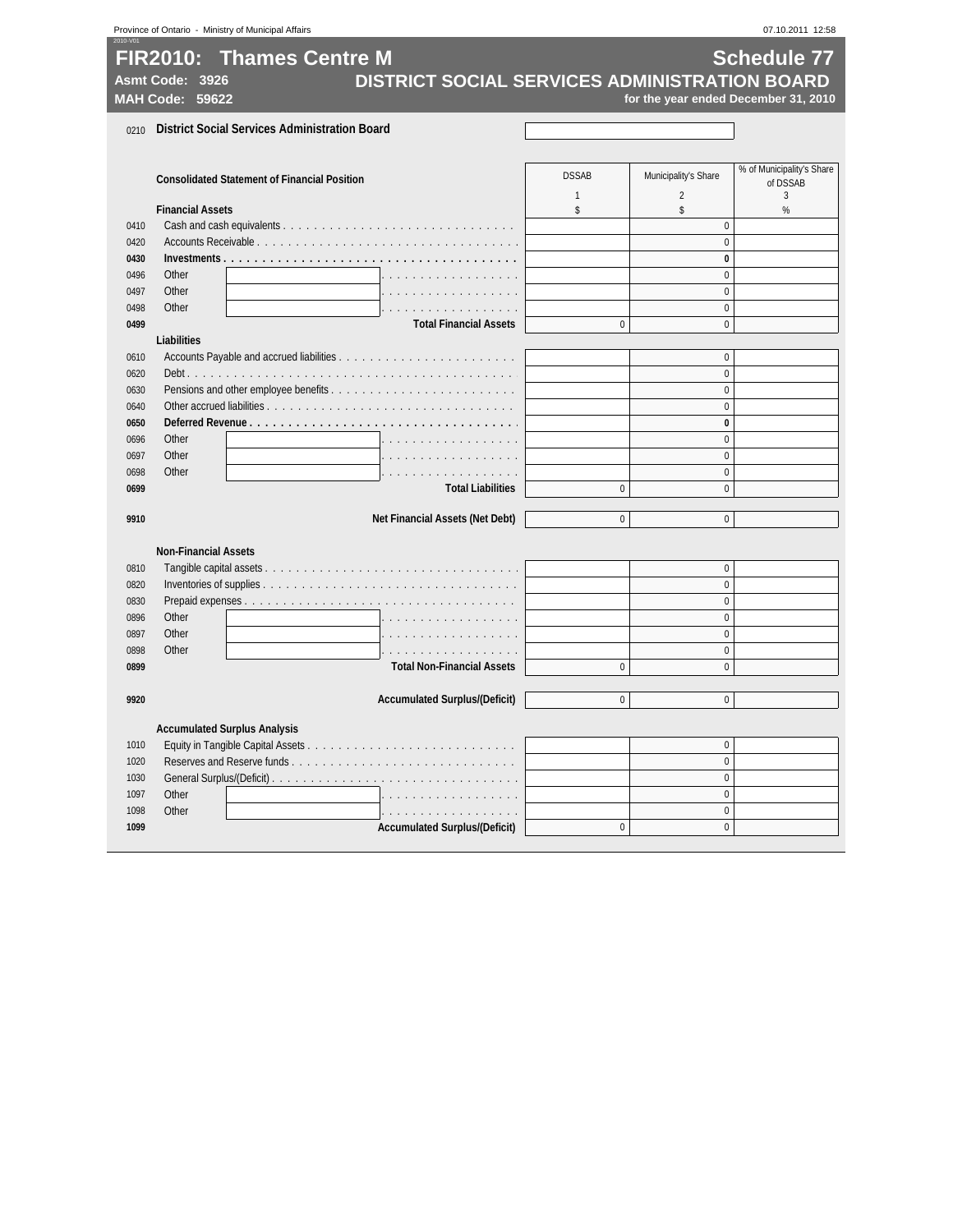| Province of Ontario - Ministry of Municipal Affairs<br>07.10.2011 12:58<br>2010-V01 |                                    |                                                      |                                               |                              |                                        |                                                            |  |
|-------------------------------------------------------------------------------------|------------------------------------|------------------------------------------------------|-----------------------------------------------|------------------------------|----------------------------------------|------------------------------------------------------------|--|
|                                                                                     | Asmt Code: 3926<br>MAH Code: 59622 | <b>FIR2010: Thames Centre M</b>                      | DISTRICT SOCIAL SERVICES ADMINISTRATION BOARD |                              |                                        | <b>Schedule 77</b><br>for the year ended December 31, 2010 |  |
| 0210                                                                                |                                    | <b>District Social Services Administration Board</b> |                                               |                              |                                        |                                                            |  |
|                                                                                     |                                    | <b>Consolidated Statement of Financial Position</b>  |                                               | <b>DSSAB</b><br>$\mathbf{1}$ | Municipality's Share<br>$\overline{2}$ | % of Municipality's Share<br>of DSSAB<br>3                 |  |
|                                                                                     | <b>Financial Assets</b>            |                                                      |                                               | \$                           | \$                                     | %                                                          |  |
| 0410                                                                                |                                    |                                                      |                                               |                              | $\mathbf{0}$                           |                                                            |  |
| 0420                                                                                |                                    |                                                      |                                               |                              | $\mathbf{0}$                           |                                                            |  |
| 0430                                                                                |                                    |                                                      |                                               |                              | $\pmb{0}$                              |                                                            |  |
| 0496                                                                                | Other                              |                                                      |                                               |                              | $\bf{0}$                               |                                                            |  |
| 0497                                                                                | Other                              |                                                      |                                               |                              | $\mathbf{0}$                           |                                                            |  |
| 0498                                                                                | Other                              |                                                      |                                               |                              | $\mathbf{0}$                           |                                                            |  |
| 0499                                                                                |                                    |                                                      | <b>Total Financial Assets</b>                 | $\mathbf 0$                  | $\pmb{0}$                              |                                                            |  |
|                                                                                     | <b>Liabilities</b>                 |                                                      |                                               |                              |                                        |                                                            |  |
| 0610                                                                                |                                    |                                                      |                                               |                              | 0                                      |                                                            |  |
| 0620                                                                                |                                    |                                                      |                                               |                              | $\bf{0}$                               |                                                            |  |
| 0630                                                                                |                                    |                                                      |                                               |                              | $\pmb{0}$                              |                                                            |  |
| 0640                                                                                |                                    |                                                      |                                               |                              | $\bf{0}$                               |                                                            |  |
| 0650                                                                                |                                    | Deferred Revenue                                     |                                               |                              | $\pmb{0}$                              |                                                            |  |
| 0696                                                                                | Other                              |                                                      |                                               |                              | $\pmb{0}$                              |                                                            |  |
| 0697                                                                                | Other                              |                                                      |                                               |                              | $\bf{0}$                               |                                                            |  |
| 0698                                                                                | Other                              |                                                      |                                               |                              | $\mathbf{0}$                           |                                                            |  |
| 0699                                                                                |                                    |                                                      | <b>Total Liabilities</b>                      | $\pmb{0}$                    | $\mathbf{0}$                           |                                                            |  |
| 9910                                                                                |                                    |                                                      | Net Financial Assets (Net Debt)               | $\mathbf 0$                  | 0                                      |                                                            |  |
|                                                                                     | <b>Non-Financial Assets</b>        |                                                      |                                               |                              |                                        |                                                            |  |
| 0810                                                                                |                                    |                                                      |                                               |                              | $\pmb{0}$                              |                                                            |  |
| 0820                                                                                |                                    |                                                      |                                               |                              | $\mathbf{0}$                           |                                                            |  |
| 0830                                                                                |                                    |                                                      |                                               |                              | $\bf{0}$                               |                                                            |  |
| 0896                                                                                | Other                              |                                                      |                                               |                              | $\mathbf{0}$                           |                                                            |  |
| 0897                                                                                | Other                              |                                                      |                                               |                              | $\pmb{0}$                              |                                                            |  |
| 0898                                                                                | Other                              |                                                      | .                                             |                              | $\pmb{0}$                              |                                                            |  |
| 0899                                                                                |                                    |                                                      | <b>Total Non-Financial Assets</b>             | $\mathbf 0$                  | $\mathbf 0$                            |                                                            |  |
| 9920                                                                                |                                    |                                                      | <b>Accumulated Surplus/(Deficit)</b>          | $\mathbf 0$                  | 0                                      |                                                            |  |
|                                                                                     |                                    | <b>Accumulated Surplus Analysis</b>                  |                                               |                              |                                        |                                                            |  |
| 1010                                                                                |                                    |                                                      |                                               |                              | $\pmb{0}$                              |                                                            |  |
| 1020                                                                                |                                    |                                                      | Reserves and Reserve funds                    |                              | $\pmb{0}$                              |                                                            |  |
| 1030                                                                                |                                    |                                                      |                                               |                              | $\pmb{0}$                              |                                                            |  |
| 1097                                                                                | Other                              |                                                      |                                               |                              | $\pmb{0}$                              |                                                            |  |
| 1098                                                                                | Other                              |                                                      | and a series of the company of the company    |                              | 0                                      |                                                            |  |
| 1099                                                                                |                                    |                                                      | <b>Accumulated Surplus/(Deficit)</b>          | $\pmb{0}$                    | $\pmb{0}$                              |                                                            |  |
|                                                                                     |                                    |                                                      |                                               |                              |                                        |                                                            |  |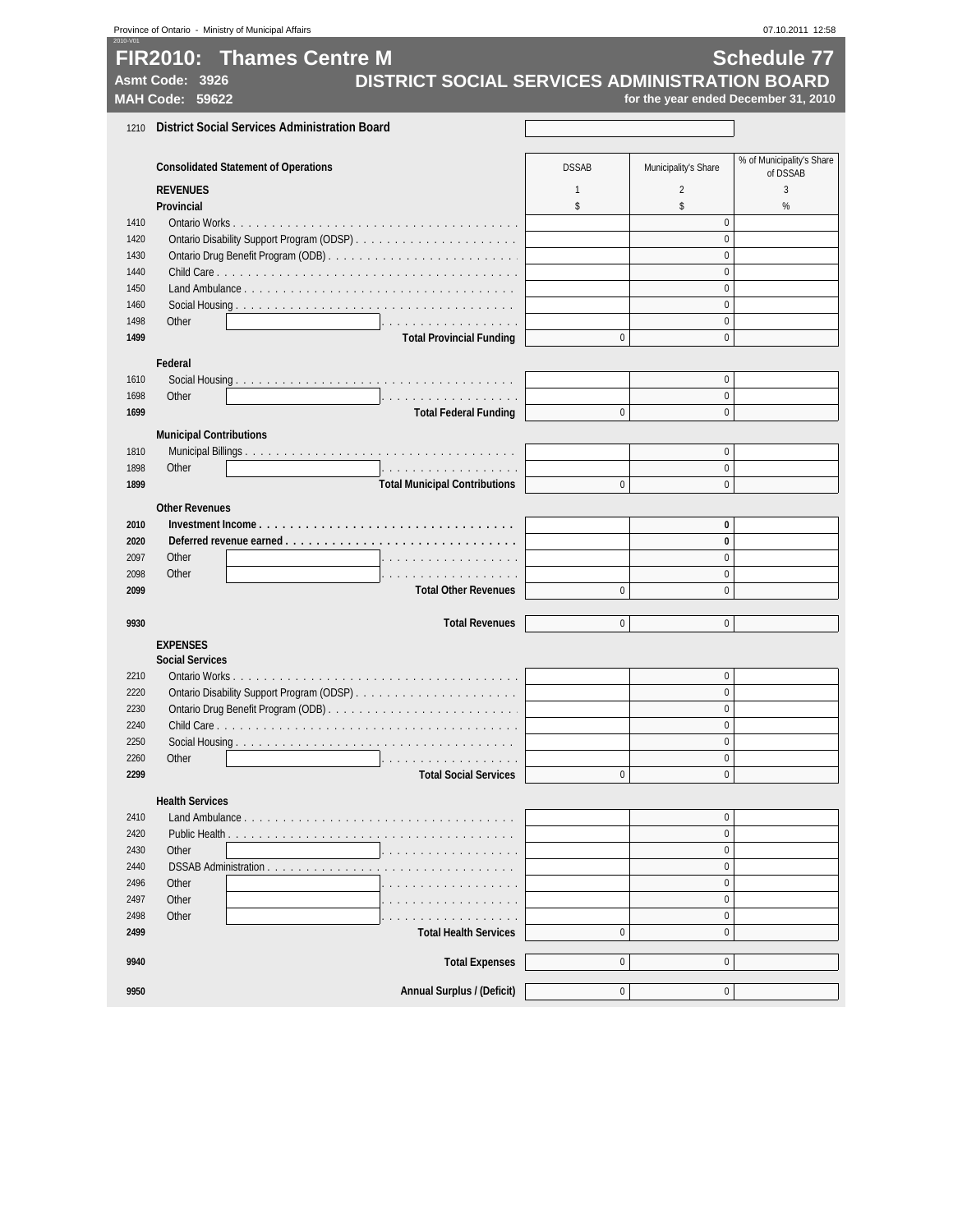|              | Province of Ontario - Ministry of Municipal Affairs   |              |                           | 07.10.2011 12:58                     |  |  |  |  |
|--------------|-------------------------------------------------------|--------------|---------------------------|--------------------------------------|--|--|--|--|
|              | <b>FIR2010: Thames Centre M</b><br><b>Schedule 77</b> |              |                           |                                      |  |  |  |  |
|              | DISTRICT SOCIAL SERVICES ADMINISTRATION BOARD         |              |                           |                                      |  |  |  |  |
|              | Asmt Code: 3926                                       |              |                           |                                      |  |  |  |  |
|              | MAH Code: 59622                                       |              |                           | for the year ended December 31, 2010 |  |  |  |  |
| 1210         | <b>District Social Services Administration Board</b>  |              |                           |                                      |  |  |  |  |
|              |                                                       |              |                           |                                      |  |  |  |  |
|              | <b>Consolidated Statement of Operations</b>           | <b>DSSAB</b> | Municipality's Share      | % of Municipality's Share            |  |  |  |  |
|              | <b>REVENUES</b>                                       | $\mathbf{1}$ | $\overline{2}$            | of DSSAB<br>3                        |  |  |  |  |
|              | Provincial                                            | \$           | \$                        | %                                    |  |  |  |  |
| 1410         |                                                       |              | $\pmb{0}$                 |                                      |  |  |  |  |
| 1420         |                                                       |              | $\mathbf{0}$              |                                      |  |  |  |  |
| 1430         |                                                       |              | $\pmb{0}$                 |                                      |  |  |  |  |
| 1440         |                                                       |              | $\mathbf{0}$              |                                      |  |  |  |  |
| 1450         |                                                       |              | $\pmb{0}$                 |                                      |  |  |  |  |
| 1460         |                                                       |              | $\mathbf{0}$              |                                      |  |  |  |  |
| 1498         | Other<br>.                                            |              | $\pmb{0}$                 |                                      |  |  |  |  |
| 1499         | <b>Total Provincial Funding</b>                       | 0            | $\pmb{0}$                 |                                      |  |  |  |  |
|              | Federal                                               |              |                           |                                      |  |  |  |  |
| 1610         |                                                       |              | $\pmb{0}$                 |                                      |  |  |  |  |
| 1698         | Other<br>.                                            |              | $\pmb{0}$                 |                                      |  |  |  |  |
| 1699         | <b>Total Federal Funding</b>                          | $\Omega$     | $\mathbf{0}$              |                                      |  |  |  |  |
|              | <b>Municipal Contributions</b>                        |              |                           |                                      |  |  |  |  |
| 1810         |                                                       |              | $\mathbf{0}$              |                                      |  |  |  |  |
| 1898         | Other<br>.                                            |              | $\bf{0}$                  |                                      |  |  |  |  |
| 1899         | <b>Total Municipal Contributions</b>                  | $\mathbf 0$  | $\pmb{0}$                 |                                      |  |  |  |  |
|              | <b>Other Revenues</b>                                 |              |                           |                                      |  |  |  |  |
| 2010         |                                                       |              | $\pmb{0}$                 |                                      |  |  |  |  |
| 2020         |                                                       |              | $\pmb{0}$                 |                                      |  |  |  |  |
| 2097         | Other<br>.                                            |              | $\mathbf{0}$              |                                      |  |  |  |  |
| 2098         | Other<br>.                                            |              | $\pmb{0}$                 |                                      |  |  |  |  |
| 2099         | <b>Total Other Revenues</b>                           | $\mathbf{0}$ | $\mathbf{0}$              |                                      |  |  |  |  |
|              |                                                       |              |                           |                                      |  |  |  |  |
| 9930         | <b>Total Revenues</b>                                 | $\mathbf 0$  | 0                         |                                      |  |  |  |  |
|              | <b>EXPENSES</b>                                       |              |                           |                                      |  |  |  |  |
|              | <b>Social Services</b>                                |              |                           |                                      |  |  |  |  |
| 2210         |                                                       |              | $\pmb{0}$                 |                                      |  |  |  |  |
| 2220<br>2230 |                                                       |              | $\mathbf{0}$<br>$\pmb{0}$ |                                      |  |  |  |  |
| 2240         |                                                       |              | 0                         |                                      |  |  |  |  |
| 2250         |                                                       |              | $\pmb{0}$                 |                                      |  |  |  |  |
| 2260         | Other                                                 |              | $\mathbf{0}$              |                                      |  |  |  |  |
| 2299         | <b>Total Social Services</b>                          | 0            | $\pmb{0}$                 |                                      |  |  |  |  |
|              |                                                       |              |                           |                                      |  |  |  |  |
|              | <b>Health Services</b>                                |              |                           |                                      |  |  |  |  |
| 2410<br>2420 | Land Ambulance                                        |              | $\pmb{0}$<br>$\mathbf{0}$ |                                      |  |  |  |  |
| 2430         | Other                                                 |              | $\mathbf{0}$              |                                      |  |  |  |  |
| 2440         | DSSAB Administration                                  |              | $\pmb{0}$                 |                                      |  |  |  |  |
| 2496         | Other                                                 |              | $\bf{0}$                  |                                      |  |  |  |  |
| 2497         | Other                                                 |              | $\pmb{0}$                 |                                      |  |  |  |  |
| 2498         | Other                                                 |              | $\bf{0}$                  |                                      |  |  |  |  |
| 2499         | <b>Total Health Services</b>                          | $\pmb{0}$    | $\pmb{0}$                 |                                      |  |  |  |  |
|              |                                                       |              |                           |                                      |  |  |  |  |
| 9940         | <b>Total Expenses</b>                                 | $\mathbf 0$  | $\mathbf{0}$              |                                      |  |  |  |  |
| 9950         | Annual Surplus / (Deficit)                            | $\mathbf 0$  | 0                         |                                      |  |  |  |  |
|              |                                                       |              |                           |                                      |  |  |  |  |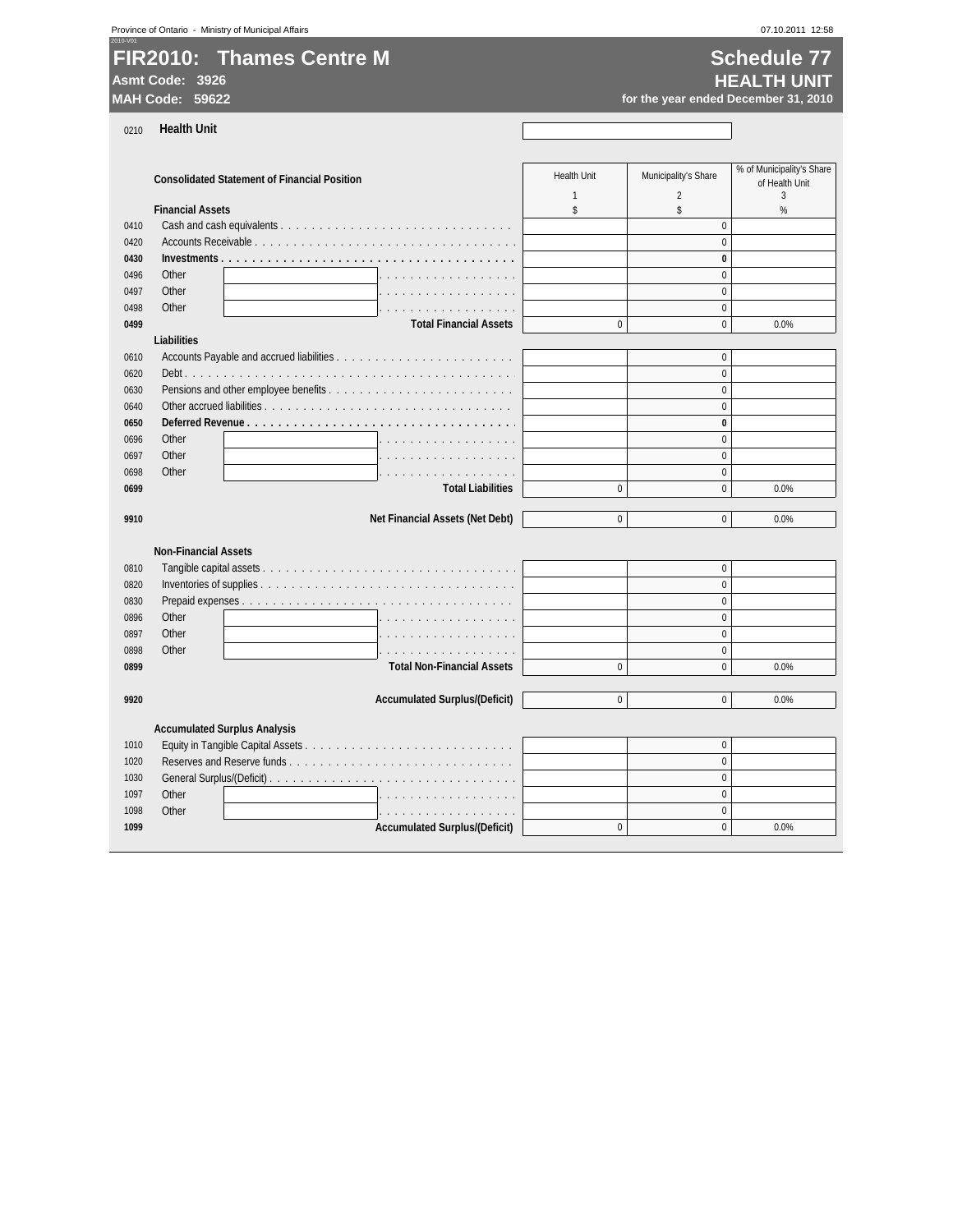| 2010-V01                 |  |
|--------------------------|--|
| FIR2010: Thames Centre M |  |
|                          |  |

### **Schedule 77 Asmt Code: 3926 HEALTH UNIT MAH Code: 59622 for the year ended December 31, 2010**

0210 **Health Unit**

| 0210 | <b>Health Unit</b>                                  |                                    |                                        |                                                  |
|------|-----------------------------------------------------|------------------------------------|----------------------------------------|--------------------------------------------------|
|      | <b>Consolidated Statement of Financial Position</b> | <b>Health Unit</b><br>$\mathbf{1}$ | Municipality's Share<br>$\overline{2}$ | % of Municipality's Share<br>of Health Unit<br>3 |
|      | <b>Financial Assets</b>                             | \$                                 | \$                                     | %                                                |
| 0410 |                                                     |                                    | $\mathbf{0}$                           |                                                  |
| 0420 |                                                     |                                    | $\Omega$                               |                                                  |
| 0430 |                                                     |                                    | $\bf{0}$                               |                                                  |
| 0496 | Other<br>.                                          |                                    | $\Omega$                               |                                                  |
| 0497 | Other<br>.                                          |                                    | $\mathbf{0}$                           |                                                  |
| 0498 | Other<br>.                                          |                                    | $\mathbf{0}$                           |                                                  |
| 0499 | <b>Total Financial Assets</b>                       | $\Omega$                           | $\mathbf{0}$                           | 0.0%                                             |
|      | <b>Liabilities</b>                                  |                                    |                                        |                                                  |
| 0610 |                                                     |                                    | $\mathbf{0}$                           |                                                  |
| 0620 |                                                     |                                    | $\Omega$                               |                                                  |
| 0630 |                                                     |                                    | $\Omega$                               |                                                  |
| 0640 |                                                     |                                    | $\Omega$                               |                                                  |
| 0650 |                                                     |                                    | $\bf{0}$                               |                                                  |
| 0696 | Other                                               |                                    | $\mathbf{0}$                           |                                                  |
| 0697 | Other<br>$\cdots$                                   |                                    | $\Omega$                               |                                                  |
| 0698 | Other                                               |                                    | $\mathbf{0}$                           |                                                  |
| 0699 | .<br><b>Total Liabilities</b>                       | $\Omega$                           | $\Omega$                               | 0.0%                                             |
|      |                                                     |                                    |                                        |                                                  |
| 9910 | Net Financial Assets (Net Debt)                     | $\Omega$                           | $\Omega$                               | 0.0%                                             |
|      |                                                     |                                    |                                        |                                                  |
|      | <b>Non-Financial Assets</b>                         |                                    |                                        |                                                  |
| 0810 |                                                     |                                    | $\pmb{0}$                              |                                                  |
| 0820 |                                                     |                                    | $\mathbf{0}$                           |                                                  |
| 0830 |                                                     |                                    | $\Omega$                               |                                                  |
| 0896 | Other<br>.                                          |                                    | $\Omega$                               |                                                  |
| 0897 | Other<br>.                                          |                                    | $\Omega$                               |                                                  |
| 0898 | Other<br>.                                          |                                    | $\Omega$                               |                                                  |
| 0899 | <b>Total Non-Financial Assets</b>                   | $\mathbf{0}$                       | $\mathbf{0}$                           | 0.0%                                             |
| 9920 | <b>Accumulated Surplus/(Deficit)</b>                | $\mathbf 0$                        | $\mathbf 0$                            | 0.0%                                             |
|      |                                                     |                                    |                                        |                                                  |
|      | <b>Accumulated Surplus Analysis</b>                 |                                    |                                        |                                                  |
| 1010 |                                                     |                                    | $\mathbf{0}$                           |                                                  |
| 1020 |                                                     |                                    | $\mathbf{0}$                           |                                                  |
| 1030 |                                                     |                                    | $\mathbf{0}$                           |                                                  |
| 1097 | Other<br>.                                          |                                    | $\mathbf{0}$                           |                                                  |
| 1098 | Other<br>.                                          |                                    | $\mathbf{0}$                           |                                                  |
| 1099 | <b>Accumulated Surplus/(Deficit)</b>                | $\Omega$                           | $\Omega$                               | 0.0%                                             |
|      |                                                     |                                    |                                        |                                                  |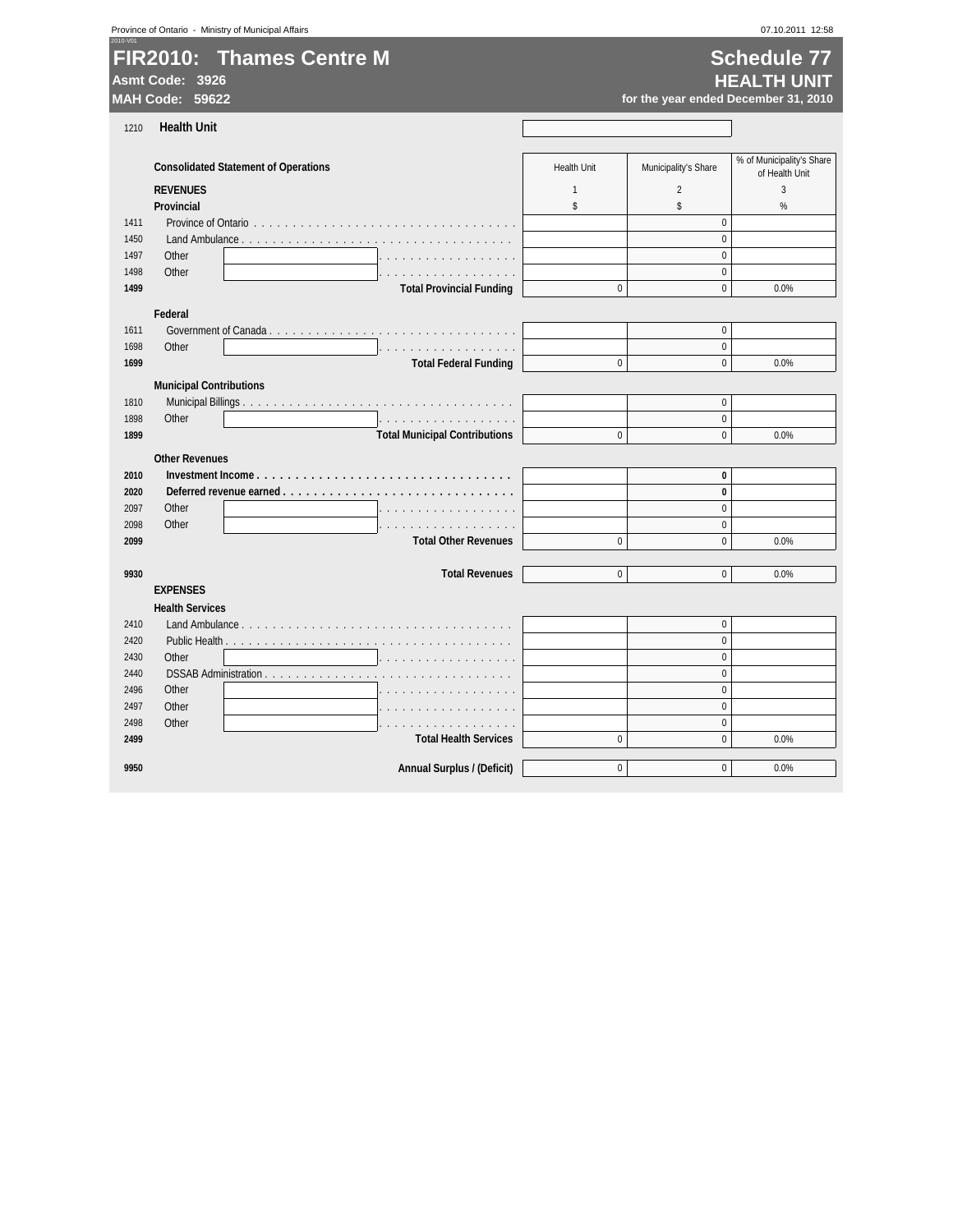|      | Province of Ontario - Ministry of Municipal Affairs |                                      |                    |                      | 07.10.2011 12:58                         |
|------|-----------------------------------------------------|--------------------------------------|--------------------|----------------------|------------------------------------------|
|      | <b>FIR2010: Thames Centre M</b><br>Asmt Code: 3926  |                                      |                    |                      | <b>Schedule 77</b><br><b>HEALTH UNIT</b> |
|      | MAH Code: 59622                                     |                                      |                    |                      | for the year ended December 31, 2010     |
|      |                                                     |                                      |                    |                      |                                          |
| 1210 | <b>Health Unit</b>                                  |                                      |                    |                      |                                          |
|      | <b>Consolidated Statement of Operations</b>         |                                      | <b>Health Unit</b> | Municipality's Share | % of Municipality's Share                |
|      | <b>REVENUES</b>                                     |                                      | $\mathbf{1}$       | $\overline{2}$       | of Health Unit<br>$\overline{3}$         |
|      | Provincial                                          |                                      | \$                 | \$                   | %                                        |
| 1411 |                                                     |                                      |                    | $\mathbf{0}$         |                                          |
| 1450 | Land Ambulance                                      |                                      |                    | $\mathbf{0}$         |                                          |
| 1497 | Other                                               |                                      |                    | $\mathbf{0}$         |                                          |
| 1498 | Other                                               | .                                    |                    | $\mathbf{0}$         |                                          |
| 1499 |                                                     | <b>Total Provincial Funding</b>      | $\mathbf{0}$       | $\mathbf{0}$         | 0.0%                                     |
|      | Federal                                             |                                      |                    |                      |                                          |
| 1611 |                                                     |                                      |                    | $\mathbf{0}$         |                                          |
| 1698 | Other                                               | .                                    |                    | $\mathbf{0}$         |                                          |
| 1699 |                                                     | <b>Total Federal Funding</b>         | $\mathbf{0}$       | $\mathbf{0}$         | 0.0%                                     |
|      | <b>Municipal Contributions</b>                      |                                      |                    |                      |                                          |
| 1810 |                                                     |                                      |                    | $\mathbf{0}$         |                                          |
| 1898 | Other                                               | .                                    |                    | $\pmb{0}$            |                                          |
| 1899 |                                                     | <b>Total Municipal Contributions</b> | $\mathbf{0}$       | $\mathbf{0}$         | 0.0%                                     |
|      |                                                     |                                      |                    |                      |                                          |
| 2010 | <b>Other Revenues</b>                               |                                      |                    | $\bf{0}$             |                                          |
| 2020 | Deferred revenue earned                             |                                      |                    | $\bf{0}$             |                                          |
| 2097 | Other                                               |                                      |                    | $\mathbf{0}$         |                                          |
| 2098 | Other                                               | .                                    |                    | $\mathbf{0}$         |                                          |
| 2099 |                                                     | <b>Total Other Revenues</b>          | $\pmb{0}$          | $\mathbf{0}$         | 0.0%                                     |
|      |                                                     |                                      |                    |                      |                                          |
| 9930 |                                                     | <b>Total Revenues</b>                | $\Omega$           | $\Omega$             | 0.0%                                     |
|      | <b>EXPENSES</b>                                     |                                      |                    |                      |                                          |
|      | <b>Health Services</b>                              |                                      |                    |                      |                                          |
| 2410 |                                                     |                                      |                    | $\mathbf{0}$         |                                          |
| 2420 |                                                     |                                      |                    | $\mathbf{0}$         |                                          |
| 2430 | Other                                               |                                      |                    | $\mathbf{0}$         |                                          |
| 2440 | DSSAB Administration                                |                                      |                    | $\Omega$             |                                          |
| 2496 | Other                                               |                                      |                    | $\mathbf 0$          |                                          |
| 2497 | Other                                               |                                      |                    | $\mathbf{0}$         |                                          |
| 2498 | Other                                               | and and and and and and and          |                    | $\mathbf{0}$         |                                          |
| 2499 |                                                     | <b>Total Health Services</b>         | $\pmb{0}$          | $\mathbf{0}$         | 0.0%                                     |
| 9950 |                                                     | <b>Annual Surplus / (Deficit)</b>    | $\mathbf 0$        | $\mathbf{0}$         | 0.0%                                     |
|      |                                                     |                                      |                    |                      |                                          |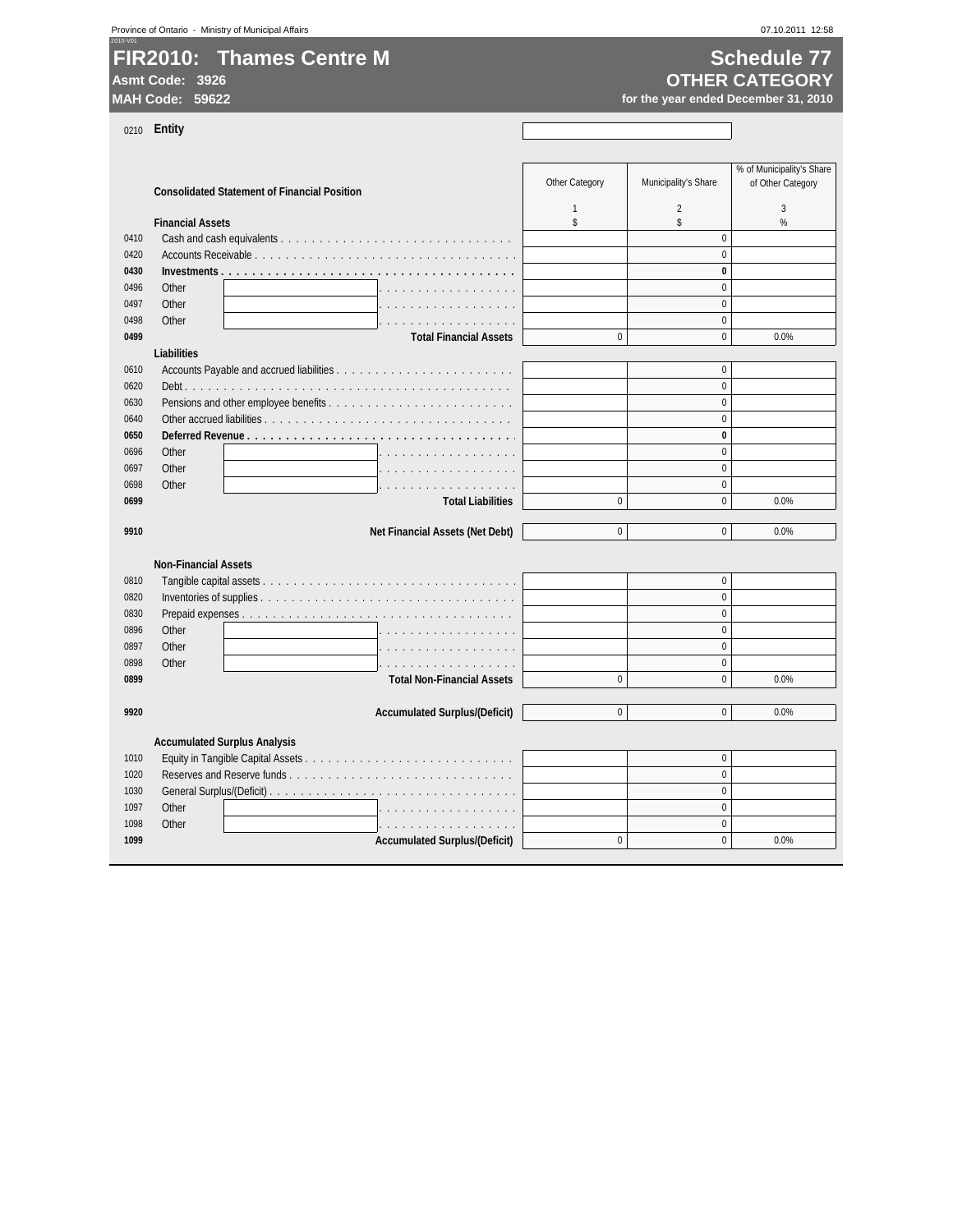Province of Ontario - Ministry of Municipal Affairs 07.10.2011 12:58

### 2010-V01 **FIR2010: Thames Centre M Schedule 77**

**Asmt Code: 3926**

# **OTHER CATEGORY**

for the year ended December 31, 2010

0210 **Entity**

|      | <b>Consolidated Statement of Financial Position</b> | Other Category | Municipality's Share | % of Municipality's Share<br>of Other Category |
|------|-----------------------------------------------------|----------------|----------------------|------------------------------------------------|
|      |                                                     | $\mathbf{1}$   | $\overline{2}$       | 3                                              |
|      | <b>Financial Assets</b>                             | \$             | \$                   | %                                              |
| 0410 |                                                     |                | $\Omega$             |                                                |
| 0420 |                                                     |                | $\Omega$             |                                                |
| 0430 |                                                     |                | $\bf{0}$             |                                                |
| 0496 | Other                                               |                | $\Omega$             |                                                |
| 0497 | Other                                               |                | $\Omega$             |                                                |
| 0498 | Other<br>.                                          |                | $\mathbf{0}$         |                                                |
| 0499 | <b>Total Financial Assets</b>                       | $\mathbf{0}$   | $\Omega$             | 0.0%                                           |
|      | Liabilities                                         |                |                      |                                                |
| 0610 |                                                     |                | $\Omega$             |                                                |
| 0620 |                                                     |                | $\Omega$             |                                                |
| 0630 |                                                     |                | $\Omega$             |                                                |
| 0640 |                                                     |                | $\mathbf{0}$         |                                                |
| 0650 | Deferred Revenue                                    |                | $\bf{0}$             |                                                |
| 0696 | Other                                               |                | $\Omega$             |                                                |
| 0697 | Other                                               |                | $\Omega$             |                                                |
| 0698 | Other                                               |                | $\Omega$             |                                                |
| 0699 | <b>Total Liabilities</b>                            | $\mathbf{0}$   | $\mathbf{0}$         | 0.0%                                           |
|      |                                                     |                |                      |                                                |
| 9910 | Net Financial Assets (Net Debt)                     | $\Omega$       | $\Omega$             | 0.0%                                           |
|      |                                                     |                |                      |                                                |
|      | <b>Non-Financial Assets</b>                         |                |                      |                                                |
| 0810 |                                                     |                | $\mathbf{0}$         |                                                |
| 0820 |                                                     |                | $\mathbf{0}$         |                                                |
| 0830 |                                                     |                | $\Omega$             |                                                |
| 0896 | Other                                               |                | $\mathbf{0}$         |                                                |
| 0897 | Other                                               |                | $\Omega$             |                                                |
| 0898 | Other<br>.                                          |                | $\Omega$             |                                                |
| 0899 | <b>Total Non-Financial Assets</b>                   | $\mathbf{0}$   | $\mathbf 0$          | 0.0%                                           |
|      |                                                     |                |                      |                                                |
| 9920 | <b>Accumulated Surplus/(Deficit)</b>                | $\mathbf{0}$   | $\Omega$             | 0.0%                                           |
|      |                                                     |                |                      |                                                |
|      | <b>Accumulated Surplus Analysis</b>                 |                |                      |                                                |
| 1010 |                                                     |                | $\mathbf 0$          |                                                |
| 1020 |                                                     |                | $\Omega$             |                                                |
| 1030 |                                                     |                | $\Omega$             |                                                |
| 1097 | Other<br>.                                          |                | $\mathbf{0}$         |                                                |
| 1098 | Other<br>.                                          |                | $\Omega$             |                                                |
| 1099 | <b>Accumulated Surplus/(Deficit)</b>                | $\mathbf{0}$   | $\Omega$             | 0.0%                                           |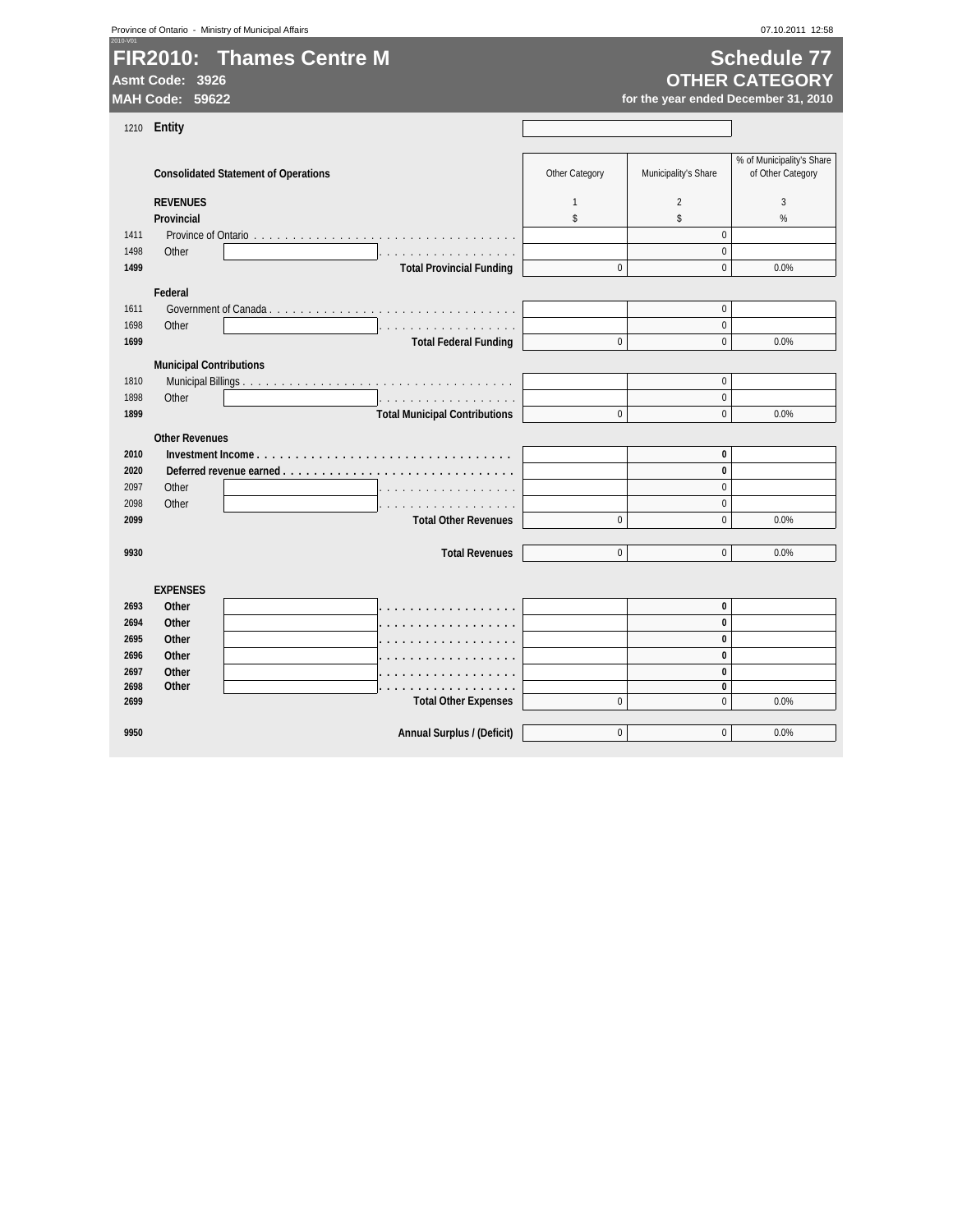|  |  | Province of Ontario - Ministry of Municipal Affairs |  |
|--|--|-----------------------------------------------------|--|
|--|--|-----------------------------------------------------|--|

# **FIR2010: Thames Centre M Contract Contract Contract Contract Contract Contract Contract Contract Contract Contract Contract Contract Contract Contract Contract Contract Contract Contract Contract Contract Contract Contr**

**Asmt Code: 3926**

# **OTHER CATEGORY**

for the year ended December 31, 2010

| 1210 | <b>Entity</b>                  |                                             |                |                      |                                                |
|------|--------------------------------|---------------------------------------------|----------------|----------------------|------------------------------------------------|
|      |                                |                                             |                |                      |                                                |
|      |                                | <b>Consolidated Statement of Operations</b> | Other Category | Municipality's Share | % of Municipality's Share<br>of Other Category |
|      |                                |                                             |                |                      |                                                |
|      | <b>REVENUES</b>                |                                             | $\mathbf{1}$   | $\overline{2}$       | 3                                              |
|      | Provincial                     |                                             | \$             | \$                   | %                                              |
| 1411 |                                | Province of Ontario                         |                | $\mathbf 0$          |                                                |
| 1498 | Other                          |                                             |                | $\mathbf{0}$         |                                                |
| 1499 |                                | <b>Total Provincial Funding</b>             | $\mathbf{0}$   | $\mathbf{0}$         | 0.0%                                           |
|      | Federal                        |                                             |                |                      |                                                |
| 1611 |                                | Government of Canada                        |                | $\pmb{0}$            |                                                |
| 1698 | Other                          |                                             |                | $\mathbf{0}$         |                                                |
| 1699 |                                | <b>Total Federal Funding</b>                | $\mathbf{0}$   | $\mathbf{0}$         | 0.0%                                           |
|      | <b>Municipal Contributions</b> |                                             |                |                      |                                                |
| 1810 |                                |                                             |                | $\mathbf{0}$         |                                                |
| 1898 | Other                          | .                                           |                | $\pmb{0}$            |                                                |
| 1899 |                                | <b>Total Municipal Contributions</b>        | $\mathbf{0}$   | $\mathbf{0}$         | 0.0%                                           |
|      |                                |                                             |                |                      |                                                |
|      | <b>Other Revenues</b>          |                                             |                |                      |                                                |
| 2010 |                                |                                             |                | $\bf{0}$             |                                                |
| 2020 |                                | Deferred revenue earned                     |                | $\bf{0}$             |                                                |
| 2097 | Other                          |                                             |                | $\mathbf{0}$         |                                                |
| 2098 | Other                          |                                             |                | $\mathbf{0}$         |                                                |
| 2099 |                                | <b>Total Other Revenues</b>                 | $\mathbf{0}$   | $\mathbf 0$          | 0.0%                                           |
| 9930 |                                | <b>Total Revenues</b>                       | $\mathbf{0}$   | $\mathbf 0$          | 0.0%                                           |
|      |                                |                                             |                |                      |                                                |
|      | <b>EXPENSES</b>                |                                             |                |                      |                                                |
| 2693 | <b>Other</b>                   |                                             |                | $\pmb{0}$            |                                                |
| 2694 | Other                          |                                             |                | $\bf{0}$             |                                                |
| 2695 | Other                          |                                             |                | $\bf{0}$             |                                                |
| 2696 | Other                          |                                             |                | $\bf{0}$             |                                                |
| 2697 | Other                          |                                             |                | $\bf{0}$             |                                                |
| 2698 | Other                          |                                             |                | $\bf{0}$             |                                                |
| 2699 |                                | <b>Total Other Expenses</b>                 | $\pmb{0}$      | $\pmb{0}$            | 0.0%                                           |
|      |                                |                                             |                |                      |                                                |
| 9950 |                                | Annual Surplus / (Deficit)                  | $\mathbf{0}$   | $\mathbf 0$          | 0.0%                                           |
|      |                                |                                             |                |                      |                                                |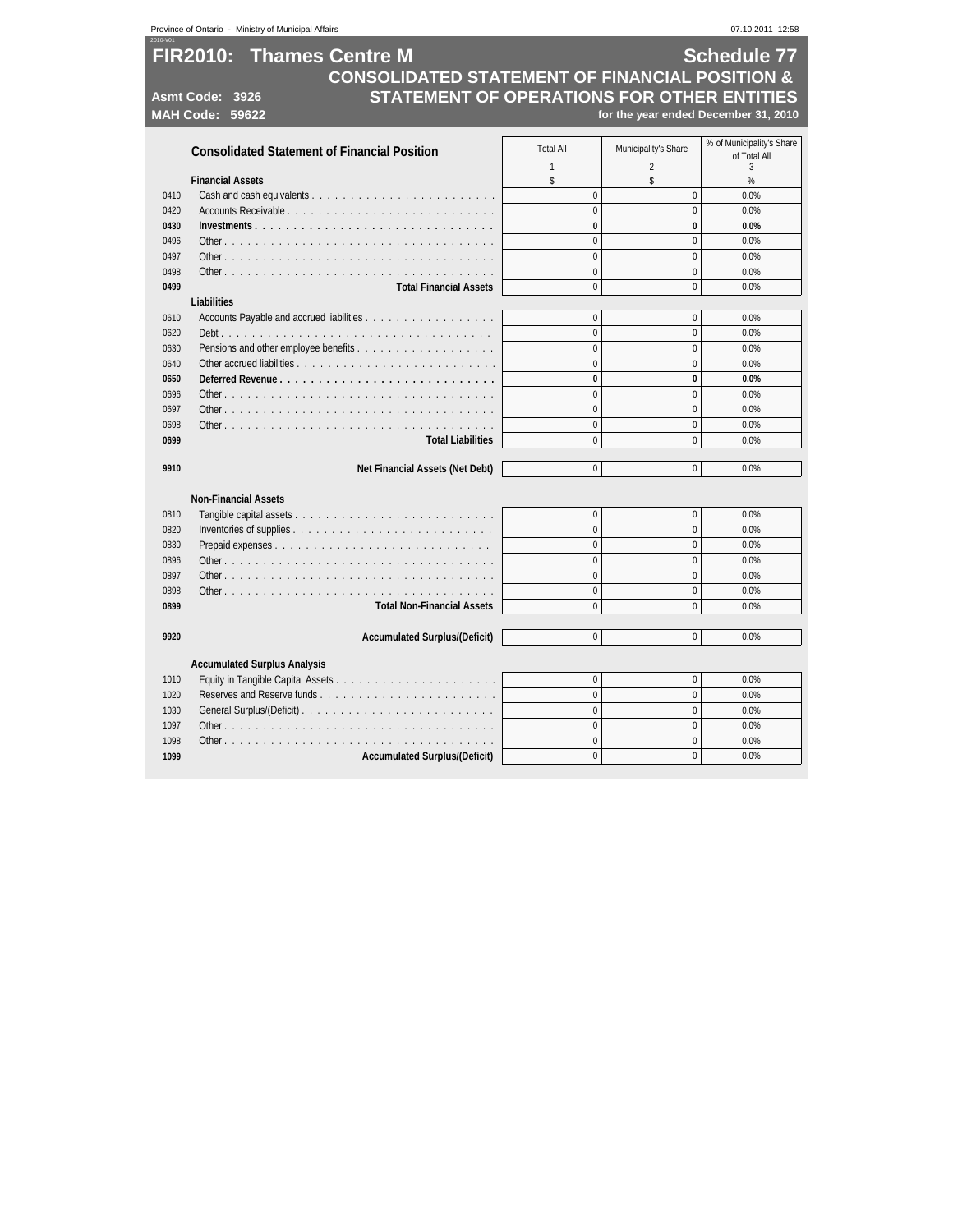|      | Province of Ontario - Ministry of Municipal Affairs                                                                                                                                     |                  |                                      | 07.10.2011 12:58                          |
|------|-----------------------------------------------------------------------------------------------------------------------------------------------------------------------------------------|------------------|--------------------------------------|-------------------------------------------|
|      | <b>FIR2010: Thames Centre M</b><br><b>CONSOLIDATED STATEMENT OF FINANCIAL POSITION &amp;</b><br>STATEMENT OF OPERATIONS FOR OTHER ENTITIES<br>Asmt Code: 3926<br><b>MAH Code: 59622</b> |                  | for the year ended December 31, 2010 | <b>Schedule 77</b>                        |
|      | <b>Consolidated Statement of Financial Position</b>                                                                                                                                     | <b>Total All</b> | Municipality's Share                 | % of Municipality's Share<br>of Total All |
|      |                                                                                                                                                                                         | $\mathbf{1}$     | $\overline{2}$                       | 3                                         |
|      | <b>Financial Assets</b>                                                                                                                                                                 | \$               | \$                                   | %                                         |
| 0410 |                                                                                                                                                                                         | $\mathbf 0$      | $\mathbf 0$                          | 0.0%                                      |
| 0420 |                                                                                                                                                                                         | $\mathbf 0$      | $\mathbf 0$                          | 0.0%                                      |
| 0430 |                                                                                                                                                                                         | $\bf{0}$         | 0                                    | 0.0%                                      |
| 0496 |                                                                                                                                                                                         | $\mathbf{0}$     | $\mathbf 0$                          | 0.0%                                      |
| 0497 |                                                                                                                                                                                         | $\overline{0}$   | $\mathbf 0$                          | 0.0%                                      |
| 0498 |                                                                                                                                                                                         | $\overline{0}$   | $\mathbf{0}$                         | 0.0%                                      |
| 0499 | <b>Total Financial Assets</b>                                                                                                                                                           | $\overline{0}$   | $\mathbf{0}$                         | 0.0%                                      |
|      | <b>Liabilities</b>                                                                                                                                                                      |                  |                                      |                                           |
| 0610 |                                                                                                                                                                                         | $\mathbf{0}$     | $\mathbf 0$                          | 0.0%                                      |
| 0620 |                                                                                                                                                                                         | $\overline{0}$   | $\mathbf{0}$                         | 0.0%                                      |
| 0630 |                                                                                                                                                                                         | $\overline{0}$   | $\mathbf 0$                          | 0.0%                                      |
| 0640 |                                                                                                                                                                                         | $\Omega$         | $\mathbf{0}$                         | 0.0%                                      |
| 0650 | Deferred Revenue                                                                                                                                                                        | $\bf{0}$         | $\bf{0}$                             | 0.0%                                      |
| 0696 |                                                                                                                                                                                         | $\Omega$         | $\mathbf 0$                          | 0.0%                                      |
| 0697 |                                                                                                                                                                                         | $\overline{0}$   | $\mathbf{0}$                         | 0.0%                                      |
| 0698 |                                                                                                                                                                                         | $\Omega$         | $\Omega$                             | 0.0%                                      |
| 0699 | <b>Total Liabilities</b>                                                                                                                                                                | $\Omega$         | $\mathbf{0}$                         | 0.0%                                      |
|      |                                                                                                                                                                                         |                  |                                      |                                           |
| 9910 | Net Financial Assets (Net Debt)                                                                                                                                                         | $\overline{0}$   | $\mathbf 0$                          | 0.0%                                      |
|      | <b>Non-Financial Assets</b>                                                                                                                                                             |                  |                                      |                                           |
| 0810 |                                                                                                                                                                                         | $\Omega$         | $\mathbf 0$                          | 0.0%                                      |
| 0820 |                                                                                                                                                                                         | $\overline{0}$   | $\mathbf{0}$                         | 0.0%                                      |
| 0830 |                                                                                                                                                                                         | $\overline{0}$   | $\mathbf{0}$                         | 0.0%                                      |
| 0896 |                                                                                                                                                                                         | $\mathbf{0}$     | $\theta$                             | 0.0%                                      |
| 0897 |                                                                                                                                                                                         | $\Omega$         | $\mathbf{0}$                         | 0.0%                                      |
| 0898 |                                                                                                                                                                                         | $\overline{0}$   | $\mathbf{0}$                         | 0.0%                                      |
| 0899 | <b>Total Non-Financial Assets</b>                                                                                                                                                       | $\overline{0}$   | $\mathbf 0$                          | 0.0%                                      |
| 9920 | <b>Accumulated Surplus/(Deficit)</b>                                                                                                                                                    | $\overline{0}$   | $\Omega$                             | 0.0%                                      |
|      |                                                                                                                                                                                         |                  |                                      |                                           |
|      | <b>Accumulated Surplus Analysis</b>                                                                                                                                                     |                  |                                      |                                           |
| 1010 |                                                                                                                                                                                         | $\overline{0}$   | $\mathbf{0}$                         | 0.0%                                      |
| 1020 | Reserves and Reserve funds                                                                                                                                                              | $\overline{0}$   | $\mathbf{0}$                         | 0.0%                                      |
| 1030 |                                                                                                                                                                                         | $\overline{0}$   | $\mathbf{0}$                         | 0.0%                                      |
| 1097 |                                                                                                                                                                                         | $\overline{0}$   | $\mathbf{0}$                         | 0.0%                                      |
| 1098 |                                                                                                                                                                                         | $\Omega$         | $\Omega$                             | 0.0%                                      |
| 1099 | <b>Accumulated Surplus/(Deficit)</b>                                                                                                                                                    | $\overline{0}$   | $\Omega$                             | 0.0%                                      |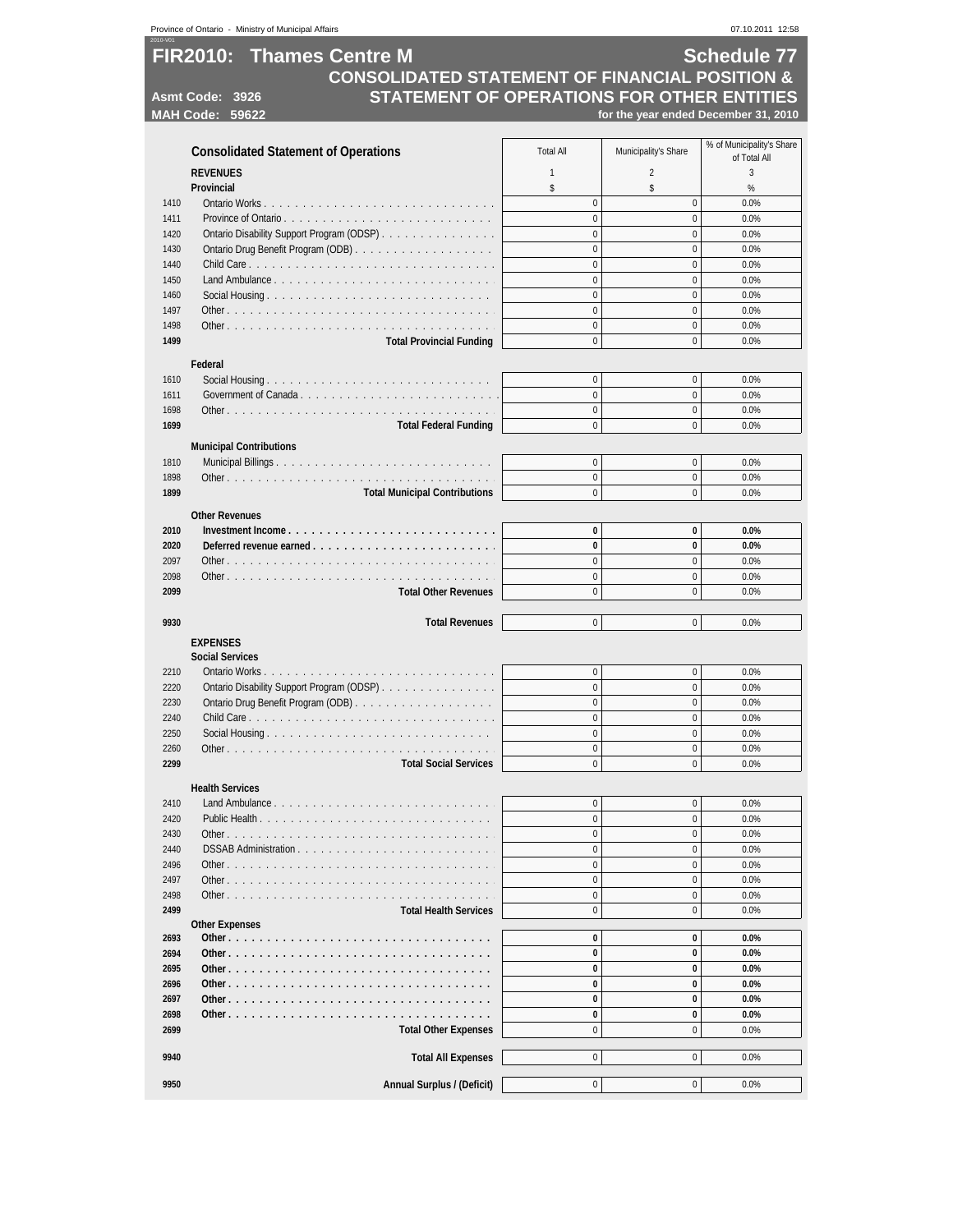|                                                                                                                    | Province of Ontario - Ministry of Municipal Affairs           |                          |                            | 07.10.2011 12:58                          |  |
|--------------------------------------------------------------------------------------------------------------------|---------------------------------------------------------------|--------------------------|----------------------------|-------------------------------------------|--|
| <b>Schedule 77</b><br><b>FIR2010: Thames Centre M</b><br><b>CONSOLIDATED STATEMENT OF FINANCIAL POSITION &amp;</b> |                                                               |                          |                            |                                           |  |
|                                                                                                                    | STATEMENT OF OPERATIONS FOR OTHER ENTITIES<br>Asmt Code: 3926 |                          |                            |                                           |  |
|                                                                                                                    | <b>MAH Code: 59622</b>                                        |                          |                            | for the year ended December 31, 2010      |  |
|                                                                                                                    |                                                               |                          |                            |                                           |  |
|                                                                                                                    | <b>Consolidated Statement of Operations</b>                   | <b>Total All</b>         | Municipality's Share       | % of Municipality's Share<br>of Total All |  |
|                                                                                                                    | <b>REVENUES</b>                                               | $\mathbf{1}$             | $\overline{2}$             | 3                                         |  |
|                                                                                                                    | Provincial                                                    | \$                       | \$                         | %                                         |  |
| 1410                                                                                                               |                                                               | $\mathbf 0$              | $\mathbf 0$                | 0.0%                                      |  |
| 1411                                                                                                               |                                                               | $\mathbf 0$              | $\mathbf{0}$               | 0.0%                                      |  |
| 1420                                                                                                               | Ontario Disability Support Program (ODSP)                     | $\mathbf 0$              | $\mathbf 0$                | 0.0%                                      |  |
| 1430                                                                                                               |                                                               | $\pmb{0}$                | $\pmb{0}$                  | 0.0%                                      |  |
| 1440                                                                                                               |                                                               | $\mathbf 0$              | $\Omega$                   | 0.0%                                      |  |
| 1450                                                                                                               |                                                               | $\pmb{0}$                | $\pmb{0}$                  | 0.0%                                      |  |
| 1460                                                                                                               |                                                               | $\pmb{0}$<br>$\mathbf 0$ | $\mathbf 0$                | 0.0%                                      |  |
| 1497<br>1498                                                                                                       |                                                               | $\mathbf 0$              | $\mathbf 0$<br>$\mathbf 0$ | 0.0%                                      |  |
| 1499                                                                                                               |                                                               | $\mathbf 0$              | $\mathbf 0$                | 0.0%<br>0.0%                              |  |
|                                                                                                                    | <b>Total Provincial Funding</b>                               |                          |                            |                                           |  |
|                                                                                                                    | Federal                                                       |                          |                            |                                           |  |
| 1610                                                                                                               |                                                               | 0                        | $\mathbf 0$                | 0.0%                                      |  |
| 1611                                                                                                               |                                                               | $\mathbf 0$              | $\mathbf 0$                | 0.0%                                      |  |
| 1698                                                                                                               |                                                               | $\mathbf 0$              | $\mathbf 0$                | 0.0%                                      |  |
| 1699                                                                                                               | <b>Total Federal Funding</b>                                  | $\mathbf{0}$             | $\mathbf 0$                | 0.0%                                      |  |
|                                                                                                                    | <b>Municipal Contributions</b>                                |                          |                            |                                           |  |
| 1810                                                                                                               |                                                               | $\mathbf 0$              | $\mathbf 0$                | 0.0%                                      |  |
| 1898                                                                                                               |                                                               | $\pmb{0}$                | $\mathbf 0$                | 0.0%                                      |  |
| 1899                                                                                                               | <b>Total Municipal Contributions</b>                          | $\Omega$                 | $\mathbf 0$                | 0.0%                                      |  |
|                                                                                                                    | <b>Other Revenues</b>                                         |                          |                            |                                           |  |
| 2010                                                                                                               |                                                               | 0                        | 0                          | 0.0%                                      |  |
| 2020                                                                                                               |                                                               | $\bf{0}$                 | 0                          | 0.0%                                      |  |
| 2097                                                                                                               |                                                               | $\pmb{0}$                | $\mathbf 0$                | 0.0%                                      |  |
| 2098                                                                                                               |                                                               | $\mathbf 0$              | $\mathbf 0$                | 0.0%                                      |  |
| 2099                                                                                                               | <b>Total Other Revenues</b>                                   | $\mathbf 0$              | $\mathbf 0$                | 0.0%                                      |  |
|                                                                                                                    |                                                               |                          |                            |                                           |  |
| 9930                                                                                                               | <b>Total Revenues</b>                                         | $\mathbf 0$              | $\mathbf 0$                | 0.0%                                      |  |
|                                                                                                                    | <b>EXPENSES</b>                                               |                          |                            |                                           |  |
|                                                                                                                    | <b>Social Services</b>                                        |                          |                            |                                           |  |
| 2210                                                                                                               |                                                               | 0                        | 0                          | 0.0%                                      |  |
| 2220                                                                                                               | Ontario Disability Support Program (ODSP)                     | $\mathbf{0}$             | $\mathbf 0$                | 0.0%                                      |  |
| 2230                                                                                                               |                                                               | $\mathbf 0$              | $\mathbf 0$                | 0.0%                                      |  |
| 2240                                                                                                               |                                                               | $\Omega$                 | $\Omega$                   | 0.0%                                      |  |
| 2250                                                                                                               |                                                               | $\mathbf 0$              | $\mathbf 0$                | 0.0%                                      |  |
| 2260                                                                                                               |                                                               | $\pmb{0}$                | $\pmb{0}$                  | 0.0%                                      |  |
| 2299                                                                                                               | <b>Total Social Services</b>                                  | $\mathbf 0$              | $\mathbf 0$                | 0.0%                                      |  |
|                                                                                                                    | <b>Health Services</b>                                        |                          |                            |                                           |  |
| 2410                                                                                                               |                                                               | $\mathbf 0$              | $\pmb{0}$                  | 0.0%                                      |  |
| 2420                                                                                                               |                                                               | 0                        | $\pmb{0}$                  | 0.0%                                      |  |
| 2430                                                                                                               |                                                               | $\mathbf 0$              | $\mathbf 0$                | 0.0%                                      |  |
| 2440                                                                                                               | DSSAB Administration                                          | $\pmb{0}$                | 0                          | 0.0%                                      |  |
| 2496                                                                                                               |                                                               | $\mathbf 0$              | $\mathbf 0$                | 0.0%                                      |  |
| 2497                                                                                                               |                                                               | $\mathbf 0$              | 0                          | 0.0%                                      |  |
| 2498                                                                                                               |                                                               | $\mathbf 0$              | 0                          | 0.0%                                      |  |
| 2499                                                                                                               | <b>Total Health Services</b>                                  | $\mathbf 0$              | $\mathbf 0$                | 0.0%                                      |  |
|                                                                                                                    | <b>Other Expenses</b>                                         |                          |                            |                                           |  |
| 2693                                                                                                               |                                                               | 0                        | 0                          | 0.0%                                      |  |
| 2694                                                                                                               |                                                               | 0                        | 0                          | 0.0%                                      |  |
| 2695                                                                                                               |                                                               | 0                        | 0                          | 0.0%                                      |  |
| 2696                                                                                                               |                                                               | $\bf{0}$                 | 0                          | 0.0%                                      |  |
| 2697                                                                                                               |                                                               | 0                        | 0                          | 0.0%                                      |  |
| 2698                                                                                                               |                                                               | 0                        | 0                          | 0.0%                                      |  |
| 2699                                                                                                               | <b>Total Other Expenses</b>                                   | $\mathbf 0$              | 0                          | 0.0%                                      |  |
| 9940                                                                                                               | <b>Total All Expenses</b>                                     | $\mathbf 0$              | $\mathbf 0$                | 0.0%                                      |  |
|                                                                                                                    |                                                               |                          |                            |                                           |  |
| 9950                                                                                                               | Annual Surplus / (Deficit)                                    | $\pmb{0}$                | 0                          | 0.0%                                      |  |
|                                                                                                                    |                                                               |                          |                            |                                           |  |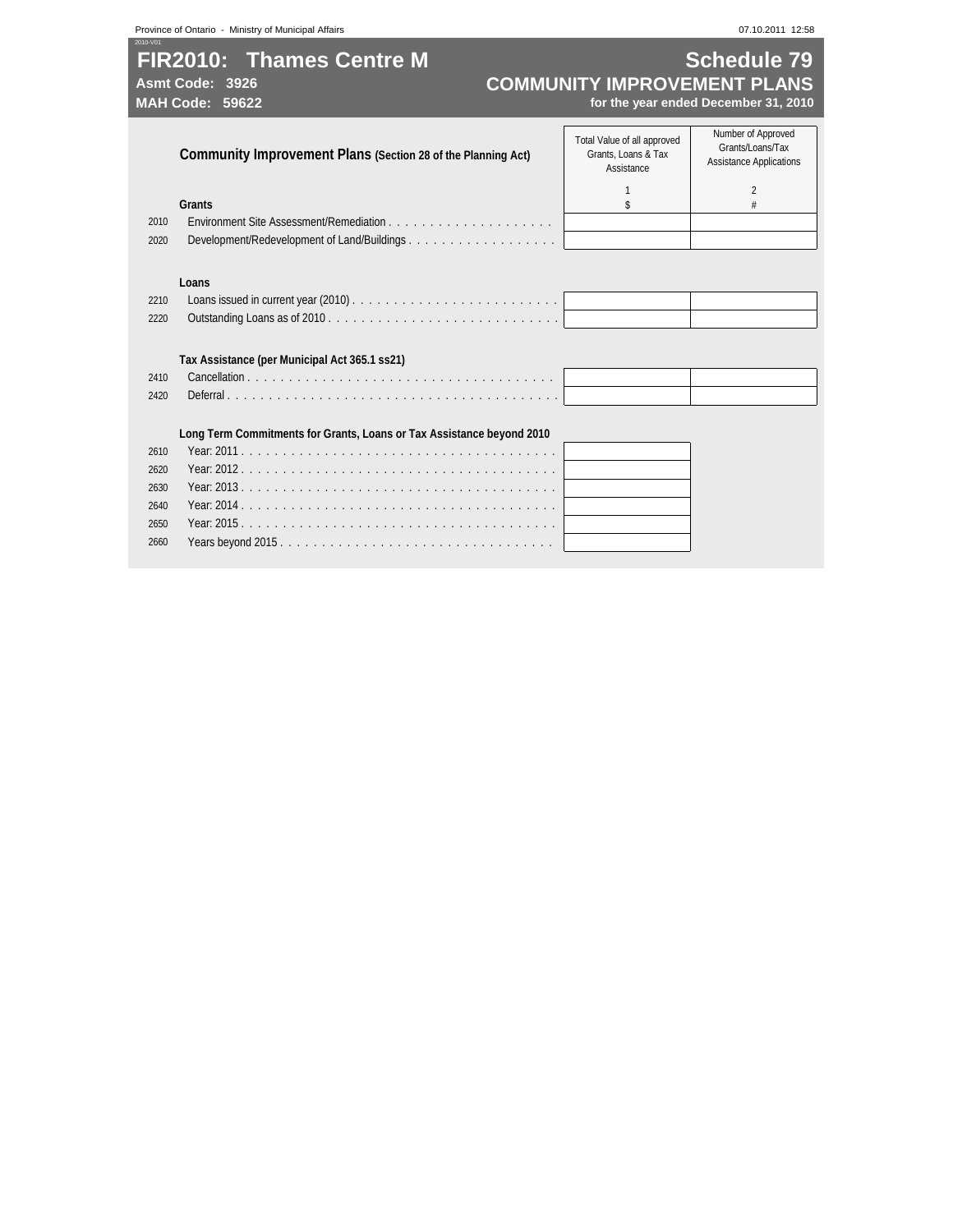# **FIR2010: Thames Centre M Schedule 79**<br>COMMUNITY IMPROVEMENT PLANS

2010-V01

# Asmt Code: 3926<br>MAH Code: 59622<br>*MAH Code: 59622 COMMUNITY IMPROVEMENT PLANS*<br>for the year ended December 31, 2010 **MAH Code: 59622 for the year ended December 31, 2010**

|              | Community Improvement Plans (Section 28 of the Planning Act)          | Total Value of all approved<br>Grants, Loans & Tax<br>Assistance | Number of Approved<br>Grants/Loans/Tax<br><b>Assistance Applications</b> |
|--------------|-----------------------------------------------------------------------|------------------------------------------------------------------|--------------------------------------------------------------------------|
|              |                                                                       |                                                                  | $\overline{2}$                                                           |
|              | <b>Grants</b>                                                         | \$                                                               | #                                                                        |
| 2010         | Environment Site Assessment/Remediation                               |                                                                  |                                                                          |
| 2020         | Development/Redevelopment of Land/Buildings                           |                                                                  |                                                                          |
| 2210<br>2220 | Loans                                                                 |                                                                  |                                                                          |
|              | Tax Assistance (per Municipal Act 365.1 ss21)                         |                                                                  |                                                                          |
| 2410         |                                                                       |                                                                  |                                                                          |
| 2420         |                                                                       |                                                                  |                                                                          |
|              | Long Term Commitments for Grants, Loans or Tax Assistance beyond 2010 |                                                                  |                                                                          |
| 2610         |                                                                       |                                                                  |                                                                          |
| 2620         |                                                                       |                                                                  |                                                                          |
| 2630         |                                                                       |                                                                  |                                                                          |
| 2640         |                                                                       |                                                                  |                                                                          |
| 2650         |                                                                       |                                                                  |                                                                          |
| 2660         |                                                                       |                                                                  |                                                                          |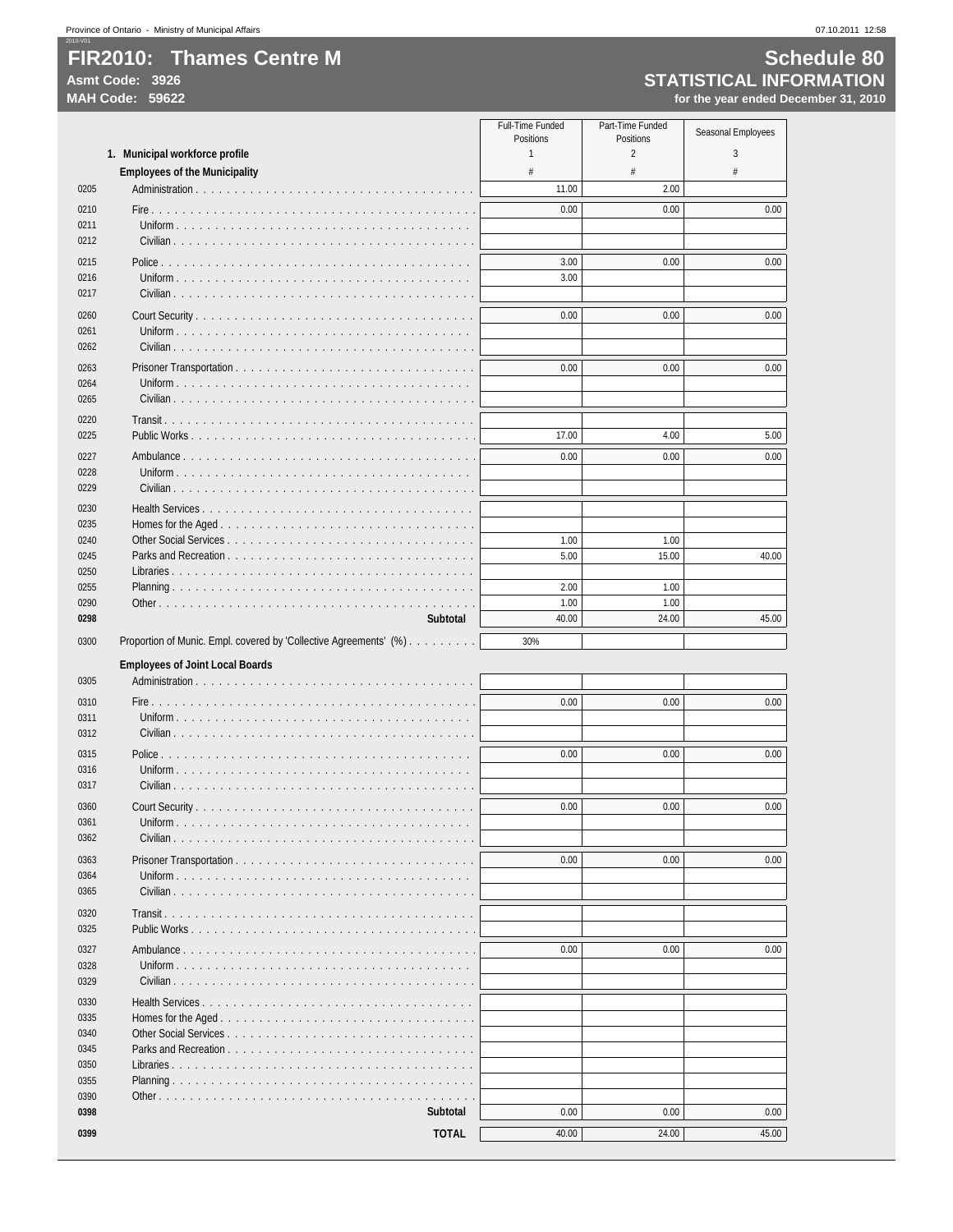2010-V01

### **FIR2010: Thames Centre M Schedule 80**<br>
Asmt Code: 3926 **STATISTICAL INFORMATION**<br>
MAH Code: 59622 **STATISTICAL INFORMATION STATISTICAL INFORMATION MAH Code: 59622 for the year ended December 31, 2010**

|              |                                                                    | Full-Time Funded<br>Positions | Part-Time Funded<br>Positions | Seasonal Employees |
|--------------|--------------------------------------------------------------------|-------------------------------|-------------------------------|--------------------|
|              | 1. Municipal workforce profile                                     | $\mathbf{1}$                  | $\overline{2}$                | 3                  |
|              | <b>Employees of the Municipality</b>                               | #                             | #                             | #                  |
| 0205         |                                                                    | 11.00                         | 2.00                          |                    |
| 0210         |                                                                    | 0.00                          | 0.00                          | 0.00               |
| 0211         |                                                                    |                               |                               |                    |
| 0212         |                                                                    |                               |                               |                    |
| 0215         |                                                                    | 3.00                          | 0.00                          | 0.00               |
| 0216         |                                                                    | 3.00                          |                               |                    |
| 0217         |                                                                    |                               |                               |                    |
| 0260         |                                                                    | 0.00                          | 0.00                          | 0.00               |
| 0261         |                                                                    |                               |                               |                    |
| 0262         |                                                                    |                               |                               |                    |
| 0263         |                                                                    | 0.00                          | 0.00                          | 0.00               |
| 0264         |                                                                    |                               |                               |                    |
| 0265         | Civilian $\cdots$                                                  |                               |                               |                    |
| 0220         | Transit.                                                           |                               |                               |                    |
| 0225         | Public Works                                                       | 17.00                         | 4.00                          | 5.00               |
| 0227         | Ambulance                                                          | 0.00                          | 0.00                          | 0.00               |
| 0228         | Uniform $\ldots \ldots \ldots$                                     |                               |                               |                    |
| 0229         |                                                                    |                               |                               |                    |
| 0230         |                                                                    |                               |                               |                    |
| 0235         |                                                                    |                               |                               |                    |
| 0240         | Other Social Services                                              | 1.00                          | 1.00                          |                    |
| 0245         | Parks and Recreation                                               | 5.00                          | 15.00                         | 40.00              |
| 0250         |                                                                    |                               |                               |                    |
| 0255         |                                                                    | 2.00                          | 1.00                          |                    |
| 0290         | and a strain                                                       | 1.00                          | 1.00                          |                    |
| 0298         | Subtotal                                                           | 40.00                         | 24.00                         | 45.00              |
| 0300         | Proportion of Munic. Empl. covered by 'Collective Agreements' (%). | 30%                           |                               |                    |
|              | <b>Employees of Joint Local Boards</b>                             |                               |                               |                    |
| 0305         |                                                                    |                               |                               |                    |
| 0310         |                                                                    | 0.00                          | 0.00                          | 0.00               |
| 0311         | Uniform                                                            |                               |                               |                    |
| 0312         | Civilian $\cdots$ $\cdots$ $\cdots$ $\cdots$                       |                               |                               |                    |
| 0315         | Police                                                             | 0.00                          | 0.00                          | 0.00               |
| 0316         | Uniform $\ldots \ldots \ldots \ldots$                              |                               |                               |                    |
| 0317         |                                                                    |                               |                               |                    |
| 0360         |                                                                    | 0.00                          | 0.00                          | 0.00               |
| 0361         | $\sim$ $\sim$ $\sim$                                               |                               |                               |                    |
| 0362         | Civilian                                                           |                               |                               |                    |
|              |                                                                    |                               |                               |                    |
| 0363<br>0364 |                                                                    | 0.00                          | 0.00                          | 0.00               |
| 0365         |                                                                    |                               |                               |                    |
|              |                                                                    |                               |                               |                    |
| 0320         |                                                                    |                               |                               |                    |
| 0325         |                                                                    |                               |                               |                    |
| 0327         |                                                                    | 0.00                          | 0.00                          | 0.00               |
| 0328         |                                                                    |                               |                               |                    |
| 0329         |                                                                    |                               |                               |                    |
| 0330         |                                                                    |                               |                               |                    |
| 0335         | Homes for the Aged                                                 |                               |                               |                    |
| 0340         |                                                                    |                               |                               |                    |
| 0345         |                                                                    |                               |                               |                    |
| 0350         |                                                                    |                               |                               |                    |
| 0355<br>0390 |                                                                    |                               |                               |                    |
| 0398         | Subtotal                                                           | 0.00                          | 0.00                          | 0.00               |
|              |                                                                    |                               |                               |                    |
| 0399         | <b>TOTAL</b>                                                       | 40.00                         | 24.00                         | 45.00              |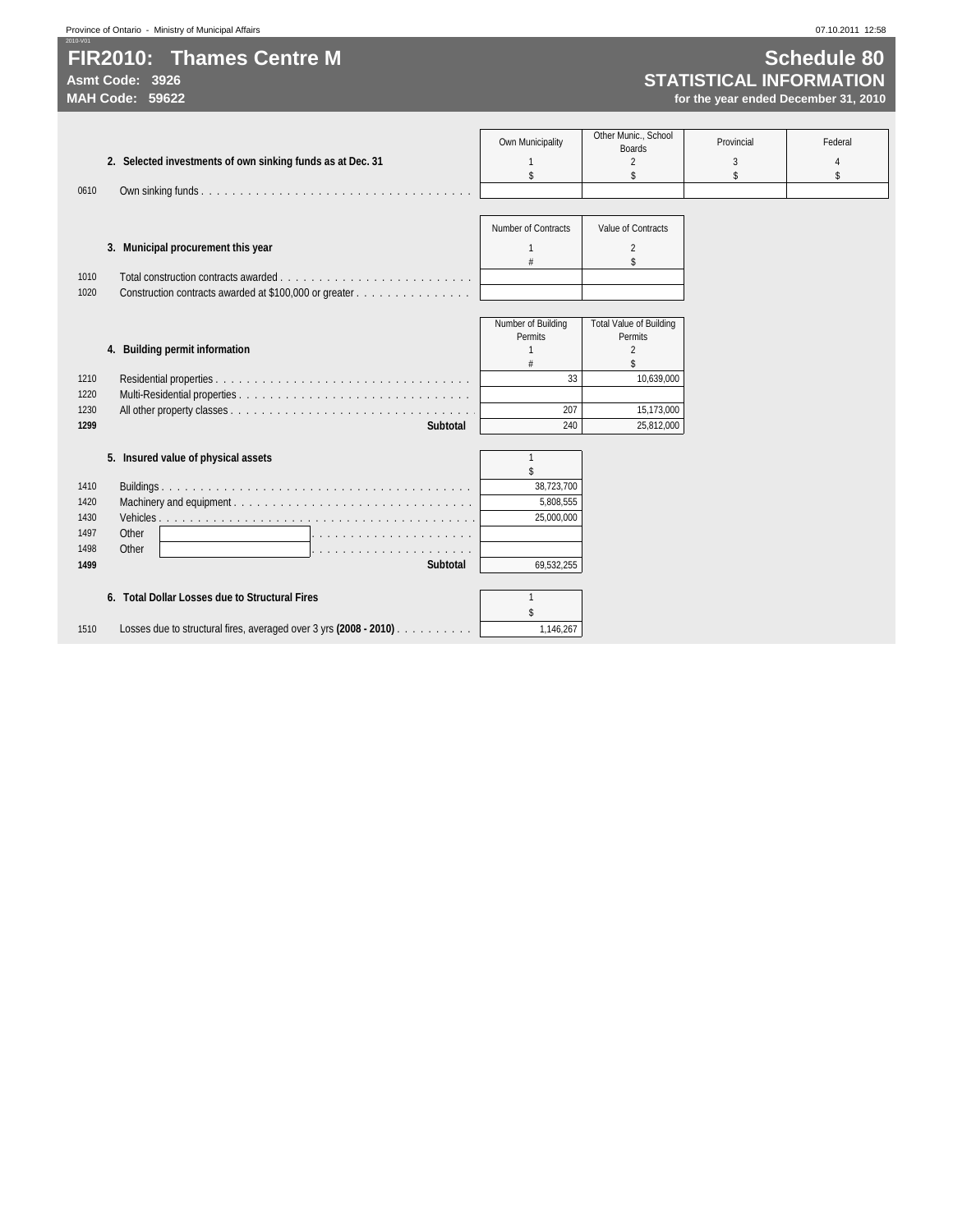# **FIR2010: Thames Centre M Schedule 80**

2010-V01

# **Asmt Code: 3926 STATISTICAL INFORMATION**

|                                                                           |                     | Other Munic., School           |            |         |
|---------------------------------------------------------------------------|---------------------|--------------------------------|------------|---------|
|                                                                           | Own Municipality    | <b>Boards</b>                  | Provincial | Federal |
| 2. Selected investments of own sinking funds as at Dec. 31                |                     |                                | 3          |         |
|                                                                           | \$                  | \$                             | \$         | \$      |
| 0610                                                                      |                     |                                |            |         |
|                                                                           |                     |                                |            |         |
|                                                                           | Number of Contracts | Value of Contracts             |            |         |
|                                                                           |                     |                                |            |         |
| 3. Municipal procurement this year                                        | $\mathbf{1}$<br>#   | $\overline{\mathcal{L}}$<br>\$ |            |         |
| 1010                                                                      |                     |                                |            |         |
| Construction contracts awarded at \$100,000 or greater<br>1020            |                     |                                |            |         |
|                                                                           |                     |                                |            |         |
|                                                                           | Number of Building  | <b>Total Value of Building</b> |            |         |
|                                                                           | Permits             | Permits                        |            |         |
| 4. Building permit information                                            | $\mathbf{1}$        | $\overline{\mathcal{L}}$       |            |         |
|                                                                           |                     | \$                             |            |         |
| 1210                                                                      | 33                  | 10.639.000                     |            |         |
| 1220                                                                      |                     |                                |            |         |
| 1230                                                                      | 207                 | 15,173,000                     |            |         |
| 1299<br><b>Subtotal</b>                                                   | 240                 | 25,812,000                     |            |         |
|                                                                           |                     |                                |            |         |
| 5. Insured value of physical assets                                       | $\mathbf{1}$        |                                |            |         |
|                                                                           |                     |                                |            |         |
| 1410                                                                      | 38,723,700          |                                |            |         |
| 1420                                                                      | 5,808,555           |                                |            |         |
| 1430                                                                      | 25.000.000          |                                |            |         |
| 1497<br>Other                                                             |                     |                                |            |         |
| Other<br>1498                                                             |                     |                                |            |         |
| 1499<br><b>Subtotal</b>                                                   | 69,532,255          |                                |            |         |
|                                                                           |                     |                                |            |         |
| 6. Total Dollar Losses due to Structural Fires                            | $\mathbf{1}$        |                                |            |         |
|                                                                           |                     |                                |            |         |
| Losses due to structural fires, averaged over 3 yrs (2008 - 2010)<br>1510 | 1,146,267           |                                |            |         |
|                                                                           |                     |                                |            |         |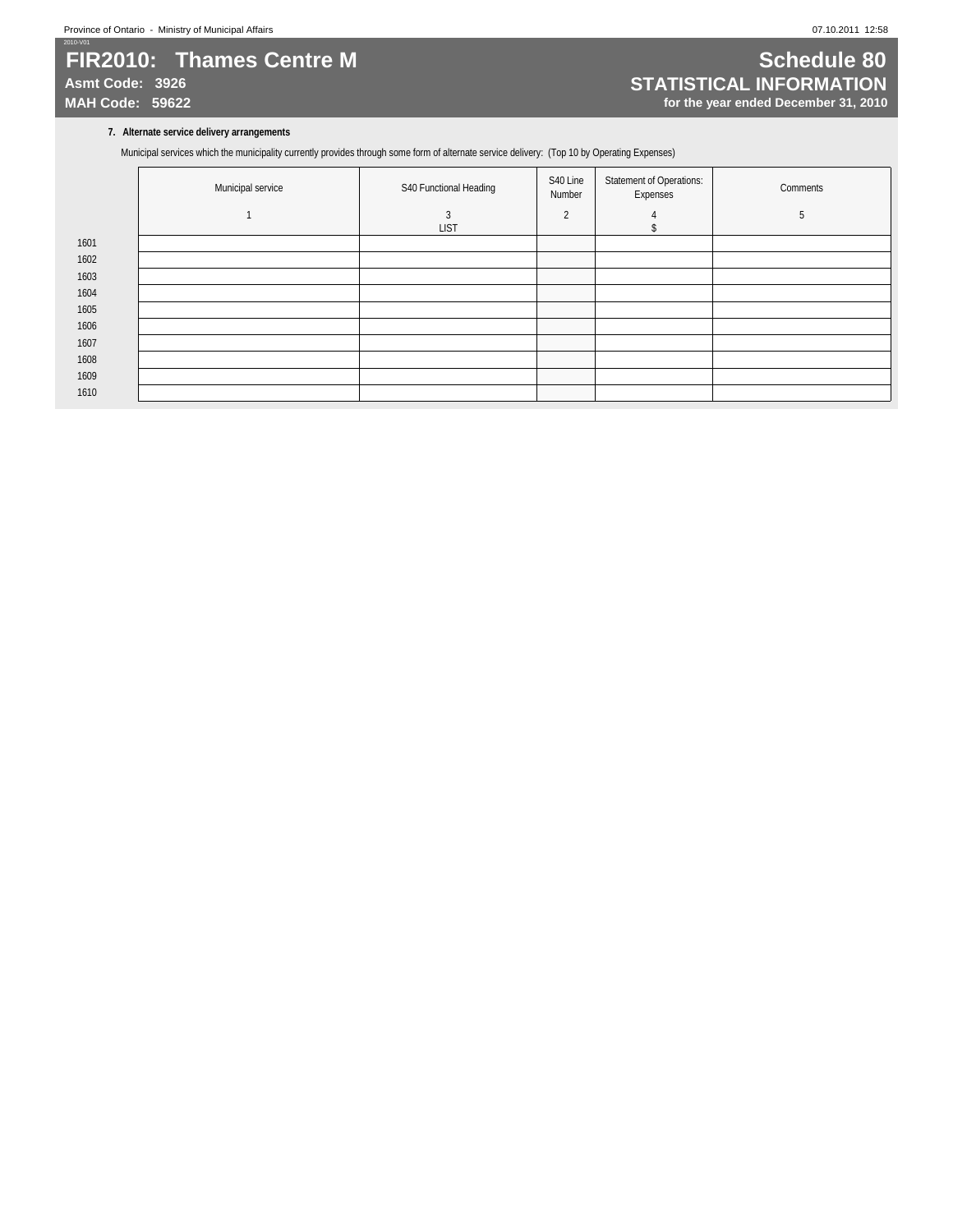### 2010-V01 **FIR2010: Thames Centre M Schedule 80**

# Asmt Code: 3926<br>
MAH Code: 59622<br>
MAH Code: 59622<br> **MAH Code: 59622**<br> **MAH Code: 59622** for the year ended December 31, 2010

### **7. Alternate service delivery arrangements**

Municipal services which the municipality currently provides through some form of alternate service delivery: (Top 10 by Operating Expenses)

|      | Municipal service | S40 Functional Heading | S40 Line<br>Number | <b>Statement of Operations:</b><br>Expenses | Comments |
|------|-------------------|------------------------|--------------------|---------------------------------------------|----------|
|      |                   | 3<br><b>LIST</b>       | $\overline{2}$     |                                             | 5        |
| 1601 |                   |                        |                    |                                             |          |
| 1602 |                   |                        |                    |                                             |          |
| 1603 |                   |                        |                    |                                             |          |
| 1604 |                   |                        |                    |                                             |          |
| 1605 |                   |                        |                    |                                             |          |
| 1606 |                   |                        |                    |                                             |          |
| 1607 |                   |                        |                    |                                             |          |
| 1608 |                   |                        |                    |                                             |          |
| 1609 |                   |                        |                    |                                             |          |
| 1610 |                   |                        |                    |                                             |          |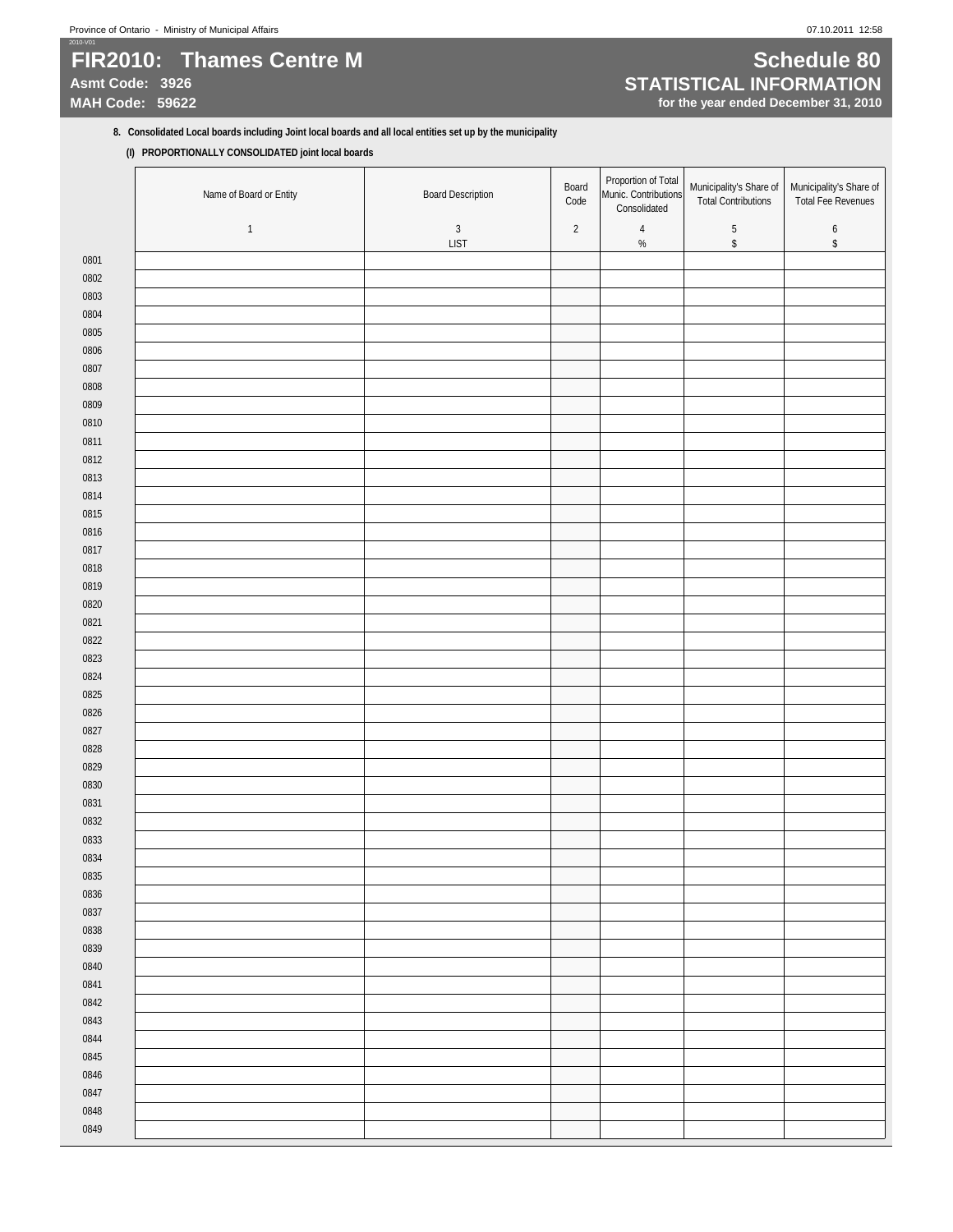# 2010-V01 **FIR2010:** Thames Centre M **Schedule 80**

# Asmt Code: 3926<br>
MAH Code: 59622<br>
MAH Code: 59622<br> **MAH Code: 59622**<br> **MAH Code: 59622 for the year ended December 31, 2010**

### **8. Consolidated Local boards including Joint local boards and all local entities set up by the municipality**

**(I) PROPORTIONALLY CONSOLIDATED joint local boards**

|              | Name of Board or Entity | <b>Board Description</b>  | Board<br>Code | Proportion of Total<br>Munic. Contributions<br>Consolidated | Municipality's Share of<br><b>Total Contributions</b> | Municipality's Share of<br>Total Fee Revenues |
|--------------|-------------------------|---------------------------|---------------|-------------------------------------------------------------|-------------------------------------------------------|-----------------------------------------------|
|              | $\mathbf{1}$            | $\sqrt{3}$<br><b>LIST</b> | $\sqrt{2}$    | $\sqrt{4}$<br>$\%$                                          | $\sqrt{5}$<br>$\,$                                    | $\boldsymbol{6}$<br>\$                        |
| 0801         |                         |                           |               |                                                             |                                                       |                                               |
| 0802         |                         |                           |               |                                                             |                                                       |                                               |
| 0803         |                         |                           |               |                                                             |                                                       |                                               |
| 0804         |                         |                           |               |                                                             |                                                       |                                               |
| 0805         |                         |                           |               |                                                             |                                                       |                                               |
| 0806         |                         |                           |               |                                                             |                                                       |                                               |
| 0807         |                         |                           |               |                                                             |                                                       |                                               |
| 0808         |                         |                           |               |                                                             |                                                       |                                               |
| 0809         |                         |                           |               |                                                             |                                                       |                                               |
| 0810         |                         |                           |               |                                                             |                                                       |                                               |
| 0811         |                         |                           |               |                                                             |                                                       |                                               |
| 0812         |                         |                           |               |                                                             |                                                       |                                               |
| 0813         |                         |                           |               |                                                             |                                                       |                                               |
| 0814         |                         |                           |               |                                                             |                                                       |                                               |
| 0815         |                         |                           |               |                                                             |                                                       |                                               |
| 0816         |                         |                           |               |                                                             |                                                       |                                               |
| 0817         |                         |                           |               |                                                             |                                                       |                                               |
| 0818         |                         |                           |               |                                                             |                                                       |                                               |
| 0819         |                         |                           |               |                                                             |                                                       |                                               |
| 0820         |                         |                           |               |                                                             |                                                       |                                               |
| 0821         |                         |                           |               |                                                             |                                                       |                                               |
| 0822<br>0823 |                         |                           |               |                                                             |                                                       |                                               |
| 0824         |                         |                           |               |                                                             |                                                       |                                               |
| 0825         |                         |                           |               |                                                             |                                                       |                                               |
| 0826         |                         |                           |               |                                                             |                                                       |                                               |
| 0827         |                         |                           |               |                                                             |                                                       |                                               |
| 0828         |                         |                           |               |                                                             |                                                       |                                               |
| 0829         |                         |                           |               |                                                             |                                                       |                                               |
| 0830         |                         |                           |               |                                                             |                                                       |                                               |
| 0831         |                         |                           |               |                                                             |                                                       |                                               |
| 0832         |                         |                           |               |                                                             |                                                       |                                               |
| 0833         |                         |                           |               |                                                             |                                                       |                                               |
| 0834         |                         |                           |               |                                                             |                                                       |                                               |
| 0835         |                         |                           |               |                                                             |                                                       |                                               |
| 0836         |                         |                           |               |                                                             |                                                       |                                               |
| 0837         |                         |                           |               |                                                             |                                                       |                                               |
| 0838         |                         |                           |               |                                                             |                                                       |                                               |
| 0839         |                         |                           |               |                                                             |                                                       |                                               |
| 0840         |                         |                           |               |                                                             |                                                       |                                               |
| 0841         |                         |                           |               |                                                             |                                                       |                                               |
| 0842         |                         |                           |               |                                                             |                                                       |                                               |
| 0843         |                         |                           |               |                                                             |                                                       |                                               |
| 0844         |                         |                           |               |                                                             |                                                       |                                               |
| 0845         |                         |                           |               |                                                             |                                                       |                                               |
| 0846         |                         |                           |               |                                                             |                                                       |                                               |
| 0847         |                         |                           |               |                                                             |                                                       |                                               |
| 0848         |                         |                           |               |                                                             |                                                       |                                               |
| 0849         |                         |                           |               |                                                             |                                                       |                                               |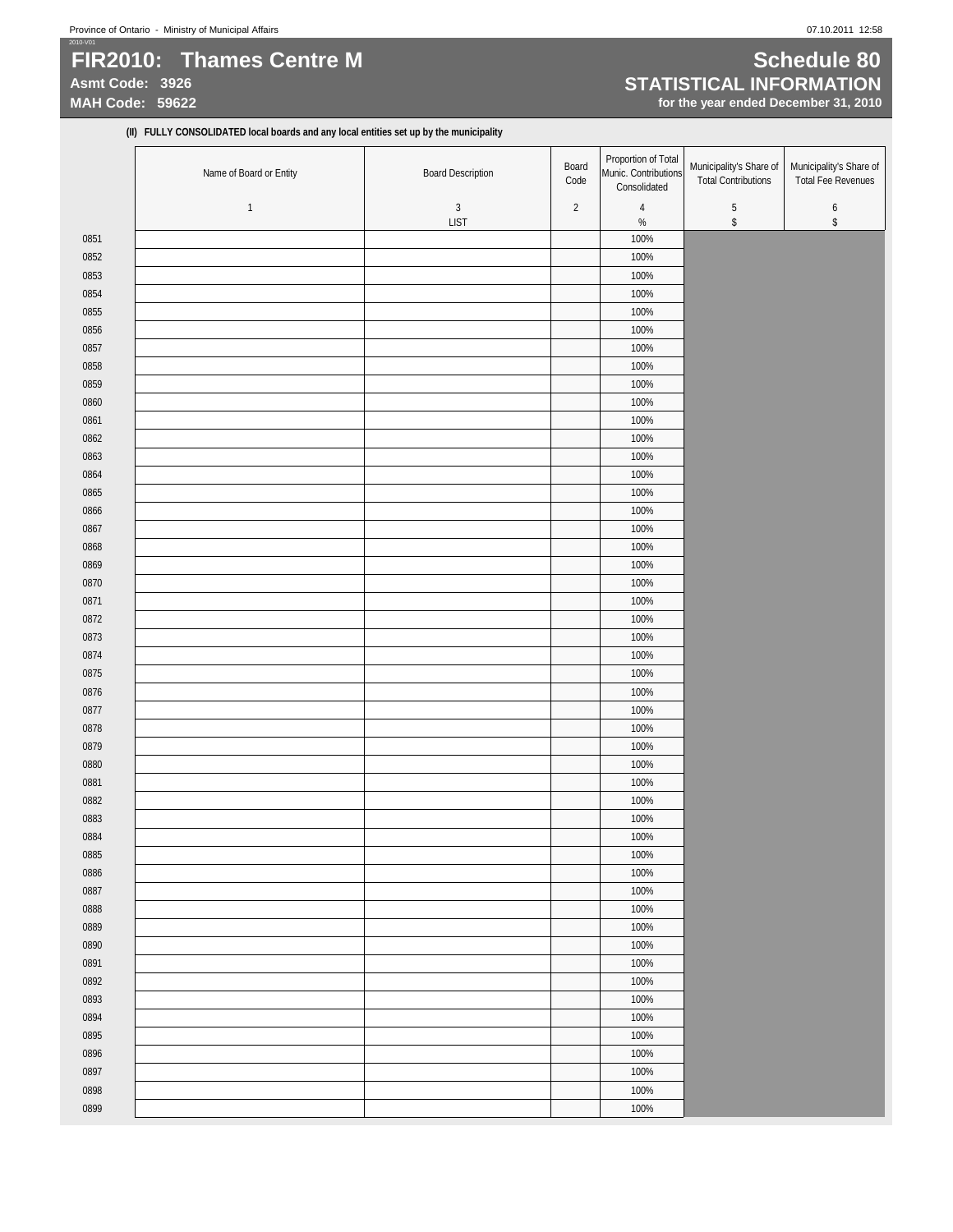### 2010-V01 **FIR2010: Thames Centre M Schedule 80**

# Asmt Code: 3926<br>
MAH Code: 59622<br>
MAH Code: 59622<br> **MAH Code: 59622**<br> **STATISTICAL INFORMATION**

for the year ended December 31, 2010

**(II) FULLY CONSOLIDATED local boards and any local entities set up by the municipality**

|              | Name of Board or Entity | <b>Board Description</b> | Board<br>Code  | Proportion of Total<br>Munic. Contributions<br>Consolidated | Municipality's Share of<br><b>Total Contributions</b> | Municipality's Share of<br><b>Total Fee Revenues</b> |
|--------------|-------------------------|--------------------------|----------------|-------------------------------------------------------------|-------------------------------------------------------|------------------------------------------------------|
|              | $\mathbf{1}$            | $\mathbf{3}$             | $\overline{2}$ | $\sqrt{4}$                                                  | $\sqrt{5}$                                            | 6                                                    |
|              |                         | LIST                     |                | $\%$                                                        | $\,$                                                  | \$                                                   |
| 0851         |                         |                          |                | 100%                                                        |                                                       |                                                      |
| 0852         |                         |                          |                | 100%                                                        |                                                       |                                                      |
| 0853         |                         |                          |                | 100%                                                        |                                                       |                                                      |
| 0854         |                         |                          |                | 100%                                                        |                                                       |                                                      |
| 0855         |                         |                          |                | 100%                                                        |                                                       |                                                      |
| 0856         |                         |                          |                | 100%                                                        |                                                       |                                                      |
| 0857         |                         |                          |                | 100%                                                        |                                                       |                                                      |
| 0858         |                         |                          |                | 100%                                                        |                                                       |                                                      |
| 0859         |                         |                          |                | 100%                                                        |                                                       |                                                      |
| 0860         |                         |                          |                | 100%                                                        |                                                       |                                                      |
| 0861         |                         |                          |                | 100%                                                        |                                                       |                                                      |
| 0862         |                         |                          |                | 100%                                                        |                                                       |                                                      |
| 0863         |                         |                          |                | 100%                                                        |                                                       |                                                      |
| 0864         |                         |                          |                | 100%                                                        |                                                       |                                                      |
| 0865         |                         |                          |                | 100%                                                        |                                                       |                                                      |
| 0866         |                         |                          |                | 100%                                                        |                                                       |                                                      |
| 0867         |                         |                          |                | 100%                                                        |                                                       |                                                      |
| 0868         |                         |                          |                | 100%                                                        |                                                       |                                                      |
| 0869         |                         |                          |                | 100%                                                        |                                                       |                                                      |
| 0870         |                         |                          |                | 100%                                                        |                                                       |                                                      |
| 0871         |                         |                          |                | 100%                                                        |                                                       |                                                      |
| 0872         |                         |                          |                | 100%                                                        |                                                       |                                                      |
| 0873         |                         |                          |                | 100%                                                        |                                                       |                                                      |
| 0874         |                         |                          |                | 100%                                                        |                                                       |                                                      |
| 0875         |                         |                          |                | 100%                                                        |                                                       |                                                      |
| 0876         |                         |                          |                | 100%                                                        |                                                       |                                                      |
| 0877         |                         |                          |                | 100%                                                        |                                                       |                                                      |
| 0878         |                         |                          |                | 100%<br>100%                                                |                                                       |                                                      |
| 0879         |                         |                          |                | 100%                                                        |                                                       |                                                      |
| 0880<br>0881 |                         |                          |                | 100%                                                        |                                                       |                                                      |
| 0882         |                         |                          |                | 100%                                                        |                                                       |                                                      |
| 0883         |                         |                          |                | 100%                                                        |                                                       |                                                      |
| 0884         |                         |                          |                | 100%                                                        |                                                       |                                                      |
| 0885         |                         |                          |                | 100%                                                        |                                                       |                                                      |
| 0886         |                         |                          |                | 100%                                                        |                                                       |                                                      |
| 0887         |                         |                          |                | 100%                                                        |                                                       |                                                      |
| 0888         |                         |                          |                | 100%                                                        |                                                       |                                                      |
| 0889         |                         |                          |                | 100%                                                        |                                                       |                                                      |
| 0890         |                         |                          |                | 100%                                                        |                                                       |                                                      |
| 0891         |                         |                          |                | 100%                                                        |                                                       |                                                      |
| 0892         |                         |                          |                | 100%                                                        |                                                       |                                                      |
| 0893         |                         |                          |                | 100%                                                        |                                                       |                                                      |
| 0894         |                         |                          |                | 100%                                                        |                                                       |                                                      |
| 0895         |                         |                          |                | 100%                                                        |                                                       |                                                      |
| 0896         |                         |                          |                | 100%                                                        |                                                       |                                                      |
| 0897         |                         |                          |                | 100%                                                        |                                                       |                                                      |
| 0898         |                         |                          |                | 100%                                                        |                                                       |                                                      |
| 0899         |                         |                          |                | 100%                                                        |                                                       |                                                      |
|              |                         |                          |                |                                                             |                                                       |                                                      |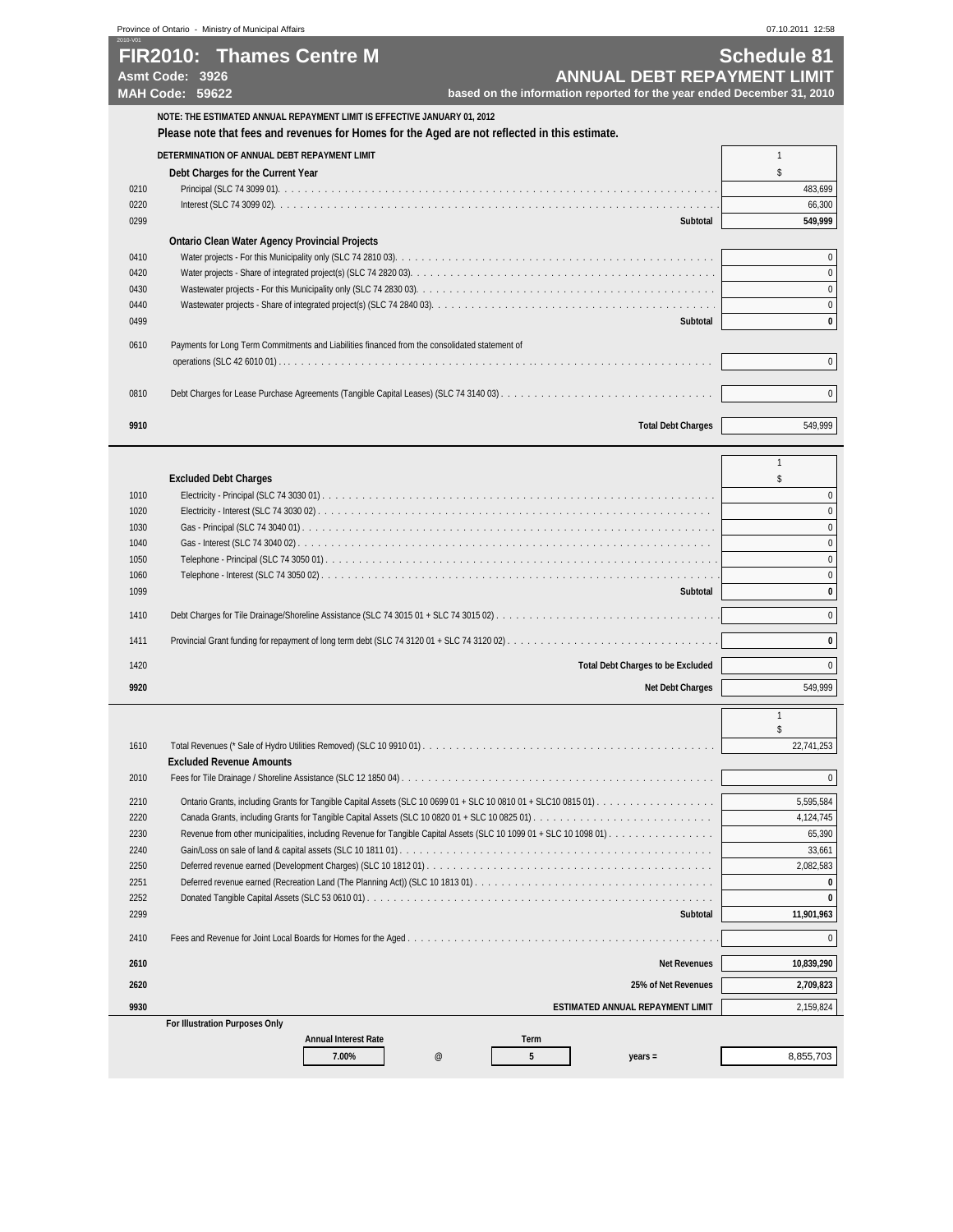|                                                       | Province of Ontario - Ministry of Municipal Affairs                                                                                                                       |                                                                                                              | 07.10.2011 12:58   |
|-------------------------------------------------------|---------------------------------------------------------------------------------------------------------------------------------------------------------------------------|--------------------------------------------------------------------------------------------------------------|--------------------|
| 2010-V01<br>Asmt Code: 3926<br><b>MAH Code: 59622</b> | FIR2010: Thames Centre M                                                                                                                                                  | <b>ANNUAL DEBT REPAYMENT LIMIT</b><br>based on the information reported for the year ended December 31, 2010 | <b>Schedule 81</b> |
|                                                       | NOTE: THE ESTIMATED ANNUAL REPAYMENT LIMIT IS EFFECTIVE JANUARY 01, 2012<br>Please note that fees and revenues for Homes for the Aged are not reflected in this estimate. |                                                                                                              |                    |
|                                                       | DETERMINATION OF ANNUAL DEBT REPAYMENT LIMIT                                                                                                                              |                                                                                                              |                    |
|                                                       | Debt Charges for the Current Year                                                                                                                                         |                                                                                                              |                    |
| 0210                                                  |                                                                                                                                                                           |                                                                                                              | 483,699            |
| 0220                                                  |                                                                                                                                                                           |                                                                                                              | 66,300             |
| 0299                                                  |                                                                                                                                                                           | Subtotal                                                                                                     | 549,999            |
|                                                       | <b>Ontario Clean Water Agency Provincial Projects</b>                                                                                                                     |                                                                                                              |                    |
| 0410                                                  |                                                                                                                                                                           |                                                                                                              | $\Omega$           |
| 0420                                                  |                                                                                                                                                                           |                                                                                                              |                    |
| 0430                                                  |                                                                                                                                                                           |                                                                                                              | $\Omega$           |
| 0440                                                  |                                                                                                                                                                           |                                                                                                              | $\Omega$           |
| 0499                                                  |                                                                                                                                                                           | Subtotal                                                                                                     | $\bf{0}$           |
| 0610                                                  | Payments for Long Term Commitments and Liabilities financed from the consolidated statement of                                                                            |                                                                                                              |                    |
|                                                       |                                                                                                                                                                           |                                                                                                              | $\mathbf{0}$       |
| 0810                                                  |                                                                                                                                                                           |                                                                                                              | $\mathbf{0}$       |
| 9910                                                  |                                                                                                                                                                           | <b>Total Debt Charges</b>                                                                                    | 549,999            |

|      | <b>Excluded Debt Charges</b>             |            |
|------|------------------------------------------|------------|
| 1010 |                                          |            |
| 1020 |                                          |            |
| 1030 |                                          |            |
| 1040 |                                          |            |
| 1050 |                                          |            |
| 1060 |                                          |            |
| 1099 | Subtotal                                 | 0          |
| 1410 |                                          | 0          |
|      |                                          |            |
| 1411 |                                          | 0          |
| 1420 | <b>Total Debt Charges to be Excluded</b> | $\Omega$   |
| 9920 | <b>Net Debt Charges</b>                  | 549,999    |
|      |                                          |            |
|      |                                          |            |
| 1610 |                                          | 22,741,253 |
|      | <b>Excluded Revenue Amounts</b>          |            |
|      |                                          |            |

| 2010 |                                       |      |      |                                         | 0          |
|------|---------------------------------------|------|------|-----------------------------------------|------------|
| 2210 |                                       |      |      |                                         | 5,595,584  |
| 2220 |                                       |      |      |                                         | 4,124,745  |
| 2230 |                                       |      |      |                                         | 65,390     |
| 2240 |                                       |      |      |                                         | 33,661     |
| 2250 |                                       |      |      |                                         | 2,082,583  |
| 2251 |                                       |      |      |                                         |            |
| 2252 |                                       |      |      |                                         |            |
| 2299 |                                       |      |      | Subtotal                                | 11,901,963 |
| 2410 |                                       |      |      |                                         | 0          |
| 2610 |                                       |      |      | <b>Net Revenues</b>                     | 10,839,290 |
| 2620 |                                       |      |      | 25% of Net Revenues                     | 2,709,823  |
| 9930 |                                       |      |      | <b>ESTIMATED ANNUAL REPAYMENT LIMIT</b> | 2,159,824  |
|      | <b>For Illustration Purposes Only</b> |      |      |                                         |            |
|      | <b>Annual Interest Rate</b>           |      | Term |                                         |            |
|      | 7.00%                                 | $^a$ | 5    | $years =$                               | 8,855,703  |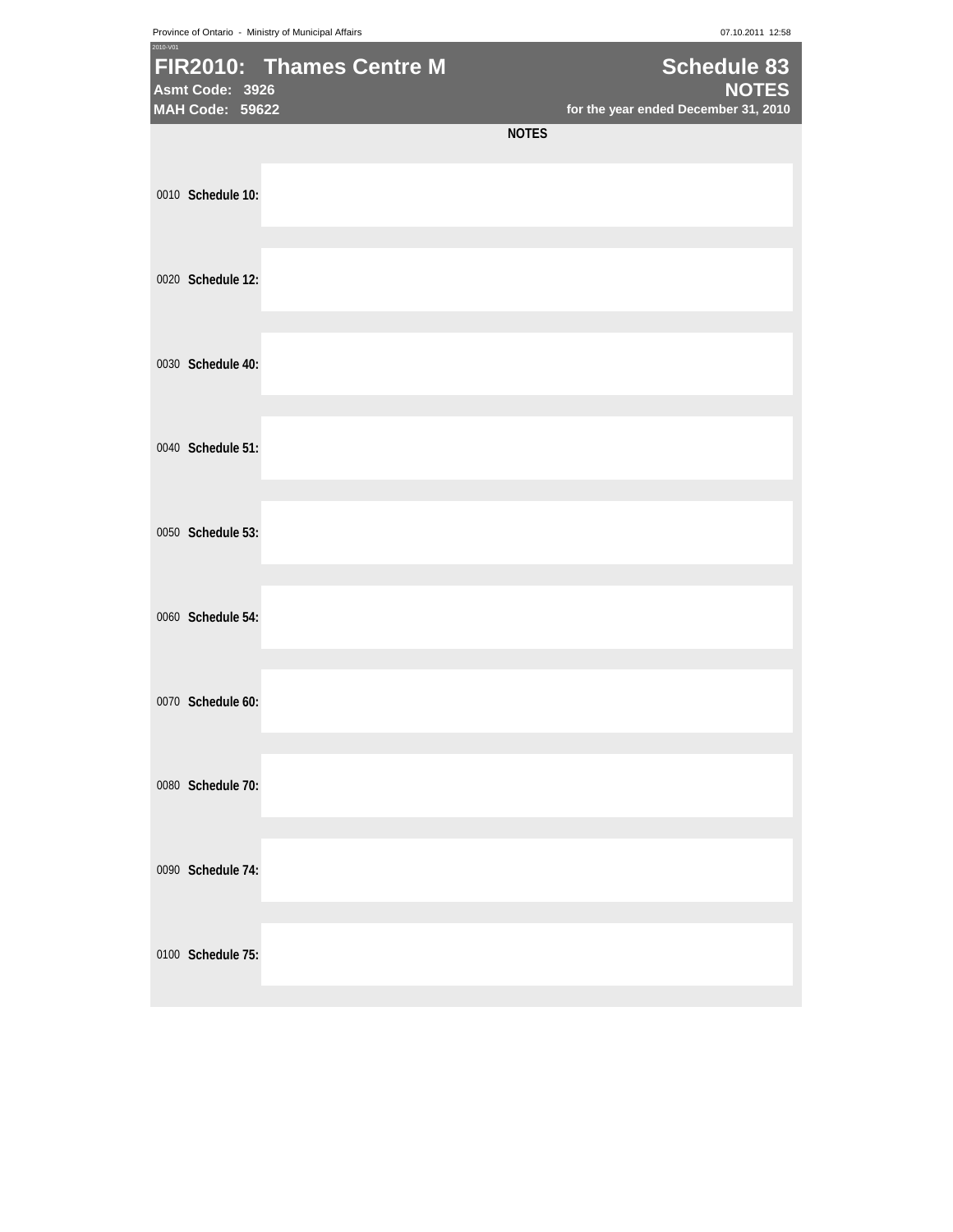Province of Ontario - Ministry of Municipal Affairs **07.10.2011** 12:58

| 2010-V01 | Asmt Code: 3926<br>MAH Code: 59622 | FIR2010: Thames Centre M |              | <b>Schedule 83</b><br><b>NOTES</b><br>for the year ended December 31, 2010 |
|----------|------------------------------------|--------------------------|--------------|----------------------------------------------------------------------------|
|          |                                    |                          | <b>NOTES</b> |                                                                            |
|          | 0010 Schedule 10:                  |                          |              |                                                                            |
|          | 0020 Schedule 12:                  |                          |              |                                                                            |
|          | 0030 Schedule 40:                  |                          |              |                                                                            |
|          | 0040 Schedule 51:                  |                          |              |                                                                            |
|          | 0050 Schedule 53:                  |                          |              |                                                                            |
|          | 0060 Schedule 54:                  |                          |              |                                                                            |
|          | 0070 Schedule 60:                  |                          |              |                                                                            |
|          | 0080 Schedule 70:                  |                          |              |                                                                            |
|          | 0090 Schedule 74:                  |                          |              |                                                                            |
|          | 0100 Schedule 75:                  |                          |              |                                                                            |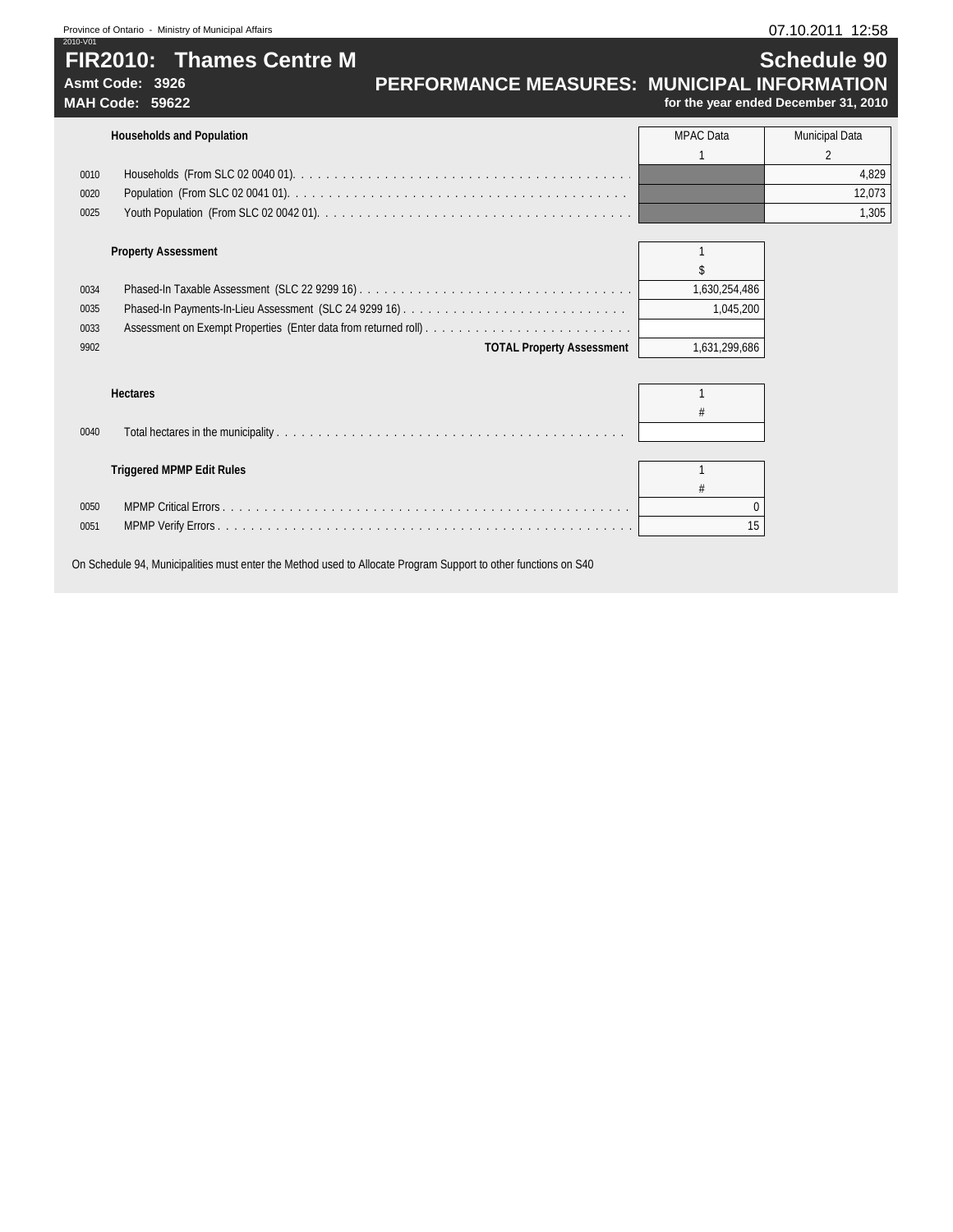# Province of Ontario - Ministry of Municipal Affairs **07.10.2011 12:58** 2010-V01 **FIR2010: Thames Centre M Schedule 90**

# Asmt Code: 3926 **PERFORMANCE MEASURES: MUNICIPAL INFORMATION**<br>MAH Code: 59622 *PERFORMANCE MEASURES: MUNICIPAL INFORMATION*

for the year ended December 31, 2010

|      | <b>Households and Population</b>   | MPAC Data | <b>Municipal Data</b> |  |
|------|------------------------------------|-----------|-----------------------|--|
|      |                                    |           |                       |  |
| 0010 |                                    |           | 4,829                 |  |
| 0020 |                                    |           | 12.073                |  |
| 0025 |                                    |           | 1,305                 |  |
|      |                                    |           |                       |  |
|      | $\sim$ $\sim$ $\sim$ $\sim$ $\sim$ |           |                       |  |

|      | <b>Property Assessment</b>       |               |
|------|----------------------------------|---------------|
|      |                                  |               |
| 0034 |                                  | 1,630,254,486 |
| 0035 |                                  | 1,045,200     |
| 0033 |                                  |               |
| 9902 | <b>TOTAL Property Assessment</b> | 1,631,299,686 |

| 0040 |                                  |    |
|------|----------------------------------|----|
|      |                                  |    |
|      | <b>Triggered MPMP Edit Rules</b> |    |
|      |                                  |    |
| 0050 |                                  |    |
| 0051 |                                  | 15 |
|      |                                  |    |

On Schedule 94, Municipalities must enter the Method used to Allocate Program Support to other functions on S40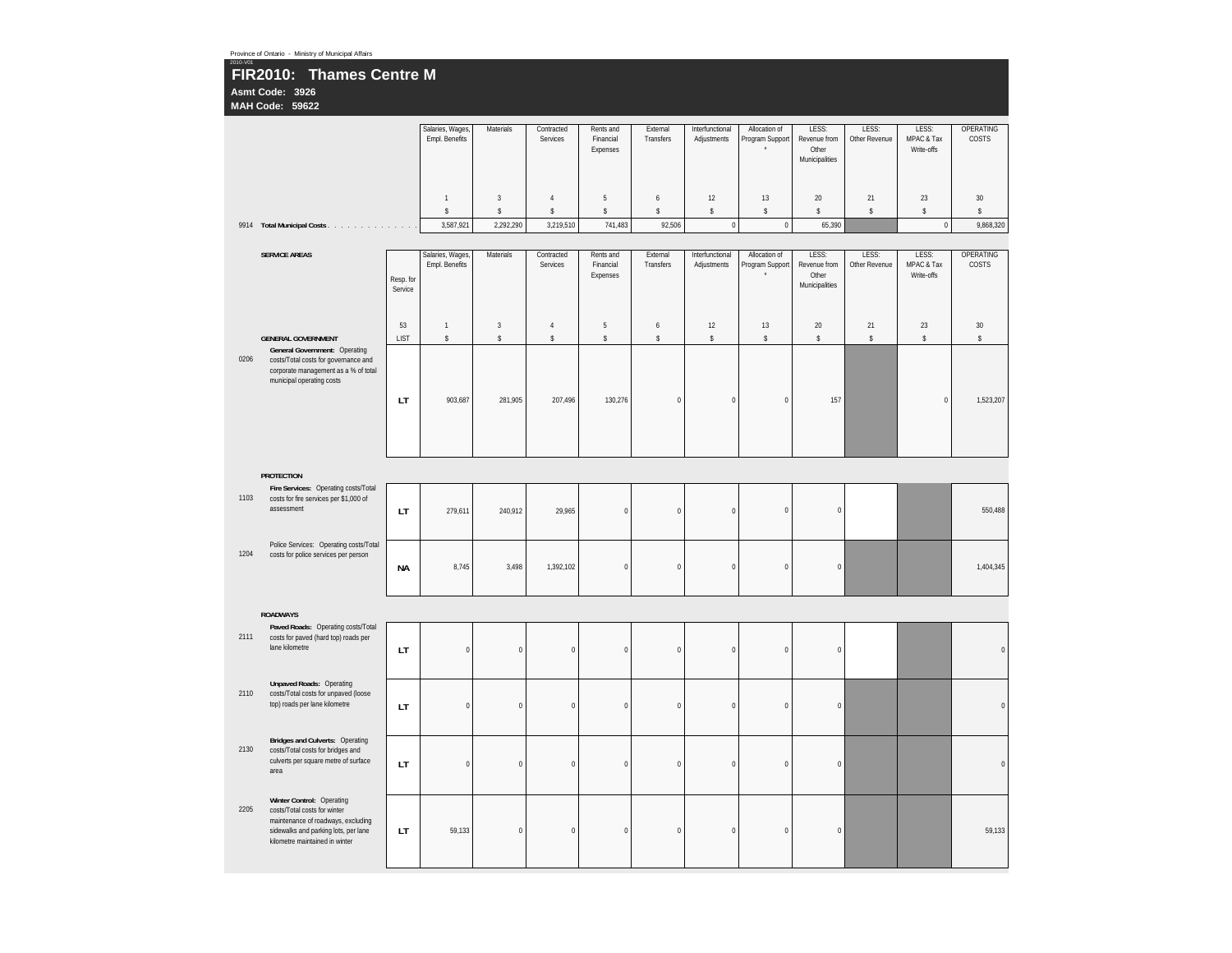| 2010-V01 | Province of Ontario - Ministry of Municipal Affairs<br>FIR2010: Thames Centre M<br>Asmt Code: 3926<br>MAH Code: 59622                                                     |                                   |                                    |                               |                                  |                                    |                                           |                                |                                  |                                                  |                        |                                   |                       |
|----------|---------------------------------------------------------------------------------------------------------------------------------------------------------------------------|-----------------------------------|------------------------------------|-------------------------------|----------------------------------|------------------------------------|-------------------------------------------|--------------------------------|----------------------------------|--------------------------------------------------|------------------------|-----------------------------------|-----------------------|
|          |                                                                                                                                                                           |                                   | Salaries, Wages,<br>Empl. Benefits | Materials                     | Contracted<br>Services           | Rents and<br>Financial<br>Expenses | External<br>Transfers                     | Interfunctional<br>Adjustments | Allocation of<br>Program Support | LESS:<br>Revenue from<br>Other<br>Municipalities | LESS:<br>Other Revenue | LESS:<br>MPAC & Tax<br>Write-offs | OPERATING<br>COSTS    |
|          | 9914 Total Municipal Costs                                                                                                                                                |                                   | $\mathbf{1}$<br>\$<br>3,587,921    | $\sqrt{3}$<br>\$<br>2,292,290 | $\overline{4}$<br>s<br>3,219,510 | $\sqrt{5}$<br>s<br>741,483         | $\boldsymbol{6}$<br>$\mathbb S$<br>92,506 | 12<br>s<br>$\pmb{0}$           | 13<br>\$<br>$\pmb{0}$            | $20\,$<br>\$<br>65,390                           | $21\,$<br>\$           | $23\,$<br>\$<br>$\,0\,$           | 30<br>\$<br>9,868,320 |
|          | <b>SERVICE AREAS</b>                                                                                                                                                      | Resp. for<br>Service              | Salaries, Wages,<br>Empl. Benefits | Materials                     | Contracted<br>Services           | Rents and<br>Financial<br>Expenses | External<br>Transfers                     | Interfunctional<br>Adjustments | Allocation of<br>Program Support | LESS:<br>Revenue from<br>Other<br>Municipalities | LESS:<br>Other Revenue | LESS:<br>MPAC & Tax<br>Write-offs | OPERATING<br>COSTS    |
|          | <b>GENERAL GOVERNMENT</b>                                                                                                                                                 | 53<br><b>LIST</b>                 | $\mathbf{1}$<br>\$                 | $\overline{3}$<br>\$          | $\sqrt{4}$<br>$\mathbb S$        | $\sqrt{5}$<br>$\mathsf{\$}$        | $\boldsymbol{6}$<br>$\mathbb{S}$          | 12<br>\$                       | 13<br>\$                         | 20<br>\$                                         | 21<br>$\mathbb{S}$     | 23<br>\$                          | 30<br>\$              |
| 0206     | General Government: Operating<br>costs/Total costs for governance and<br>corporate management as a % of total<br>municipal operating costs                                | LT                                | 903,687                            | 281,905                       | 207,496                          | 130,276                            | $\pmb{0}$                                 | $\pmb{0}$                      | $\pmb{0}$                        | 157                                              |                        | $\,0\,$                           | 1,523,207             |
|          | <b>PROTECTION</b>                                                                                                                                                         |                                   |                                    |                               |                                  |                                    |                                           |                                |                                  |                                                  |                        |                                   |                       |
| 1103     | Fire Services: Operating costs/Total<br>costs for fire services per \$1,000 of<br>assessment                                                                              | LT                                | 279,611                            | 240,912                       | 29,965                           | $\pmb{0}$                          | $\mathbf 0$                               | $\pmb{0}$                      | $\pmb{0}$                        | $\pmb{0}$                                        |                        |                                   | 550,488               |
| 1204     | Police Services: Operating costs/Total<br>costs for police services per person                                                                                            | <b>NA</b>                         | 8,745                              | 3,498                         | 1,392,102                        | $\mathbf{0}$                       | $\overline{0}$                            | $\mathbf{0}$                   | $\mathbf{0}$                     | $\mathbf 0$                                      |                        |                                   | 1,404,345             |
|          | <b>ROADWAYS</b>                                                                                                                                                           |                                   |                                    |                               |                                  |                                    |                                           |                                |                                  |                                                  |                        |                                   |                       |
| 2111     | Paved Roads: Operating costs/Total<br>costs for paved (hard top) roads per<br>lane kilometre                                                                              | LT                                | $\pmb{0}$                          | $\pmb{0}$                     | $\pmb{0}$                        | $\pmb{0}$                          | $\mathbf 0$                               | $\pmb{0}$                      | $\pmb{0}$                        | $\pmb{0}$                                        |                        |                                   | $\mathbf 0$           |
| 2110     | <b>Unpaved Roads: Operating</b><br>costs/Total costs for unpaved (loose<br>top) roads per lane kilometre                                                                  | $\ensuremath{\mathsf{LT}}\xspace$ | $\mathbf 0$                        | $\pmb{0}$                     | $\pmb{0}$                        | $\mathbb O$                        | $\pmb{0}$                                 | $\pmb{0}$                      | $\pmb{0}$                        | $\pmb{0}$                                        |                        |                                   | $\mathbf 0$           |
| 2130     | <b>Bridges and Culverts: Operating</b><br>costs/Total costs for bridges and<br>culverts per square metre of surface<br>area                                               | LT                                | $\pmb{0}$                          | $\pmb{0}$                     | $\pmb{0}$                        | $\boldsymbol{0}$                   | $\pmb{0}$                                 | $\pmb{0}$                      | $\pmb{0}$                        | $\pmb{0}$                                        |                        |                                   | $\mathbf 0$           |
| 2205     | Winter Control: Operating<br>costs/Total costs for winter<br>maintenance of roadways, excluding<br>sidewalks and parking lots, per lane<br>kilometre maintained in winter | LT                                | 59,133                             | $\boldsymbol{0}$              | $\pmb{0}$                        | $\pmb{0}$                          | $\mathbf 0$                               | $\pmb{0}$                      | $\boldsymbol{0}$                 | $\pmb{0}$                                        |                        |                                   | 59,133                |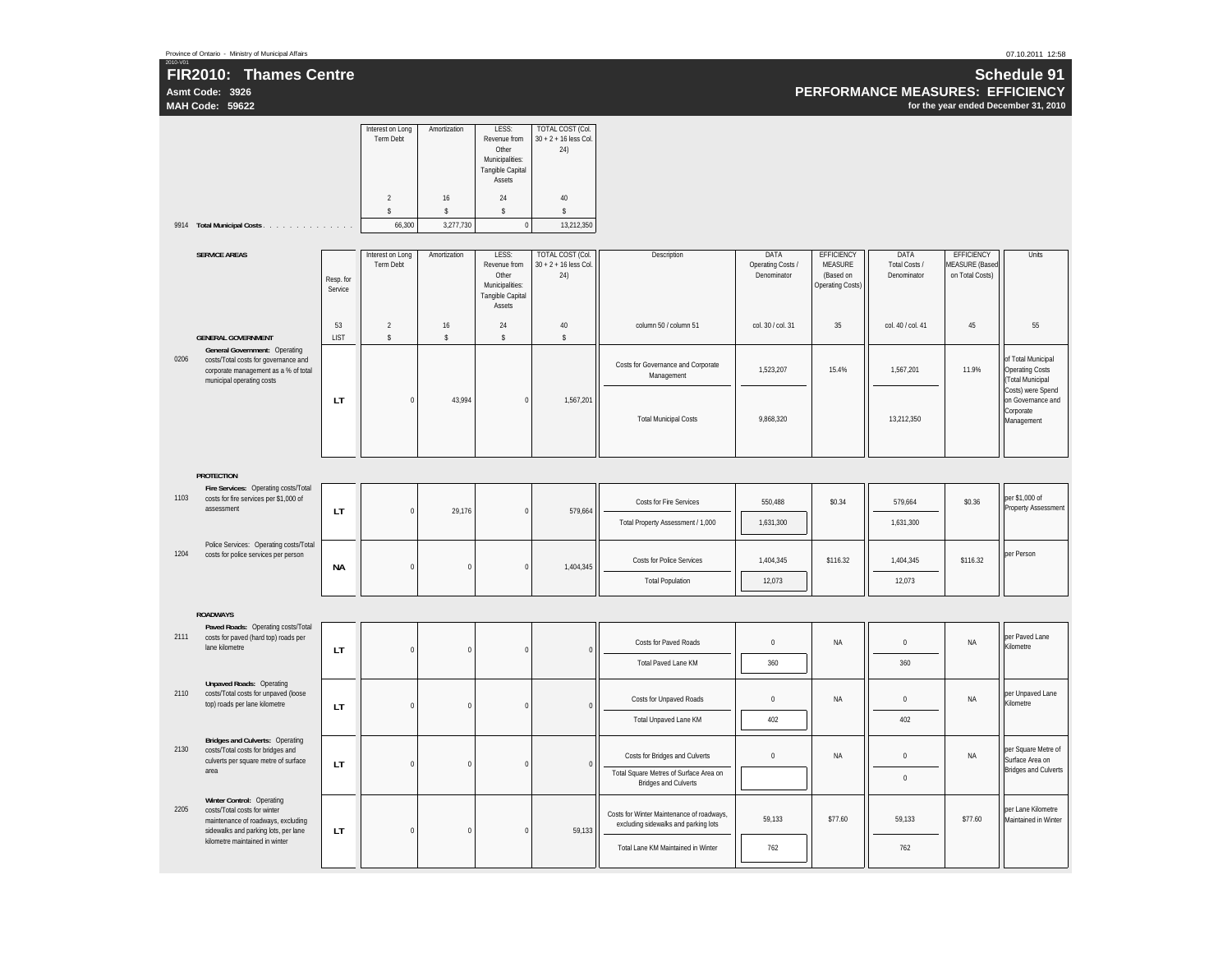**Asmt Code: 3926 MAH Code: 59622**

2010-V01

**PERFORMANCE MEASURES: EFFICIENCY**

**for the year ended December 31, 2010**

|      |                                                                                                                                            |                      | Interest on Long<br><b>Term Debt</b><br>$\sqrt{2}$<br>$\hat{\mathbf{S}}$ | Amortization<br>16<br>$\mathsf{s}$ | LESS:<br>Revenue from<br>Other<br>Municipalities:<br>Tangible Capital<br>Assets<br>24<br>$\mathsf S$ | <b>TOTAL COST (Col.</b><br>$30 + 2 + 16$ less Col.<br>24)<br>$40\,$<br>$\mathsf{s}$ |                                                                                   |                                          |                                                                             |                                      |                                                        |                                                                       |
|------|--------------------------------------------------------------------------------------------------------------------------------------------|----------------------|--------------------------------------------------------------------------|------------------------------------|------------------------------------------------------------------------------------------------------|-------------------------------------------------------------------------------------|-----------------------------------------------------------------------------------|------------------------------------------|-----------------------------------------------------------------------------|--------------------------------------|--------------------------------------------------------|-----------------------------------------------------------------------|
|      | 9914 Total Municipal Costs                                                                                                                 |                      | 66,300                                                                   | 3,277,730                          | $\mathbf 0$                                                                                          | 13,212,350                                                                          |                                                                                   |                                          |                                                                             |                                      |                                                        |                                                                       |
|      | <b>SERVICE AREAS</b>                                                                                                                       | Resp. for<br>Service | Interest on Long<br><b>Term Debt</b>                                     | Amortization                       | LESS:<br>Revenue from<br>Other<br>Municipalities:<br>Tangible Capital<br>Assets                      | TOTAL COST (Col.<br>$30 + 2 + 16$ less Col.<br>24)                                  | Description                                                                       | DATA<br>Operating Costs /<br>Denominator | <b>EFFICIENCY</b><br><b>MEASURE</b><br>(Based on<br><b>Operating Costs)</b> | DATA<br>Total Costs /<br>Denominator | EFFICIENCY<br><b>MEASURE (Based</b><br>on Total Costs) | Units                                                                 |
|      | <b>GENERAL GOVERNMENT</b>                                                                                                                  | 53<br><b>LIST</b>    | $\sqrt{2}$<br>$\mathbb S$                                                | 16<br>$\mathsf{s}$                 | 24<br>$\mathsf{s}$                                                                                   | $40\,$<br>$\mathsf{s}$                                                              | column 50 / column 51                                                             | col. 30 / col. 31                        | 35                                                                          | col. 40 / col. 41                    | 45                                                     | 55                                                                    |
| 0206 | General Government: Operating<br>costs/Total costs for governance and<br>corporate management as a % of total<br>municipal operating costs |                      |                                                                          |                                    |                                                                                                      |                                                                                     | Costs for Governance and Corporate<br>Management                                  | 1,523,207                                | 15.4%                                                                       | 1,567,201                            | 11.9%                                                  | of Total Municipal<br><b>Operating Costs</b><br>(Total Municipal      |
|      |                                                                                                                                            | LT                   | $\theta$                                                                 | 43,994                             | $\mathbf 0$                                                                                          | 1,567,201                                                                           | <b>Total Municipal Costs</b>                                                      | 9,868,320                                |                                                                             | 13,212,350                           |                                                        | Costs) were Spend<br>on Governance and<br>Corporate<br>Management     |
|      | <b>PROTECTION</b>                                                                                                                          |                      |                                                                          |                                    |                                                                                                      |                                                                                     |                                                                                   |                                          |                                                                             |                                      |                                                        |                                                                       |
| 1103 | Fire Services: Operating costs/Total<br>costs for fire services per \$1,000 of<br>assessment                                               | LT                   | $\Omega$                                                                 | 29,176                             | $\Omega$                                                                                             | 579,664                                                                             | Costs for Fire Services                                                           | 550,488                                  | \$0.34                                                                      | 579,664                              | \$0.36                                                 | per \$1,000 of<br><b>Property Assessment</b>                          |
|      |                                                                                                                                            |                      |                                                                          |                                    |                                                                                                      |                                                                                     | Total Property Assessment / 1,000                                                 | 1,631,300                                |                                                                             | 1,631,300                            |                                                        |                                                                       |
| 1204 | Police Services: Operating costs/Total<br>costs for police services per person                                                             | <b>NA</b>            | $\mathbf 0$                                                              | $\pmb{0}$                          | $\pmb{0}$                                                                                            | 1,404,345                                                                           | <b>Costs for Police Services</b><br><b>Total Population</b>                       | 1,404,345<br>12,073                      | \$116.32                                                                    | 1,404,345<br>12,073                  | \$116.32                                               | per Person                                                            |
|      |                                                                                                                                            |                      |                                                                          |                                    |                                                                                                      |                                                                                     |                                                                                   |                                          |                                                                             |                                      |                                                        |                                                                       |
|      | <b>ROADWAYS</b>                                                                                                                            |                      |                                                                          |                                    |                                                                                                      |                                                                                     |                                                                                   |                                          |                                                                             |                                      |                                                        |                                                                       |
| 2111 | Paved Roads: Operating costs/Total<br>costs for paved (hard top) roads per<br>lane kilometre                                               | LT.                  | $\mathbf{0}$                                                             | $\pmb{0}$                          | $\Omega$                                                                                             | $\overline{0}$                                                                      | Costs for Paved Roads                                                             | $\mathbf 0$                              | <b>NA</b>                                                                   | $\mathbf{0}$                         | <b>NA</b>                                              | per Paved Lane<br>Kilometre                                           |
|      |                                                                                                                                            |                      |                                                                          |                                    |                                                                                                      |                                                                                     | <b>Total Paved Lane KM</b>                                                        | 360                                      |                                                                             | 360                                  |                                                        |                                                                       |
| 2110 | <b>Unpaved Roads: Operating</b><br>costs/Total costs for unpaved (loose<br>top) roads per lane kilometre                                   | LT.                  | $\pmb{0}$                                                                | $\pmb{0}$                          | $\Omega$                                                                                             | $\theta$                                                                            | <b>Costs for Unpaved Roads</b>                                                    | $\pmb{0}$                                | <b>NA</b>                                                                   | $\bf 0$                              | NA                                                     | per Unpaved Lane<br>Kilometre                                         |
|      |                                                                                                                                            |                      |                                                                          |                                    |                                                                                                      |                                                                                     | <b>Total Unpaved Lane KM</b>                                                      | 402                                      |                                                                             | 402                                  |                                                        |                                                                       |
| 2130 | <b>Bridges and Culverts: Operating</b><br>costs/Total costs for bridges and<br>culverts per square metre of surface                        | LT                   | $\pmb{0}$                                                                | $\pmb{0}$                          | $\pmb{0}$                                                                                            | $\overline{0}$                                                                      | Costs for Bridges and Culverts                                                    | $\bf 0$                                  | NA                                                                          | $\bf 0$                              | NA                                                     | per Square Metre of<br>Surface Area on<br><b>Bridges and Culverts</b> |
|      | area                                                                                                                                       |                      |                                                                          |                                    |                                                                                                      |                                                                                     | Total Square Metres of Surface Area on<br><b>Bridges and Culverts</b>             |                                          |                                                                             | $\bf 0$                              |                                                        |                                                                       |
| 2205 | Winter Control: Operating<br>costs/Total costs for winter<br>maintenance of roadways, excluding<br>sidewalks and parking lots, per lane    | LT                   | $\mathbf 0$                                                              | $\pmb{0}$                          | $\pmb{0}$                                                                                            | 59,133                                                                              | Costs for Winter Maintenance of roadways,<br>excluding sidewalks and parking lots | 59,133                                   | \$77.60                                                                     | 59,133                               | \$77.60                                                | per Lane Kilometre<br>Maintained in Winter                            |
|      | kilometre maintained in winter                                                                                                             |                      |                                                                          |                                    |                                                                                                      |                                                                                     | Total Lane KM Maintained in Winter                                                | 762                                      |                                                                             | 762                                  |                                                        |                                                                       |

07.10.2011 12:58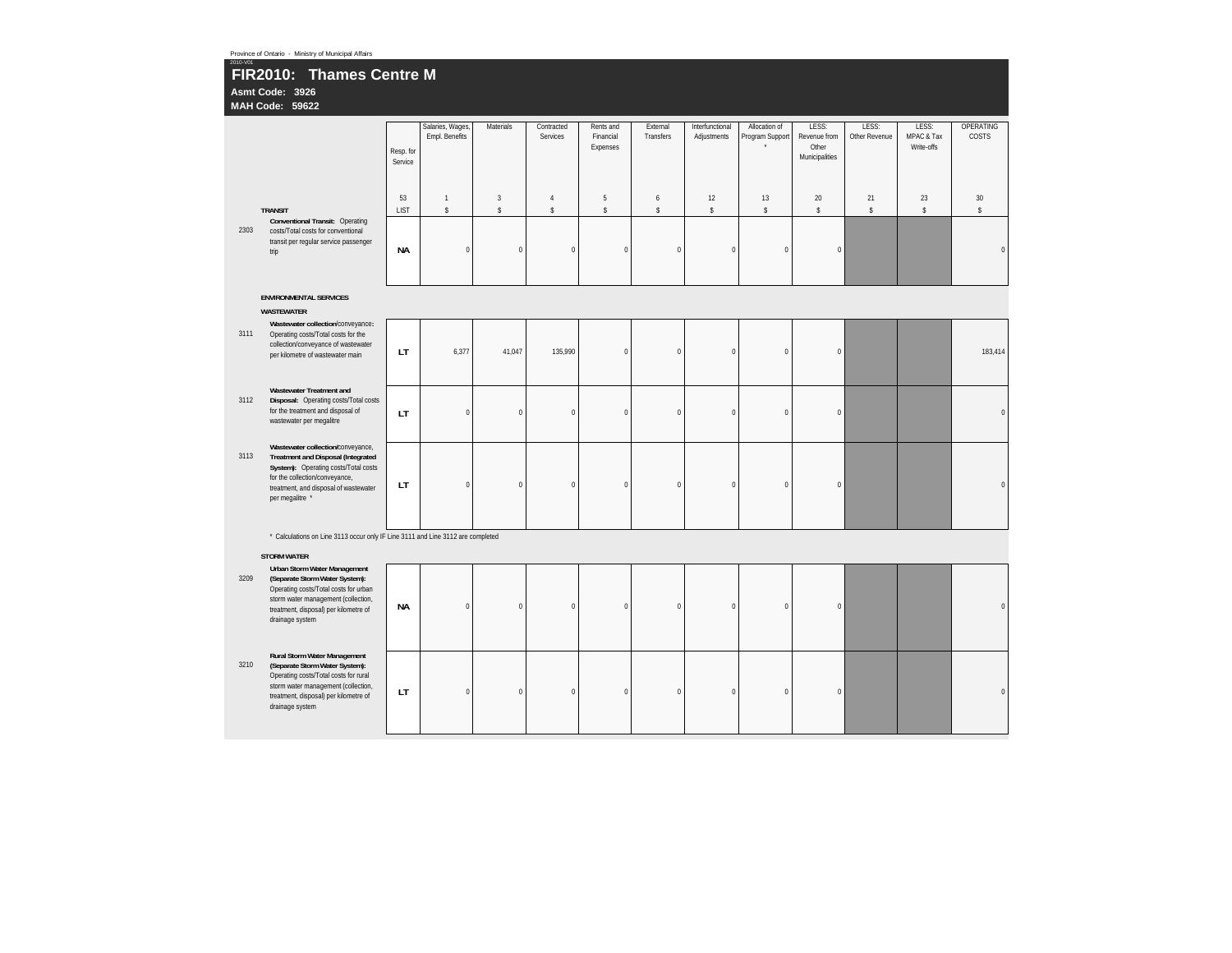|          | Province of Ontario - Ministry of Municipal Affairs                                                                                                                                                                                     |                      |                                    |                                        |                               |                                    |                                  |                                |                                  |                                                  |                        |                                   |                           |
|----------|-----------------------------------------------------------------------------------------------------------------------------------------------------------------------------------------------------------------------------------------|----------------------|------------------------------------|----------------------------------------|-------------------------------|------------------------------------|----------------------------------|--------------------------------|----------------------------------|--------------------------------------------------|------------------------|-----------------------------------|---------------------------|
| 2010-V01 | FIR2010: Thames Centre M<br>Asmt Code: 3926<br>MAH Code: 59622                                                                                                                                                                          |                      |                                    |                                        |                               |                                    |                                  |                                |                                  |                                                  |                        |                                   |                           |
|          |                                                                                                                                                                                                                                         | Resp. for<br>Service | Salaries, Wages,<br>Empl. Benefits | Materials                              | Contracted<br>Services        | Rents and<br>Financial<br>Expenses | External<br>Transfers            | Interfunctional<br>Adjustments | Allocation of<br>Program Support | LESS:<br>Revenue from<br>Other<br>Municipalities | LESS:<br>Other Revenue | LESS:<br>MPAC & Tax<br>Write-offs | <b>OPERATING</b><br>COSTS |
|          | <b>TRANSIT</b>                                                                                                                                                                                                                          | 53<br>LIST           | $\overline{1}$<br>$\mathbb{S}$     | $\overline{\mathbf{3}}$<br>$\mathsf S$ | $\overline{4}$<br>$\mathbb S$ | $\sqrt{5}$<br>$\mathsf S$          | $\boldsymbol{6}$<br>$\mathbb{S}$ | 12<br>$\mathsf S$              | 13<br>$\mathbb{S}$               | 20<br>$\mathsf S$                                | 21<br>$\mathsf S$      | 23<br>$\mathbb{S}$                | 30<br>\$                  |
| 2303     | <b>Conventional Transit: Operating</b><br>costs/Total costs for conventional<br>transit per regular service passenger<br>trip                                                                                                           | ΝA                   | $\pmb{0}$                          | $\overline{0}$                         | $\theta$                      | $\mathbf{0}$                       | $\pmb{0}$                        | $\pmb{0}$                      | $\overline{0}$                   | $\pmb{0}$                                        |                        |                                   |                           |
|          | <b>ENVIRONMENTAL SERVICES</b><br><b>WASTEWATER</b>                                                                                                                                                                                      |                      |                                    |                                        |                               |                                    |                                  |                                |                                  |                                                  |                        |                                   |                           |
| 3111     | Wastewater collection/conveyance:<br>Operating costs/Total costs for the<br>collection/conveyance of wastewater<br>per kilometre of wastewater main                                                                                     | LT                   | 6,377                              | 41,047                                 | 135,990                       | $\mathbf{0}$                       | $\mathbf 0$                      | $\pmb{0}$                      | $\theta$                         | $\mathbf 0$                                      |                        |                                   | 183,414                   |
| 3112     | <b>Wastewater Treatment and</b><br>Disposal: Operating costs/Total costs<br>for the treatment and disposal of<br>wastewater per megalitre                                                                                               | LT.                  | $\overline{0}$                     | $\theta$                               | $\mathbf 0$                   | $\mathbf{0}$                       | $\mathbf 0$                      | $\mathbf{0}$                   | $\theta$                         | $\mathbf 0$                                      |                        |                                   |                           |
| 3113     | Wastewater collection/conveyance,<br><b>Treatment and Disposal (Integrated</b><br>System): Operating costs/Total costs<br>for the collection/conveyance,<br>treatment, and disposal of wastewater<br>per megalitre *                    | LT                   | $\mathbf 0$                        | $\mathbf 0$                            | $\pmb{0}$                     | $\mathbf{0}$                       | $\pmb{0}$                        | $\pmb{0}$                      | $\overline{0}$                   | $\pmb{0}$                                        |                        |                                   |                           |
|          | * Calculations on Line 3113 occur only IF Line 3111 and Line 3112 are completed                                                                                                                                                         |                      |                                    |                                        |                               |                                    |                                  |                                |                                  |                                                  |                        |                                   |                           |
| 3209     | <b>STORM WATER</b><br><b>Urban Storm Water Management</b><br>(Separate Storm Water System):<br>Operating costs/Total costs for urban<br>storm water management (collection,<br>treatment, disposal) per kilometre of<br>drainage system | <b>NA</b>            | $\overline{0}$                     | $\theta$                               | $\mathbf 0$                   | $\mathbf{0}$                       | $\mathbf 0$                      | $\mathbf{0}$                   | $\theta$                         | $\mathbf 0$                                      |                        |                                   |                           |
| 3210     | <b>Rural Storm Water Management</b><br>(Separate Storm Water System):<br>Operating costs/Total costs for rural<br>storm water management (collection,<br>treatment, disposal) per kilometre of<br>drainage system                       | LT                   | $\mathbf 0$                        | $\theta$                               | $\mathbf 0$                   | $\mathbf{0}$                       | $\mathbb O$                      | $\pmb{0}$                      | $\overline{0}$                   | $\pmb{0}$                                        |                        |                                   | $\Omega$                  |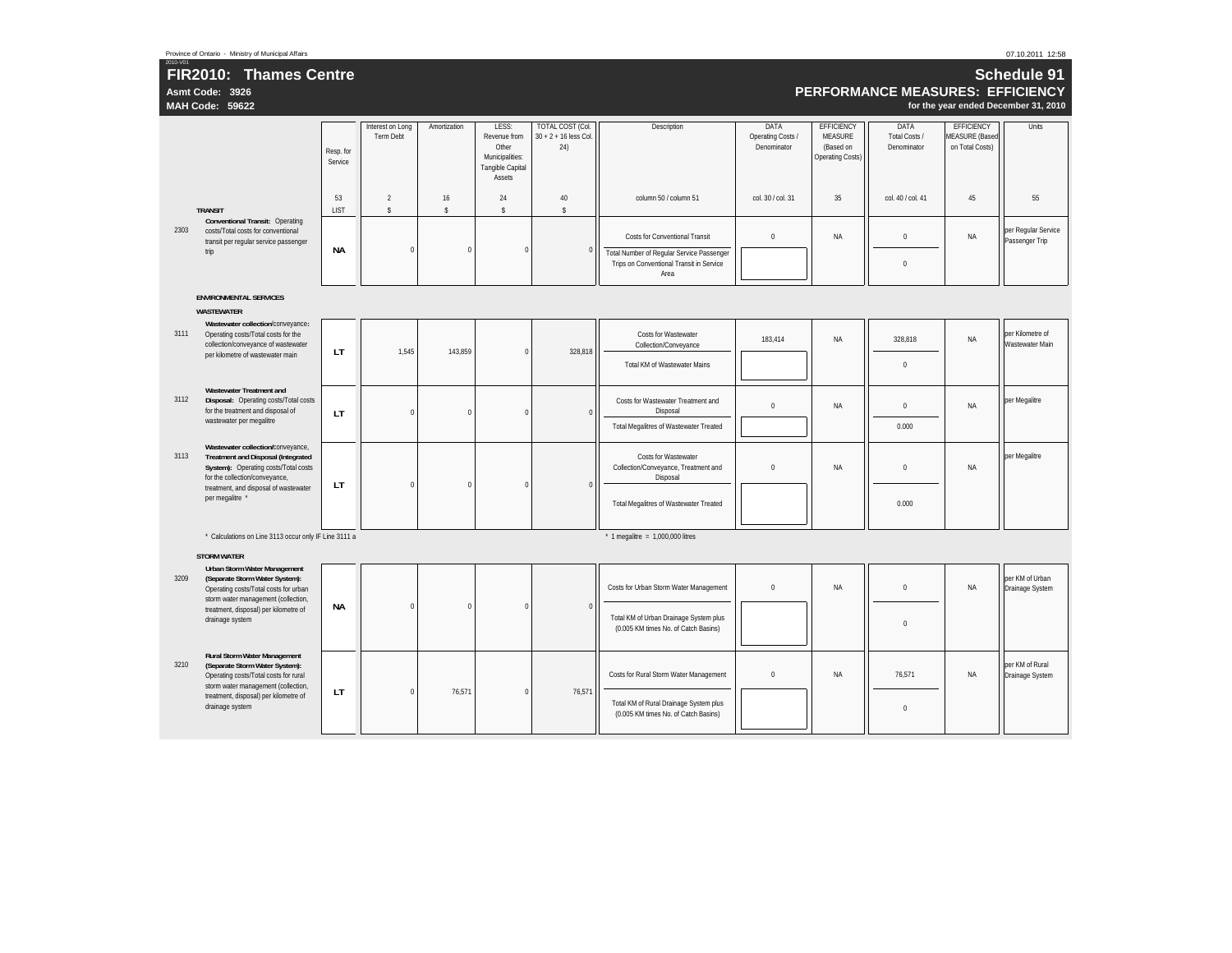**Asmt Code: 3926**

## 2010-V01 **FIR2010: Thames Centre**

#### 07.10.2011 12:58

| Schedule 91                          |
|--------------------------------------|
| PERFORMANCE MEASURES:  EFFICIENCY    |
| for the year ended December 31, 2010 |

|      | MAH Code: 59622                                                                                                                                          |                      |                                      |                          |                                                                                        |                                                    |                                                                                    |                                          |                                                                      |                                      |                                                               | for the year ended December 31, 201   |
|------|----------------------------------------------------------------------------------------------------------------------------------------------------------|----------------------|--------------------------------------|--------------------------|----------------------------------------------------------------------------------------|----------------------------------------------------|------------------------------------------------------------------------------------|------------------------------------------|----------------------------------------------------------------------|--------------------------------------|---------------------------------------------------------------|---------------------------------------|
|      |                                                                                                                                                          | Resp. for<br>Service | Interest on Long<br><b>Term Debt</b> | Amortization             | LESS:<br>Revenue from<br>Other<br>Municipalities:<br><b>Tangible Capital</b><br>Assets | TOTAL COST (Col.<br>$30 + 2 + 16$ less Col.<br>24) | Description                                                                        | DATA<br>Operating Costs /<br>Denominator | <b>EFFICIENCY</b><br><b>MEASURE</b><br>(Based on<br>Operating Costs) | DATA<br>Total Costs /<br>Denominator | <b>EFFICIENCY</b><br><b>MEASURE (Based</b><br>on Total Costs) | <b>Units</b>                          |
|      | <b>TRANSIT</b>                                                                                                                                           | 53<br><b>LIST</b>    | $\overline{2}$<br>$\mathsf{s}$       | 16<br>$\hat{\mathbf{s}}$ | 24<br>$\mathbb S$                                                                      | 40<br>$\mathbf{\hat{S}}$                           | column 50 / column 51                                                              | col. 30 / col. 31                        | 35                                                                   | col. 40 / col. 41                    | 45                                                            | 55                                    |
| 2303 | <b>Conventional Transit: Operating</b><br>costs/Total costs for conventional<br>transit per regular service passenger<br>trip                            | <b>NA</b>            | $\mathbf{0}$                         | $\mathbf 0$              | $\mathbf{0}$                                                                           | $\mathbf 0$                                        | <b>Costs for Conventional Transit</b><br>Total Number of Regular Service Passenger | $\mathbf 0$                              | NA                                                                   | $\Omega$                             | NA                                                            | per Regular Service<br>Passenger Trip |
|      |                                                                                                                                                          |                      |                                      |                          |                                                                                        |                                                    | Trips on Conventional Transit in Service<br>Area                                   |                                          |                                                                      | $\Omega$                             |                                                               |                                       |
|      | <b>ENVIRONMENTAL SERVICES</b><br><b>WASTEWATER</b>                                                                                                       |                      |                                      |                          |                                                                                        |                                                    |                                                                                    |                                          |                                                                      |                                      |                                                               |                                       |
| 3111 | Wastewater collection/conveyance:<br>Operating costs/Total costs for the<br>collection/conveyance of wastewater                                          | LT                   | 1,545                                | 143,859                  | $\Omega$                                                                               | 328,818                                            | Costs for Wastewater<br>Collection/Conveyance                                      | 183,414                                  | NA                                                                   | 328,818                              | NA                                                            | per Kilometre of<br>Wastewater Main   |
|      | per kilometre of wastewater main                                                                                                                         |                      |                                      |                          |                                                                                        |                                                    | Total KM of Wastewater Mains                                                       |                                          |                                                                      | $\mathbf{0}$                         |                                                               |                                       |
| 3112 | <b>Wastewater Treatment and</b><br>Disposal: Operating costs/Total costs<br>for the treatment and disposal of                                            | LT                   | $\Omega$                             | $\pmb{0}$                | $\Omega$                                                                               | $\overline{0}$                                     | Costs for Wastewater Treatment and<br>Disposal                                     | $\mathbf 0$                              | NA                                                                   | $\mathbf 0$                          | NA                                                            | per Megalitre                         |
|      | wastewater per megalitre                                                                                                                                 |                      |                                      |                          |                                                                                        |                                                    | <b>Total Megalitres of Wastewater Treated</b>                                      |                                          |                                                                      | 0.000                                |                                                               |                                       |
| 3113 | Wastewater collection/conveyance,<br><b>Treatment and Disposal (Integrated</b><br>System): Operating costs/Total costs<br>for the collection/conveyance, | LT                   | $\Omega$                             | $\Omega$                 | $\Omega$                                                                               | $\overline{0}$                                     | Costs for Wastewater<br>Collection/Conveyance, Treatment and<br>Disposal           | $\mathbf 0$                              | NA                                                                   | $\mathbf 0$                          | NA                                                            | per Megalitre                         |
|      | treatment, and disposal of wastewater<br>per megalitre *                                                                                                 |                      |                                      |                          |                                                                                        |                                                    | <b>Total Megalitres of Wastewater Treated</b>                                      |                                          |                                                                      | 0.000                                |                                                               |                                       |
|      | * Calculations on Line 3113 occur only IF Line 3111 a                                                                                                    |                      |                                      |                          |                                                                                        |                                                    | $*$ 1 megalitre = 1,000,000 litres                                                 |                                          |                                                                      |                                      |                                                               |                                       |
|      | <b>STORM WATER</b>                                                                                                                                       |                      |                                      |                          |                                                                                        |                                                    |                                                                                    |                                          |                                                                      |                                      |                                                               |                                       |
| 3209 | <b>Urban Storm Water Management</b><br>(Separate Storm Water System):<br>Operating costs/Total costs for urban<br>storm water management (collection,    |                      |                                      |                          |                                                                                        |                                                    | Costs for Urban Storm Water Management                                             | $\mathbf 0$                              | NA                                                                   | $\mathbf 0$                          | NA                                                            | per KM of Urban<br>Drainage System    |
|      | treatment, disposal) per kilometre of<br>drainage system                                                                                                 | <b>NA</b>            | $\Omega$                             | $\Omega$                 | $\Omega$                                                                               | $\,0\,$                                            | Total KM of Urban Drainage System plus<br>(0.005 KM times No. of Catch Basins)     |                                          |                                                                      | $\Omega$                             |                                                               |                                       |
| 3210 | <b>Rural Storm Water Management</b><br>(Separate Storm Water System):<br>Operating costs/Total costs for rural<br>storm water management (collection,    |                      |                                      |                          |                                                                                        |                                                    | Costs for Rural Storm Water Management                                             | $\mathbf 0$                              | <b>NA</b>                                                            | 76.571                               | NA                                                            | per KM of Rural<br>Drainage System    |
|      | treatment, disposal) per kilometre of<br>drainage system                                                                                                 | LT                   | $\Omega$                             | 76.571                   | $\Omega$                                                                               | 76.571                                             | Total KM of Rural Drainage System plus<br>(0.005 KM times No. of Catch Basins)     |                                          |                                                                      | $\Omega$                             |                                                               |                                       |
|      |                                                                                                                                                          |                      |                                      |                          |                                                                                        |                                                    |                                                                                    |                                          |                                                                      |                                      |                                                               |                                       |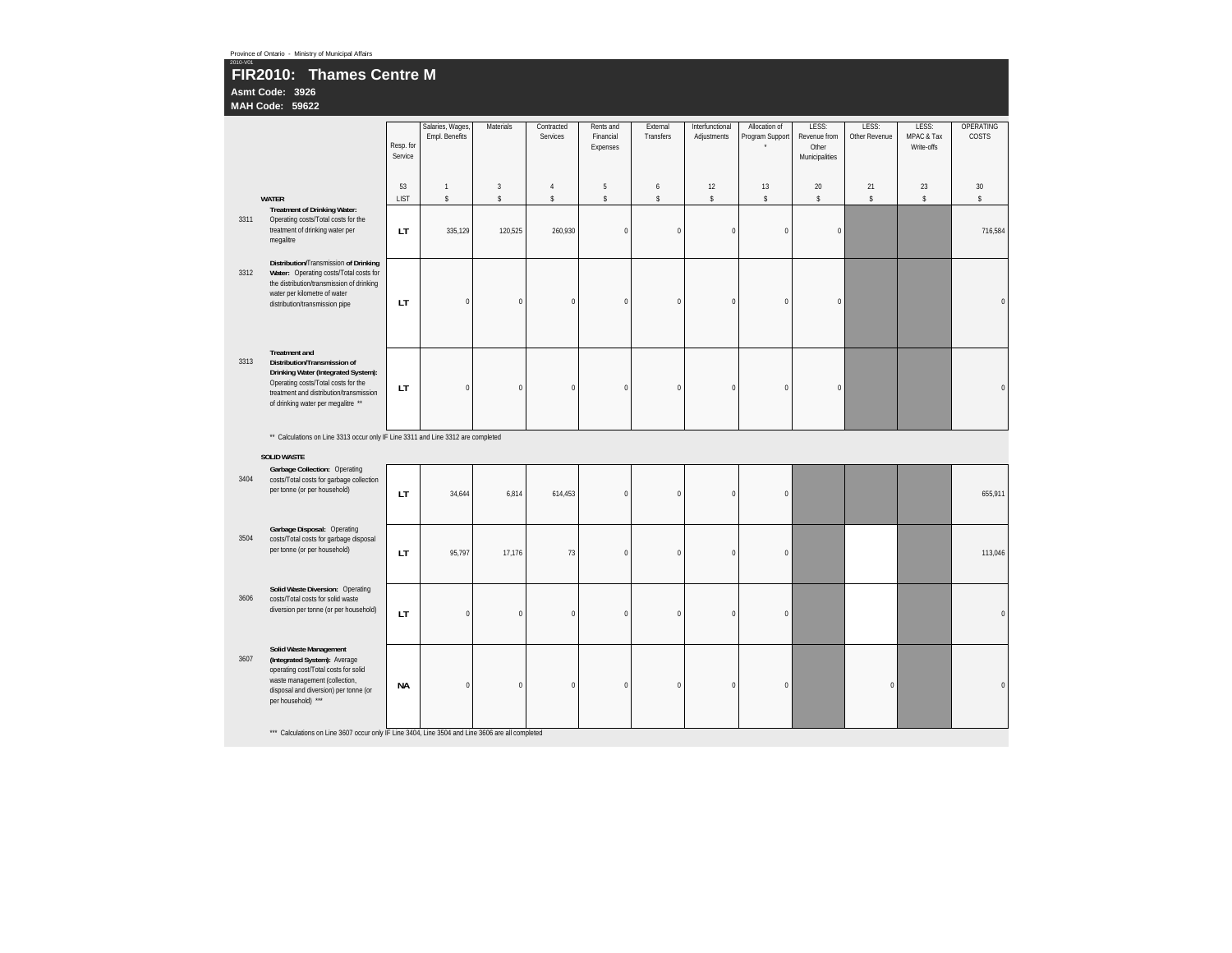| 2010-V01 | Province of Ontario - Ministry of Municipal Affairs                                                                                                                                                                 |                      |                                    |                |                        |                                    |                       |                                |                                  |                                                  |                        |                                   |                    |
|----------|---------------------------------------------------------------------------------------------------------------------------------------------------------------------------------------------------------------------|----------------------|------------------------------------|----------------|------------------------|------------------------------------|-----------------------|--------------------------------|----------------------------------|--------------------------------------------------|------------------------|-----------------------------------|--------------------|
|          | FIR2010: Thames Centre M<br>Asmt Code: 3926<br><b>MAH Code: 59622</b>                                                                                                                                               |                      |                                    |                |                        |                                    |                       |                                |                                  |                                                  |                        |                                   |                    |
|          |                                                                                                                                                                                                                     | Resp. for<br>Service | Salaries, Wages,<br>Empl. Benefits | Materials      | Contracted<br>Services | Rents and<br>Financial<br>Expenses | External<br>Transfers | Interfunctional<br>Adjustments | Allocation of<br>Program Support | LESS:<br>Revenue from<br>Other<br>Municipalities | LESS:<br>Other Revenue | LESS:<br>MPAC & Tax<br>Write-offs | OPERATING<br>COSTS |
|          |                                                                                                                                                                                                                     | 53                   | $\mathbf{1}$                       | $\overline{3}$ | $\overline{4}$         | 5                                  | 6                     | 12                             | 13                               | 20                                               | 21                     | 23                                | 30                 |
|          | <b>WATER</b>                                                                                                                                                                                                        | <b>LIST</b>          | \$                                 | \$             | $\mathbb S$            | \$                                 | $\mathbb S$           | s                              | \$                               | $\mathbb S$                                      | s                      | \$                                | \$                 |
| 3311     | <b>Treatment of Drinking Water:</b><br>Operating costs/Total costs for the<br>treatment of drinking water per<br>megalitre                                                                                          | LT.                  | 335,129                            | 120,525        | 260,930                | $\mathbf{0}$                       | $\mathbf 0$           | $\pmb{0}$                      | $\bf 0$                          | $\pmb{0}$                                        |                        |                                   | 716,584            |
| 3312     | Distribution/Transmission of Drinking<br>Water: Operating costs/Total costs for<br>the distribution/transmission of drinking<br>water per kilometre of water<br>distribution/transmission pipe                      | LT                   | $\bf{0}$                           | $\pmb{0}$      | $\mathbf 0$            | $\pmb{0}$                          | $\pmb{0}$             | $\pmb{0}$                      | $\mathbf 0$                      | $\pmb{0}$                                        |                        |                                   | $\Omega$           |
| 3313     | <b>Treatment and</b><br>Distribution/Transmission of<br>Drinking Water (Integrated System):<br>Operating costs/Total costs for the<br>treatment and distribution/transmission<br>of drinking water per megalitre ** | LT                   | $\mathbf 0$                        | $\pmb{0}$      | $\theta$               | $\mathbf{0}$                       | $\mathbf{0}$          | $\mathbf{0}$                   | $\bf 0$                          | $\pmb{0}$                                        |                        |                                   |                    |
|          | ** Calculations on Line 3313 occur only IF Line 3311 and Line 3312 are completed                                                                                                                                    |                      |                                    |                |                        |                                    |                       |                                |                                  |                                                  |                        |                                   |                    |
|          | <b>SOLID WASTE</b>                                                                                                                                                                                                  |                      |                                    |                |                        |                                    |                       |                                |                                  |                                                  |                        |                                   |                    |
| 3404     | Garbage Collection: Operating<br>costs/Total costs for garbage collection<br>per tonne (or per household)                                                                                                           | LT                   | 34,644                             | 6,814          | 614,453                | $\mathbf{0}$                       | $\mathbf{0}$          | $\theta$                       | $\mathbf{0}$                     |                                                  |                        |                                   | 655,911            |
| 3504     | Garbage Disposal: Operating<br>costs/Total costs for garbage disposal<br>per tonne (or per household)                                                                                                               | LT                   | 95,797                             | 17,176         | 73                     | $\pmb{0}$                          | $\pmb{0}$             | $\pmb{0}$                      | $\bf{0}$                         |                                                  |                        |                                   | 113,046            |
| 3606     | Solid Waste Diversion: Operating<br>costs/Total costs for solid waste<br>diversion per tonne (or per household)                                                                                                     | LT                   | $\mathbf 0$                        | $\mathbf{0}$   | $\Omega$               | $\mathbf{0}$                       | $\mathbf{0}$          | $\mathbf{0}$                   | $\mathbf{0}$                     |                                                  |                        |                                   | $\Omega$           |
| 3607     | Solid Waste Management<br>(Integrated System): Average<br>operating cost/Total costs for solid<br>waste management (collection,<br>disposal and diversion) per tonne (or<br>per household) ***                      | NА                   | $\pmb{0}$                          | $\pmb{0}$      | $\overline{0}$         | $\pmb{0}$                          | $\pmb{0}$             | $\pmb{0}$                      | $\,0\,$                          |                                                  | $\pmb{0}$              |                                   | $\Omega$           |
|          | *** Calculations on Line 3607 occur only IF Line 3404, Line 3504 and Line 3606 are all completed                                                                                                                    |                      |                                    |                |                        |                                    |                       |                                |                                  |                                                  |                        |                                   |                    |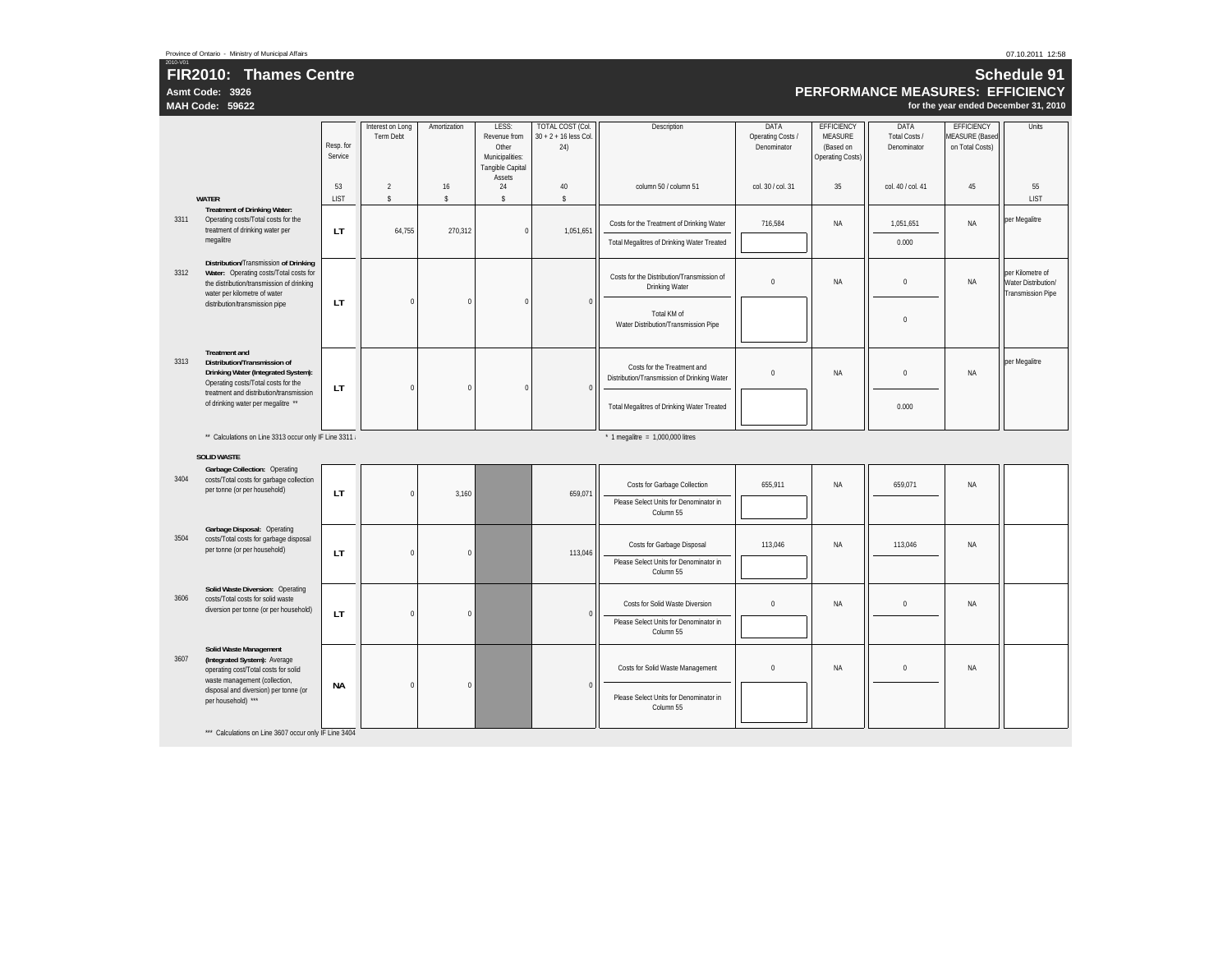**Asmt Code: 3926**

# 2010-V01 **FIR2010: Thames Centre**

#### 07.10.2011 12:58

**Schedule 91PERFORMANCE MEASURES: EFFICIENCY for the year ended December 31, 2010**

|      | <b>MAH Code: 59622</b>                                                                                                                                                   |                      |                                      |                   |                                                                              |                                                    |                                                                            |                                          |                                                                      |                                      | for the year ended December 31, 2010                          |                                                                     |
|------|--------------------------------------------------------------------------------------------------------------------------------------------------------------------------|----------------------|--------------------------------------|-------------------|------------------------------------------------------------------------------|----------------------------------------------------|----------------------------------------------------------------------------|------------------------------------------|----------------------------------------------------------------------|--------------------------------------|---------------------------------------------------------------|---------------------------------------------------------------------|
|      |                                                                                                                                                                          | Resp. for<br>Service | Interest on Long<br><b>Term Debt</b> | Amortization      | LESS:<br>Revenue from<br>Other<br>Municipalities:<br><b>Tangible Capital</b> | TOTAL COST (Col.<br>$30 + 2 + 16$ less Col.<br>24) | Description                                                                | DATA<br>Operating Costs /<br>Denominator | <b>EFFICIENCY</b><br><b>MEASURE</b><br>(Based on<br>Operating Costs) | DATA<br>Total Costs /<br>Denominator | <b>EFFICIENCY</b><br><b>MEASURE</b> (Based<br>on Total Costs) | Units                                                               |
|      | <b>WATER</b>                                                                                                                                                             | 53<br>LIST           | $\overline{2}$<br>$\mathbb S$        | 16<br>$\mathbb S$ | Assets<br>24<br>$\mathbb S$                                                  | 40<br>$\mathsf{s}$                                 | column 50 / column 51                                                      | col. 30 / col. 31                        | 35                                                                   | col. 40 / col. 41                    | 45                                                            | 55<br>LIST                                                          |
| 3311 | <b>Treatment of Drinking Water:</b><br>Operating costs/Total costs for the<br>treatment of drinking water per                                                            | LT.                  | 64,755                               | 270,312           | $\bf{0}$                                                                     | 1,051,651                                          | Costs for the Treatment of Drinking Water                                  | 716,584                                  | <b>NA</b>                                                            | 1,051,651                            | ΝA                                                            | per Megalitre                                                       |
|      | megalitre                                                                                                                                                                |                      |                                      |                   |                                                                              |                                                    | Total Megalitres of Drinking Water Treated                                 |                                          |                                                                      | 0.000                                |                                                               |                                                                     |
| 3312 | Distribution/Transmission of Drinking<br>Water: Operating costs/Total costs for<br>the distribution/transmission of drinking<br>water per kilometre of water             |                      |                                      |                   |                                                                              |                                                    | Costs for the Distribution/Transmission of<br><b>Drinking Water</b>        | $\mathbf 0$                              | <b>NA</b>                                                            | $\mathbf 0$                          | <b>NA</b>                                                     | per Kilometre of<br>Water Distribution/<br><b>Transmission Pipe</b> |
|      | distribution/transmission pipe                                                                                                                                           | LT                   | $\mathbf 0$                          | $\Omega$          | $\Omega$                                                                     | $\Omega$                                           | Total KM of<br>Water Distribution/Transmission Pipe                        |                                          |                                                                      | $\mathbf{0}$                         |                                                               |                                                                     |
| 3313 | <b>Treatment and</b><br>Distribution/Transmission of<br>Drinking Water (Integrated System):<br>Operating costs/Total costs for the                                       | LT                   | $\mathbf{0}$                         | $\Omega$          | $\mathbf{0}$                                                                 | $\Omega$                                           | Costs for the Treatment and<br>Distribution/Transmission of Drinking Water | $\pmb{0}$                                | NA                                                                   | $\mathbf 0$                          | NA                                                            | per Megalitre                                                       |
|      | treatment and distribution/transmission<br>of drinking water per megalitre **                                                                                            |                      |                                      |                   |                                                                              |                                                    | Total Megalitres of Drinking Water Treated                                 |                                          |                                                                      | 0.000                                |                                                               |                                                                     |
|      | ** Calculations on Line 3313 occur only IF Line 3311                                                                                                                     |                      |                                      |                   |                                                                              |                                                    | $*$ 1 megalitre = 1,000,000 litres                                         |                                          |                                                                      |                                      |                                                               |                                                                     |
|      | <b>SOLID WASTE</b>                                                                                                                                                       |                      |                                      |                   |                                                                              |                                                    |                                                                            |                                          |                                                                      |                                      |                                                               |                                                                     |
| 3404 | Garbage Collection: Operating<br>costs/Total costs for garbage collection<br>per tonne (or per household)                                                                | LT                   | $\bf{0}$                             | 3,160             |                                                                              | 659.071                                            | Costs for Garbage Collection                                               | 655,911                                  | NA                                                                   | 659,071                              | NA                                                            |                                                                     |
|      |                                                                                                                                                                          |                      |                                      |                   |                                                                              |                                                    | Please Select Units for Denominator in<br>Column 55                        |                                          |                                                                      |                                      |                                                               |                                                                     |
| 3504 | Garbage Disposal: Operating<br>costs/Total costs for garbage disposal<br>per tonne (or per household)                                                                    | LT                   | $\Omega$                             | $\theta$          |                                                                              | 113.046                                            | Costs for Garbage Disposal                                                 | 113,046                                  | <b>NA</b>                                                            | 113,046                              | NA                                                            |                                                                     |
|      |                                                                                                                                                                          |                      |                                      |                   |                                                                              |                                                    | Please Select Units for Denominator in<br>Column 55                        |                                          |                                                                      |                                      |                                                               |                                                                     |
| 3606 | Solid Waste Diversion: Operating<br>costs/Total costs for solid waste<br>diversion per tonne (or per household)                                                          |                      | $\bf{0}$                             |                   |                                                                              | $\Omega$                                           | <b>Costs for Solid Waste Diversion</b>                                     | $\mathbf 0$                              | <b>NA</b>                                                            | $\mathbf 0$                          | <b>NA</b>                                                     |                                                                     |
|      |                                                                                                                                                                          | LT                   |                                      | $\mathbf 0$       |                                                                              |                                                    | Please Select Units for Denominator in<br>Column 55                        |                                          |                                                                      |                                      |                                                               |                                                                     |
| 3607 | Solid Waste Management<br>(Integrated System): Average<br>operating cost/Total costs for solid<br>waste management (collection,<br>disposal and diversion) per tonne (or | <b>NA</b>            | $\bf{0}$                             | $\pmb{0}$         |                                                                              | $\Omega$                                           | Costs for Solid Waste Management                                           | $\pmb{0}$                                | NA                                                                   | $\mathbf{0}$                         | NA                                                            |                                                                     |
|      | per household) ***                                                                                                                                                       |                      |                                      |                   |                                                                              |                                                    | Please Select Units for Denominator in<br>Column 55                        |                                          |                                                                      |                                      |                                                               |                                                                     |
|      | *** Calculations on Line 3607 occur only IF Line 3404                                                                                                                    |                      |                                      |                   |                                                                              |                                                    |                                                                            |                                          |                                                                      |                                      |                                                               |                                                                     |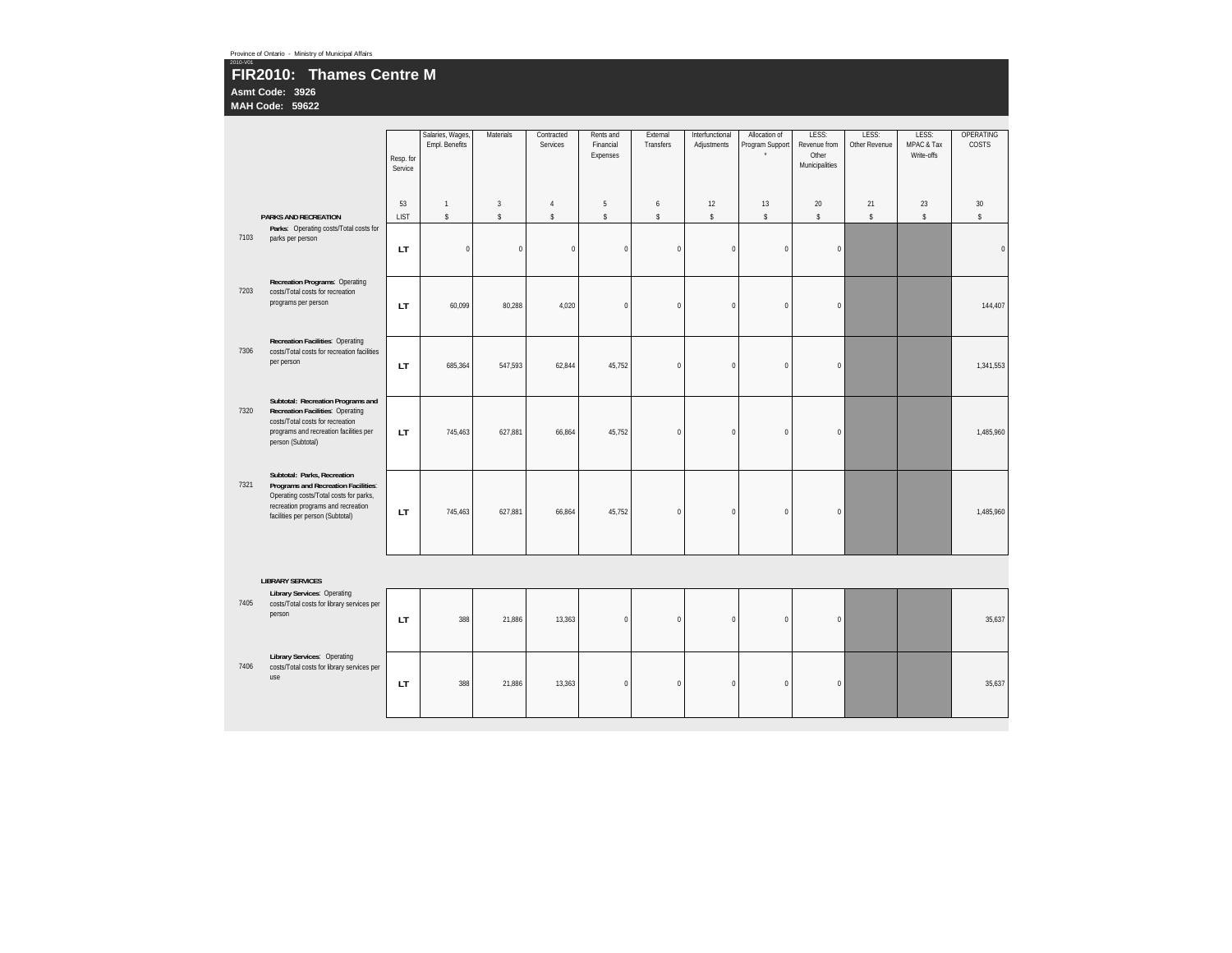#### 2010-V01 **FIR2010: Thames Centre M Asmt Code: 3926**

**MAH Code: 59622**

|      |                                                                                                                                                                                        | Resp. for<br>Service | Salaries, Wages,<br>Empl. Benefits | Materials      | Contracted<br>Services | Rents and<br>Financial<br>Expenses | External<br>Transfers | Interfunctional<br>Adjustments | Allocation of<br>Program Support | LESS:<br>Revenue from<br>Other<br>Municipalities | LESS:<br>Other Revenue | LESS:<br>MPAC & Tax<br>Write-offs | OPERATING<br>COSTS |
|------|----------------------------------------------------------------------------------------------------------------------------------------------------------------------------------------|----------------------|------------------------------------|----------------|------------------------|------------------------------------|-----------------------|--------------------------------|----------------------------------|--------------------------------------------------|------------------------|-----------------------------------|--------------------|
|      |                                                                                                                                                                                        | 53                   | $\overline{1}$                     | $\overline{3}$ | $\overline{4}$         | 5                                  | 6                     | 12                             | 13                               | 20                                               | 21                     | 23                                | 30                 |
|      | <b>PARKS AND RECREATION</b>                                                                                                                                                            | <b>LIST</b>          | \$                                 | $\mathbb{S}$   | $\mathbb S$            | $\mathsf{\$}$                      | $\mathbb S$           | $\mathbb S$                    | \$                               | $\mathbb S$                                      | $\mathbb{S}$           | \$                                | \$                 |
| 7103 | Parks: Operating costs/Total costs for<br>parks per person                                                                                                                             | LT                   | $\mathbf 0$                        | $\mathbf{0}$   | $\mathbf{0}$           | $\Omega$                           | $\Omega$              | $\mathbf{0}$                   | $\mathbf{0}$                     | $\pmb{0}$                                        |                        |                                   | $\Omega$           |
| 7203 | Recreation Programs: Operating<br>costs/Total costs for recreation<br>programs per person                                                                                              | LT                   | 60.099                             | 80,288         | 4,020                  | $\Omega$                           | $\mathbf 0$           | $\mathbf 0$                    | $\mathbf{0}$                     | $\mathbf{0}$                                     |                        |                                   | 144,407            |
| 7306 | <b>Recreation Facilities: Operating</b><br>costs/Total costs for recreation facilities<br>per person                                                                                   | LT                   | 685,364                            | 547,593        | 62,844                 | 45,752                             | $\mathbf 0$           | $\pmb{0}$                      | $\pmb{0}$                        | $\pmb{0}$                                        |                        |                                   | 1,341,553          |
| 7320 | Subtotal: Recreation Programs and<br><b>Recreation Facilities: Operating</b><br>costs/Total costs for recreation<br>programs and recreation facilities per<br>person (Subtotal)        | LT                   | 745,463                            | 627,881        | 66,864                 | 45,752                             | $\mathbf 0$           | $\mathbf 0$                    | $\mathbf{0}$                     | $\mathbf{0}$                                     |                        |                                   | 1,485,960          |
| 7321 | Subtotal: Parks, Recreation<br>Programs and Recreation Facilities:<br>Operating costs/Total costs for parks,<br>recreation programs and recreation<br>facilities per person (Subtotal) | LT                   | 745.463                            | 627.881        | 66.864                 | 45.752                             | $\mathbf 0$           | $\mathbf 0$                    | $\mathbf{0}$                     | $\mathbf{0}$                                     |                        |                                   | 1.485.960          |
|      |                                                                                                                                                                                        |                      |                                    |                |                        |                                    |                       |                                |                                  |                                                  |                        |                                   |                    |
|      | <b>LIBRARY SERVICES</b>                                                                                                                                                                |                      |                                    |                |                        |                                    |                       |                                |                                  |                                                  |                        |                                   |                    |
| 7405 | <b>Library Services: Operating</b><br>costs/Total costs for library services per<br>person                                                                                             | LT                   | 388                                | 21.886         | 13.363                 | $\overline{0}$                     | $\theta$              | $\mathbf 0$                    | $\mathbf{0}$                     | $\mathbf{0}$                                     |                        |                                   | 35,637             |
| 7406 | <b>Library Services: Operating</b><br>costs/Total costs for library services per<br>use                                                                                                | LT                   | 388                                | 21,886         | 13,363                 | $\mathbf 0$                        | $\theta$              | $\pmb{0}$                      | $\mathbf 0$                      | $\pmb{0}$                                        |                        |                                   | 35,637             |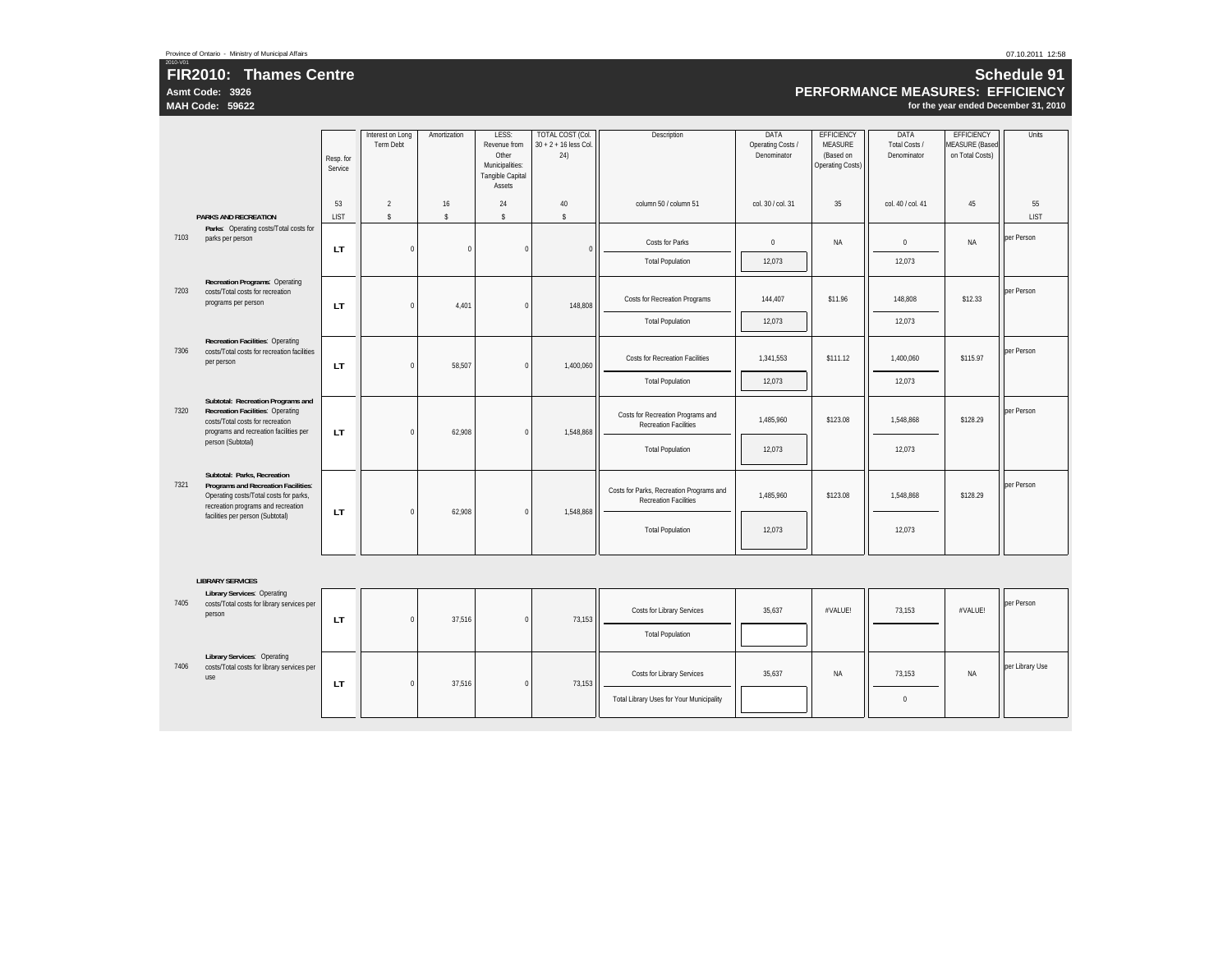**Asmt Code: 3926 MAH Code: 59622**

2010-V01

### **Schedule 91 PERFORMANCE MEASURES: EFFICIENCY**

|      |                                                                                                                                                            | Resp. for<br>Service | Interest on Long<br><b>Term Debt</b> | Amortization             | LESS:<br>Revenue from<br>Other<br>Municipalities:<br>Tangible Capital<br>Assets | TOTAL COST (Col.<br>$30 + 2 + 16$ less Col.<br>24) | Description                                                              | DATA<br>Operating Costs /<br>Denominator | <b>EFFICIENCY</b><br><b>MEASURE</b><br>(Based on<br><b>Operating Costs)</b> | DATA<br>Total Costs /<br>Denominator | <b>EFFICIENCY</b><br><b>MEASURE</b> (Based<br>on Total Costs) | Units             |
|------|------------------------------------------------------------------------------------------------------------------------------------------------------------|----------------------|--------------------------------------|--------------------------|---------------------------------------------------------------------------------|----------------------------------------------------|--------------------------------------------------------------------------|------------------------------------------|-----------------------------------------------------------------------------|--------------------------------------|---------------------------------------------------------------|-------------------|
|      | <b>PARKS AND RECREATION</b>                                                                                                                                | 53<br><b>LIST</b>    | $\overline{2}$<br>$\mathsf{s}$       | 16<br>$\hat{\mathbf{S}}$ | 24<br>$\mathbf{\hat{s}}$                                                        | $40\,$<br>$\mathbb{S}$                             | column 50 / column 51                                                    | col. 30 / col. 31                        | 35                                                                          | col. 40 / col. 41                    | 45                                                            | 55<br><b>LIST</b> |
| 7103 | Parks: Operating costs/Total costs for<br>parks per person                                                                                                 | LT.                  | $\mathbf 0$                          | $\Omega$                 | $\mathbf 0$                                                                     | $\Omega$                                           | <b>Costs for Parks</b>                                                   | $\mathbf 0$                              | <b>NA</b>                                                                   | $\mathbf{0}$                         | <b>NA</b>                                                     | per Person        |
|      |                                                                                                                                                            |                      |                                      |                          |                                                                                 |                                                    | <b>Total Population</b>                                                  | 12,073                                   |                                                                             | 12,073                               |                                                               |                   |
| 7203 | <b>Recreation Programs: Operating</b><br>costs/Total costs for recreation<br>programs per person                                                           | <b>LT</b>            | $\mathbf 0$                          | 4.401                    | $\mathbf 0$                                                                     | 148,808                                            | Costs for Recreation Programs                                            | 144,407                                  | \$11.96                                                                     | 148,808                              | \$12.33                                                       | per Person        |
|      |                                                                                                                                                            |                      |                                      |                          |                                                                                 |                                                    | <b>Total Population</b>                                                  | 12,073                                   |                                                                             | 12,073                               |                                                               |                   |
| 7306 | <b>Recreation Facilities: Operating</b><br>costs/Total costs for recreation facilities<br>per person                                                       | LT.                  | $\mathbf 0$                          | 58,507                   | $\mathbf 0$                                                                     | 1,400,060                                          | <b>Costs for Recreation Facilities</b>                                   | 1,341,553                                | \$111.12                                                                    | 1,400,060                            | \$115.97                                                      | per Person        |
|      |                                                                                                                                                            |                      |                                      |                          |                                                                                 |                                                    | <b>Total Population</b>                                                  | 12,073                                   |                                                                             | 12,073                               |                                                               |                   |
| 7320 | Subtotal: Recreation Programs and<br><b>Recreation Facilities: Operating</b><br>costs/Total costs for recreation<br>programs and recreation facilities per | LT.                  | $\mathbf 0$                          | 62,908                   | $\mathbf 0$                                                                     | 1,548,868                                          | Costs for Recreation Programs and<br><b>Recreation Facilities</b>        | 1,485,960                                | \$123.08                                                                    | 1,548,868                            | \$128.29                                                      | per Person        |
|      | person (Subtotal)                                                                                                                                          |                      |                                      |                          |                                                                                 |                                                    | <b>Total Population</b>                                                  | 12,073                                   |                                                                             | 12,073                               |                                                               |                   |
| 7321 | Subtotal: Parks, Recreation<br>Programs and Recreation Facilities:<br>Operating costs/Total costs for parks,<br>recreation programs and recreation         | <b>LT</b>            | $\mathbf 0$                          | 62.908                   | $\mathbf 0$                                                                     | 1,548,868                                          | Costs for Parks, Recreation Programs and<br><b>Recreation Facilities</b> | 1,485,960                                | \$123.08                                                                    | 1,548,868                            | \$128.29                                                      | per Person        |
|      | facilities per person (Subtotal)                                                                                                                           |                      |                                      |                          |                                                                                 |                                                    | <b>Total Population</b>                                                  | 12,073                                   |                                                                             | 12,073                               |                                                               |                   |
|      |                                                                                                                                                            |                      |                                      |                          |                                                                                 |                                                    |                                                                          |                                          |                                                                             |                                      |                                                               |                   |
|      | <b>LIBRARY SERVICES</b><br><b>Library Services: Operating</b>                                                                                              |                      |                                      |                          |                                                                                 |                                                    |                                                                          |                                          |                                                                             |                                      |                                                               |                   |
| 7405 | costs/Total costs for library services per<br>person                                                                                                       | LT.                  | $\mathbf 0$                          | 37,516                   | $\mathbf 0$                                                                     | 73,153                                             | Costs for Library Services                                               | 35,637                                   | #VALUE!                                                                     | 73,153                               | #VALUE!                                                       | per Person        |
|      |                                                                                                                                                            |                      |                                      |                          |                                                                                 |                                                    | <b>Total Population</b>                                                  |                                          |                                                                             |                                      |                                                               |                   |
| 7406 | <b>Library Services: Operating</b><br>costs/Total costs for library services per<br>use                                                                    | <b>LT</b>            | $\mathbf 0$                          | 37,516                   | $\mathbf 0$                                                                     | 73,153                                             | Costs for Library Services                                               | 35,637                                   | <b>NA</b>                                                                   | 73.153                               | NA                                                            | per Library Use   |
|      |                                                                                                                                                            |                      |                                      |                          |                                                                                 |                                                    | <b>Total Library Uses for Your Municipality</b>                          |                                          |                                                                             | $\Omega$                             |                                                               |                   |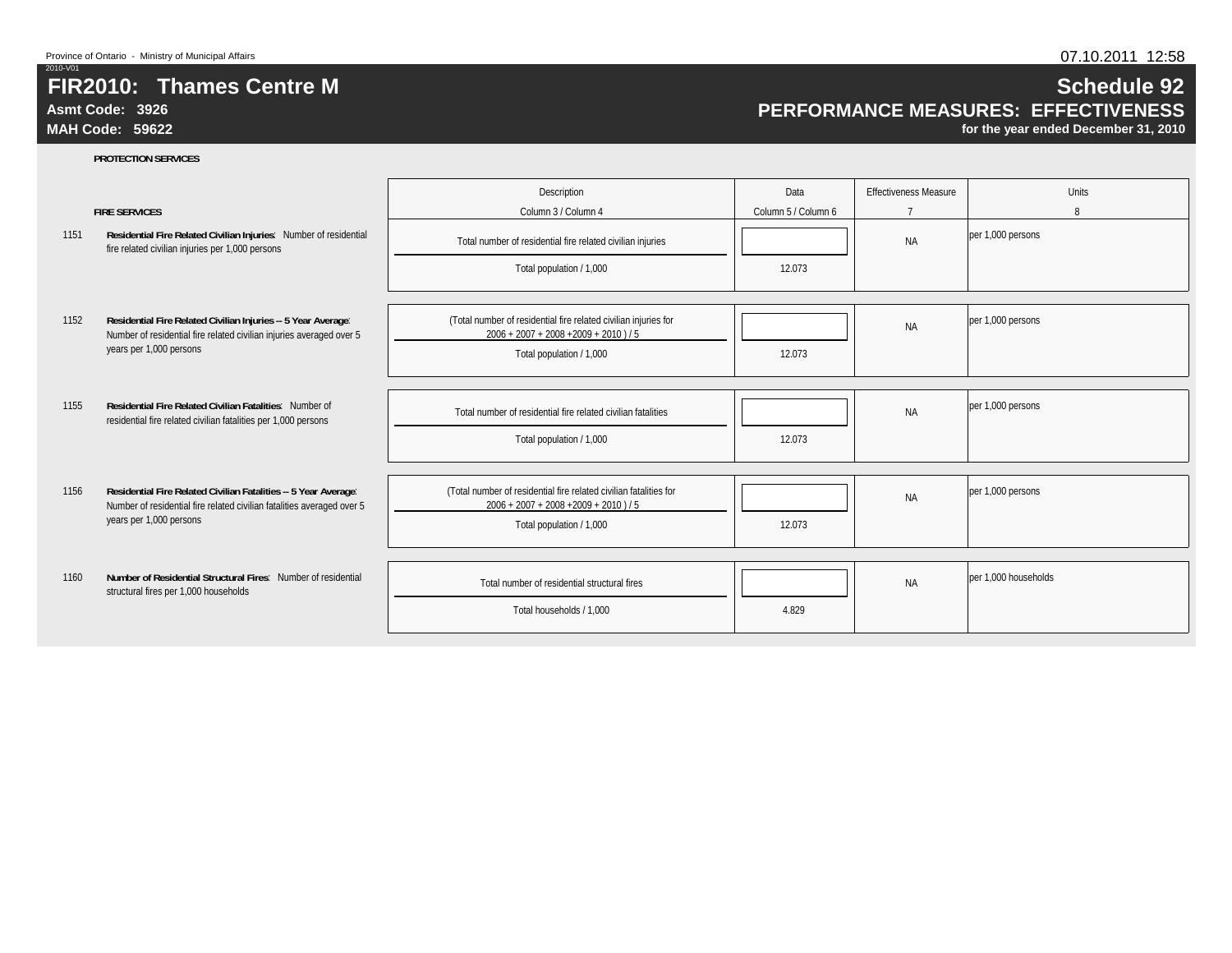**PROTECTION SERVICES**

# **FIR2010: Thames Centre M**

## **Asmt Code: 3926**

**MAH Code: 59622**

# **PERFORMANCE MEASURES: EFFECTIVENESS**

|      |                                                                                                                                           | Description                                                                                                   | Data                | <b>Effectiveness Measure</b> | Units                |
|------|-------------------------------------------------------------------------------------------------------------------------------------------|---------------------------------------------------------------------------------------------------------------|---------------------|------------------------------|----------------------|
|      | <b>FIRE SERVICES</b>                                                                                                                      | Column 3 / Column 4                                                                                           | Column 5 / Column 6 | $\overline{ }$               | 8                    |
| 1151 | Residential Fire Related Civilian Injuries: Number of residential<br>fire related civilian injuries per 1,000 persons                     | Total number of residential fire related civilian injuries                                                    |                     | <b>NA</b>                    | per 1,000 persons    |
|      |                                                                                                                                           | Total population / 1,000                                                                                      | 12.073              |                              |                      |
|      |                                                                                                                                           |                                                                                                               |                     |                              |                      |
| 1152 | Residential Fire Related Civilian Injuries -- 5 Year Average:<br>Number of residential fire related civilian injuries averaged over 5     | (Total number of residential fire related civilian injuries for<br>$2006 + 2007 + 2008 + 2009 + 2010$ ) / 5   |                     | <b>NA</b>                    | per 1,000 persons    |
|      | years per 1,000 persons                                                                                                                   | Total population / 1,000                                                                                      | 12.073              |                              |                      |
|      |                                                                                                                                           |                                                                                                               |                     |                              |                      |
| 1155 | Residential Fire Related Civilian Fatalities: Number of<br>residential fire related civilian fatalities per 1,000 persons                 | Total number of residential fire related civilian fatalities                                                  |                     | <b>NA</b>                    | per 1,000 persons    |
|      |                                                                                                                                           | Total population / 1,000                                                                                      | 12.073              |                              |                      |
|      |                                                                                                                                           |                                                                                                               |                     |                              |                      |
| 1156 | Residential Fire Related Civilian Fatalities -- 5 Year Average:<br>Number of residential fire related civilian fatalities averaged over 5 | (Total number of residential fire related civilian fatalities for<br>$2006 + 2007 + 2008 + 2009 + 2010$ ) / 5 |                     | <b>NA</b>                    | per 1,000 persons    |
|      | years per 1,000 persons                                                                                                                   | Total population / 1,000                                                                                      | 12.073              |                              |                      |
|      |                                                                                                                                           |                                                                                                               |                     |                              |                      |
| 1160 | Number of Residential Structural Fires: Number of residential<br>structural fires per 1,000 households                                    | Total number of residential structural fires                                                                  |                     | <b>NA</b>                    | per 1.000 households |
|      |                                                                                                                                           | Total households / 1,000                                                                                      | 4.829               |                              |                      |
|      |                                                                                                                                           |                                                                                                               |                     |                              |                      |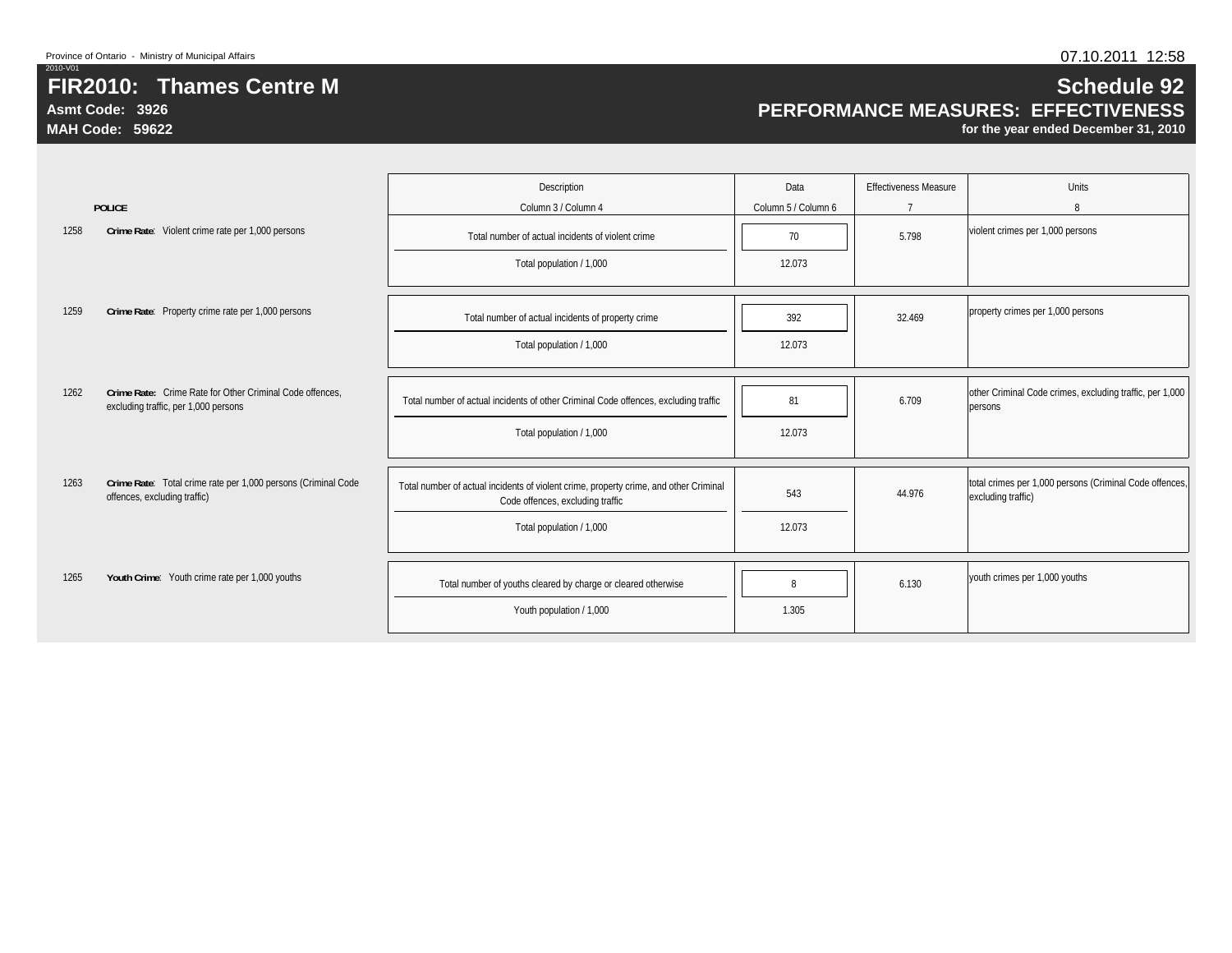**Asmt Code: 3926**

**MAH Code: 59622**

# **Schedule 92 PERFORMANCE MEASURES: EFFECTIVENESS**

|      |                                                                                                  | Description                                                                                                               | Data                | <b>Effectiveness Measure</b> | <b>Units</b>                                                                  |
|------|--------------------------------------------------------------------------------------------------|---------------------------------------------------------------------------------------------------------------------------|---------------------|------------------------------|-------------------------------------------------------------------------------|
|      | <b>POLICE</b>                                                                                    | Column 3 / Column 4                                                                                                       | Column 5 / Column 6 | $\overline{7}$               | 8                                                                             |
| 1258 | Crime Rate: Violent crime rate per 1,000 persons                                                 | Total number of actual incidents of violent crime                                                                         | 70                  | 5.798                        | violent crimes per 1,000 persons                                              |
|      |                                                                                                  | Total population / 1,000                                                                                                  | 12.073              |                              |                                                                               |
|      |                                                                                                  |                                                                                                                           |                     |                              |                                                                               |
| 1259 | Crime Rate: Property crime rate per 1,000 persons                                                | Total number of actual incidents of property crime                                                                        | 392                 | 32.469                       | property crimes per 1,000 persons                                             |
|      |                                                                                                  | Total population / 1,000                                                                                                  | 12.073              |                              |                                                                               |
|      |                                                                                                  |                                                                                                                           |                     |                              |                                                                               |
| 1262 | Crime Rate: Crime Rate for Other Criminal Code offences.<br>excluding traffic, per 1,000 persons | Total number of actual incidents of other Criminal Code offences, excluding traffic                                       | 81                  | 6.709                        | other Criminal Code crimes, excluding traffic, per 1,000<br>persons           |
|      |                                                                                                  | Total population / 1,000                                                                                                  | 12.073              |                              |                                                                               |
|      |                                                                                                  |                                                                                                                           |                     |                              |                                                                               |
| 1263 | Crime Rate: Total crime rate per 1,000 persons (Criminal Code<br>offences, excluding traffic)    | Total number of actual incidents of violent crime, property crime, and other Criminal<br>Code offences, excluding traffic | 543                 | 44.976                       | total crimes per 1,000 persons (Criminal Code offences,<br>excluding traffic) |
|      |                                                                                                  | Total population / 1,000                                                                                                  | 12.073              |                              |                                                                               |
|      |                                                                                                  |                                                                                                                           |                     |                              |                                                                               |
| 1265 | Youth Crime: Youth crime rate per 1,000 youths                                                   | Total number of youths cleared by charge or cleared otherwise                                                             | 8                   | 6.130                        | youth crimes per 1,000 youths                                                 |
|      |                                                                                                  | Youth population / 1,000                                                                                                  | 1.305               |                              |                                                                               |
|      |                                                                                                  |                                                                                                                           |                     |                              |                                                                               |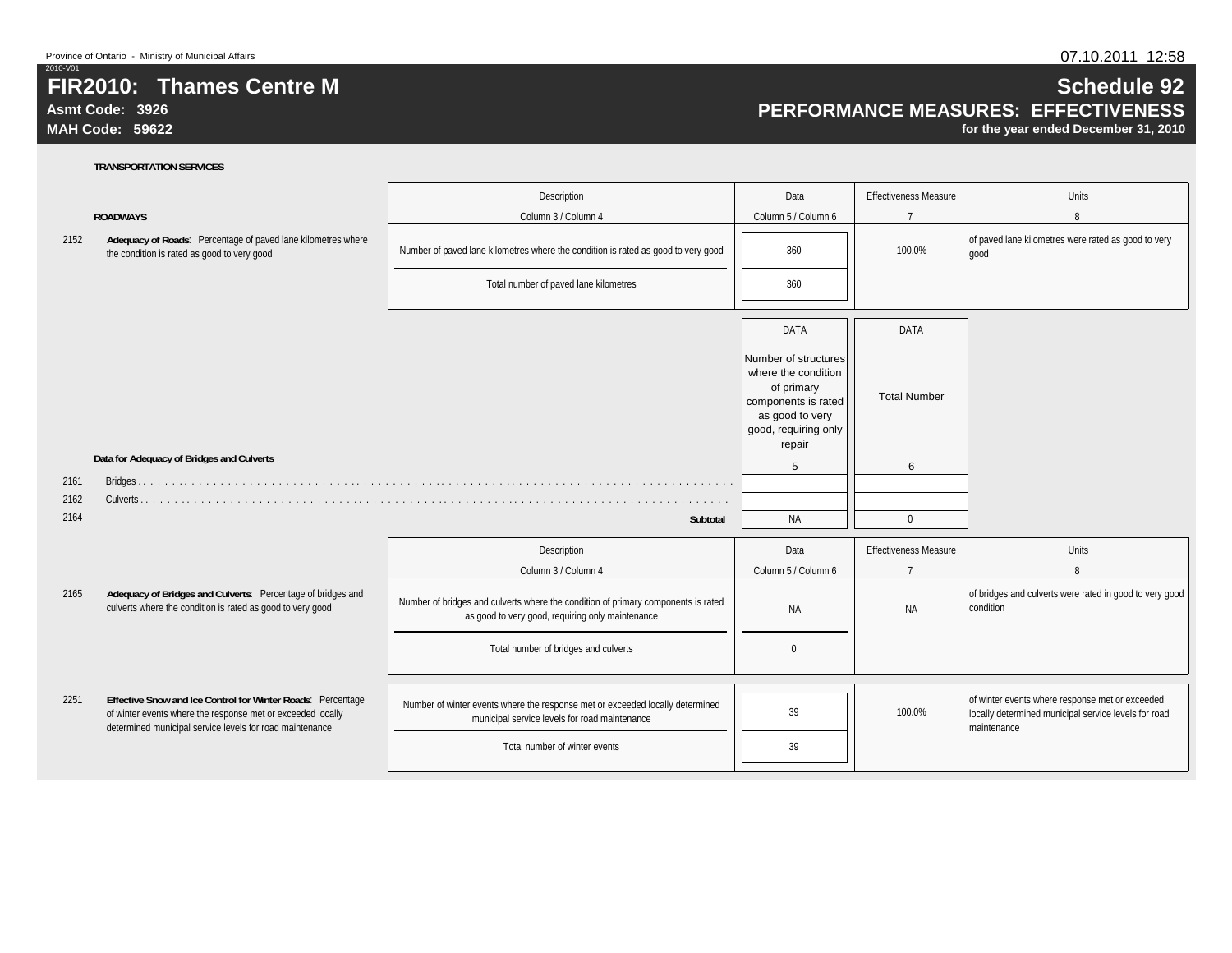**Asmt Code: 3926**

2010-V01

**MAH Code: 59622**

## **Schedule 92 PERFORMANCE MEASURES: EFFECTIVENESS**

**for the year ended December 31, 2010**

|      |                                                                                                                                                                                        | Description                                                                                                                           | Data                                                                                                                                  | <b>Effectiveness Measure</b> | <b>Units</b>                                                                                                           |
|------|----------------------------------------------------------------------------------------------------------------------------------------------------------------------------------------|---------------------------------------------------------------------------------------------------------------------------------------|---------------------------------------------------------------------------------------------------------------------------------------|------------------------------|------------------------------------------------------------------------------------------------------------------------|
|      | <b>ROADWAYS</b>                                                                                                                                                                        | Column 3 / Column 4                                                                                                                   | Column 5 / Column 6                                                                                                                   | $\overline{7}$               | 8                                                                                                                      |
| 2152 | Adequacy of Roads: Percentage of paved lane kilometres where<br>the condition is rated as good to very good                                                                            | Number of paved lane kilometres where the condition is rated as good to very good                                                     | 360                                                                                                                                   | 100.0%                       | of paved lane kilometres were rated as good to very<br>good                                                            |
|      |                                                                                                                                                                                        | Total number of paved lane kilometres                                                                                                 | 360                                                                                                                                   |                              |                                                                                                                        |
|      |                                                                                                                                                                                        |                                                                                                                                       | DATA                                                                                                                                  | <b>DATA</b>                  |                                                                                                                        |
|      |                                                                                                                                                                                        |                                                                                                                                       | Number of structures<br>where the condition<br>of primary<br>components is rated<br>as good to very<br>good, requiring only<br>repair | <b>Total Number</b>          |                                                                                                                        |
|      | Data for Adequacy of Bridges and Culverts                                                                                                                                              |                                                                                                                                       | 5                                                                                                                                     | 6                            |                                                                                                                        |
| 2161 |                                                                                                                                                                                        |                                                                                                                                       |                                                                                                                                       |                              |                                                                                                                        |
| 2162 |                                                                                                                                                                                        |                                                                                                                                       |                                                                                                                                       |                              |                                                                                                                        |
| 2164 |                                                                                                                                                                                        | <b>Subtotal</b>                                                                                                                       | <b>NA</b>                                                                                                                             | $\mathbf 0$                  |                                                                                                                        |
|      |                                                                                                                                                                                        | Description                                                                                                                           | Data                                                                                                                                  | <b>Effectiveness Measure</b> | Units                                                                                                                  |
|      |                                                                                                                                                                                        | Column 3 / Column 4                                                                                                                   | Column 5 / Column 6                                                                                                                   | $\overline{7}$               | 8                                                                                                                      |
| 2165 | Adequacy of Bridges and Culverts: Percentage of bridges and<br>culverts where the condition is rated as good to very good                                                              | Number of bridges and culverts where the condition of primary components is rated<br>as good to very good, requiring only maintenance | <b>NA</b>                                                                                                                             | <b>NA</b>                    | of bridges and culverts were rated in good to very good<br>condition                                                   |
|      |                                                                                                                                                                                        | Total number of bridges and culverts                                                                                                  | $\Omega$                                                                                                                              |                              |                                                                                                                        |
|      |                                                                                                                                                                                        |                                                                                                                                       |                                                                                                                                       |                              |                                                                                                                        |
| 2251 | Effective Snow and Ice Control for Winter Roads: Percentage<br>of winter events where the response met or exceeded locally<br>determined municipal service levels for road maintenance | Number of winter events where the response met or exceeded locally determined<br>municipal service levels for road maintenance        | 39                                                                                                                                    | 100.0%                       | of winter events where response met or exceeded<br>locally determined municipal service levels for road<br>maintenance |
|      |                                                                                                                                                                                        | Total number of winter events                                                                                                         | 39                                                                                                                                    |                              |                                                                                                                        |
|      |                                                                                                                                                                                        |                                                                                                                                       |                                                                                                                                       |                              |                                                                                                                        |

### **TRANSPORTATION SERVICES**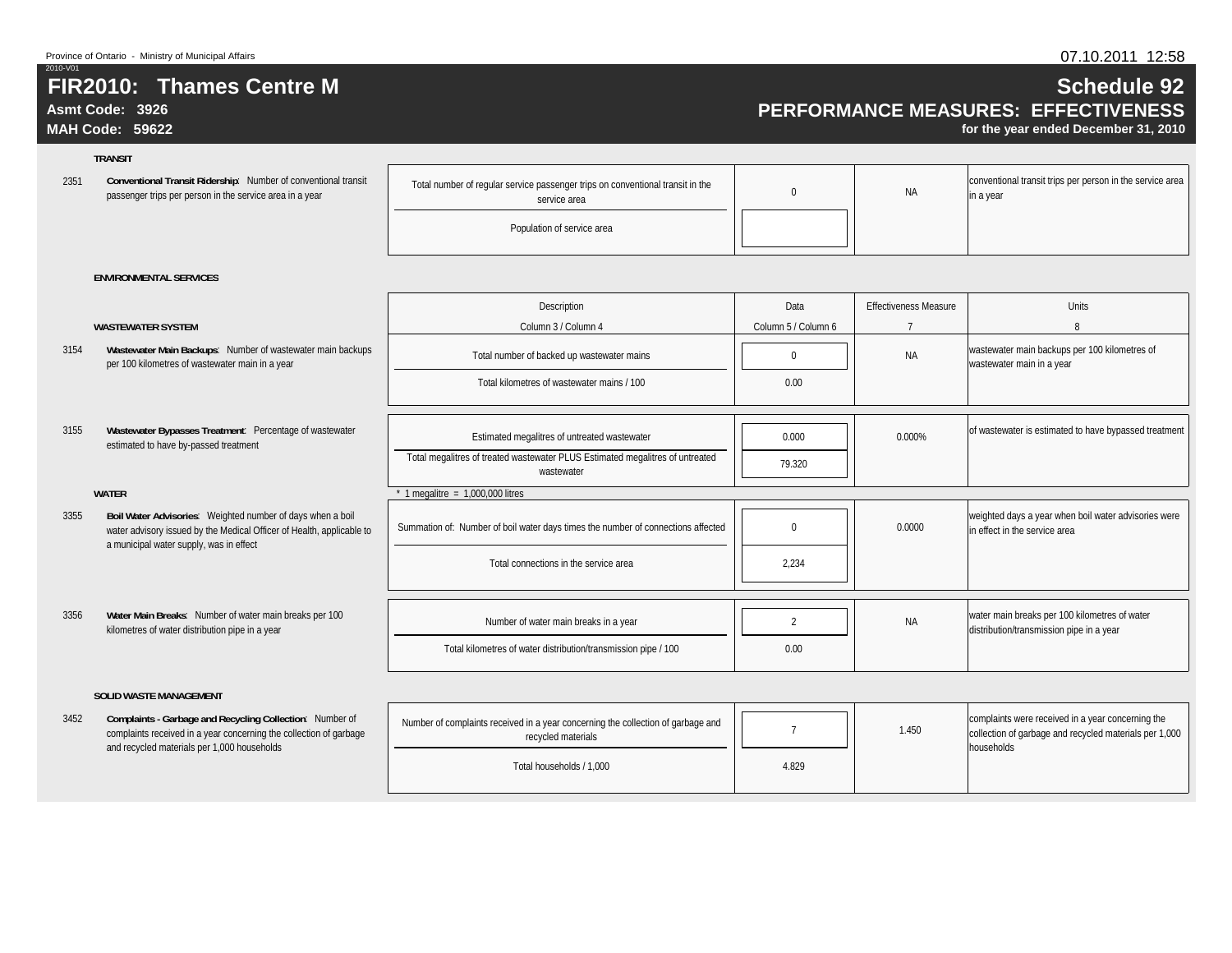### **Asmt Code: 3926**

**MAH Code: 59622**

### **TRANSIT**

3154

3155

3355

3356

23511 Conventional Transit Ridership: Number of conventional transit **in the Conventional transit in the conventional** transit in the passenger trips per person in the service area in a year

|  | al number of regular service passenger trips on conventional transit in the<br>service area |  | <b>NA</b> |
|--|---------------------------------------------------------------------------------------------|--|-----------|
|--|---------------------------------------------------------------------------------------------|--|-----------|

Population of service area

conventional transit trips per person in the service area in a year

#### **ENVIRONMENTAL SERVICES**

|                                                                                                                                                                                | Description                                                                                 | Data                | <b>Effectiveness Measure</b> | <b>Units</b>                                                                              |
|--------------------------------------------------------------------------------------------------------------------------------------------------------------------------------|---------------------------------------------------------------------------------------------|---------------------|------------------------------|-------------------------------------------------------------------------------------------|
| <b>WASTEWATER SYSTEM</b>                                                                                                                                                       | Column 3 / Column 4                                                                         | Column 5 / Column 6 |                              | 8                                                                                         |
| Wastewater Main Backups: Number of wastewater main backups<br>per 100 kilometres of wastewater main in a year                                                                  | Total number of backed up wastewater mains                                                  |                     | <b>NA</b>                    | wastewater main backups per 100 kilometres of<br>wastewater main in a year                |
|                                                                                                                                                                                | Total kilometres of wastewater mains / 100                                                  | 0.00                |                              |                                                                                           |
|                                                                                                                                                                                |                                                                                             |                     |                              |                                                                                           |
| Wastewater Bypasses Treatment: Percentage of wastewater<br>estimated to have by-passed treatment                                                                               | Estimated megalitres of untreated wastewater                                                | 0.000               | 0.000%                       | of wastewater is estimated to have bypassed treatment                                     |
|                                                                                                                                                                                | Total megalitres of treated wastewater PLUS Estimated megalitres of untreated<br>wastewater | 79.320              |                              |                                                                                           |
| <b>WATER</b>                                                                                                                                                                   | 1 megalitre = $1,000,000$ litres                                                            |                     |                              |                                                                                           |
| Boil Water Advisories: Weighted number of days when a boil<br>water advisory issued by the Medical Officer of Health, applicable to<br>a municipal water supply, was in effect | Summation of: Number of boil water days times the number of connections affected            |                     | 0.0000                       | weighted days a year when boil water advisories were<br>in effect in the service area     |
|                                                                                                                                                                                | Total connections in the service area                                                       | 2.234               |                              |                                                                                           |
|                                                                                                                                                                                |                                                                                             |                     |                              |                                                                                           |
| Water Main Breaks: Number of water main breaks per 100<br>kilometres of water distribution pipe in a year                                                                      | Number of water main breaks in a year                                                       | $\overline{2}$      | <b>NA</b>                    | water main breaks per 100 kilometres of water<br>distribution/transmission pipe in a year |
|                                                                                                                                                                                | Total kilometres of water distribution/transmission pipe / 100                              | 0.00                |                              |                                                                                           |
| <b>SOLID WASTE MANAGEMENT</b>                                                                                                                                                  |                                                                                             |                     |                              |                                                                                           |
|                                                                                                                                                                                |                                                                                             |                     |                              |                                                                                           |
| Complaints - Garbage and Recycling Collection: Number of                                                                                                                       | Number of complaints received in a year concerning the collection of garbage and            | $\mathbf{z}$        | 1.4EQ                        | complaints were received in a year concerning the                                         |



| Number of complaints received in a year concerning the collection of garbage and<br>recycled materials |       | 1.450 | complaints were received in a year concerning the<br>collection of garbage and recycled materials per 1,000<br>households |  |
|--------------------------------------------------------------------------------------------------------|-------|-------|---------------------------------------------------------------------------------------------------------------------------|--|
| Total households / 1,000                                                                               | 4.829 |       |                                                                                                                           |  |

### 07.10.2011 12:58

## **Schedule 92 PERFORMANCE MEASURES: EFFECTIVENESS**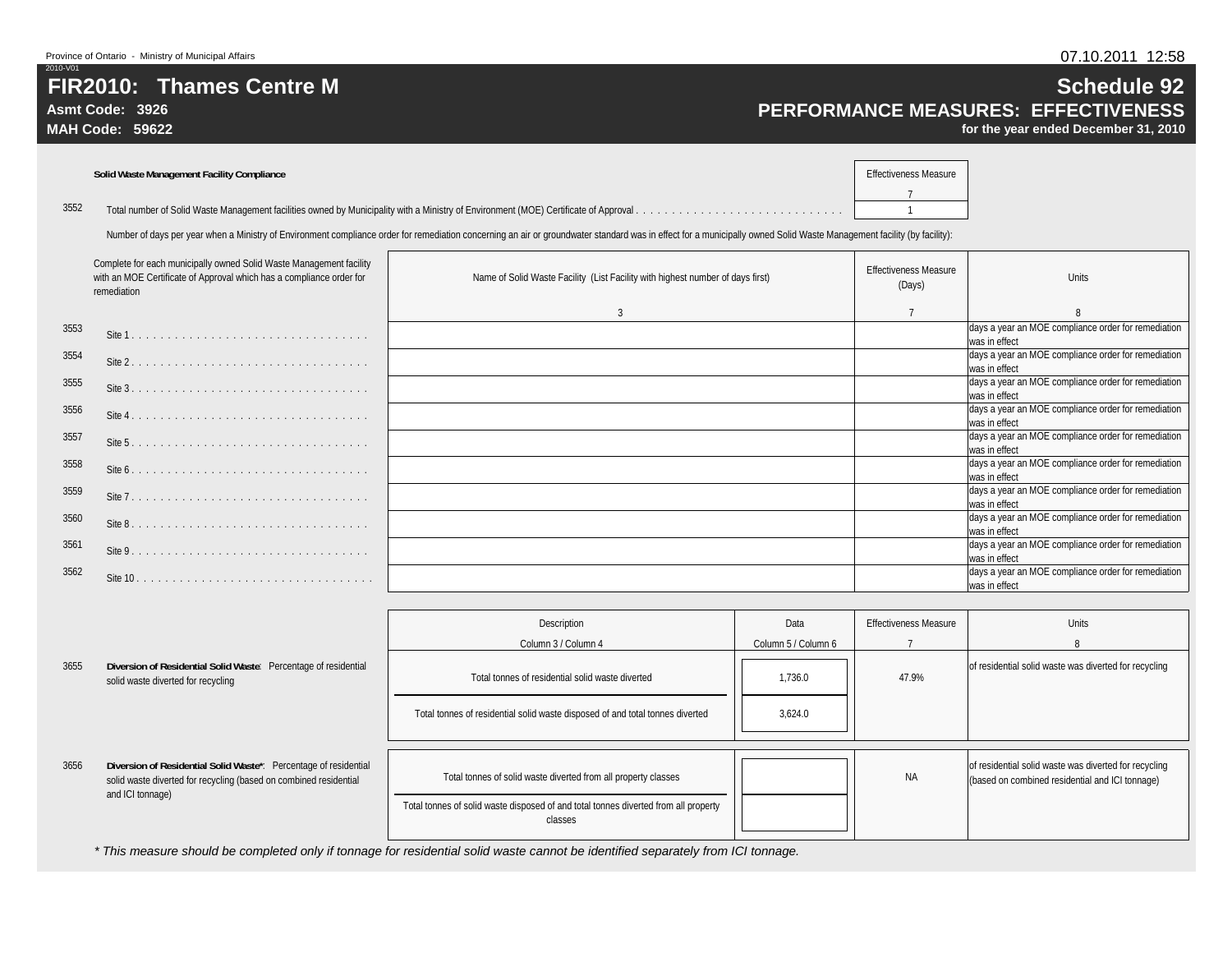**Asmt Code: 3926**

**MAH Code: 59622**

# **Schedule 92 PERFORMANCE MEASURES: EFFECTIVENESS**

**for the year ended December 31, 2010**

|      | <b>Solid Waste Management Facility Compliance</b> | <b>Effectiveness Measure</b> |
|------|---------------------------------------------------|------------------------------|
|      |                                                   |                              |
| 3552 |                                                   |                              |
|      |                                                   |                              |

Number of days per year when a Ministry of Environment compliance order for remediation concerning an air or groundwater standard was in effect for a municipally owned Solid Waste Management facility (by facility):

|      | Complete for each municipally owned Solid Waste Management facility<br>with an MOE Certificate of Approval which has a compliance order for<br>remediation | Name of Solid Waste Facility (List Facility with highest number of days first) | <b>Effectiveness Measure</b><br>(Days) | <b>Units</b>                                                         |
|------|------------------------------------------------------------------------------------------------------------------------------------------------------------|--------------------------------------------------------------------------------|----------------------------------------|----------------------------------------------------------------------|
|      |                                                                                                                                                            | $\mathbf{3}$                                                                   |                                        |                                                                      |
| 3553 |                                                                                                                                                            |                                                                                |                                        | days a year an MOE compliance order for remediation<br>was in effect |
| 3554 |                                                                                                                                                            |                                                                                |                                        | days a year an MOE compliance order for remediation<br>was in effect |
| 3555 |                                                                                                                                                            |                                                                                |                                        | days a year an MOE compliance order for remediation<br>was in effect |
| 3556 |                                                                                                                                                            |                                                                                |                                        | days a year an MOE compliance order for remediation<br>was in effect |
| 3557 |                                                                                                                                                            |                                                                                |                                        | days a year an MOE compliance order for remediation<br>was in effect |
| 3558 |                                                                                                                                                            |                                                                                |                                        | days a year an MOE compliance order for remediation<br>was in effect |
| 3559 |                                                                                                                                                            |                                                                                |                                        | days a year an MOE compliance order for remediation<br>was in effect |
| 3560 | Site 8.                                                                                                                                                    |                                                                                |                                        | days a year an MOE compliance order for remediation<br>was in effect |
| 3561 |                                                                                                                                                            |                                                                                |                                        | days a year an MOE compliance order for remediation<br>was in effect |
| 3562 | Site 10.                                                                                                                                                   |                                                                                |                                        | days a year an MOE compliance order for remediation<br>was in effect |

|      |                                                                                                                                                           | Description                                                                                                                                                      | Data                | <b>Effectiveness Measure</b> | <b>Units</b>                                                                                             |
|------|-----------------------------------------------------------------------------------------------------------------------------------------------------------|------------------------------------------------------------------------------------------------------------------------------------------------------------------|---------------------|------------------------------|----------------------------------------------------------------------------------------------------------|
|      |                                                                                                                                                           | Column 3 / Column 4                                                                                                                                              | Column 5 / Column 6 |                              |                                                                                                          |
| 3655 | Diversion of Residential Solid Waste: Percentage of residential<br>solid waste diverted for recycling                                                     | Total tonnes of residential solid waste diverted                                                                                                                 | 1.736.0             | 47.9%                        | of residential solid waste was diverted for recycling                                                    |
|      |                                                                                                                                                           | Total tonnes of residential solid waste disposed of and total tonnes diverted                                                                                    | 3,624.0             |                              |                                                                                                          |
| 3656 | Diversion of Residential Solid Waste*: Percentage of residential<br>solid waste diverted for recycling (based on combined residential<br>and ICI tonnage) | Total tonnes of solid waste diverted from all property classes<br>Total tonnes of solid waste disposed of and total tonnes diverted from all property<br>classes |                     | ΝA                           | of residential solid waste was diverted for recycling<br>(based on combined residential and ICI tonnage) |

*\* This measure should be completed only if tonnage for residential solid waste cannot be identified separately from ICI tonnage.*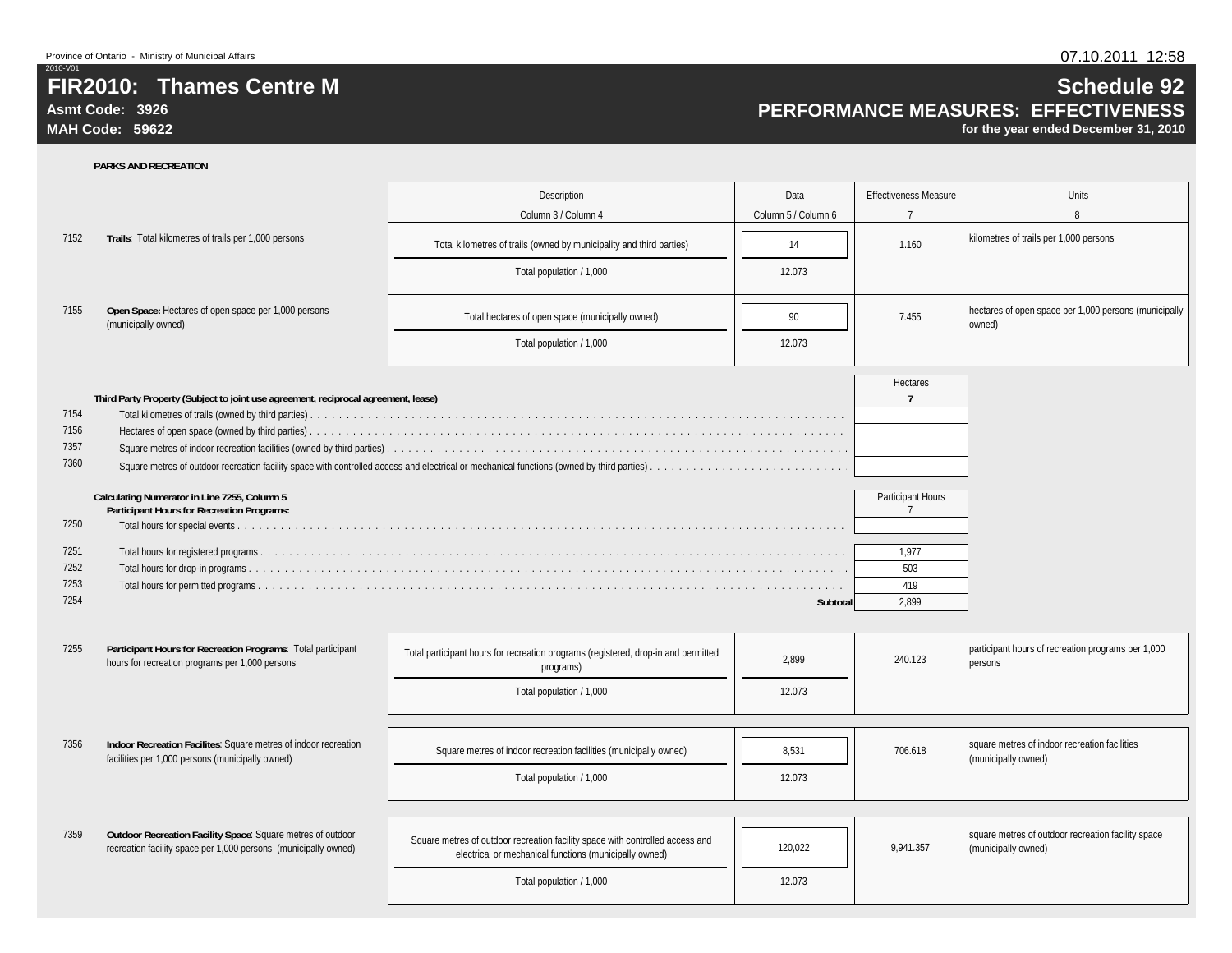**Asmt Code: 3926**

2010-V01

**MAH Code: 59622**

# **Schedule 92 PERFORMANCE MEASURES: EFFECTIVENESS**

**for the year ended December 31, 2010**

|      |                                                                                                                                | Description                                                                                                                             | Data                | <b>Effectiveness Measure</b>               | Units                                                                     |
|------|--------------------------------------------------------------------------------------------------------------------------------|-----------------------------------------------------------------------------------------------------------------------------------------|---------------------|--------------------------------------------|---------------------------------------------------------------------------|
|      |                                                                                                                                | Column 3 / Column 4                                                                                                                     | Column 5 / Column 6 | $\overline{7}$                             | 8                                                                         |
| 7152 | Trails: Total kilometres of trails per 1,000 persons                                                                           | Total kilometres of trails (owned by municipality and third parties)                                                                    | 14                  | 1.160                                      | kilometres of trails per 1,000 persons                                    |
|      |                                                                                                                                | Total population / 1,000                                                                                                                | 12.073              |                                            |                                                                           |
| 7155 | Open Space: Hectares of open space per 1,000 persons<br>(municipally owned)                                                    | Total hectares of open space (municipally owned)                                                                                        | 90                  | 7.455                                      | hectares of open space per 1,000 persons (municipally<br>owned)           |
|      |                                                                                                                                | Total population / 1,000                                                                                                                | 12.073              |                                            |                                                                           |
|      | Third Party Property (Subject to joint use agreement, reciprocal agreement, lease)                                             |                                                                                                                                         |                     | Hectares<br>$\overline{7}$                 |                                                                           |
| 7154 |                                                                                                                                |                                                                                                                                         |                     |                                            |                                                                           |
| 7156 |                                                                                                                                |                                                                                                                                         |                     |                                            |                                                                           |
| 7357 |                                                                                                                                |                                                                                                                                         |                     |                                            |                                                                           |
| 7360 |                                                                                                                                |                                                                                                                                         |                     |                                            |                                                                           |
|      | Calculating Numerator in Line 7255, Column 5<br><b>Participant Hours for Recreation Programs:</b>                              |                                                                                                                                         |                     | <b>Participant Hours</b><br>$\overline{7}$ |                                                                           |
| 7250 |                                                                                                                                |                                                                                                                                         |                     |                                            |                                                                           |
| 7251 |                                                                                                                                |                                                                                                                                         |                     | 1,977                                      |                                                                           |
| 7252 |                                                                                                                                |                                                                                                                                         |                     | 503                                        |                                                                           |
| 7253 |                                                                                                                                |                                                                                                                                         |                     | 419                                        |                                                                           |
| 7254 |                                                                                                                                |                                                                                                                                         | Subtotal            | 2.899                                      |                                                                           |
|      |                                                                                                                                |                                                                                                                                         |                     |                                            |                                                                           |
| 7255 | Participant Hours for Recreation Programs: Total participant<br>hours for recreation programs per 1,000 persons                | Total participant hours for recreation programs (registered, drop-in and permitted<br>programs)                                         | 2,899               | 240.123                                    | participant hours of recreation programs per 1,000<br>persons             |
|      |                                                                                                                                | Total population / 1,000                                                                                                                | 12.073              |                                            |                                                                           |
|      |                                                                                                                                |                                                                                                                                         |                     |                                            |                                                                           |
| 7356 | Indoor Recreation Facilites: Square metres of indoor recreation<br>facilities per 1,000 persons (municipally owned)            | Square metres of indoor recreation facilities (municipally owned)                                                                       | 8,531               | 706.618                                    | square metres of indoor recreation facilities<br>(municipally owned)      |
|      |                                                                                                                                | Total population / 1,000                                                                                                                | 12.073              |                                            |                                                                           |
|      |                                                                                                                                |                                                                                                                                         |                     |                                            |                                                                           |
| 7359 | Outdoor Recreation Facility Space: Square metres of outdoor<br>recreation facility space per 1,000 persons (municipally owned) | Square metres of outdoor recreation facility space with controlled access and<br>electrical or mechanical functions (municipally owned) | 120,022             | 9.941.357                                  | square metres of outdoor recreation facility space<br>(municipally owned) |
|      |                                                                                                                                | Total population / 1,000                                                                                                                | 12.073              |                                            |                                                                           |
|      |                                                                                                                                |                                                                                                                                         |                     |                                            |                                                                           |

### **PARKS AND RECREATION**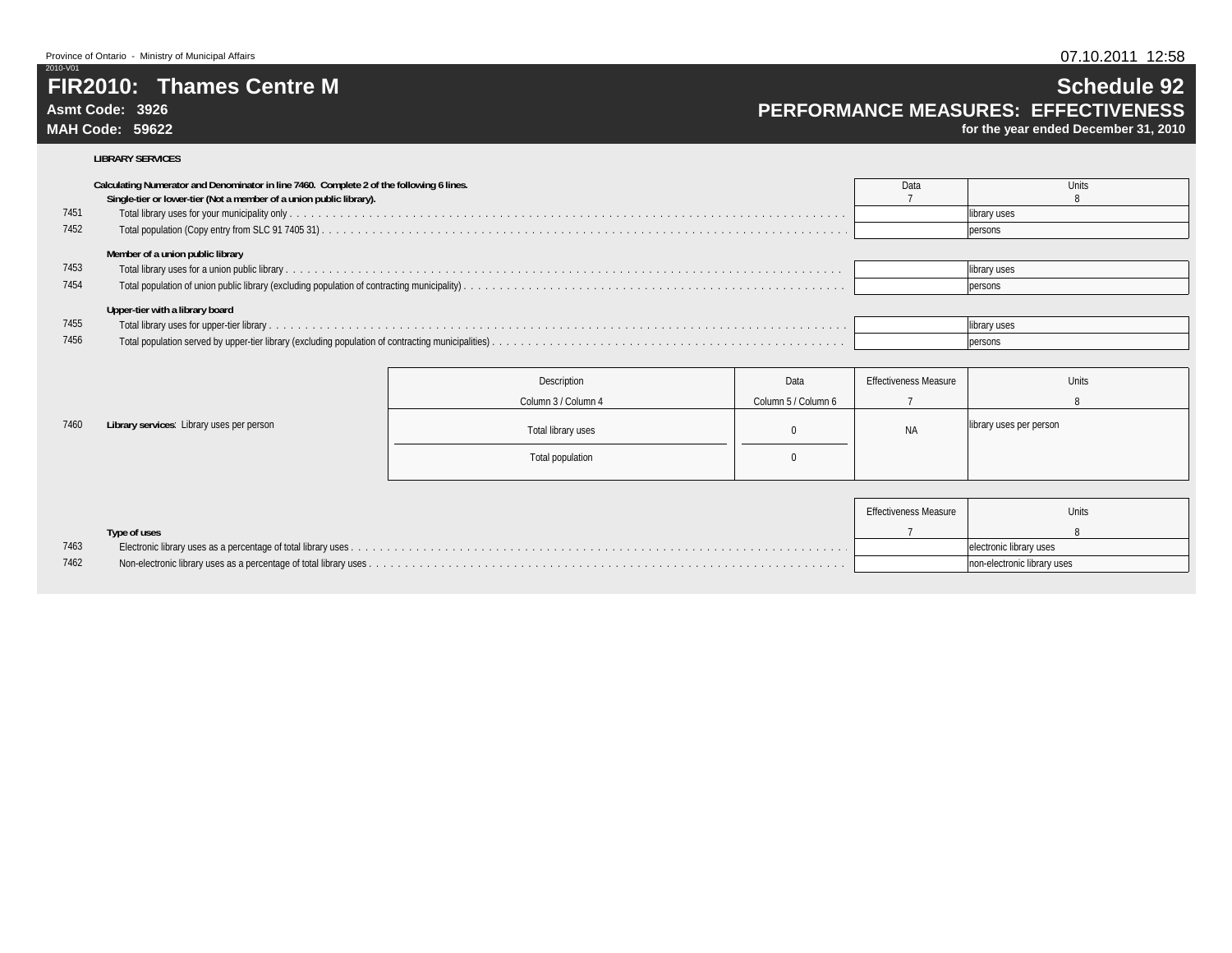### **Asmt Code: 3926**

**MAH Code: 59622**

7460

## **Schedule 92 PERFORMANCE MEASURES: EFFECTIVENESS**

**for the year ended December 31, 2010**

#### **LIBRARY SERVICES**

|      | Calculating Numerator and Denominator in line 7460. Complete 2 of the following 6 lines.<br>Single-tier or lower-tier (Not a member of a union public library). | Data | Units        |
|------|-----------------------------------------------------------------------------------------------------------------------------------------------------------------|------|--------------|
| 7451 |                                                                                                                                                                 |      | library uses |
| 7452 |                                                                                                                                                                 |      | persons      |
|      | Member of a union public library                                                                                                                                |      |              |
| 7453 |                                                                                                                                                                 |      | library uses |
| 7454 |                                                                                                                                                                 |      | persons      |
|      | Upper-tier with a library board                                                                                                                                 |      |              |
| 7455 |                                                                                                                                                                 |      | library uses |
| 7456 |                                                                                                                                                                 |      | persons      |

|                                           | Description         | Data                | <b>Effectiveness Measure</b> | Units                   |
|-------------------------------------------|---------------------|---------------------|------------------------------|-------------------------|
|                                           | Column 3 / Column 4 | Column 5 / Column 6 |                              |                         |
| Library services: Library uses per person | Total library uses  |                     | <b>NA</b>                    | library uses per person |
|                                           | Total population    |                     |                              |                         |

|      |              | Effectiveness Measure | <b>Units</b>                |
|------|--------------|-----------------------|-----------------------------|
|      | Type of uses |                       |                             |
| 7463 |              |                       | electronic library uses     |
| 7462 |              |                       | non-electronic library uses |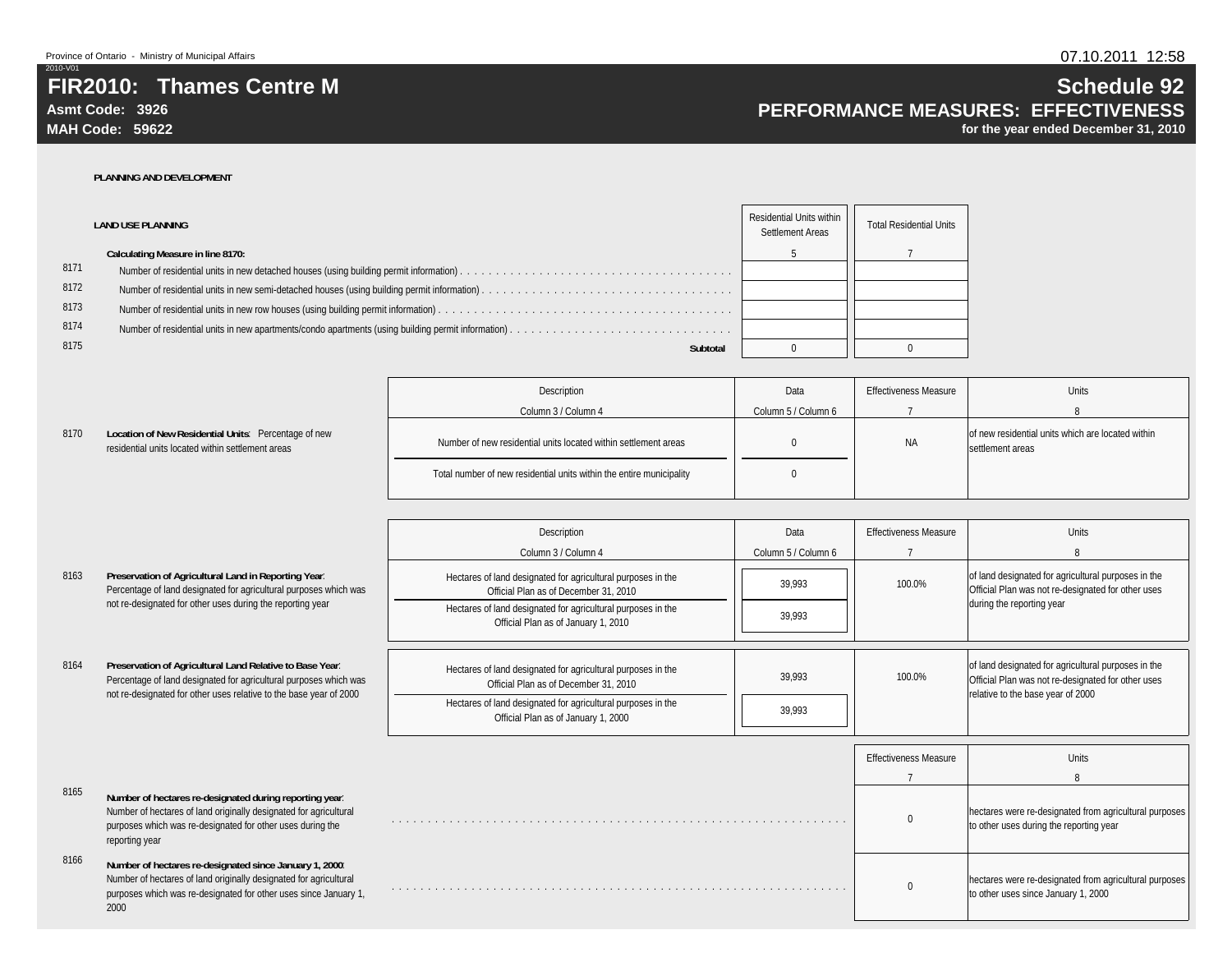**Asmt Code: 3926**

2010-V01

**MAH Code: 59622**

## **Schedule 92 PERFORMANCE MEASURES: EFFECTIVENESS**

**for the year ended December 31, 2010**

#### **PLANNING AND DEVELOPMENT**

|      | <b>LAND USE PLANNING</b>          | <b>Residential Units within</b><br>Settlement Areas | <b>Total Residential Units</b> |
|------|-----------------------------------|-----------------------------------------------------|--------------------------------|
|      | Calculating Measure in line 8170: |                                                     |                                |
| 8171 |                                   |                                                     |                                |
| 8172 |                                   |                                                     |                                |
| 8173 |                                   |                                                     |                                |
| 8174 |                                   |                                                     |                                |
| 8175 | Subtotal                          |                                                     |                                |

|      |                                                                                                           | Description                                                          | Data                | <b>Effectiveness Measure</b> | Units                                                                 |
|------|-----------------------------------------------------------------------------------------------------------|----------------------------------------------------------------------|---------------------|------------------------------|-----------------------------------------------------------------------|
|      |                                                                                                           | Column 3 / Column 4                                                  | Column 5 / Column 6 |                              |                                                                       |
| 8170 | Location of New Residential Units: Percentage of new<br>residential units located within settlement areas | Number of new residential units located within settlement areas      |                     | <b>NA</b>                    | of new residential units which are located within<br>settlement areas |
|      |                                                                                                           | Total number of new residential units within the entire municipality |                     |                              |                                                                       |

|      |                                                                                                                                                                                                              | Description                                                                                           | Data                | <b>Effectiveness Measure</b> | <b>Units</b>                                                                                                                                   |
|------|--------------------------------------------------------------------------------------------------------------------------------------------------------------------------------------------------------------|-------------------------------------------------------------------------------------------------------|---------------------|------------------------------|------------------------------------------------------------------------------------------------------------------------------------------------|
|      |                                                                                                                                                                                                              | Column 3 / Column 4                                                                                   | Column 5 / Column 6 |                              |                                                                                                                                                |
| 8163 | Preservation of Agricultural Land in Reporting Year:<br>Percentage of land designated for agricultural purposes which was                                                                                    | Hectares of land designated for agricultural purposes in the<br>Official Plan as of December 31, 2010 | 39.993              | 100.0%                       | of land designated for agricultural purposes in the<br>Official Plan was not re-designated for other uses                                      |
|      | not re-designated for other uses during the reporting year                                                                                                                                                   | Hectares of land designated for agricultural purposes in the<br>Official Plan as of January 1, 2010   | 39.993              |                              | during the reporting year                                                                                                                      |
| 8164 | Preservation of Agricultural Land Relative to Base Year:<br>Percentage of land designated for agricultural purposes which was<br>not re-designated for other uses relative to the base year of 2000          | Hectares of land designated for agricultural purposes in the<br>Official Plan as of December 31, 2010 | 39.993              | 100.0%                       | of land designated for agricultural purposes in the<br>Official Plan was not re-designated for other uses<br>relative to the base year of 2000 |
|      |                                                                                                                                                                                                              | Hectares of land designated for agricultural purposes in the<br>Official Plan as of January 1, 2000   | 39,993              |                              |                                                                                                                                                |
|      |                                                                                                                                                                                                              |                                                                                                       |                     | <b>Effectiveness Measure</b> | <b>Units</b>                                                                                                                                   |
|      |                                                                                                                                                                                                              |                                                                                                       |                     |                              |                                                                                                                                                |
| 8165 |                                                                                                                                                                                                              |                                                                                                       |                     |                              | $\mathsf{R}$                                                                                                                                   |
|      | Number of hectares re-designated during reporting year:<br>Number of hectares of land originally designated for agricultural<br>purposes which was re-designated for other uses during the<br>reporting year |                                                                                                       |                     |                              | hectares were re-designated from agricultural purposes<br>to other uses during the reporting year                                              |
| 8166 | Number of hectares re-designated since January 1, 2000:<br>Number of hectares of land originally designated for agricultural<br>purposes which was re-designated for other uses since January 1,<br>2000     |                                                                                                       |                     | $\Omega$                     | hectares were re-designated from agricultural purposes<br>to other uses since January 1, 2000                                                  |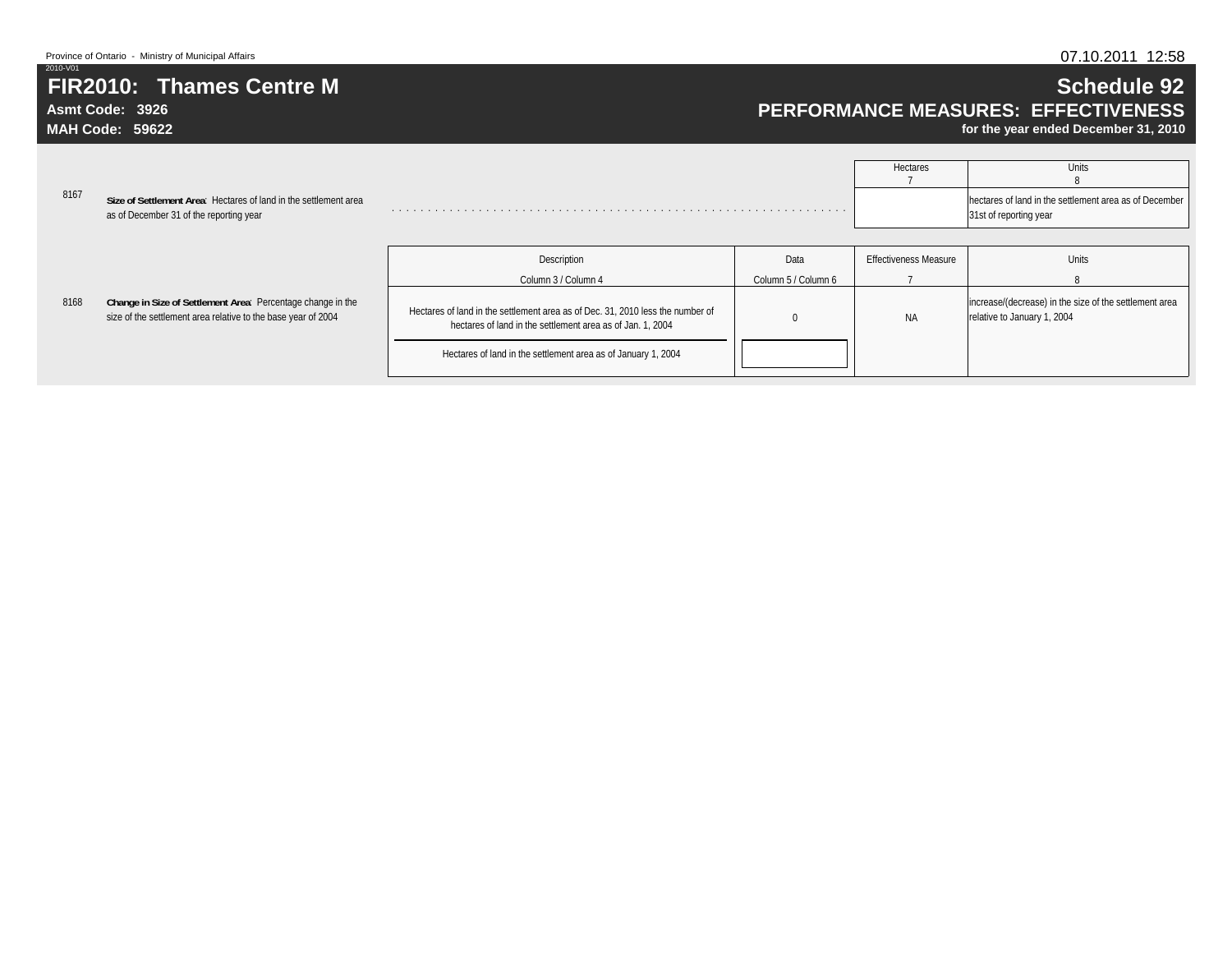# **FIR2010: Thames Centre M**

**Asmt Code: 3926MAH Code: 59622**

2010-V01

## **Schedule 92 PERFORMANCE MEASURES: EFFECTIVENESS**

**for the year ended December 31, 2010**

|      |                                                                                                                              |                                                                                                                                              |                     | Hectares                     | Units                                                                                 |
|------|------------------------------------------------------------------------------------------------------------------------------|----------------------------------------------------------------------------------------------------------------------------------------------|---------------------|------------------------------|---------------------------------------------------------------------------------------|
| 8167 | Size of Settlement Area: Hectares of land in the settlement area<br>as of December 31 of the reporting year                  |                                                                                                                                              |                     |                              | hectares of land in the settlement area as of December<br>31st of reporting year      |
|      |                                                                                                                              |                                                                                                                                              |                     |                              |                                                                                       |
|      |                                                                                                                              | Description                                                                                                                                  | Data                | <b>Effectiveness Measure</b> | Units                                                                                 |
|      |                                                                                                                              | Column 3 / Column 4                                                                                                                          | Column 5 / Column 6 |                              |                                                                                       |
| 8168 | Change in Size of Settlement Area: Percentage change in the<br>size of the settlement area relative to the base year of 2004 | Hectares of land in the settlement area as of Dec. 31, 2010 less the number of<br>hectares of land in the settlement area as of Jan. 1, 2004 |                     | <b>NA</b>                    | increase/(decrease) in the size of the settlement area<br>relative to January 1, 2004 |

Hectares of land in the settlement area as of January 1, 2004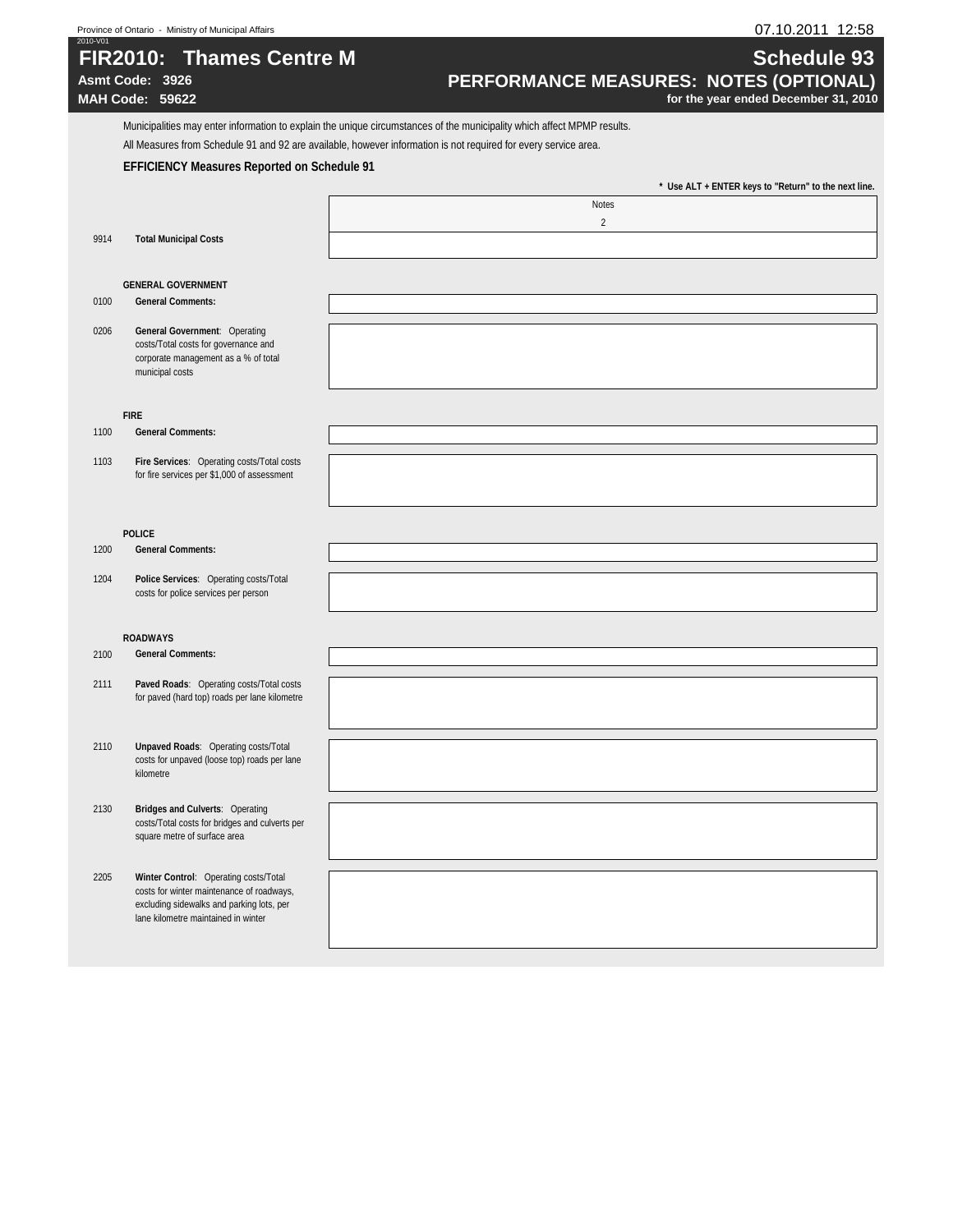| 2010-V01 | Province of Ontario - Ministry of Municipal Affairs                                                                                                                    | 07.10.2011 12:58                                                                                                                                                                                                                           |
|----------|------------------------------------------------------------------------------------------------------------------------------------------------------------------------|--------------------------------------------------------------------------------------------------------------------------------------------------------------------------------------------------------------------------------------------|
|          | <b>FIR2010: Thames Centre M</b><br>Asmt Code: 3926<br>MAH Code: 59622                                                                                                  | <b>Schedule 93</b><br>PERFORMANCE MEASURES: NOTES (OPTIONAL)<br>for the year ended December 31, 2010                                                                                                                                       |
|          |                                                                                                                                                                        | Municipalities may enter information to explain the unique circumstances of the municipality which affect MPMP results.<br>All Measures from Schedule 91 and 92 are available, however information is not required for every service area. |
|          | <b>EFFICIENCY Measures Reported on Schedule 91</b>                                                                                                                     |                                                                                                                                                                                                                                            |
|          |                                                                                                                                                                        | * Use ALT + ENTER keys to "Return" to the next line.                                                                                                                                                                                       |
|          |                                                                                                                                                                        | <b>Notes</b>                                                                                                                                                                                                                               |
| 9914     | <b>Total Municipal Costs</b>                                                                                                                                           | $\overline{2}$                                                                                                                                                                                                                             |
|          | <b>GENERAL GOVERNMENT</b>                                                                                                                                              |                                                                                                                                                                                                                                            |
| 0100     | <b>General Comments:</b>                                                                                                                                               |                                                                                                                                                                                                                                            |
| 0206     | General Government: Operating<br>costs/Total costs for governance and<br>corporate management as a % of total<br>municipal costs                                       |                                                                                                                                                                                                                                            |
|          | <b>FIRE</b>                                                                                                                                                            |                                                                                                                                                                                                                                            |
| 1100     | <b>General Comments:</b>                                                                                                                                               |                                                                                                                                                                                                                                            |
| 1103     | Fire Services: Operating costs/Total costs<br>for fire services per \$1,000 of assessment                                                                              |                                                                                                                                                                                                                                            |
|          |                                                                                                                                                                        |                                                                                                                                                                                                                                            |
| 1200     | <b>POLICE</b><br><b>General Comments:</b>                                                                                                                              |                                                                                                                                                                                                                                            |
| 1204     | Police Services: Operating costs/Total<br>costs for police services per person                                                                                         |                                                                                                                                                                                                                                            |
|          |                                                                                                                                                                        |                                                                                                                                                                                                                                            |
|          | <b>ROADWAYS</b>                                                                                                                                                        |                                                                                                                                                                                                                                            |
| 2100     | <b>General Comments:</b>                                                                                                                                               |                                                                                                                                                                                                                                            |
| 2111     | Paved Roads: Operating costs/Total costs<br>for paved (hard top) roads per lane kilometre                                                                              |                                                                                                                                                                                                                                            |
| 2110     | <b>Unpaved Roads: Operating costs/Total</b><br>costs for unpaved (loose top) roads per lane<br>kilometre                                                               |                                                                                                                                                                                                                                            |
| 2130     | <b>Bridges and Culverts: Operating</b><br>costs/Total costs for bridges and culverts per<br>square metre of surface area                                               |                                                                                                                                                                                                                                            |
| 2205     | Winter Control: Operating costs/Total<br>costs for winter maintenance of roadways,<br>excluding sidewalks and parking lots, per<br>lane kilometre maintained in winter |                                                                                                                                                                                                                                            |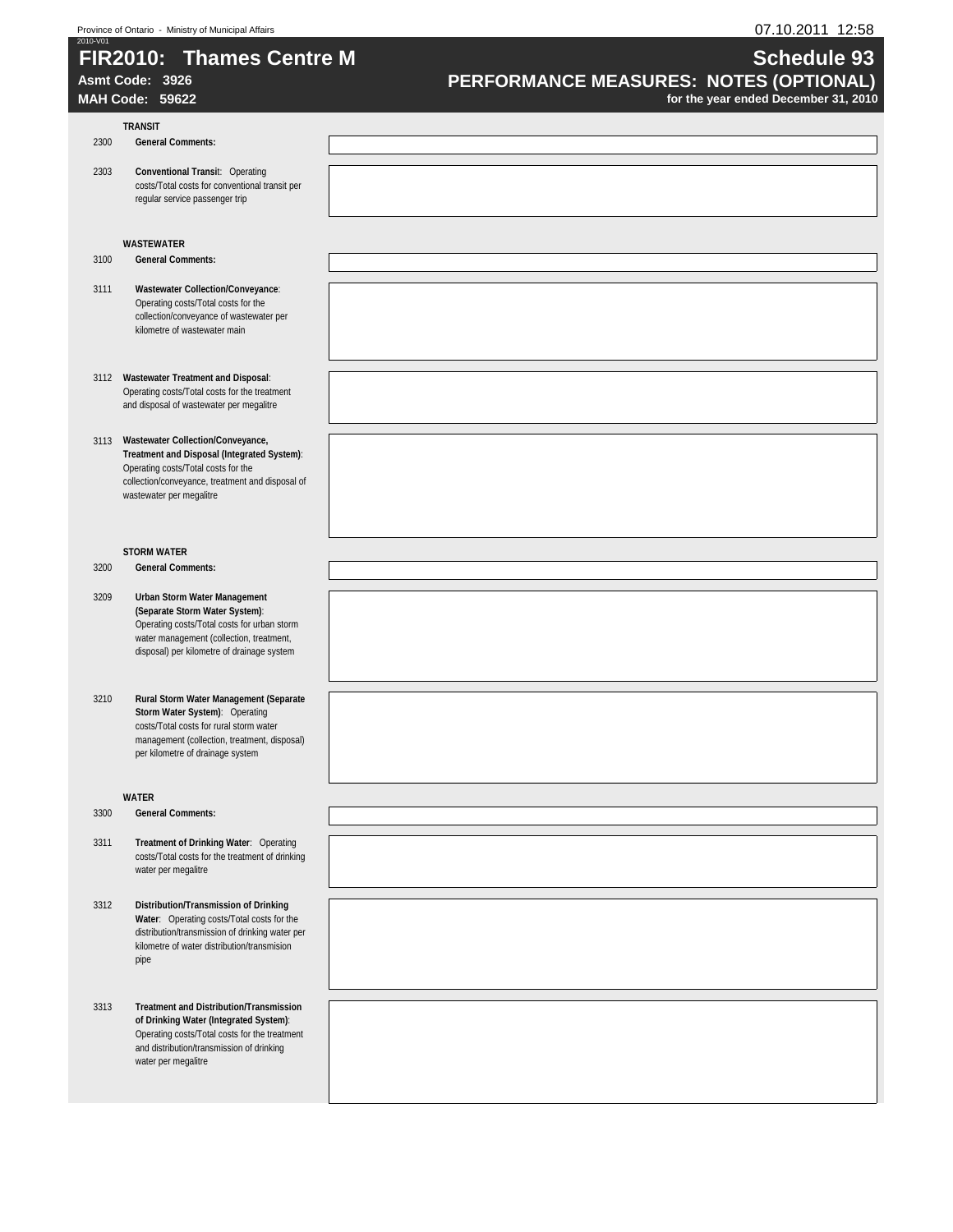# **FIR2010: Thames Centre M Schedule 93**

# **TRANSIT**

## 2300 **General Comments:**

2303 **Conventional Transi**t: Operating costs/Total costs for conventional transit per regular service passenger trip

#### **WASTEWATER**

- 3100 **General Comments:**
- 3111 **Wastewater Collection/Conveyance**: Operating costs/Total costs for the collection/conveyance of wastewater per kilometre of wastewater main
- 3112 **Wastewater Treatment and Disposal**: Operating costs/Total costs for the treatment and disposal of wastewater per megalitre
- 3113 **Wastewater Collection/Conveyance, Treatment and Disposal (Integrated System)**: Operating costs/Total costs for the collection/conveyance, treatment and disposal of wastewater per megalitre

#### **STORM WATER**

3200 **General Comments:**

- 3209 **Urban Storm Water Management (Separate Storm Water System)**: Operating costs/Total costs for urban storm water management (collection, treatment, disposal) per kilometre of drainage system
- 3210 **Rural Storm Water Management (Separate Storm Water System)**: Operating costs/Total costs for rural storm water management (collection, treatment, disposal) per kilometre of drainage system

#### **WATER**

- 3300 **General Comments:**
- 3311 **Treatment of Drinking Water**: Operating costs/Total costs for the treatment of drinking water per megalitre
- 3312 **Distribution/Transmission of Drinking Water**: Operating costs/Total costs for the distribution/transmission of drinking water per kilometre of water distribution/transmision pipe
- 3313 **Treatment and Distribution/Transmission of Drinking Water (Integrated System)**: Operating costs/Total costs for the treatment and distribution/transmission of drinking water per megalitre

# Asmt Code: 3926<br>**PERFORMANCE MEASURES: NOTES (OPTIONAL)**<br>for the year ended December 31, 2010

for the year ended December 31, 2010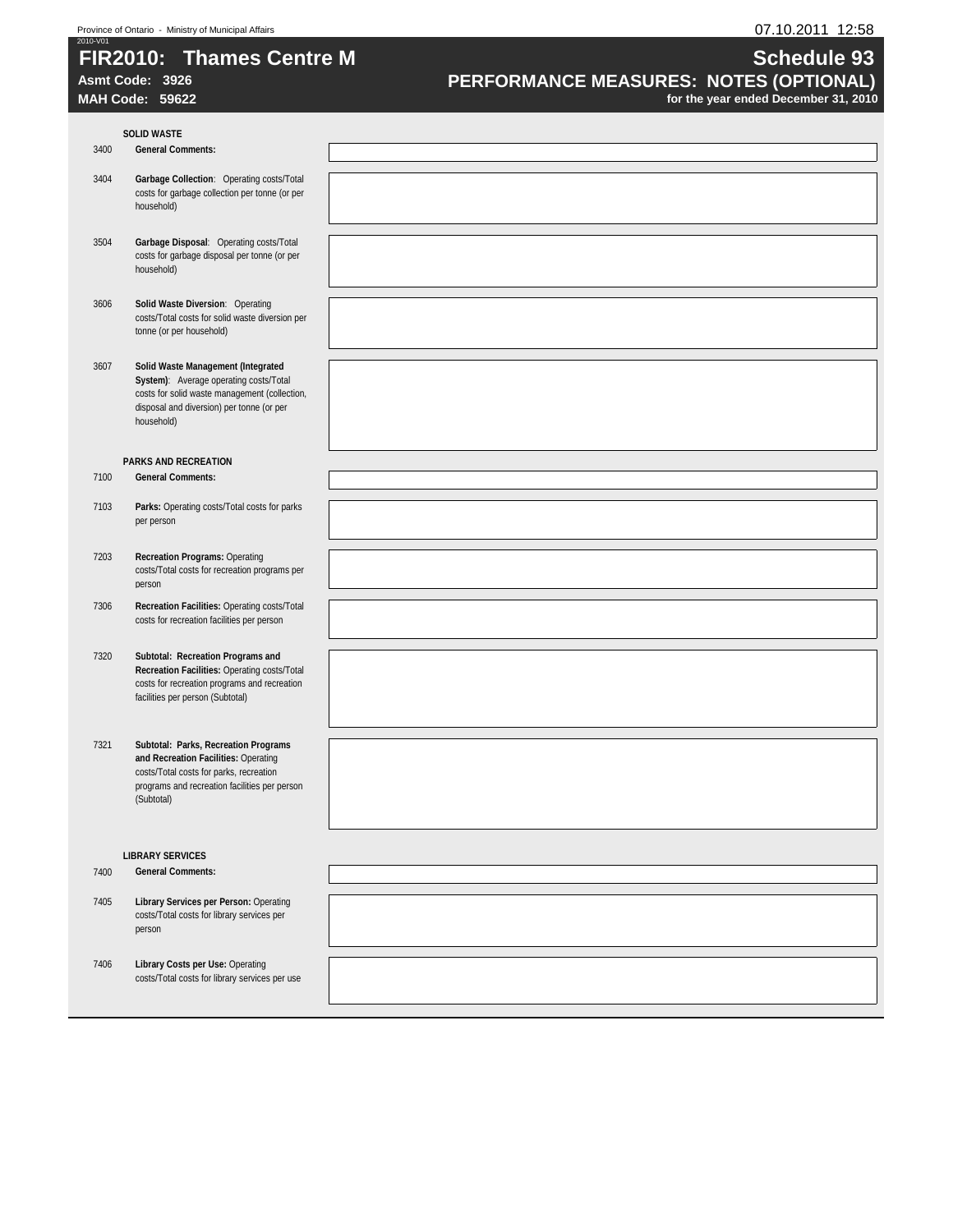# **FIR2010: Thames Centre M Schedule 93**<br> **PERFORMANCE MEASURES: NOTES (OPTIONAL) PERFORMANCE MEASURES: NOTES (OPTIONAL) Asmt Code: 3926 PERFORMANCE MEASURES: NOTES (OPTIONAL)**

**MAH Code: 59622 for the year ended December 31, 2010** 

|      | <b>SOLID WASTE</b>                                                                                                                                                                       |  |
|------|------------------------------------------------------------------------------------------------------------------------------------------------------------------------------------------|--|
| 3400 | <b>General Comments:</b>                                                                                                                                                                 |  |
| 3404 | Garbage Collection: Operating costs/Total<br>costs for garbage collection per tonne (or per<br>household)                                                                                |  |
| 3504 | Garbage Disposal: Operating costs/Total<br>costs for garbage disposal per tonne (or per<br>household)                                                                                    |  |
| 3606 | Solid Waste Diversion: Operating<br>costs/Total costs for solid waste diversion per<br>tonne (or per household)                                                                          |  |
| 3607 | Solid Waste Management (Integrated<br>System): Average operating costs/Total<br>costs for solid waste management (collection,<br>disposal and diversion) per tonne (or per<br>household) |  |
|      | <b>PARKS AND RECREATION</b>                                                                                                                                                              |  |
| 7100 | <b>General Comments:</b>                                                                                                                                                                 |  |
| 7103 | Parks: Operating costs/Total costs for parks<br>per person                                                                                                                               |  |
| 7203 | <b>Recreation Programs: Operating</b><br>costs/Total costs for recreation programs per<br>person                                                                                         |  |
| 7306 | Recreation Facilities: Operating costs/Total<br>costs for recreation facilities per person                                                                                               |  |
| 7320 | Subtotal: Recreation Programs and<br>Recreation Facilities: Operating costs/Total<br>costs for recreation programs and recreation<br>facilities per person (Subtotal)                    |  |
| 7321 | Subtotal: Parks, Recreation Programs<br>and Recreation Facilities: Operating<br>costs/Total costs for parks, recreation<br>programs and recreation facilities per person<br>(Subtotal)   |  |
|      |                                                                                                                                                                                          |  |
|      | <b>LIBRARY SERVICES</b>                                                                                                                                                                  |  |
| 7400 | <b>General Comments:</b>                                                                                                                                                                 |  |
| 7405 | Library Services per Person: Operating<br>costs/Total costs for library services per<br>person                                                                                           |  |
| 7406 | Library Costs per Use: Operating<br>costs/Total costs for library services per use                                                                                                       |  |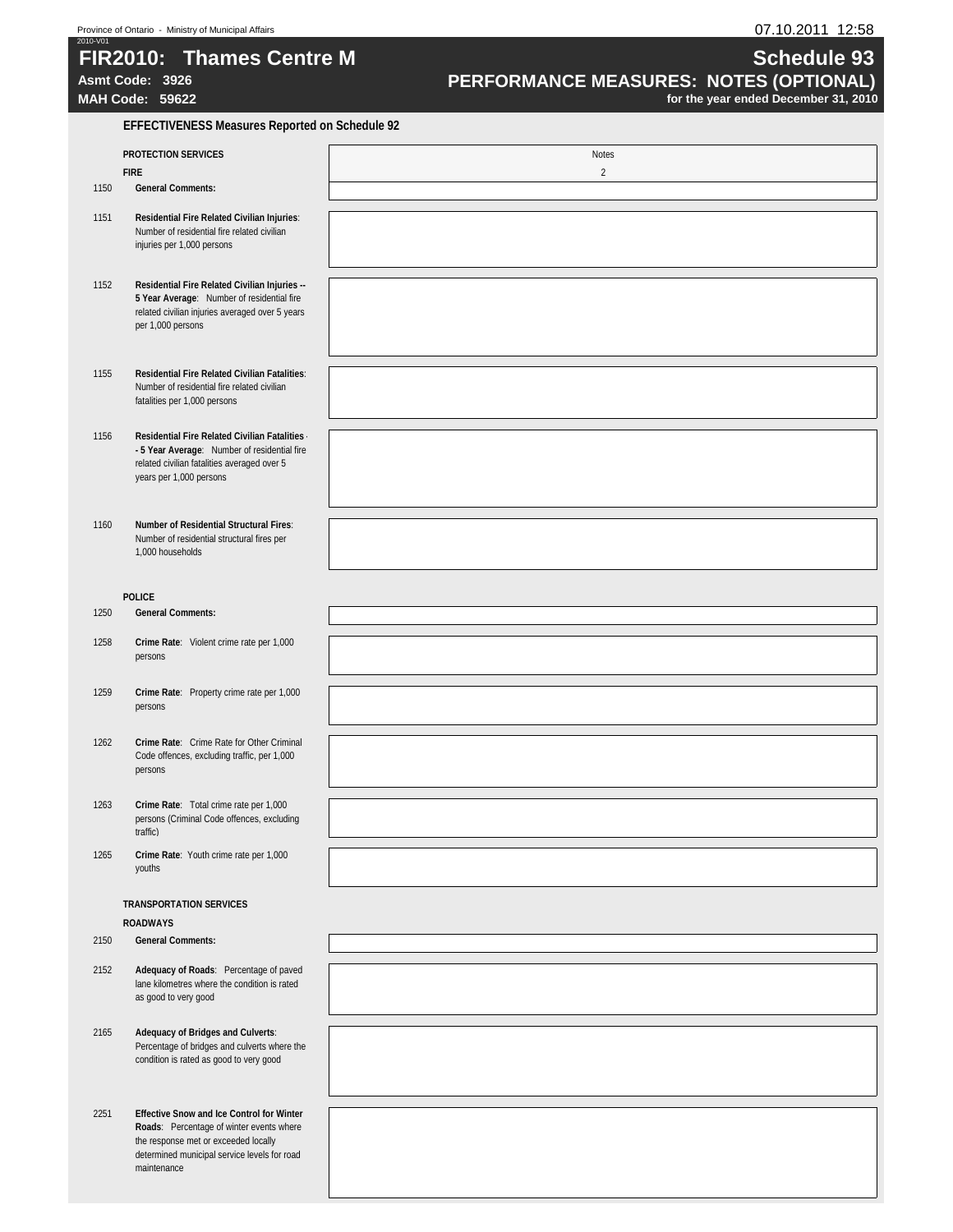# **FIR2010: Thames Centre M Schedule 93**<br> **PERFORMANCE MEASURES: NOTES (OPTIONAL) PERFORMANCE MEASURES: NOTES (OPTIONAL) MAH Code: 59622 for the year ended December 31, 2010**

**Asmt Code: 3926 PERFORMANCE MEASURES: NOTES (OPTIONAL)** 

|      | <b>EFFECTIVENESS Measures Reported on Schedule 92</b>                                                                                                                                               |                |  |  |  |
|------|-----------------------------------------------------------------------------------------------------------------------------------------------------------------------------------------------------|----------------|--|--|--|
|      | <b>PROTECTION SERVICES</b>                                                                                                                                                                          | Notes          |  |  |  |
|      | <b>FIRE</b>                                                                                                                                                                                         | $\overline{2}$ |  |  |  |
| 1150 | <b>General Comments:</b>                                                                                                                                                                            |                |  |  |  |
| 1151 | Residential Fire Related Civilian Injuries:<br>Number of residential fire related civilian<br>injuries per 1,000 persons                                                                            |                |  |  |  |
| 1152 | Residential Fire Related Civilian Injuries --<br>5 Year Average: Number of residential fire<br>related civilian injuries averaged over 5 years<br>per 1,000 persons                                 |                |  |  |  |
| 1155 | <b>Residential Fire Related Civilian Fatalities:</b><br>Number of residential fire related civilian<br>fatalities per 1,000 persons                                                                 |                |  |  |  |
| 1156 | Residential Fire Related Civilian Fatalities<br>- 5 Year Average: Number of residential fire<br>related civilian fatalities averaged over 5<br>years per 1,000 persons                              |                |  |  |  |
| 1160 | Number of Residential Structural Fires:<br>Number of residential structural fires per<br>1,000 households                                                                                           |                |  |  |  |
|      | <b>POLICE</b>                                                                                                                                                                                       |                |  |  |  |
| 1250 | <b>General Comments:</b>                                                                                                                                                                            |                |  |  |  |
| 1258 | Crime Rate: Violent crime rate per 1,000<br>persons                                                                                                                                                 |                |  |  |  |
| 1259 | Crime Rate: Property crime rate per 1,000<br>persons                                                                                                                                                |                |  |  |  |
| 1262 | Crime Rate: Crime Rate for Other Criminal<br>Code offences, excluding traffic, per 1,000<br>persons                                                                                                 |                |  |  |  |
| 1263 | Crime Rate: Total crime rate per 1,000<br>persons (Criminal Code offences, excluding<br>traffic)                                                                                                    |                |  |  |  |
| 1265 | Crime Rate: Youth crime rate per 1,000<br>youths                                                                                                                                                    |                |  |  |  |
|      | <b>TRANSPORTATION SERVICES</b><br><b>ROADWAYS</b>                                                                                                                                                   |                |  |  |  |
| 2150 | <b>General Comments:</b>                                                                                                                                                                            |                |  |  |  |
| 2152 | Adequacy of Roads: Percentage of paved<br>lane kilometres where the condition is rated<br>as good to very good                                                                                      |                |  |  |  |
| 2165 | Adequacy of Bridges and Culverts:<br>Percentage of bridges and culverts where the<br>condition is rated as good to very good                                                                        |                |  |  |  |
| 2251 | <b>Effective Snow and Ice Control for Winter</b><br>Roads: Percentage of winter events where<br>the response met or exceeded locally<br>determined municipal service levels for road<br>maintenance |                |  |  |  |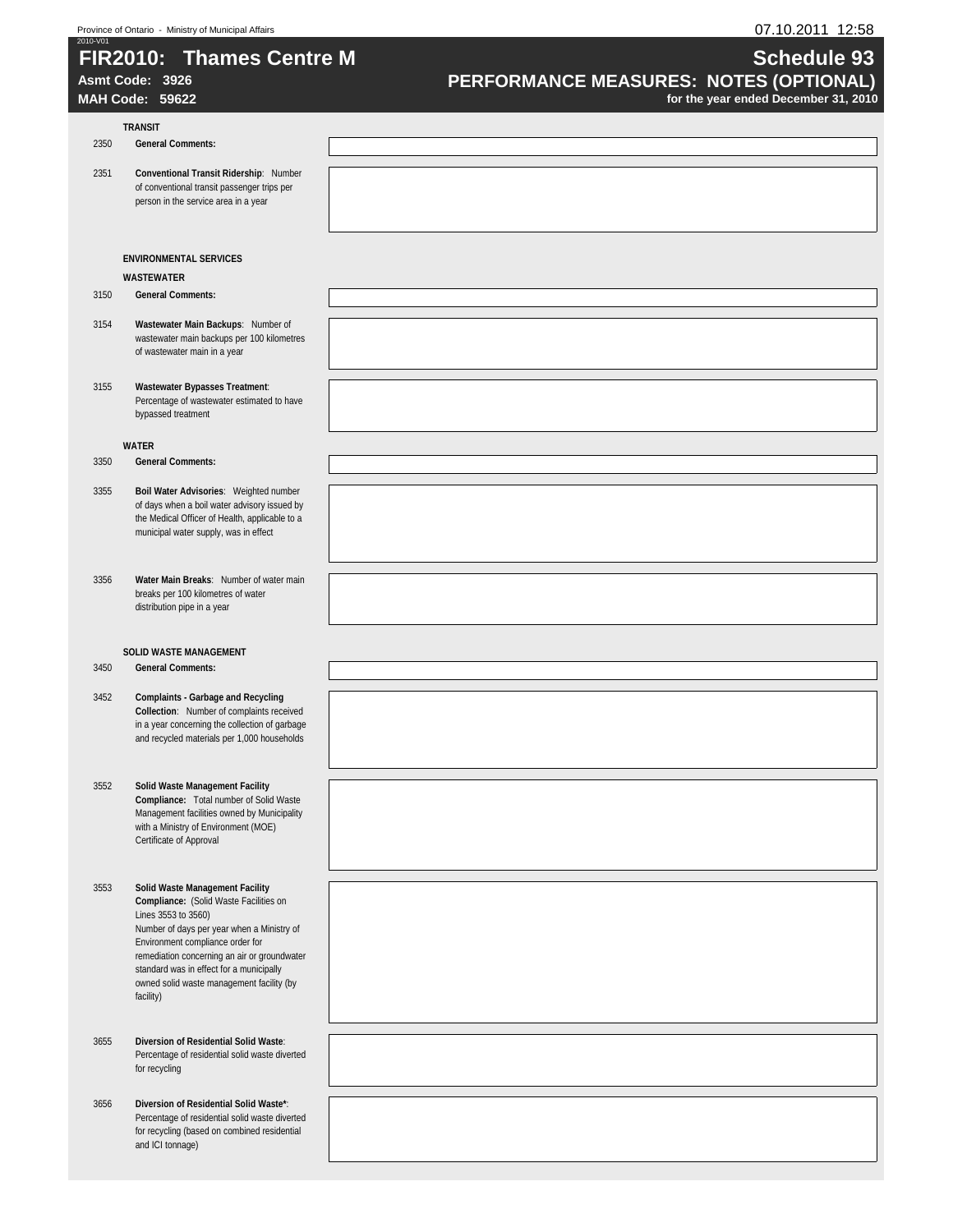# **FIR2010:** Thames Centre M **Schedule 93 Schedule 93**

### **TRANSIT**

2350 **General Comments:**

2351 **Conventional Transit Ridership**: Number of conventional transit passenger trips per person in the service area in a year

#### **ENVIRONMENTAL SERVICES WASTEWATER**

#### 3150 **General Comments:**

- 3154 **Wastewater Main Backups**: Number of wastewater main backups per 100 kilometres of wastewater main in a year
- 3155 **Wastewater Bypasses Treatment**: Percentage of wastewater estimated to have bypassed treatment

#### **WATER**

- 3350 **General Comments:**
- 3355 **Boil Water Advisories**: Weighted number of days when a boil water advisory issued by the Medical Officer of Health, applicable to a municipal water supply, was in effect
- 3356 **Water Main Breaks**: Number of water main breaks per 100 kilometres of water distribution pipe in a year

#### **SOLID WASTE MANAGEMENT**

3450 **General Comments:**

- 3452 **Complaints Garbage and Recycling Collection**: Number of complaints received in a year concerning the collection of garbage and recycled materials per 1,000 households
- 3552 **Solid Waste Management Facility Compliance:** Total number of Solid Waste Management facilities owned by Municipality with a Ministry of Environment (MOE) Certificate of Approval
- 3553 **Solid Waste Management Facility Compliance:** (Solid Waste Facilities on Lines 3553 to 3560) Number of days per year when a Ministry of Environment compliance order for remediation concerning an air or groundwater standard was in effect for a municipally owned solid waste management facility (by facility)
- 3655 **Diversion of Residential Solid Waste**: Percentage of residential solid waste diverted for recycling
- 3656 **Diversion of Residential Solid Waste\***: Percentage of residential solid waste diverted for recycling (based on combined residential and ICI tonnage)

# Asmt Code: 3926<br>**PERFORMANCE MEASURES: NOTES (OPTIONAL)**<br>for the year ended December 31, 2010

for the year ended December 31, 2010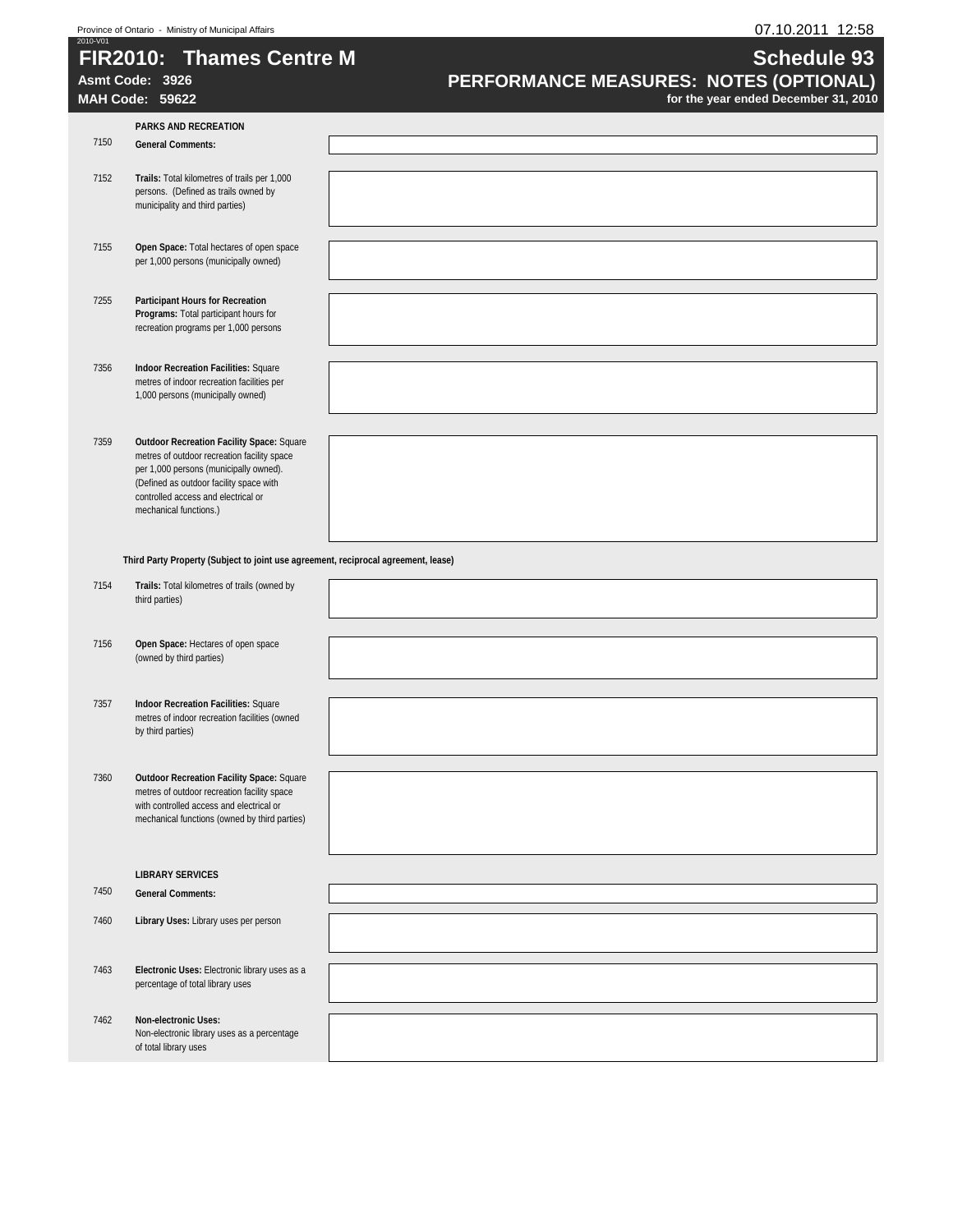# **FIR2010: Thames Centre M Schedule 93**

# **Asmt Code: 3926 PERFORMANCE MEASURES: NOTES (OPTIONAL)**

**MAH Code: 59622 for the year ended December 31, 2010** 

| 7150<br><b>General Comments:</b><br>7152<br>Trails: Total kilometres of trails per 1,000<br>persons. (Defined as trails owned by<br>municipality and third parties)<br>7155<br>Open Space: Total hectares of open space<br>per 1,000 persons (municipally owned)<br>7255<br><b>Participant Hours for Recreation</b><br>Programs: Total participant hours for<br>recreation programs per 1,000 persons<br>7356<br><b>Indoor Recreation Facilities: Square</b><br>metres of indoor recreation facilities per<br>1,000 persons (municipally owned)<br>7359<br><b>Outdoor Recreation Facility Space: Square</b><br>metres of outdoor recreation facility space<br>per 1,000 persons (municipally owned).<br>(Defined as outdoor facility space with<br>controlled access and electrical or<br>mechanical functions.)<br>Third Party Property (Subject to joint use agreement, reciprocal agreement, lease)<br>7154<br>Trails: Total kilometres of trails (owned by<br>third parties)<br>7156<br>Open Space: Hectares of open space<br>(owned by third parties)<br>7357<br><b>Indoor Recreation Facilities: Square</b><br>metres of indoor recreation facilities (owned<br>by third parties) |
|-----------------------------------------------------------------------------------------------------------------------------------------------------------------------------------------------------------------------------------------------------------------------------------------------------------------------------------------------------------------------------------------------------------------------------------------------------------------------------------------------------------------------------------------------------------------------------------------------------------------------------------------------------------------------------------------------------------------------------------------------------------------------------------------------------------------------------------------------------------------------------------------------------------------------------------------------------------------------------------------------------------------------------------------------------------------------------------------------------------------------------------------------------------------------------------------|
|                                                                                                                                                                                                                                                                                                                                                                                                                                                                                                                                                                                                                                                                                                                                                                                                                                                                                                                                                                                                                                                                                                                                                                                         |
|                                                                                                                                                                                                                                                                                                                                                                                                                                                                                                                                                                                                                                                                                                                                                                                                                                                                                                                                                                                                                                                                                                                                                                                         |
|                                                                                                                                                                                                                                                                                                                                                                                                                                                                                                                                                                                                                                                                                                                                                                                                                                                                                                                                                                                                                                                                                                                                                                                         |
|                                                                                                                                                                                                                                                                                                                                                                                                                                                                                                                                                                                                                                                                                                                                                                                                                                                                                                                                                                                                                                                                                                                                                                                         |
|                                                                                                                                                                                                                                                                                                                                                                                                                                                                                                                                                                                                                                                                                                                                                                                                                                                                                                                                                                                                                                                                                                                                                                                         |
|                                                                                                                                                                                                                                                                                                                                                                                                                                                                                                                                                                                                                                                                                                                                                                                                                                                                                                                                                                                                                                                                                                                                                                                         |
|                                                                                                                                                                                                                                                                                                                                                                                                                                                                                                                                                                                                                                                                                                                                                                                                                                                                                                                                                                                                                                                                                                                                                                                         |
|                                                                                                                                                                                                                                                                                                                                                                                                                                                                                                                                                                                                                                                                                                                                                                                                                                                                                                                                                                                                                                                                                                                                                                                         |
|                                                                                                                                                                                                                                                                                                                                                                                                                                                                                                                                                                                                                                                                                                                                                                                                                                                                                                                                                                                                                                                                                                                                                                                         |
|                                                                                                                                                                                                                                                                                                                                                                                                                                                                                                                                                                                                                                                                                                                                                                                                                                                                                                                                                                                                                                                                                                                                                                                         |
|                                                                                                                                                                                                                                                                                                                                                                                                                                                                                                                                                                                                                                                                                                                                                                                                                                                                                                                                                                                                                                                                                                                                                                                         |
|                                                                                                                                                                                                                                                                                                                                                                                                                                                                                                                                                                                                                                                                                                                                                                                                                                                                                                                                                                                                                                                                                                                                                                                         |
|                                                                                                                                                                                                                                                                                                                                                                                                                                                                                                                                                                                                                                                                                                                                                                                                                                                                                                                                                                                                                                                                                                                                                                                         |
|                                                                                                                                                                                                                                                                                                                                                                                                                                                                                                                                                                                                                                                                                                                                                                                                                                                                                                                                                                                                                                                                                                                                                                                         |
|                                                                                                                                                                                                                                                                                                                                                                                                                                                                                                                                                                                                                                                                                                                                                                                                                                                                                                                                                                                                                                                                                                                                                                                         |
|                                                                                                                                                                                                                                                                                                                                                                                                                                                                                                                                                                                                                                                                                                                                                                                                                                                                                                                                                                                                                                                                                                                                                                                         |
|                                                                                                                                                                                                                                                                                                                                                                                                                                                                                                                                                                                                                                                                                                                                                                                                                                                                                                                                                                                                                                                                                                                                                                                         |
|                                                                                                                                                                                                                                                                                                                                                                                                                                                                                                                                                                                                                                                                                                                                                                                                                                                                                                                                                                                                                                                                                                                                                                                         |
|                                                                                                                                                                                                                                                                                                                                                                                                                                                                                                                                                                                                                                                                                                                                                                                                                                                                                                                                                                                                                                                                                                                                                                                         |
|                                                                                                                                                                                                                                                                                                                                                                                                                                                                                                                                                                                                                                                                                                                                                                                                                                                                                                                                                                                                                                                                                                                                                                                         |
|                                                                                                                                                                                                                                                                                                                                                                                                                                                                                                                                                                                                                                                                                                                                                                                                                                                                                                                                                                                                                                                                                                                                                                                         |
|                                                                                                                                                                                                                                                                                                                                                                                                                                                                                                                                                                                                                                                                                                                                                                                                                                                                                                                                                                                                                                                                                                                                                                                         |
|                                                                                                                                                                                                                                                                                                                                                                                                                                                                                                                                                                                                                                                                                                                                                                                                                                                                                                                                                                                                                                                                                                                                                                                         |
|                                                                                                                                                                                                                                                                                                                                                                                                                                                                                                                                                                                                                                                                                                                                                                                                                                                                                                                                                                                                                                                                                                                                                                                         |
|                                                                                                                                                                                                                                                                                                                                                                                                                                                                                                                                                                                                                                                                                                                                                                                                                                                                                                                                                                                                                                                                                                                                                                                         |
|                                                                                                                                                                                                                                                                                                                                                                                                                                                                                                                                                                                                                                                                                                                                                                                                                                                                                                                                                                                                                                                                                                                                                                                         |
|                                                                                                                                                                                                                                                                                                                                                                                                                                                                                                                                                                                                                                                                                                                                                                                                                                                                                                                                                                                                                                                                                                                                                                                         |
|                                                                                                                                                                                                                                                                                                                                                                                                                                                                                                                                                                                                                                                                                                                                                                                                                                                                                                                                                                                                                                                                                                                                                                                         |
|                                                                                                                                                                                                                                                                                                                                                                                                                                                                                                                                                                                                                                                                                                                                                                                                                                                                                                                                                                                                                                                                                                                                                                                         |
|                                                                                                                                                                                                                                                                                                                                                                                                                                                                                                                                                                                                                                                                                                                                                                                                                                                                                                                                                                                                                                                                                                                                                                                         |
|                                                                                                                                                                                                                                                                                                                                                                                                                                                                                                                                                                                                                                                                                                                                                                                                                                                                                                                                                                                                                                                                                                                                                                                         |
| 7360<br><b>Outdoor Recreation Facility Space: Square</b>                                                                                                                                                                                                                                                                                                                                                                                                                                                                                                                                                                                                                                                                                                                                                                                                                                                                                                                                                                                                                                                                                                                                |
| metres of outdoor recreation facility space<br>with controlled access and electrical or                                                                                                                                                                                                                                                                                                                                                                                                                                                                                                                                                                                                                                                                                                                                                                                                                                                                                                                                                                                                                                                                                                 |
| mechanical functions (owned by third parties)                                                                                                                                                                                                                                                                                                                                                                                                                                                                                                                                                                                                                                                                                                                                                                                                                                                                                                                                                                                                                                                                                                                                           |
|                                                                                                                                                                                                                                                                                                                                                                                                                                                                                                                                                                                                                                                                                                                                                                                                                                                                                                                                                                                                                                                                                                                                                                                         |
|                                                                                                                                                                                                                                                                                                                                                                                                                                                                                                                                                                                                                                                                                                                                                                                                                                                                                                                                                                                                                                                                                                                                                                                         |
| <b>LIBRARY SERVICES</b>                                                                                                                                                                                                                                                                                                                                                                                                                                                                                                                                                                                                                                                                                                                                                                                                                                                                                                                                                                                                                                                                                                                                                                 |
| 7450<br><b>General Comments:</b>                                                                                                                                                                                                                                                                                                                                                                                                                                                                                                                                                                                                                                                                                                                                                                                                                                                                                                                                                                                                                                                                                                                                                        |
| Library Uses: Library uses per person<br>7460                                                                                                                                                                                                                                                                                                                                                                                                                                                                                                                                                                                                                                                                                                                                                                                                                                                                                                                                                                                                                                                                                                                                           |
|                                                                                                                                                                                                                                                                                                                                                                                                                                                                                                                                                                                                                                                                                                                                                                                                                                                                                                                                                                                                                                                                                                                                                                                         |
| Electronic Uses: Electronic library uses as a<br>7463                                                                                                                                                                                                                                                                                                                                                                                                                                                                                                                                                                                                                                                                                                                                                                                                                                                                                                                                                                                                                                                                                                                                   |
| percentage of total library uses                                                                                                                                                                                                                                                                                                                                                                                                                                                                                                                                                                                                                                                                                                                                                                                                                                                                                                                                                                                                                                                                                                                                                        |
|                                                                                                                                                                                                                                                                                                                                                                                                                                                                                                                                                                                                                                                                                                                                                                                                                                                                                                                                                                                                                                                                                                                                                                                         |
| Non-electronic Uses:<br>7462                                                                                                                                                                                                                                                                                                                                                                                                                                                                                                                                                                                                                                                                                                                                                                                                                                                                                                                                                                                                                                                                                                                                                            |
| Non-electronic library uses as a percentage                                                                                                                                                                                                                                                                                                                                                                                                                                                                                                                                                                                                                                                                                                                                                                                                                                                                                                                                                                                                                                                                                                                                             |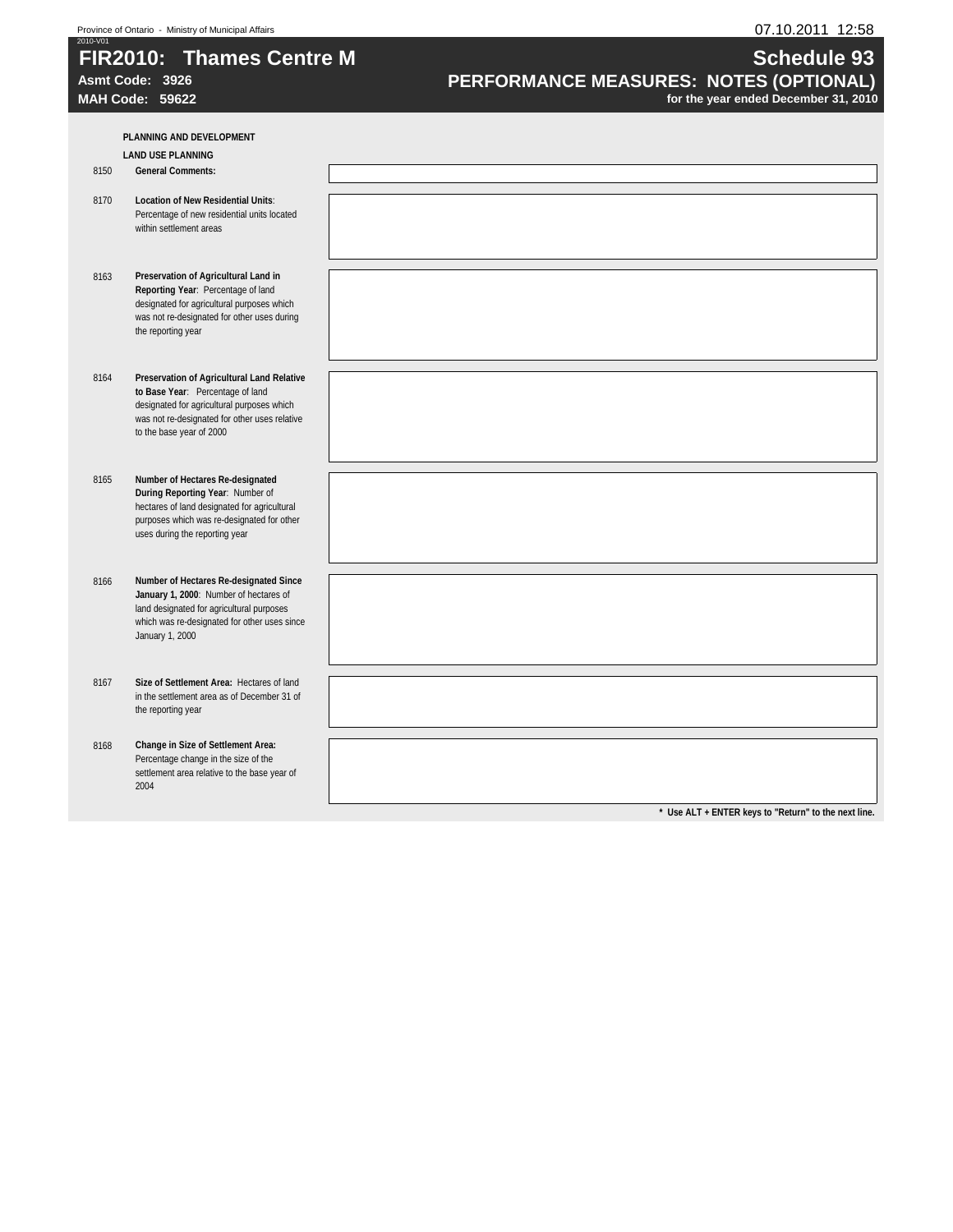# **FIR2010: Thames Centre M**  $\blacksquare$  **Schedule 93**

Asmt Code: 3926<br> **PERFORMANCE MEASURES: NOTES (OPTIONAL)**<br>
for the year ended December 31, 2010<br>
for the year ended December 31, 2010 for the year ended December 31, 2010

**PLANNING AND DEVELOPMENT LAND USE PLANNING** 8150 **General Comments:** 8170 **Location of New Residential Units**: Percentage of new residential units located within settlement areas 8163 **Preservation of Agricultural Land in Reporting Year**: Percentage of land designated for agricultural purposes which was not re-designated for other uses during the reporting year 8164 **Preservation of Agricultural Land Relative to Base Year**: Percentage of land designated for agricultural purposes which was not re-designated for other uses relative to the base year of 2000 8165 **Number of Hectares Re-designated During Reporting Year**: Number of hectares of land designated for agricultural purposes which was re-designated for other uses during the reporting year 8166 **Number of Hectares Re-designated Since January 1, 2000**: Number of hectares of land designated for agricultural purposes which was re-designated for other uses since January 1, 2000 8167 **Size of Settlement Area:** Hectares of land in the settlement area as of December 31 of the reporting year 8168 **Change in Size of Settlement Area:**  Percentage change in the size of the settlement area relative to the base year of 2004 **\* Use ALT + ENTER keys to "Return" to the next line.**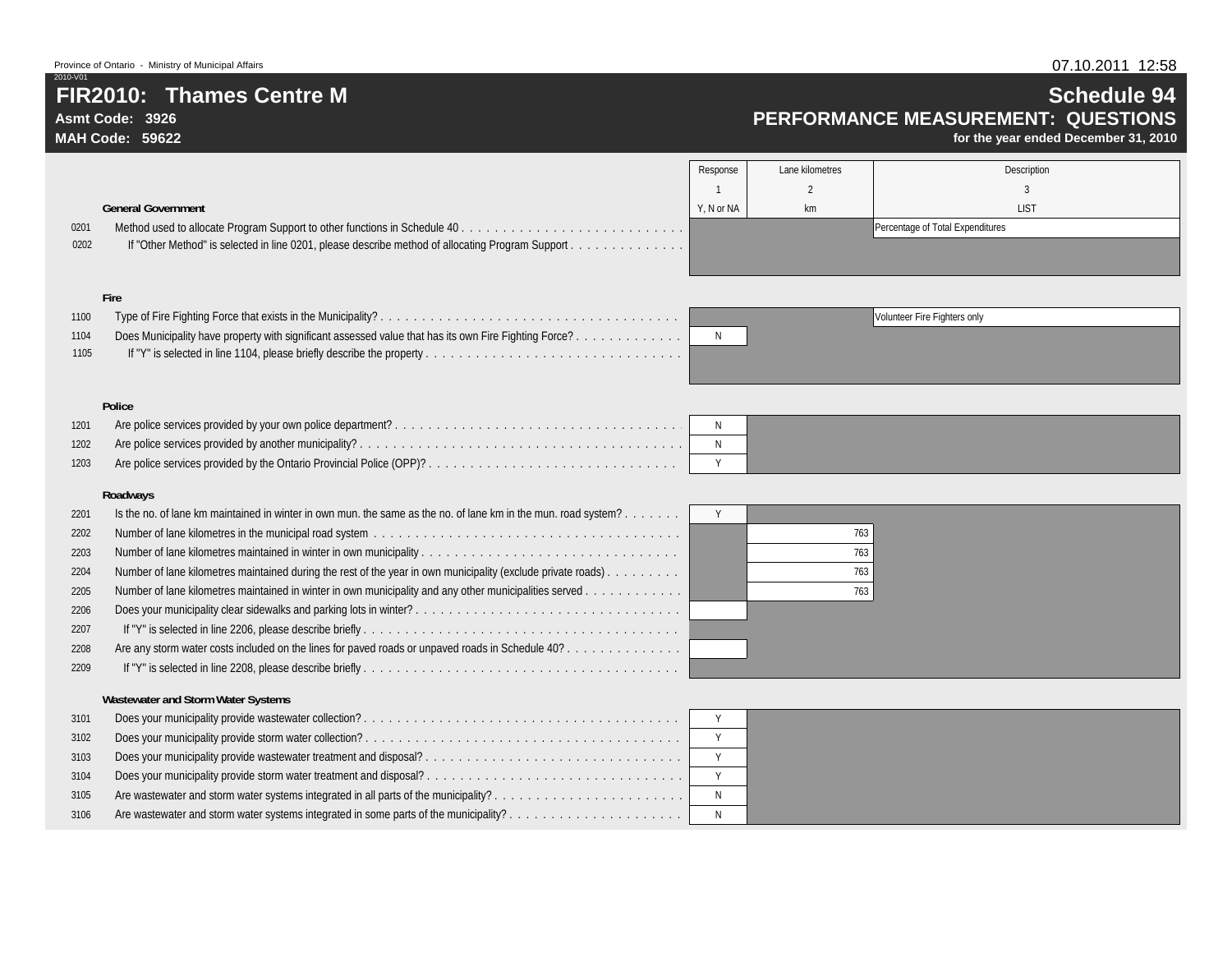**Asmt Code: 3926MAH Code: 59622**

2010-V01

#### 07.10.2011 12:58

# **Schedule 94 PERFORMANCE MEASUREMENT: QUESTIONS**

**for the year ended December 31, 2010**

|      |                                                                                                  | Response   | Lane kilometres | Description                      |
|------|--------------------------------------------------------------------------------------------------|------------|-----------------|----------------------------------|
|      |                                                                                                  |            |                 |                                  |
|      | <b>General Government</b>                                                                        | Y. N or NA | km              | <b>LIST</b>                      |
| 0201 |                                                                                                  |            |                 | Percentage of Total Expenditures |
| 0202 | If "Other Method" is selected in line 0201, please describe method of allocating Program Support |            |                 |                                  |
|      |                                                                                                  |            |                 |                                  |

#### **Fire**

| 1100 |                                                                                                       |     |
|------|-------------------------------------------------------------------------------------------------------|-----|
| 1104 | Does Municipality have property with significant assessed value that has its own Fire Fighting Force? | - N |
| 1105 |                                                                                                       |     |



#### **Police**

| 1201 |  |  |
|------|--|--|
| 1202 |  |  |
| 1203 |  |  |

#### **Roadways**

| 2201 | Is the no. of lane km maintained in winter in own mun, the same as the no. of lane km in the mun, road system? |     |
|------|----------------------------------------------------------------------------------------------------------------|-----|
| 2202 |                                                                                                                | 763 |
| 2203 |                                                                                                                | 763 |
| 2204 | Number of lane kilometres maintained during the rest of the year in own municipality (exclude private roads).  | 763 |
| 2205 | Number of lane kilometres maintained in winter in own municipality and any other municipalities served         | 763 |
| 2206 |                                                                                                                |     |
| 2207 |                                                                                                                |     |
| 2208 | Are any storm water costs included on the lines for paved roads or unpaved roads in Schedule 40?               |     |
| 2209 |                                                                                                                |     |
|      | <b>Wastewater and Storm Water Systems</b>                                                                      |     |
| 3101 |                                                                                                                |     |

| 3101 |                                                                                     |  |
|------|-------------------------------------------------------------------------------------|--|
| 3102 |                                                                                     |  |
| 3103 | Does your municipality provide wastewater treatment and disposal?                   |  |
| 3104 | Does your municipality provide storm water treatment and disposal?                  |  |
| 3105 | Are wastewater and storm water systems integrated in all parts of the municipality? |  |
| 3106 |                                                                                     |  |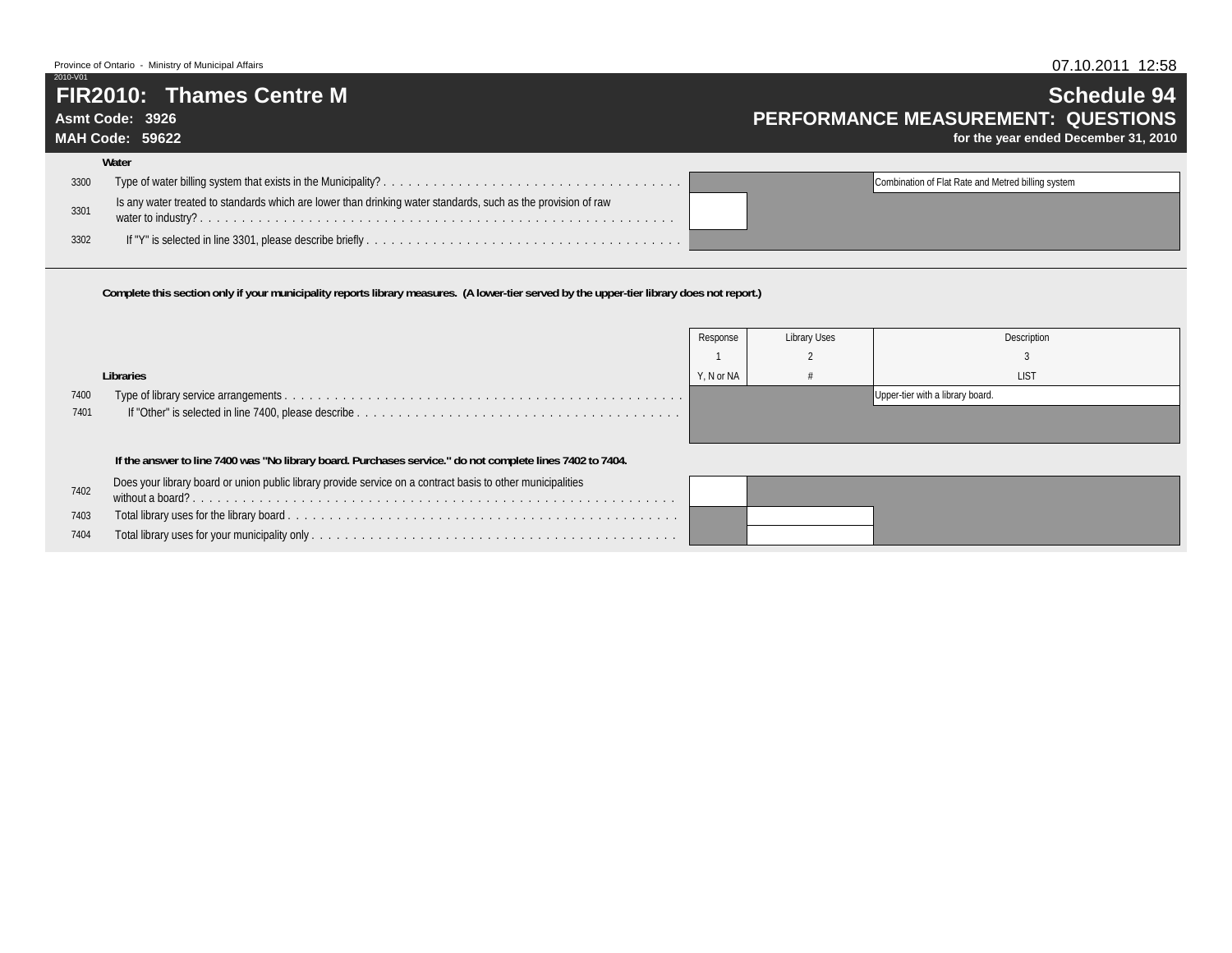### **FIR2010: Thames Centre M**

### **Asmt Code: 3926**

2010-V01

**MAH Code: 59622Water**

# **Schedule 94 PERFORMANCE MEASUREMENT: QUESTIONS**

**for the year ended December 31, 2010**

|      | wuw                                                                                                           |                                                    |
|------|---------------------------------------------------------------------------------------------------------------|----------------------------------------------------|
| 3300 |                                                                                                               | Combination of Flat Rate and Metred billing system |
| 3301 | Is any water treated to standards which are lower than drinking water standards, such as the provision of raw |                                                    |
| 3302 |                                                                                                               |                                                    |

**Complete this section only if your municipality reports library measures. (A lower-tier served by the upper-tier library does not report.)**

|      |                                                                                                             | Response   | Library Uses | Description                      |
|------|-------------------------------------------------------------------------------------------------------------|------------|--------------|----------------------------------|
|      |                                                                                                             |            |              |                                  |
|      | Libraries                                                                                                   | Y, N or NA |              | <b>LIST</b>                      |
| 7400 |                                                                                                             |            |              | Upper-tier with a library board. |
| 7401 |                                                                                                             |            |              |                                  |
|      |                                                                                                             |            |              |                                  |
|      | If the answer to line 7400 was "No library board. Purchases service." do not complete lines 7402 to 7404.   |            |              |                                  |
| 7402 | Does your library board or union public library provide service on a contract basis to other municipalities |            |              |                                  |
| 7403 |                                                                                                             |            |              |                                  |
| 7404 |                                                                                                             |            |              |                                  |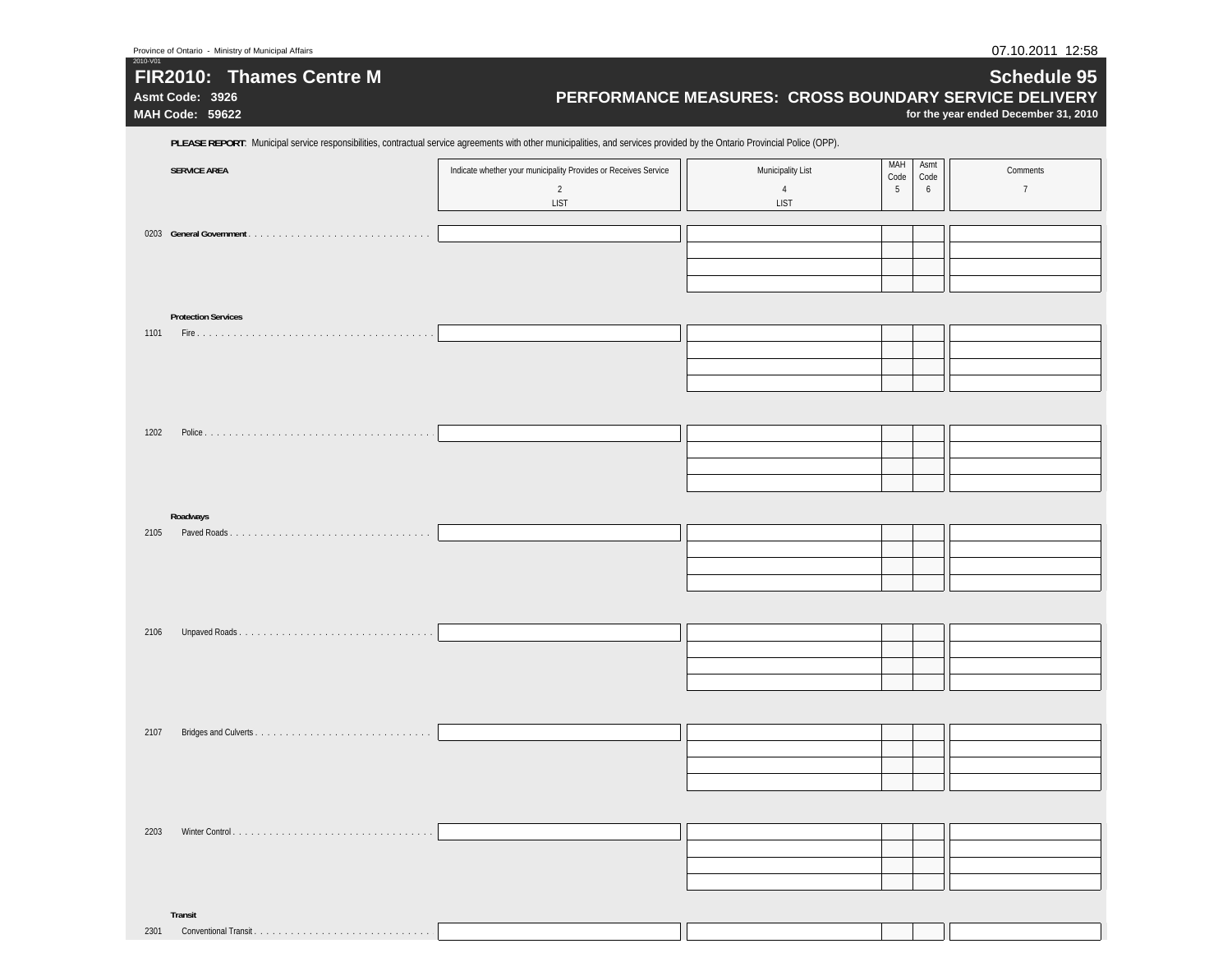|                            | PLEASE REPORT: Municipal service responsibilities, contractual service agreements with other municipalities, and services provided by the Ontario Provincial Police (OPP). |                                     |                                       |                            |
|----------------------------|----------------------------------------------------------------------------------------------------------------------------------------------------------------------------|-------------------------------------|---------------------------------------|----------------------------|
| <b>SERVICE AREA</b>        | Indicate whether your municipality Provides or Receives Service<br>$\overline{2}$                                                                                          | Municipality List<br>$\overline{4}$ | MAH<br>Asmt<br>Code<br>Code<br>5<br>6 | Comments<br>$\overline{7}$ |
|                            | <b>LIST</b>                                                                                                                                                                | LIST                                |                                       |                            |
|                            |                                                                                                                                                                            |                                     |                                       |                            |
|                            |                                                                                                                                                                            |                                     |                                       |                            |
|                            |                                                                                                                                                                            |                                     |                                       |                            |
| <b>Protection Services</b> |                                                                                                                                                                            |                                     |                                       |                            |
|                            |                                                                                                                                                                            |                                     |                                       |                            |
|                            |                                                                                                                                                                            |                                     |                                       |                            |
|                            |                                                                                                                                                                            |                                     |                                       |                            |
|                            |                                                                                                                                                                            |                                     |                                       |                            |
|                            |                                                                                                                                                                            |                                     |                                       |                            |
|                            |                                                                                                                                                                            |                                     |                                       |                            |
|                            |                                                                                                                                                                            |                                     |                                       |                            |
|                            |                                                                                                                                                                            |                                     |                                       |                            |
| Roadways                   |                                                                                                                                                                            |                                     |                                       |                            |
| 2105                       |                                                                                                                                                                            |                                     |                                       |                            |
|                            |                                                                                                                                                                            |                                     |                                       |                            |
|                            |                                                                                                                                                                            |                                     |                                       |                            |
| 2106                       |                                                                                                                                                                            |                                     |                                       |                            |
|                            |                                                                                                                                                                            |                                     |                                       |                            |
|                            |                                                                                                                                                                            |                                     |                                       |                            |
|                            |                                                                                                                                                                            |                                     |                                       |                            |
|                            |                                                                                                                                                                            |                                     |                                       |                            |
| 2107                       |                                                                                                                                                                            |                                     |                                       |                            |
|                            |                                                                                                                                                                            |                                     |                                       |                            |
|                            |                                                                                                                                                                            |                                     |                                       |                            |
|                            |                                                                                                                                                                            |                                     |                                       |                            |
|                            |                                                                                                                                                                            |                                     |                                       |                            |
|                            |                                                                                                                                                                            |                                     |                                       |                            |
|                            |                                                                                                                                                                            |                                     |                                       |                            |

2010-V01

07.10.2011 12:58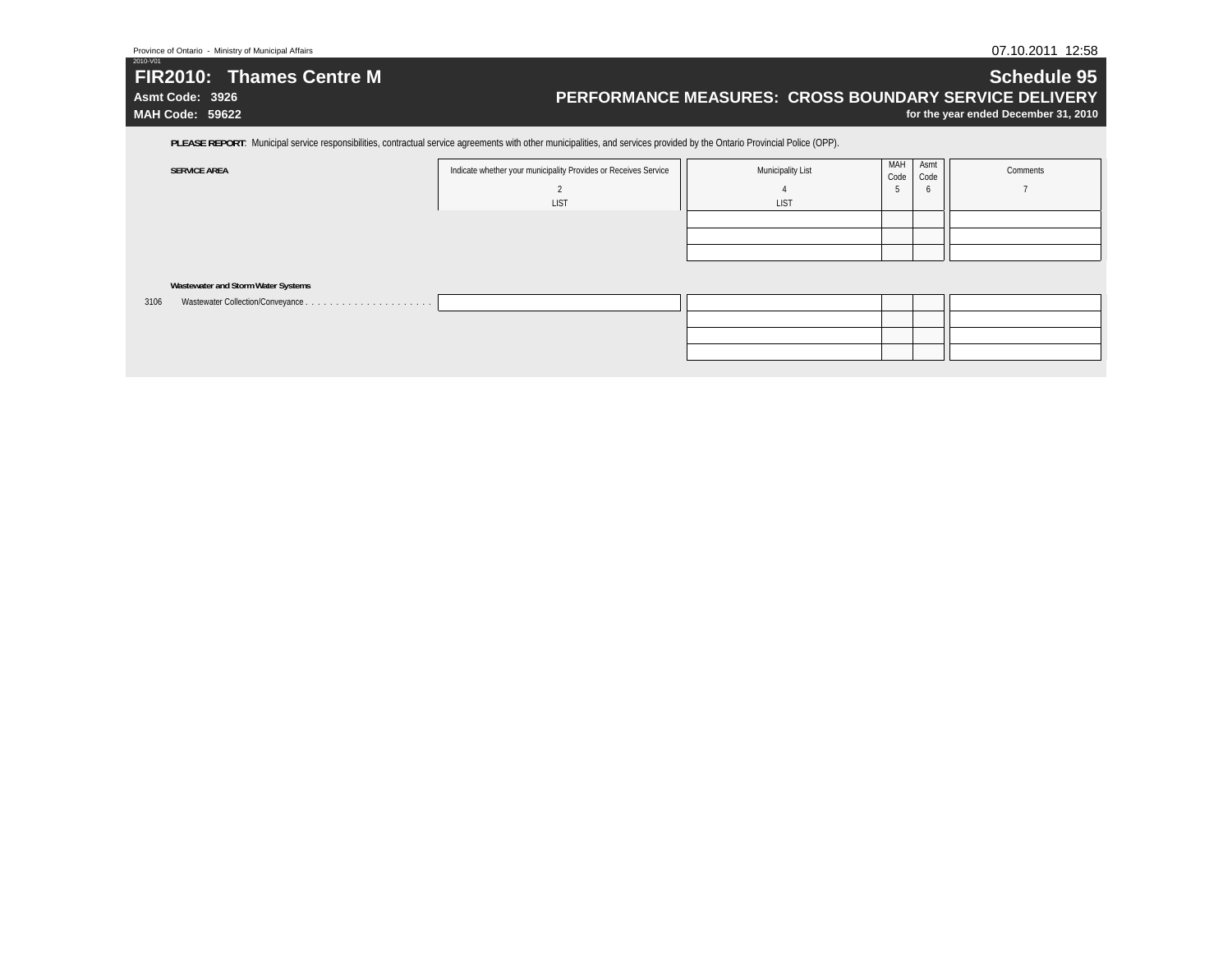# **FIR2010: Thames Centre M**

**Asmt Code: 3926MAH Code: 59622**

2010-V01

### **Schedule 95 PERFORMANCE MEASURES: CROSS BOUNDARY SERVICE DELIVERY**

**for the year ended December 31, 2010**

PLEASE REPORT: Municipal service responsibilities, contractual service agreements with other municipalities, and services provided by the Ontario Provincial Police (OPP).

| <b>SERVICE AREA</b>                       | Indicate whether your municipality Provides or Receives Service | <b>Municipality List</b> | MAH<br>Code | Asmt<br>Code | Comments |
|-------------------------------------------|-----------------------------------------------------------------|--------------------------|-------------|--------------|----------|
|                                           |                                                                 |                          |             | $\circ$      |          |
|                                           | LIST                                                            | <b>LIST</b>              |             |              |          |
|                                           |                                                                 |                          |             |              |          |
|                                           |                                                                 |                          |             |              |          |
|                                           |                                                                 |                          |             |              |          |
|                                           |                                                                 |                          |             |              |          |
| Wastewater and Storm Water Systems        |                                                                 |                          |             |              |          |
| Wastewater Collection/Conveyance.<br>3106 |                                                                 |                          |             |              |          |
|                                           |                                                                 |                          |             |              |          |
|                                           |                                                                 |                          |             |              |          |
|                                           |                                                                 |                          |             |              |          |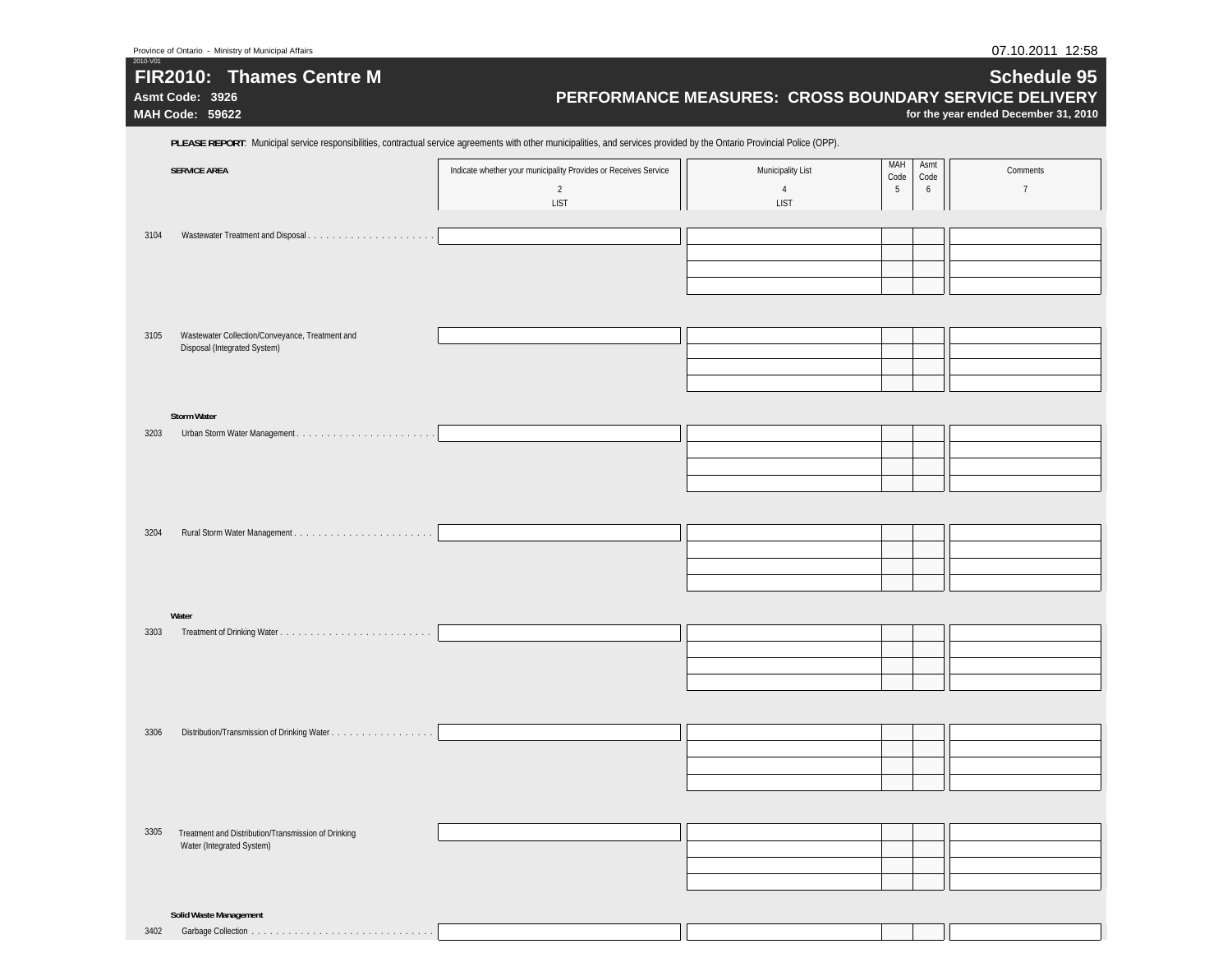|      | Asmt Code: 3926<br>MAH Code: 59622                                                                                                                                         |                                                                                           | PERFORMANCE MEASURES: CROSS BOUNDARY SERVICE DELIVERY              | for the year ended December 31, 2010            |
|------|----------------------------------------------------------------------------------------------------------------------------------------------------------------------------|-------------------------------------------------------------------------------------------|--------------------------------------------------------------------|-------------------------------------------------|
|      | PLEASE REPORT: Municipal service responsibilities, contractual service agreements with other municipalities, and services provided by the Ontario Provincial Police (OPP). |                                                                                           |                                                                    |                                                 |
|      | <b>SERVICE AREA</b>                                                                                                                                                        | Indicate whether your municipality Provides or Receives Service<br>$\overline{2}$<br>LIST | MAH<br>Municipality List<br>Code<br>$\sqrt{4}$<br>5<br><b>LIST</b> | Asmt<br>Comments<br>Code<br>$\overline{1}$<br>6 |
| 3104 |                                                                                                                                                                            |                                                                                           |                                                                    |                                                 |
| 3105 | Wastewater Collection/Conveyance, Treatment and<br>Disposal (Integrated System)                                                                                            |                                                                                           |                                                                    |                                                 |
| 3203 | <b>Storm Water</b>                                                                                                                                                         |                                                                                           |                                                                    |                                                 |
| 3204 |                                                                                                                                                                            |                                                                                           |                                                                    |                                                 |
| 3303 | Water                                                                                                                                                                      |                                                                                           |                                                                    |                                                 |
| 3306 |                                                                                                                                                                            |                                                                                           |                                                                    |                                                 |
| 3305 | Treatment and Distribution/Transmission of Drinking                                                                                                                        |                                                                                           |                                                                    |                                                 |
|      | Water (Integrated System)                                                                                                                                                  |                                                                                           |                                                                    |                                                 |
|      | <b>Solid Waste Management</b><br>3402 Garbage Collection                                                                                                                   |                                                                                           |                                                                    |                                                 |

3402 Garbage Collection . . . . . . . . . . . . . . . . . . . . . . . . . . . . . .

2010-V01

07.10.2011 12:58

**Schedule 95**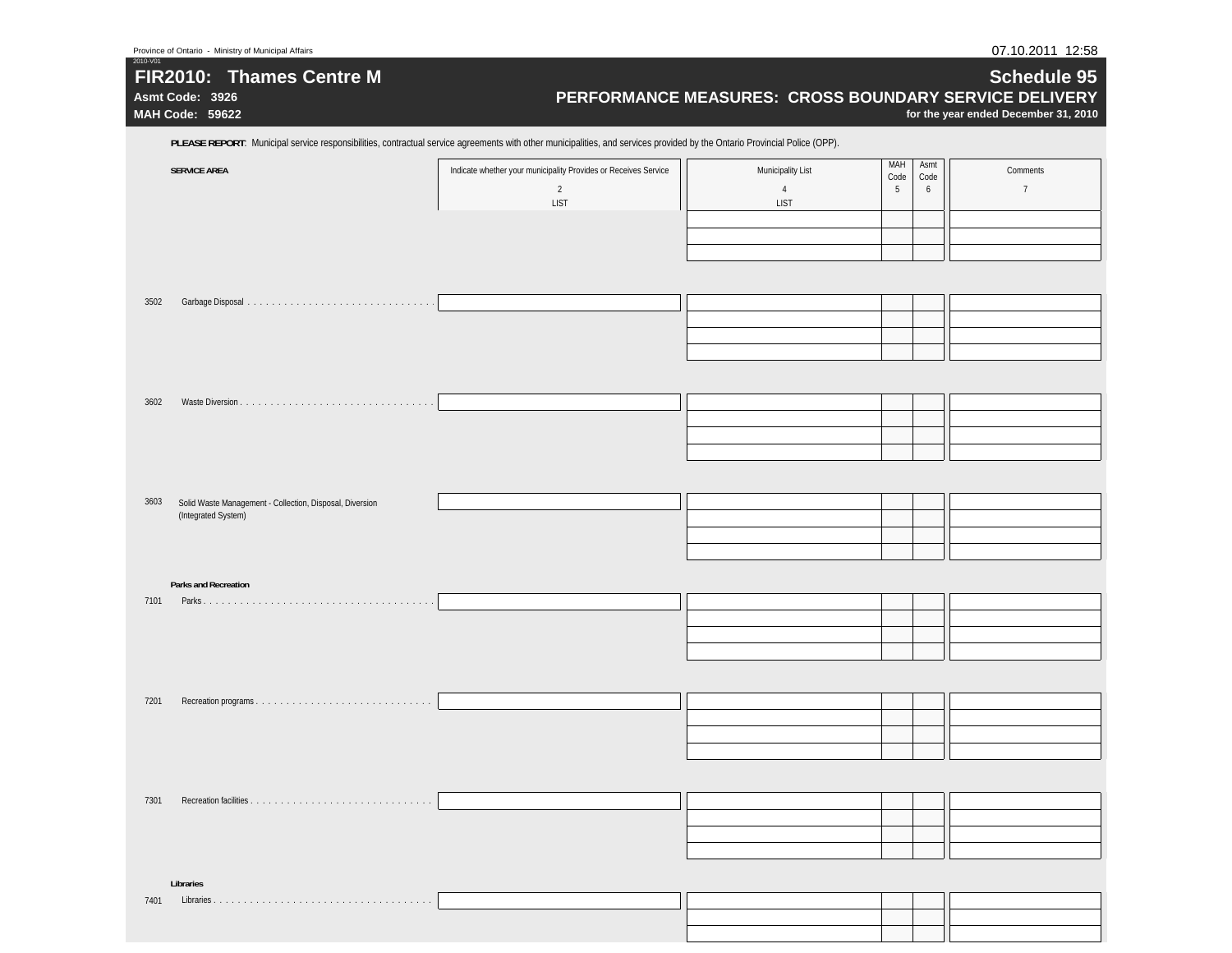| 2010-V01<br>FIR2010: Thames Centre M<br>Asmt Code: 3926<br>MAH Code: 59622                                                                                                 |                                                                 | PERFORMANCE MEASURES: CROSS BOUNDARY SERVICE DELIVERY |                             | Schedule 95<br>for the year ended December 31, 2010 |
|----------------------------------------------------------------------------------------------------------------------------------------------------------------------------|-----------------------------------------------------------------|-------------------------------------------------------|-----------------------------|-----------------------------------------------------|
| PLEASE REPORT: Municipal service responsibilities, contractual service agreements with other municipalities, and services provided by the Ontario Provincial Police (OPP). |                                                                 |                                                       |                             |                                                     |
| <b>SERVICE AREA</b>                                                                                                                                                        | Indicate whether your municipality Provides or Receives Service | Municipality List                                     | MAH<br>Asmt<br>Code<br>Code | Comments                                            |
|                                                                                                                                                                            | $\sqrt{2}$<br><b>LIST</b>                                       | $\overline{4}$<br><b>LIST</b>                         | 5<br>6                      | $7\phantom{.0}$                                     |
|                                                                                                                                                                            |                                                                 |                                                       |                             |                                                     |
|                                                                                                                                                                            |                                                                 |                                                       |                             |                                                     |
| 3502                                                                                                                                                                       |                                                                 |                                                       |                             |                                                     |
|                                                                                                                                                                            |                                                                 |                                                       |                             |                                                     |
|                                                                                                                                                                            |                                                                 |                                                       |                             |                                                     |
|                                                                                                                                                                            |                                                                 |                                                       |                             |                                                     |
| 3602                                                                                                                                                                       |                                                                 |                                                       |                             |                                                     |
|                                                                                                                                                                            |                                                                 |                                                       |                             |                                                     |
|                                                                                                                                                                            |                                                                 |                                                       |                             |                                                     |
| 3603<br>Solid Waste Management - Collection, Disposal, Diversion                                                                                                           |                                                                 |                                                       |                             |                                                     |
| (Integrated System)                                                                                                                                                        |                                                                 |                                                       |                             |                                                     |
|                                                                                                                                                                            |                                                                 |                                                       |                             |                                                     |
| <b>Parks and Recreation</b>                                                                                                                                                |                                                                 |                                                       |                             |                                                     |
| 7101                                                                                                                                                                       |                                                                 |                                                       |                             |                                                     |
|                                                                                                                                                                            |                                                                 |                                                       |                             |                                                     |
|                                                                                                                                                                            |                                                                 |                                                       |                             |                                                     |
| 7201                                                                                                                                                                       |                                                                 |                                                       |                             |                                                     |
|                                                                                                                                                                            |                                                                 |                                                       |                             |                                                     |
|                                                                                                                                                                            |                                                                 |                                                       |                             |                                                     |
|                                                                                                                                                                            |                                                                 |                                                       |                             |                                                     |
| 7301                                                                                                                                                                       |                                                                 |                                                       |                             |                                                     |
|                                                                                                                                                                            |                                                                 |                                                       |                             |                                                     |
| Libraries                                                                                                                                                                  |                                                                 |                                                       |                             |                                                     |
| 7401                                                                                                                                                                       |                                                                 |                                                       |                             |                                                     |
|                                                                                                                                                                            |                                                                 |                                                       |                             |                                                     |
|                                                                                                                                                                            |                                                                 |                                                       |                             |                                                     |